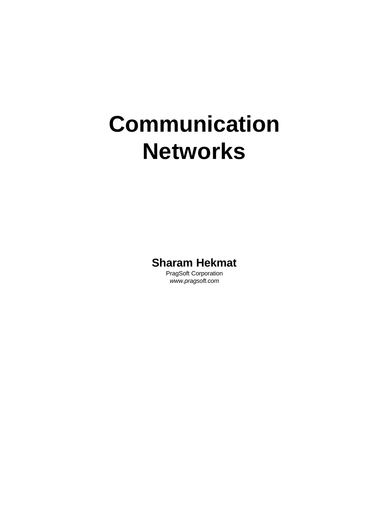# **Communication Networks**

**Sharam Hekmat**

PragSoft Corporation *www.pragsoft.com*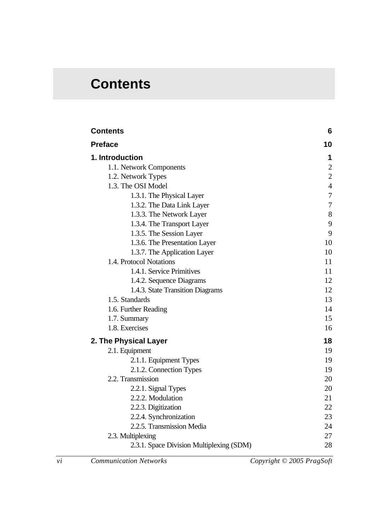# **Contents**

| <b>Contents</b>                          | 6                |
|------------------------------------------|------------------|
| <b>Preface</b>                           | 10               |
| 1. Introduction                          | 1                |
| 1.1. Network Components                  | $\mathbf{2}$     |
| 1.2. Network Types                       | $\overline{2}$   |
| 1.3. The OSI Model                       | $\overline{4}$   |
| 1.3.1. The Physical Layer                | $\boldsymbol{7}$ |
| 1.3.2. The Data Link Layer               | $\overline{7}$   |
| 1.3.3. The Network Layer                 | 8                |
| 1.3.4. The Transport Layer               | 9                |
| 1.3.5. The Session Layer                 | 9                |
| 1.3.6. The Presentation Layer            | 10               |
| 1.3.7. The Application Layer             | 10               |
| 1.4. Protocol Notations                  | 11               |
| 1.4.1. Service Primitives                | 11               |
| 1.4.2. Sequence Diagrams                 | 12               |
| 1.4.3. State Transition Diagrams         | 12               |
| 1.5. Standards                           | 13               |
| 1.6. Further Reading                     | 14               |
| 1.7. Summary                             | 15               |
| 1.8. Exercises                           | 16               |
| 2. The Physical Layer                    | 18               |
| 2.1. Equipment                           | 19               |
| 2.1.1. Equipment Types                   | 19               |
| 2.1.2. Connection Types                  | 19               |
| 2.2. Transmission                        | 20               |
| 2.2.1. Signal Types                      | 20               |
| 2.2.2. Modulation                        | 21               |
| 2.2.3. Digitization                      | 22               |
| 2.2.4. Synchronization                   | 23               |
| 2.2.5. Transmission Media                | 24               |
| 2.3. Multiplexing                        | 27               |
| 2.3.1. Space Division Multiplexing (SDM) | 28               |

*vi Communication Networks Copyright © 2005 PragSoft*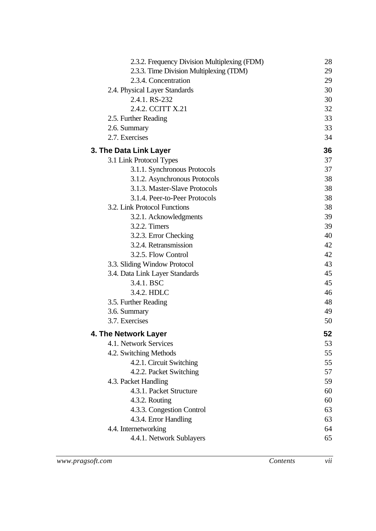| 2.3.2. Frequency Division Multiplexing (FDM) | 28 |
|----------------------------------------------|----|
| 2.3.3. Time Division Multiplexing (TDM)      | 29 |
| 2.3.4. Concentration                         | 29 |
| 2.4. Physical Layer Standards                | 30 |
| 2.4.1. RS-232                                | 30 |
| 2.4.2. CCITT X.21                            | 32 |
| 2.5. Further Reading                         | 33 |
| 2.6. Summary                                 | 33 |
| 2.7. Exercises                               | 34 |
| 3. The Data Link Layer                       | 36 |
| 3.1 Link Protocol Types                      | 37 |
| 3.1.1. Synchronous Protocols                 | 37 |
| 3.1.2. Asynchronous Protocols                | 38 |
| 3.1.3. Master-Slave Protocols                | 38 |
| 3.1.4. Peer-to-Peer Protocols                | 38 |
| 3.2. Link Protocol Functions                 | 38 |
| 3.2.1. Acknowledgments                       | 39 |
| 3.2.2. Timers                                | 39 |
| 3.2.3. Error Checking                        | 40 |
| 3.2.4. Retransmission                        | 42 |
| 3.2.5. Flow Control                          | 42 |
| 3.3. Sliding Window Protocol                 | 43 |
| 3.4. Data Link Layer Standards               | 45 |
| 3.4.1. BSC                                   | 45 |
| 3.4.2. HDLC                                  | 46 |
| 3.5. Further Reading                         | 48 |
| 3.6. Summary                                 | 49 |
| 3.7. Exercises                               | 50 |
| 4. The Network Layer                         | 52 |
| 4.1. Network Services                        | 53 |
| 4.2. Switching Methods                       | 55 |
| 4.2.1. Circuit Switching                     | 55 |
| 4.2.2. Packet Switching                      | 57 |
| 4.3. Packet Handling                         | 59 |
| 4.3.1. Packet Structure                      | 60 |
| 4.3.2. Routing                               | 60 |
| 4.3.3. Congestion Control                    | 63 |
| 4.3.4. Error Handling                        | 63 |
| 4.4. Internetworking                         | 64 |
| 4.4.1. Network Sublayers                     | 65 |
|                                              |    |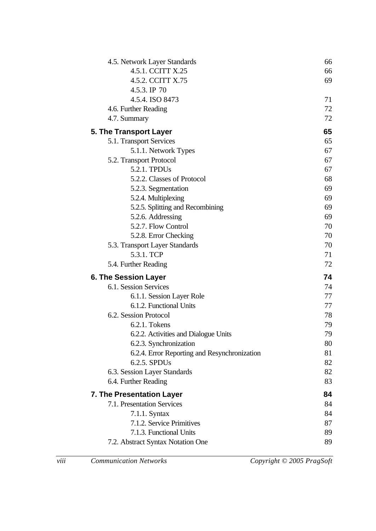| 4.5. Network Layer Standards                 | 66 |
|----------------------------------------------|----|
| 4.5.1. CCITT X.25                            | 66 |
| 4.5.2. CCITT X.75                            | 69 |
| 4.5.3. IP 70                                 |    |
| 4.5.4. ISO 8473                              | 71 |
| 4.6. Further Reading                         | 72 |
| 4.7. Summary                                 | 72 |
| 5. The Transport Layer                       | 65 |
| 5.1. Transport Services                      | 65 |
| 5.1.1. Network Types                         | 67 |
| 5.2. Transport Protocol                      | 67 |
| 5.2.1. TPDUs                                 | 67 |
| 5.2.2. Classes of Protocol                   | 68 |
| 5.2.3. Segmentation                          | 69 |
| 5.2.4. Multiplexing                          | 69 |
| 5.2.5. Splitting and Recombining             | 69 |
| 5.2.6. Addressing                            | 69 |
| 5.2.7. Flow Control                          | 70 |
| 5.2.8. Error Checking                        | 70 |
| 5.3. Transport Layer Standards               | 70 |
| 5.3.1. TCP                                   | 71 |
| 5.4. Further Reading                         | 72 |
| <b>6. The Session Layer</b>                  | 74 |
| 6.1. Session Services                        | 74 |
| 6.1.1. Session Layer Role                    | 77 |
| 6.1.2. Functional Units                      | 77 |
| 6.2. Session Protocol                        | 78 |
| 6.2.1. Tokens                                | 79 |
| 6.2.2. Activities and Dialogue Units         | 79 |
| 6.2.3. Synchronization                       | 80 |
| 6.2.4. Error Reporting and Resynchronization | 81 |
| 6.2.5. SPDUs                                 | 82 |
| 6.3. Session Layer Standards                 | 82 |
| 6.4. Further Reading                         | 83 |
| 7. The Presentation Layer                    | 84 |
| 7.1. Presentation Services                   | 84 |
| $7.1.1$ . Syntax                             | 84 |
| 7.1.2. Service Primitives                    | 87 |
| 7.1.3. Functional Units                      | 89 |
| 7.2. Abstract Syntax Notation One            | 89 |
|                                              |    |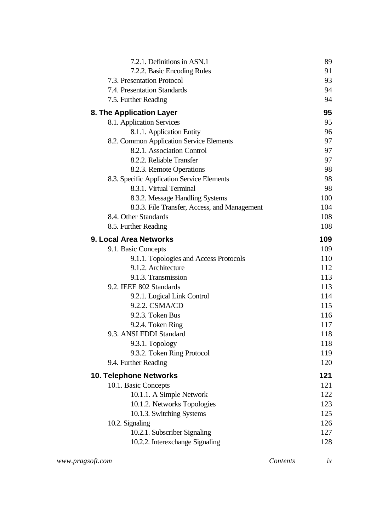| 7.2.1. Definitions in ASN.1                   | 89         |
|-----------------------------------------------|------------|
| 7.2.2. Basic Encoding Rules                   | 91         |
| 7.3. Presentation Protocol                    | 93         |
| 7.4. Presentation Standards                   | 94         |
| 7.5. Further Reading                          | 94         |
| 8. The Application Layer                      | 95         |
| 8.1. Application Services                     | 95         |
| 8.1.1. Application Entity                     | 96         |
| 8.2. Common Application Service Elements      | 97         |
| 8.2.1. Association Control                    | 97         |
| 8.2.2. Reliable Transfer                      | 97         |
| 8.2.3. Remote Operations                      | 98         |
| 8.3. Specific Application Service Elements    | 98         |
| 8.3.1. Virtual Terminal                       | 98         |
| 8.3.2. Message Handling Systems               | 100        |
| 8.3.3. File Transfer, Access, and Management  | 104        |
| 8.4. Other Standards                          | 108        |
| 8.5. Further Reading                          | 108        |
| 9. Local Area Networks                        | 109        |
| 9.1. Basic Concepts                           | 109        |
| 9.1.1. Topologies and Access Protocols        | 110        |
| 9.1.2. Architecture                           | 112        |
| 9.1.3. Transmission                           | 113        |
| 9.2. IEEE 802 Standards                       | 113        |
| 9.2.1. Logical Link Control<br>9.2.2. CSMA/CD | 114        |
| 9.2.3. Token Bus                              | 115<br>116 |
| 9.2.4. Token Ring                             | 117        |
| 9.3. ANSI FDDI Standard                       | 118        |
| 9.3.1. Topology                               | 118        |
| 9.3.2. Token Ring Protocol                    | 119        |
| 9.4. Further Reading                          | 120        |
| <b>10. Telephone Networks</b>                 | 121        |
| 10.1. Basic Concepts                          | 121        |
| 10.1.1. A Simple Network                      | 122        |
| 10.1.2. Networks Topologies                   | 123        |
| 10.1.3. Switching Systems                     | 125        |
| 10.2. Signaling                               | 126        |
| 10.2.1. Subscriber Signaling                  | 127        |
| 10.2.2. Interexchange Signaling               | 128        |
|                                               |            |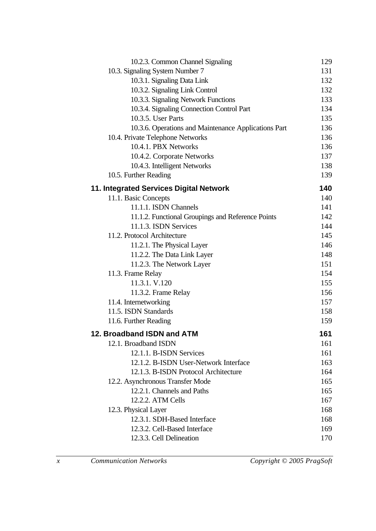| 10.2.3. Common Channel Signaling                     | 129 |
|------------------------------------------------------|-----|
| 10.3. Signaling System Number 7                      | 131 |
| 10.3.1. Signaling Data Link                          | 132 |
| 10.3.2. Signaling Link Control                       | 132 |
| 10.3.3. Signaling Network Functions                  | 133 |
| 10.3.4. Signaling Connection Control Part            | 134 |
| 10.3.5. User Parts                                   | 135 |
| 10.3.6. Operations and Maintenance Applications Part | 136 |
| 10.4. Private Telephone Networks                     | 136 |
| 10.4.1. PBX Networks                                 | 136 |
| 10.4.2. Corporate Networks                           | 137 |
| 10.4.3. Intelligent Networks                         | 138 |
| 10.5. Further Reading                                | 139 |
| 11. Integrated Services Digital Network              | 140 |
| 11.1. Basic Concepts                                 | 140 |
| 11.1.1. ISDN Channels                                | 141 |
| 11.1.2. Functional Groupings and Reference Points    | 142 |
| 11.1.3. ISDN Services                                | 144 |
| 11.2. Protocol Architecture                          | 145 |
| 11.2.1. The Physical Layer                           | 146 |
| 11.2.2. The Data Link Layer                          | 148 |
| 11.2.3. The Network Layer                            | 151 |
| 11.3. Frame Relay                                    | 154 |
| 11.3.1. V.120                                        | 155 |
| 11.3.2. Frame Relay                                  | 156 |
| 11.4. Internetworking                                | 157 |
| 11.5. ISDN Standards                                 | 158 |
| 11.6. Further Reading                                | 159 |
| 12. Broadband ISDN and ATM                           | 161 |
| 12.1. Broadband ISDN                                 | 161 |
| 12.1.1. B-ISDN Services                              | 161 |
| 12.1.2. B-ISDN User-Network Interface                | 163 |
| 12.1.3. B-ISDN Protocol Architecture                 | 164 |
| 12.2. Asynchronous Transfer Mode                     | 165 |
| 12.2.1. Channels and Paths                           | 165 |
| 12.2.2. ATM Cells                                    | 167 |
| 12.3. Physical Layer                                 | 168 |
| 12.3.1. SDH-Based Interface                          | 168 |
| 12.3.2. Cell-Based Interface                         | 169 |
| 12.3.3. Cell Delineation                             | 170 |
|                                                      |     |

*x Communication Networks Copyright © 2005 PragSoft*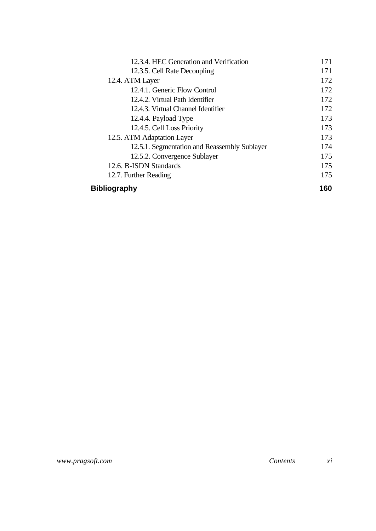| 12.3.4. HEC Generation and Verification      | 171 |
|----------------------------------------------|-----|
| 12.3.5. Cell Rate Decoupling                 | 171 |
| 12.4. ATM Layer                              | 172 |
| 12.4.1. Generic Flow Control                 | 172 |
| 12.4.2. Virtual Path Identifier              | 172 |
| 12.4.3. Virtual Channel Identifier           | 172 |
| 12.4.4. Payload Type                         | 173 |
| 12.4.5. Cell Loss Priority                   | 173 |
| 12.5. ATM Adaptation Layer                   | 173 |
| 12.5.1. Segmentation and Reassembly Sublayer | 174 |
| 12.5.2. Convergence Sublayer                 | 175 |
| 12.6. B-ISDN Standards                       | 175 |
| 12.7. Further Reading                        | 175 |
| <b>Bibliography</b>                          | 160 |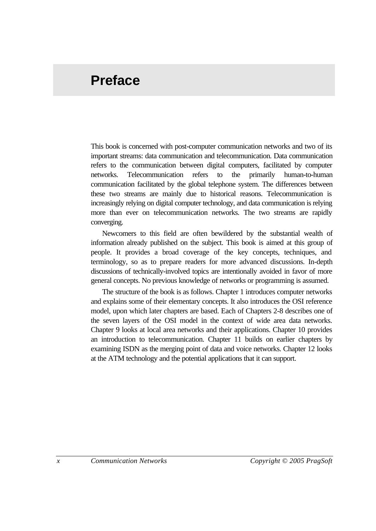# **Preface**

This book is concerned with post-computer communication networks and two of its important streams: data communication and telecommunication. Data communication refers to the communication between digital computers, facilitated by computer networks. Telecommunication refers to the primarily human-to-human communication facilitated by the global telephone system. The differences between these two streams are mainly due to historical reasons. Telecommunication is increasingly relying on digital computer technology, and data communication is relying more than ever on telecommunication networks. The two streams are rapidly converging.

Newcomers to this field are often bewildered by the substantial wealth of information already published on the subject. This book is aimed at this group of people. It provides a broad coverage of the key concepts, techniques, and terminology, so as to prepare readers for more advanced discussions. In-depth discussions of technically-involved topics are intentionally avoided in favor of more general concepts. No previous knowledge of networks or programming is assumed.

The structure of the book is as follows. Chapter 1 introduces computer networks and explains some of their elementary concepts. It also introduces the OSI reference model, upon which later chapters are based. Each of Chapters 2-8 describes one of the seven layers of the OSI model in the context of wide area data networks. Chapter 9 looks at local area networks and their applications. Chapter 10 provides an introduction to telecommunication. Chapter 11 builds on earlier chapters by examining ISDN as the merging point of data and voice networks. Chapter 12 looks at the ATM technology and the potential applications that it can support.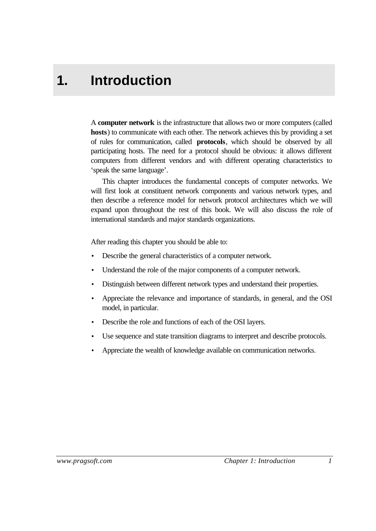# **1. Introduction**

A **computer network** is the infrastructure that allows two or more computers (called **hosts**) to communicate with each other. The network achieves this by providing a set of rules for communication, called **protocols**, which should be observed by all participating hosts. The need for a protocol should be obvious: it allows different computers from different vendors and with different operating characteristics to 'speak the same language'.

This chapter introduces the fundamental concepts of computer networks. We will first look at constituent network components and various network types, and then describe a reference model for network protocol architectures which we will expand upon throughout the rest of this book. We will also discuss the role of international standards and major standards organizations.

After reading this chapter you should be able to:

- Describe the general characteristics of a computer network.
- Understand the role of the major components of a computer network.
- Distinguish between different network types and understand their properties.
- Appreciate the relevance and importance of standards, in general, and the OSI model, in particular.
- Describe the role and functions of each of the OSI layers.
- Use sequence and state transition diagrams to interpret and describe protocols.
- Appreciate the wealth of knowledge available on communication networks.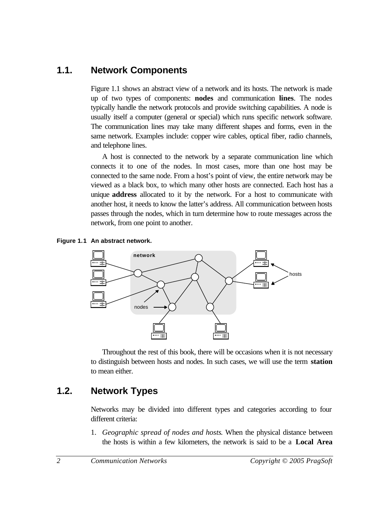# **1.1. Network Components**

Figure 1.1 shows an abstract view of a network and its hosts. The network is made up of two types of components: **nodes** and communication **lines**. The nodes typically handle the network protocols and provide switching capabilities. A node is usually itself a computer (general or special) which runs specific network software. The communication lines may take many different shapes and forms, even in the same network. Examples include: copper wire cables, optical fiber, radio channels, and telephone lines.

A host is connected to the network by a separate communication line which connects it to one of the nodes. In most cases, more than one host may be connected to the same node. From a host's point of view, the entire network may be viewed as a black box, to which many other hosts are connected. Each host has a unique **address** allocated to it by the network. For a host to communicate with another host, it needs to know the latter's address. All communication between hosts passes through the nodes, which in turn determine how to route messages across the network, from one point to another.





Throughout the rest of this book, there will be occasions when it is not necessary to distinguish between hosts and nodes. In such cases, we will use the term **station** to mean either.

# **1.2. Network Types**

Networks may be divided into different types and categories according to four different criteria:

1. *Geographic spread of nodes and hosts*. When the physical distance between the hosts is within a few kilometers, the network is said to be a **Local Area**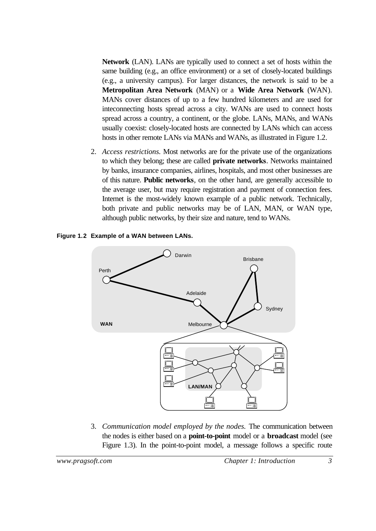**Network** (LAN). LANs are typically used to connect a set of hosts within the same building (e.g., an office environment) or a set of closely-located buildings (e.g., a university campus). For larger distances, the network is said to be a **Metropolitan Area Network** (MAN) or a **Wide Area Network** (WAN). MANs cover distances of up to a few hundred kilometers and are used for inteconnecting hosts spread across a city. WANs are used to connect hosts spread across a country, a continent, or the globe. LANs, MANs, and WANs usually coexist: closely-located hosts are connected by LANs which can access hosts in other remote LANs via MANs and WANs, as illustrated in Figure 1.2.

2. *Access restrictions.* Most networks are for the private use of the organizations to which they belong; these are called **private networks**. Networks maintained by banks, insurance companies, airlines, hospitals, and most other businesses are of this nature. **Public networks**, on the other hand, are generally accessible to the average user, but may require registration and payment of connection fees. Internet is the most-widely known example of a public network. Technically, both private and public networks may be of LAN, MAN, or WAN type, although public networks, by their size and nature, tend to WANs.





3. *Communication model employed by the nodes.* The communication between the nodes is either based on a **point-to-point** model or a **broadcast** model (see Figure 1.3). In the point-to-point model, a message follows a specific route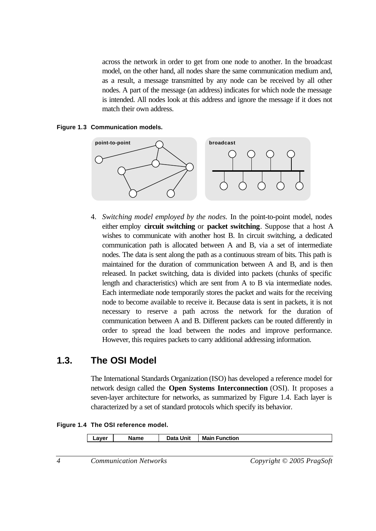across the network in order to get from one node to another. In the broadcast model, on the other hand, all nodes share the same communication medium and, as a result, a message transmitted by any node can be received by all other nodes. A part of the message (an address) indicates for which node the message is intended. All nodes look at this address and ignore the message if it does not match their own address.

#### **Figure 1.3 Communication models.**



4. *Switching model employed by the nodes.* In the point-to-point model, nodes either employ **circuit switching** or **packet switching**. Suppose that a host A wishes to communicate with another host B. In circuit switching, a dedicated communication path is allocated between A and B, via a set of intermediate nodes. The data is sent along the path as a continuous stream of bits. This path is maintained for the duration of communication between A and B, and is then released. In packet switching, data is divided into packets (chunks of specific length and characteristics) which are sent from A to B via intermediate nodes. Each intermediate node temporarily stores the packet and waits for the receiving node to become available to receive it. Because data is sent in packets, it is not necessary to reserve a path across the network for the duration of communication between A and B. Different packets can be routed differently in order to spread the load between the nodes and improve performance. However, this requires packets to carry additional addressing information.

## **1.3. The OSI Model**

The International Standards Organization (ISO) has developed a reference model for network design called the **Open Systems Interconnection** (OSI). It proposes a seven-layer architecture for networks, as summarized by Figure 1.4. Each layer is characterized by a set of standard protocols which specify its behavior.

**Figure 1.4 The OSI reference model.**

| ∟aver | Name | Unit<br>That:<br>Jala | <b>Main</b><br>Function |
|-------|------|-----------------------|-------------------------|
|       |      |                       |                         |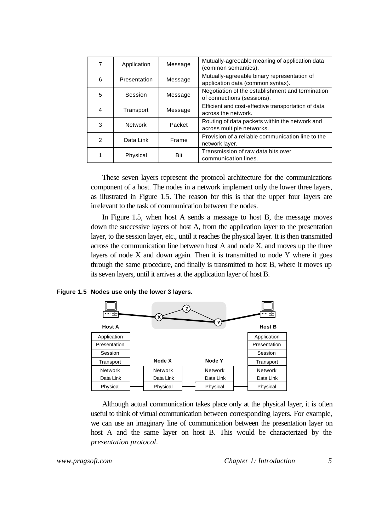| 7 | Application    | Message | Mutually-agreeable meaning of application data<br>(common semantics).            |  |
|---|----------------|---------|----------------------------------------------------------------------------------|--|
| 6 | Presentation   | Message | Mutually-agreeable binary representation of<br>application data (common syntax). |  |
| 5 | Session        | Message | Negotiation of the establishment and termination<br>of connections (sessions).   |  |
| 4 | Transport      | Message | Efficient and cost-effective transportation of data<br>across the network.       |  |
| 3 | <b>Network</b> | Packet  | Routing of data packets within the network and<br>across multiple networks.      |  |
| 2 | Data Link      | Frame   | Provision of a reliable communication line to the<br>network layer.              |  |
|   | Physical       | Bit     | Transmission of raw data bits over<br>communication lines.                       |  |

These seven layers represent the protocol architecture for the communications component of a host. The nodes in a network implement only the lower three layers, as illustrated in Figure 1.5. The reason for this is that the upper four layers are irrelevant to the task of communication between the nodes.

In Figure 1.5, when host A sends a message to host B, the message moves down the successive layers of host A, from the application layer to the presentation layer, to the session layer, etc., until it reaches the physical layer. It is then transmitted across the communication line between host A and node X, and moves up the three layers of node X and down again. Then it is transmitted to node Y where it goes through the same procedure, and finally is transmitted to host B, where it moves up its seven layers, until it arrives at the application layer of host B.

#### **Figure 1.5 Nodes use only the lower 3 layers.**



Although actual communication takes place only at the physical layer, it is often useful to think of virtual communication between corresponding layers. For example, we can use an imaginary line of communication between the presentation layer on host A and the same layer on host B. This would be characterized by the *presentation protocol*.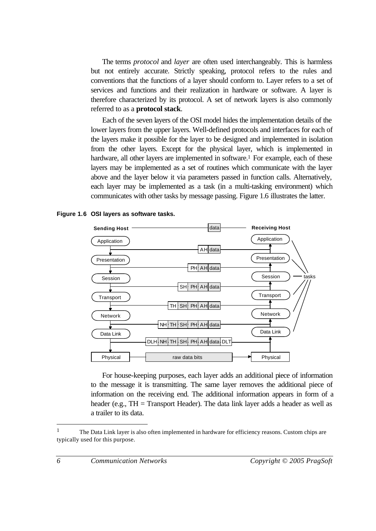The terms *protocol* and *layer* are often used interchangeably. This is harmless but not entirely accurate. Strictly speaking, protocol refers to the rules and conventions that the functions of a layer should conform to. Layer refers to a set of services and functions and their realization in hardware or software. A layer is therefore characterized by its protocol. A set of network layers is also commonly referred to as a **protocol stack**.

Each of the seven layers of the OSI model hides the implementation details of the lower layers from the upper layers. Well-defined protocols and interfaces for each of the layers make it possible for the layer to be designed and implemented in isolation from the other layers. Except for the physical layer, which is implemented in hardware, all other layers are implemented in software.<sup>1</sup> For example, each of these layers may be implemented as a set of routines which communicate with the layer above and the layer below it via parameters passed in function calls. Alternatively, each layer may be implemented as a task (in a multi-tasking environment) which communicates with other tasks by message passing. Figure 1.6 illustrates the latter.

#### **Figure 1.6 OSI layers as software tasks.**



For house-keeping purposes, each layer adds an additional piece of information to the message it is transmitting. The same layer removes the additional piece of information on the receiving end. The additional information appears in form of a header (e.g.,  $TH = Transport$  Header). The data link layer adds a header as well as a trailer to its data.

<sup>1</sup> The Data Link layer is also often implemented in hardware for efficiency reasons. Custom chips are typically used for this purpose.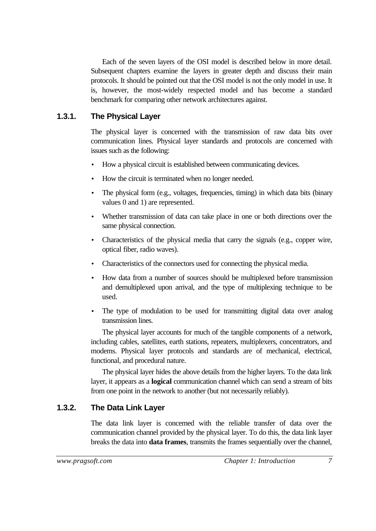Each of the seven layers of the OSI model is described below in more detail. Subsequent chapters examine the layers in greater depth and discuss their main protocols. It should be pointed out that the OSI model is not the only model in use. It is, however, the most-widely respected model and has become a standard benchmark for comparing other network architectures against.

#### **1.3.1. The Physical Layer**

The physical layer is concerned with the transmission of raw data bits over communication lines. Physical layer standards and protocols are concerned with issues such as the following:

- How a physical circuit is established between communicating devices.
- How the circuit is terminated when no longer needed.
- The physical form (e.g., voltages, frequencies, timing) in which data bits (binary values 0 and 1) are represented.
- Whether transmission of data can take place in one or both directions over the same physical connection.
- Characteristics of the physical media that carry the signals (e.g., copper wire, optical fiber, radio waves).
- Characteristics of the connectors used for connecting the physical media.
- How data from a number of sources should be multiplexed before transmission and demultiplexed upon arrival, and the type of multiplexing technique to be used.
- The type of modulation to be used for transmitting digital data over analog transmission lines.

The physical layer accounts for much of the tangible components of a network, including cables, satellites, earth stations, repeaters, multiplexers, concentrators, and modems. Physical layer protocols and standards are of mechanical, electrical, functional, and procedural nature.

The physical layer hides the above details from the higher layers. To the data link layer, it appears as a **logical** communication channel which can send a stream of bits from one point in the network to another (but not necessarily reliably).

#### **1.3.2. The Data Link Layer**

The data link layer is concerned with the reliable transfer of data over the communication channel provided by the physical layer. To do this, the data link layer breaks the data into **data frames**, transmits the frames sequentially over the channel,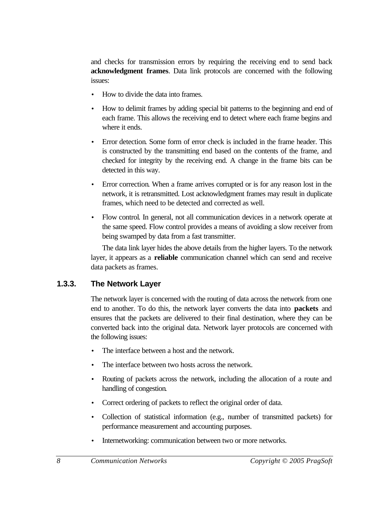and checks for transmission errors by requiring the receiving end to send back **acknowledgment frames**. Data link protocols are concerned with the following issues:

- How to divide the data into frames.
- How to delimit frames by adding special bit patterns to the beginning and end of each frame. This allows the receiving end to detect where each frame begins and where it ends.
- Error detection. Some form of error check is included in the frame header. This is constructed by the transmitting end based on the contents of the frame, and checked for integrity by the receiving end. A change in the frame bits can be detected in this way.
- Error correction. When a frame arrives corrupted or is for any reason lost in the network, it is retransmitted. Lost acknowledgment frames may result in duplicate frames, which need to be detected and corrected as well.
- Flow control. In general, not all communication devices in a network operate at the same speed. Flow control provides a means of avoiding a slow receiver from being swamped by data from a fast transmitter.

The data link layer hides the above details from the higher layers. To the network layer, it appears as a **reliable** communication channel which can send and receive data packets as frames.

#### **1.3.3. The Network Layer**

The network layer is concerned with the routing of data across the network from one end to another. To do this, the network layer converts the data into **packets** and ensures that the packets are delivered to their final destination, where they can be converted back into the original data. Network layer protocols are concerned with the following issues:

- The interface between a host and the network.
- The interface between two hosts across the network.
- Routing of packets across the network, including the allocation of a route and handling of congestion.
- Correct ordering of packets to reflect the original order of data.
- Collection of statistical information (e.g., number of transmitted packets) for performance measurement and accounting purposes.
- Internetworking: communication between two or more networks.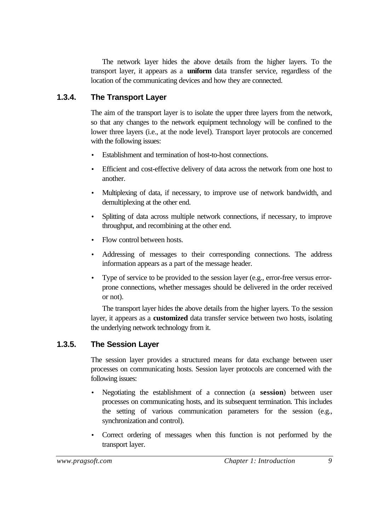The network layer hides the above details from the higher layers. To the transport layer, it appears as a **uniform** data transfer service, regardless of the location of the communicating devices and how they are connected.

#### **1.3.4. The Transport Layer**

The aim of the transport layer is to isolate the upper three layers from the network, so that any changes to the network equipment technology will be confined to the lower three layers (i.e., at the node level). Transport layer protocols are concerned with the following issues:

- Establishment and termination of host-to-host connections.
- Efficient and cost-effective delivery of data across the network from one host to another.
- Multiplexing of data, if necessary, to improve use of network bandwidth, and demultiplexing at the other end.
- Splitting of data across multiple network connections, if necessary, to improve throughput, and recombining at the other end.
- Flow control between hosts.
- Addressing of messages to their corresponding connections. The address information appears as a part of the message header.
- Type of service to be provided to the session layer (e.g., error-free versus errorprone connections, whether messages should be delivered in the order received or not).

The transport layer hides the above details from the higher layers. To the session layer, it appears as a **customized** data transfer service between two hosts, isolating the underlying network technology from it.

#### **1.3.5. The Session Layer**

The session layer provides a structured means for data exchange between user processes on communicating hosts. Session layer protocols are concerned with the following issues:

- Negotiating the establishment of a connection (a **session**) between user processes on communicating hosts, and its subsequent termination. This includes the setting of various communication parameters for the session (e.g., synchronization and control).
- Correct ordering of messages when this function is not performed by the transport layer.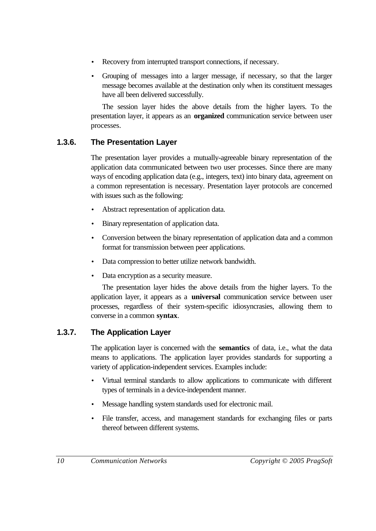- Recovery from interrupted transport connections, if necessary.
- Grouping of messages into a larger message, if necessary, so that the larger message becomes available at the destination only when its constituent messages have all been delivered successfully.

The session layer hides the above details from the higher layers. To the presentation layer, it appears as an **organized** communication service between user processes.

# **1.3.6. The Presentation Layer**

The presentation layer provides a mutually-agreeable binary representation of the application data communicated between two user processes. Since there are many ways of encoding application data (e.g., integers, text) into binary data, agreement on a common representation is necessary. Presentation layer protocols are concerned with issues such as the following:

- Abstract representation of application data.
- Binary representation of application data.
- Conversion between the binary representation of application data and a common format for transmission between peer applications.
- Data compression to better utilize network bandwidth.
- Data encryption as a security measure.

The presentation layer hides the above details from the higher layers. To the application layer, it appears as a **universal** communication service between user processes, regardless of their system-specific idiosyncrasies, allowing them to converse in a common **syntax**.

## **1.3.7. The Application Layer**

The application layer is concerned with the **semantics** of data, i.e., what the data means to applications. The application layer provides standards for supporting a variety of application-independent services. Examples include:

- Virtual terminal standards to allow applications to communicate with different types of terminals in a device-independent manner.
- Message handling system standards used for electronic mail.
- File transfer, access, and management standards for exchanging files or parts thereof between different systems.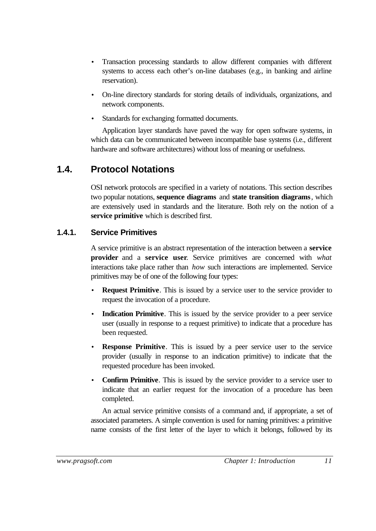- Transaction processing standards to allow different companies with different systems to access each other's on-line databases (e.g., in banking and airline reservation).
- On-line directory standards for storing details of individuals, organizations, and network components.
- Standards for exchanging formatted documents.

Application layer standards have paved the way for open software systems, in which data can be communicated between incompatible base systems (i.e., different hardware and software architectures) without loss of meaning or usefulness.

# **1.4. Protocol Notations**

OSI network protocols are specified in a variety of notations. This section describes two popular notations, **sequence diagrams** and **state transition diagrams**, which are extensively used in standards and the literature. Both rely on the notion of a **service primitive** which is described first.

## **1.4.1. Service Primitives**

A service primitive is an abstract representation of the interaction between a **service provider** and a **service user**. Service primitives are concerned with *what* interactions take place rather than *how* such interactions are implemented. Service primitives may be of one of the following four types:

- **Request Primitive**. This is issued by a service user to the service provider to request the invocation of a procedure.
- **Indication Primitive**. This is issued by the service provider to a peer service user (usually in response to a request primitive) to indicate that a procedure has been requested.
- **Response Primitive**. This is issued by a peer service user to the service provider (usually in response to an indication primitive) to indicate that the requested procedure has been invoked.
- **Confirm Primitive**. This is issued by the service provider to a service user to indicate that an earlier request for the invocation of a procedure has been completed.

An actual service primitive consists of a command and, if appropriate, a set of associated parameters. A simple convention is used for naming primitives: a primitive name consists of the first letter of the layer to which it belongs, followed by its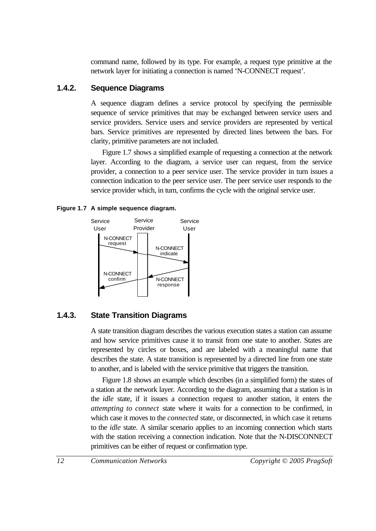command name, followed by its type. For example, a request type primitive at the network layer for initiating a connection is named 'N-CONNECT request'.

#### **1.4.2. Sequence Diagrams**

A sequence diagram defines a service protocol by specifying the permissible sequence of service primitives that may be exchanged between service users and service providers. Service users and service providers are represented by vertical bars. Service primitives are represented by directed lines between the bars. For clarity, primitive parameters are not included.

Figure 1.7 shows a simplified example of requesting a connection at the network layer. According to the diagram, a service user can request, from the service provider, a connection to a peer service user. The service provider in turn issues a connection indication to the peer service user. The peer service user responds to the service provider which, in turn, confirms the cycle with the original service user.

#### **Figure 1.7 A simple sequence diagram.**



## **1.4.3. State Transition Diagrams**

A state transition diagram describes the various execution states a station can assume and how service primitives cause it to transit from one state to another. States are represented by circles or boxes, and are labeled with a meaningful name that describes the state. A state transition is represented by a directed line from one state to another, and is labeled with the service primitive that triggers the transition.

Figure 1.8 shows an example which describes (in a simplified form) the states of a station at the network layer. According to the diagram, assuming that a station is in the *idle* state, if it issues a connection request to another station, it enters the *attempting to connect* state where it waits for a connection to be confirmed, in which case it moves to the *connected* state, or disconnected, in which case it returns to the *idle* state. A similar scenario applies to an incoming connection which starts with the station receiving a connection indication. Note that the N-DISCONNECT primitives can be either of request or confirmation type.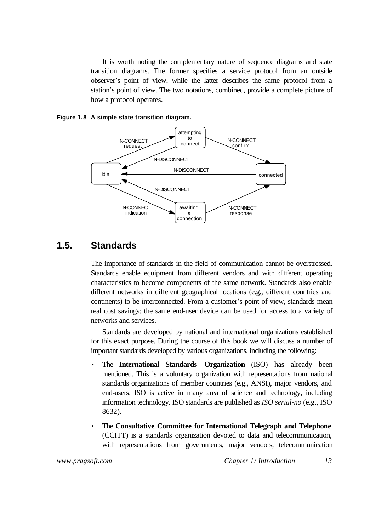It is worth noting the complementary nature of sequence diagrams and state transition diagrams. The former specifies a service protocol from an outside observer's point of view, while the latter describes the same protocol from a station's point of view. The two notations, combined, provide a complete picture of how a protocol operates.

#### **Figure 1.8 A simple state transition diagram.**



# **1.5. Standards**

The importance of standards in the field of communication cannot be overstressed. Standards enable equipment from different vendors and with different operating characteristics to become components of the same network. Standards also enable different networks in different geographical locations (e.g., different countries and continents) to be interconnected. From a customer's point of view, standards mean real cost savings: the same end-user device can be used for access to a variety of networks and services.

Standards are developed by national and international organizations established for this exact purpose. During the course of this book we will discuss a number of important standards developed by various organizations, including the following:

- The **International Standards Organization** (ISO) has already been mentioned. This is a voluntary organization with representations from national standards organizations of member countries (e.g., ANSI), major vendors, and end-users. ISO is active in many area of science and technology, including information technology. ISO standards are published as *ISO serial-no* (e.g., ISO 8632).
- The **Consultative Committee for International Telegraph and Telephone** (CCITT) is a standards organization devoted to data and telecommunication, with representations from governments, major vendors, telecommunication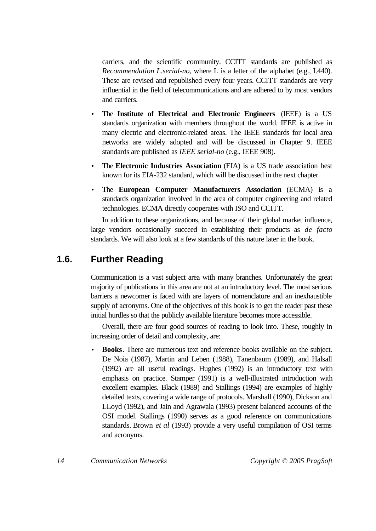carriers, and the scientific community. CCITT standards are published as *Recommendation L.serial-no*, where L is a letter of the alphabet (e.g., I.440). These are revised and republished every four years. CCITT standards are very influential in the field of telecommunications and are adhered to by most vendors and carriers.

- The **Institute of Electrical and Electronic Engineers** (IEEE) is a US standards organization with members throughout the world. IEEE is active in many electric and electronic-related areas. The IEEE standards for local area networks are widely adopted and will be discussed in Chapter 9. IEEE standards are published as *IEEE serial-no* (e.g., IEEE 908).
- The **Electronic Industries Association** (EIA) is a US trade association best known for its EIA-232 standard, which will be discussed in the next chapter.
- The **European Computer Manufacturers Association** (ECMA) is a standards organization involved in the area of computer engineering and related technologies. ECMA directly cooperates with ISO and CCITT.

In addition to these organizations, and because of their global market influence, large vendors occasionally succeed in establishing their products as *de facto* standards. We will also look at a few standards of this nature later in the book.

# **1.6. Further Reading**

Communication is a vast subject area with many branches. Unfortunately the great majority of publications in this area are not at an introductory level. The most serious barriers a newcomer is faced with are layers of nomenclature and an inexhaustible supply of acronyms. One of the objectives of this book is to get the reader past these initial hurdles so that the publicly available literature becomes more accessible.

Overall, there are four good sources of reading to look into. These, roughly in increasing order of detail and complexity, are:

• **Books**. There are numerous text and reference books available on the subject. De Noia (1987), Martin and Leben (1988), Tanenbaum (1989), and Halsall (1992) are all useful readings. Hughes (1992) is an introductory text with emphasis on practice. Stamper (1991) is a well-illustrated introduction with excellent examples. Black (1989) and Stallings (1994) are examples of highly detailed texts, covering a wide range of protocols. Marshall (1990), Dickson and LLoyd (1992), and Jain and Agrawala (1993) present balanced accounts of the OSI model. Stallings (1990) serves as a good reference on communications standards. Brown *et al* (1993) provide a very useful compilation of OSI terms and acronyms.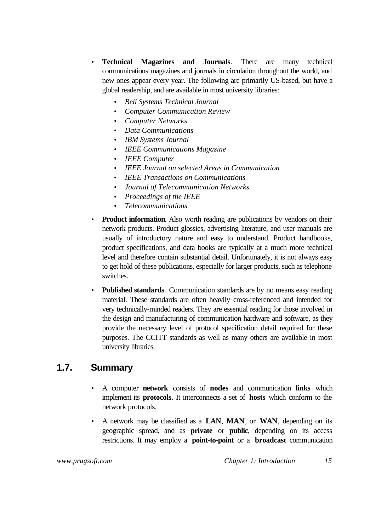- **Technical Magazines and Journals**. There are many technical communications magazines and journals in circulation throughout the world, and new ones appear every year. The following are primarily US-based, but have a global readership, and are available in most university libraries:
	- *Bell Systems Technical Journal*
	- *Computer Communication Review*
	- *Computer Networks*
	- *Data Communications*
	- *IBM Systems Journal*
	- *IEEE Communications Magazine*
	- *IEEE Computer*
	- *IEEE Journal on selected Areas in Communication*
	- *IEEE Transactions on Communications*
	- *Journal of Telecommunication Networks*
	- *Proceedings of the IEEE*
	- *Telecommunications*
- **Product information.** Also worth reading are publications by vendors on their network products. Product glossies, advertising literature, and user manuals are usually of introductory nature and easy to understand. Product handbooks, product specifications, and data books are typically at a much more technical level and therefore contain substantial detail. Unfortunately, it is not always easy to get hold of these publications, especially for larger products, such as telephone switches.
- **Published standards**. Communication standards are by no means easy reading material. These standards are often heavily cross-referenced and intended for very technically-minded readers. They are essential reading for those involved in the design and manufacturing of communication hardware and software, as they provide the necessary level of protocol specification detail required for these purposes. The CCITT standards as well as many others are available in most university libraries.

# **1.7. Summary**

- A computer **network** consists of **nodes** and communication **links** which implement its **protocols**. It interconnects a set of **hosts** which conform to the network protocols.
- A network may be classified as a **LAN**, **MAN**, or **WAN**, depending on its geographic spread, and as **private** or **public**, depending on its access restrictions. It may employ a **point-to-point** or a **broadcast** communication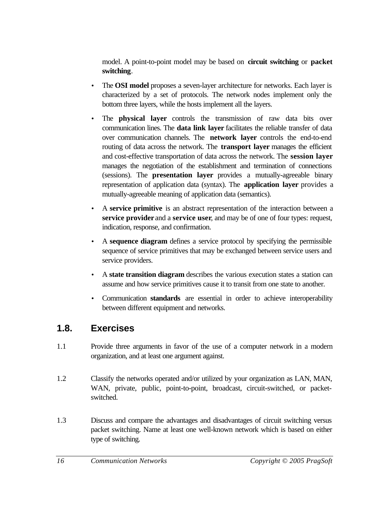model. A point-to-point model may be based on **circuit switching** or **packet switching**.

- The **OSI model** proposes a seven-layer architecture for networks. Each layer is characterized by a set of protocols. The network nodes implement only the bottom three layers, while the hosts implement all the layers.
- The **physical layer** controls the transmission of raw data bits over communication lines. The **data link layer** facilitates the reliable transfer of data over communication channels. The **network layer** controls the end-to-end routing of data across the network. The **transport layer** manages the efficient and cost-effective transportation of data across the network. The **session layer** manages the negotiation of the establishment and termination of connections (sessions). The **presentation layer** provides a mutually-agreeable binary representation of application data (syntax). The **application layer** provides a mutually-agreeable meaning of application data (semantics).
- A **service primitive** is an abstract representation of the interaction between a **service provider** and a **service user**, and may be of one of four types: request, indication, response, and confirmation.
- A **sequence diagram** defines a service protocol by specifying the permissible sequence of service primitives that may be exchanged between service users and service providers.
- A **state transition diagram** describes the various execution states a station can assume and how service primitives cause it to transit from one state to another.
- Communication **standards** are essential in order to achieve interoperability between different equipment and networks.

# **1.8. Exercises**

- 1.1 Provide three arguments in favor of the use of a computer network in a modern organization, and at least one argument against.
- 1.2 Classify the networks operated and/or utilized by your organization as LAN, MAN, WAN, private, public, point-to-point, broadcast, circuit-switched, or packetswitched.
- 1.3 Discuss and compare the advantages and disadvantages of circuit switching versus packet switching. Name at least one well-known network which is based on either type of switching.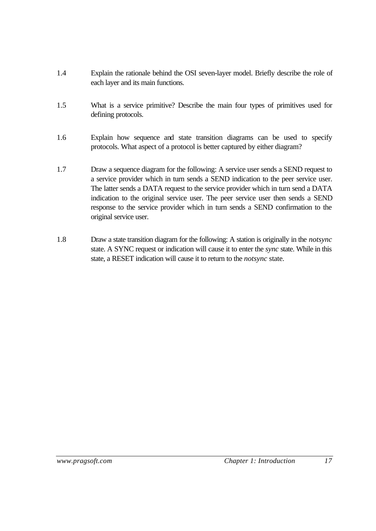- 1.4 Explain the rationale behind the OSI seven-layer model. Briefly describe the role of each layer and its main functions.
- 1.5 What is a service primitive? Describe the main four types of primitives used for defining protocols.
- 1.6 Explain how sequence and state transition diagrams can be used to specify protocols. What aspect of a protocol is better captured by either diagram?
- 1.7 Draw a sequence diagram for the following: A service user sends a SEND request to a service provider which in turn sends a SEND indication to the peer service user. The latter sends a DATA request to the service provider which in turn send a DATA indication to the original service user. The peer service user then sends a SEND response to the service provider which in turn sends a SEND confirmation to the original service user.
- 1.8 Draw a state transition diagram for the following: A station is originally in the *notsync* state. A SYNC request or indication will cause it to enter the *sync* state. While in this state, a RESET indication will cause it to return to the *notsync* state.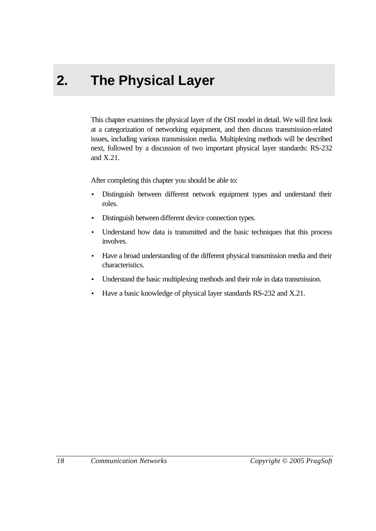# **2. The Physical Layer**

This chapter examines the physical layer of the OSI model in detail. We will first look at a categorization of networking equipment, and then discuss transmission-related issues, including various transmission media. Multiplexing methods will be described next, followed by a discussion of two important physical layer standards: RS-232 and X.21.

After completing this chapter you should be able to:

- Distinguish between different network equipment types and understand their roles.
- Distinguish between different device connection types.
- Understand how data is transmitted and the basic techniques that this process involves.
- Have a broad understanding of the different physical transmission media and their characteristics.
- Understand the basic multiplexing methods and their role in data transmission.
- Have a basic knowledge of physical layer standards RS-232 and X.21.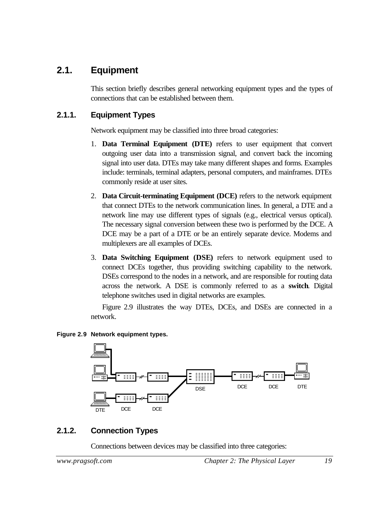# **2.1. Equipment**

This section briefly describes general networking equipment types and the types of connections that can be established between them.

## **2.1.1. Equipment Types**

Network equipment may be classified into three broad categories:

- 1. **Data Terminal Equipment (DTE)** refers to user equipment that convert outgoing user data into a transmission signal, and convert back the incoming signal into user data. DTEs may take many different shapes and forms. Examples include: terminals, terminal adapters, personal computers, and mainframes. DTEs commonly reside at user sites.
- 2. **Data Circuit-terminating Equipment (DCE)** refers to the network equipment that connect DTEs to the network communication lines. In general, a DTE and a network line may use different types of signals (e.g., electrical versus optical). The necessary signal conversion between these two is performed by the DCE. A DCE may be a part of a DTE or be an entirely separate device. Modems and multiplexers are all examples of DCEs.
- 3. **Data Switching Equipment (DSE)** refers to network equipment used to connect DCEs together, thus providing switching capability to the network. DSEs correspond to the nodes in a network, and are responsible for routing data across the network. A DSE is commonly referred to as a **switch**. Digital telephone switches used in digital networks are examples.

Figure 2.9 illustrates the way DTEs, DCEs, and DSEs are connected in a network.





# **2.1.2. Connection Types**

Connections between devices may be classified into three categories:

*www.pragsoft.com Chapter 2: The Physical Layer 19*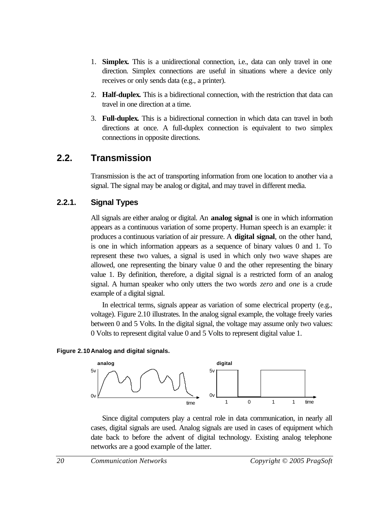- 1. **Simplex.** This is a unidirectional connection, i.e., data can only travel in one direction. Simplex connections are useful in situations where a device only receives or only sends data (e.g., a printer).
- 2. **Half-duplex.** This is a bidirectional connection, with the restriction that data can travel in one direction at a time.
- 3. **Full-duplex.** This is a bidirectional connection in which data can travel in both directions at once. A full-duplex connection is equivalent to two simplex connections in opposite directions.

# **2.2. Transmission**

Transmission is the act of transporting information from one location to another via a signal. The signal may be analog or digital, and may travel in different media.

#### **2.2.1. Signal Types**

All signals are either analog or digital. An **analog signal** is one in which information appears as a continuous variation of some property. Human speech is an example: it produces a continuous variation of air pressure. A **digital signal**, on the other hand, is one in which information appears as a sequence of binary values 0 and 1. To represent these two values, a signal is used in which only two wave shapes are allowed, one representing the binary value 0 and the other representing the binary value 1. By definition, therefore, a digital signal is a restricted form of an analog signal. A human speaker who only utters the two words *zero* and *one* is a crude example of a digital signal.

In electrical terms, signals appear as variation of some electrical property (e.g., voltage). Figure 2.10 illustrates. In the analog signal example, the voltage freely varies between 0 and 5 Volts. In the digital signal, the voltage may assume only two values: 0 Volts to represent digital value 0 and 5 Volts to represent digital value 1.

#### **Figure 2.10Analog and digital signals.**



Since digital computers play a central role in data communication, in nearly all cases, digital signals are used. Analog signals are used in cases of equipment which date back to before the advent of digital technology. Existing analog telephone networks are a good example of the latter.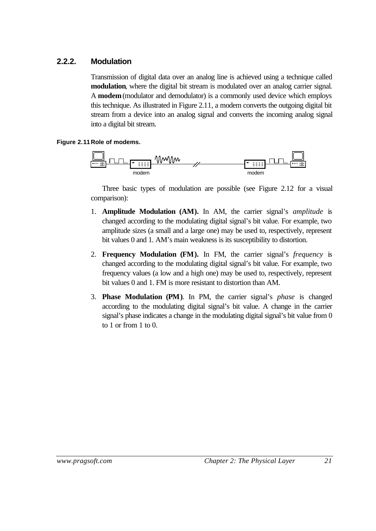#### **2.2.2. Modulation**

Transmission of digital data over an analog line is achieved using a technique called **modulation**, where the digital bit stream is modulated over an analog carrier signal. A **modem**(modulator and demodulator) is a commonly used device which employs this technique. As illustrated in Figure 2.11, a modem converts the outgoing digital bit stream from a device into an analog signal and converts the incoming analog signal into a digital bit stream.

#### **Figure 2.11Role of modems.**



Three basic types of modulation are possible (see Figure 2.12 for a visual comparison):

- 1. **Amplitude Modulation (AM).** In AM, the carrier signal's *amplitude* is changed according to the modulating digital signal's bit value. For example, two amplitude sizes (a small and a large one) may be used to, respectively, represent bit values 0 and 1. AM's main weakness is its susceptibility to distortion.
- 2. **Frequency Modulation (FM).** In FM, the carrier signal's *frequency* is changed according to the modulating digital signal's bit value. For example, two frequency values (a low and a high one) may be used to, respectively, represent bit values 0 and 1. FM is more resistant to distortion than AM.
- 3. **Phase Modulation (PM)**. In PM, the carrier signal's *phase* is changed according to the modulating digital signal's bit value. A change in the carrier signal's phase indicates a change in the modulating digital signal's bit value from 0 to 1 or from 1 to 0.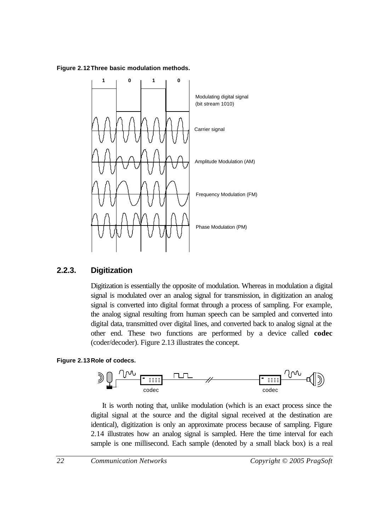#### **Figure 2.12Three basic modulation methods.**



#### **2.2.3. Digitization**

Digitization is essentially the opposite of modulation. Whereas in modulation a digital signal is modulated over an analog signal for transmission, in digitization an analog signal is converted into digital format through a process of sampling. For example, the analog signal resulting from human speech can be sampled and converted into digital data, transmitted over digital lines, and converted back to analog signal at the other end. These two functions are performed by a device called **codec** (coder/decoder). Figure 2.13 illustrates the concept.

#### **Figure 2.13Role of codecs.**



It is worth noting that, unlike modulation (which is an exact process since the digital signal at the source and the digital signal received at the destination are identical), digitization is only an approximate process because of sampling. Figure 2.14 illustrates how an analog signal is sampled. Here the time interval for each sample is one millisecond. Each sample (denoted by a small black box) is a real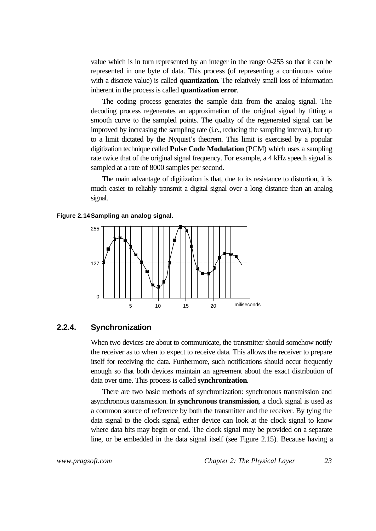value which is in turn represented by an integer in the range 0-255 so that it can be represented in one byte of data. This process (of representing a continuous value with a discrete value) is called **quantization**. The relatively small loss of information inherent in the process is called **quantization error**.

The coding process generates the sample data from the analog signal. The decoding process regenerates an approximation of the original signal by fitting a smooth curve to the sampled points. The quality of the regenerated signal can be improved by increasing the sampling rate (i.e., reducing the sampling interval), but up to a limit dictated by the Nyquist's theorem. This limit is exercised by a popular digitization technique called **Pulse Code Modulation** (PCM) which uses a sampling rate twice that of the original signal frequency. For example, a 4 kHz speech signal is sampled at a rate of 8000 samples per second.

The main advantage of digitization is that, due to its resistance to distortion, it is much easier to reliably transmit a digital signal over a long distance than an analog signal.





#### **2.2.4. Synchronization**

When two devices are about to communicate, the transmitter should somehow notify the receiver as to when to expect to receive data. This allows the receiver to prepare itself for receiving the data. Furthermore, such notifications should occur frequently enough so that both devices maintain an agreement about the exact distribution of data over time. This process is called **synchronization**.

There are two basic methods of synchronization: synchronous transmission and asynchronous transmission. In **synchronous transmission**, a clock signal is used as a common source of reference by both the transmitter and the receiver. By tying the data signal to the clock signal, either device can look at the clock signal to know where data bits may begin or end. The clock signal may be provided on a separate line, or be embedded in the data signal itself (see Figure 2.15). Because having a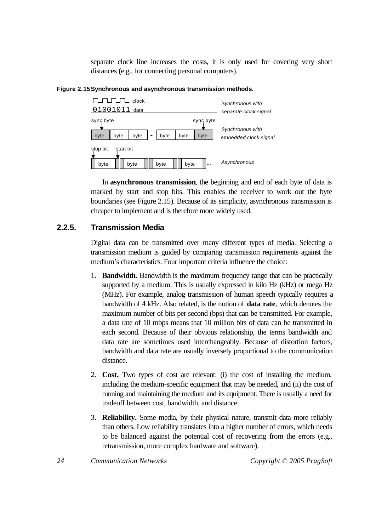separate clock line increases the costs, it is only used for covering very short distances (e.g., for connecting personal computers).





In **asynchronous transmission**, the beginning and end of each byte of data is marked by start and stop bits. This enables the receiver to work out the byte boundaries (see Figure 2.15). Because of its simplicity, asynchronous transmission is cheaper to implement and is therefore more widely used.

#### **2.2.5. Transmission Media**

Digital data can be transmitted over many different types of media. Selecting a transmission medium is guided by comparing transmission requirements against the medium's characteristics. Four important criteria influence the choice:

- 1. **Bandwidth.** Bandwidth is the maximum frequency range that can be practically supported by a medium. This is usually expressed in kilo Hz (kHz) or mega Hz (MHz). For example, analog transmission of human speech typically requires a bandwidth of 4 kHz. Also related, is the notion of **data rate**, which denotes the maximum number of bits per second (bps) that can be transmitted. For example, a data rate of 10 mbps means that 10 million bits of data can be transmitted in each second. Because of their obvious relationship, the terms bandwidth and data rate are sometimes used interchangeably. Because of distortion factors, bandwidth and data rate are usually inversely proportional to the communication distance.
- 2. **Cost.** Two types of cost are relevant: (i) the cost of installing the medium, including the medium-specific equipment that may be needed, and (ii) the cost of running and maintaining the medium and its equipment. There is usually a need for tradeoff between cost, bandwidth, and distance.
- 3. **Reliability.** Some media, by their physical nature, transmit data more reliably than others. Low reliability translates into a higher number of errors, which needs to be balanced against the potential cost of recovering from the errors (e.g., retransmission, more complex hardware and software).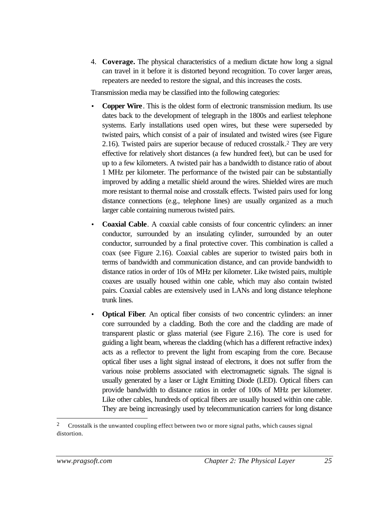4. **Coverage.** The physical characteristics of a medium dictate how long a signal can travel in it before it is distorted beyond recognition. To cover larger areas, repeaters are needed to restore the signal, and this increases the costs.

Transmission media may be classified into the following categories:

- **Copper Wire**. This is the oldest form of electronic transmission medium. Its use dates back to the development of telegraph in the 1800s and earliest telephone systems. Early installations used open wires, but these were superseded by twisted pairs, which consist of a pair of insulated and twisted wires (see Figure 2.16). Twisted pairs are superior because of reduced crosstalk. <sup>2</sup> They are very effective for relatively short distances (a few hundred feet), but can be used for up to a few kilometers. A twisted pair has a bandwidth to distance ratio of about 1 MHz per kilometer. The performance of the twisted pair can be substantially improved by adding a metallic shield around the wires. Shielded wires are much more resistant to thermal noise and crosstalk effects. Twisted pairs used for long distance connections (e.g., telephone lines) are usually organized as a much larger cable containing numerous twisted pairs.
- **Coaxial Cable**. A coaxial cable consists of four concentric cylinders: an inner conductor, surrounded by an insulating cylinder, surrounded by an outer conductor, surrounded by a final protective cover. This combination is called a coax (see Figure 2.16). Coaxial cables are superior to twisted pairs both in terms of bandwidth and communication distance, and can provide bandwidth to distance ratios in order of 10s of MHz per kilometer. Like twisted pairs, multiple coaxes are usually housed within one cable, which may also contain twisted pairs. Coaxial cables are extensively used in LANs and long distance telephone trunk lines.
- **Optical Fiber.** An optical fiber consists of two concentric cylinders: an inner core surrounded by a cladding. Both the core and the cladding are made of transparent plastic or glass material (see Figure 2.16). The core is used for guiding a light beam, whereas the cladding (which has a different refractive index) acts as a reflector to prevent the light from escaping from the core. Because optical fiber uses a light signal instead of electrons, it does not suffer from the various noise problems associated with electromagnetic signals. The signal is usually generated by a laser or Light Emitting Diode (LED). Optical fibers can provide bandwidth to distance ratios in order of 100s of MHz per kilometer. Like other cables, hundreds of optical fibers are usually housed within one cable. They are being increasingly used by telecommunication carriers for long distance

<sup>&</sup>lt;sup>2</sup> Crosstalk is the unwanted coupling effect between two or more signal paths, which causes signal distortion.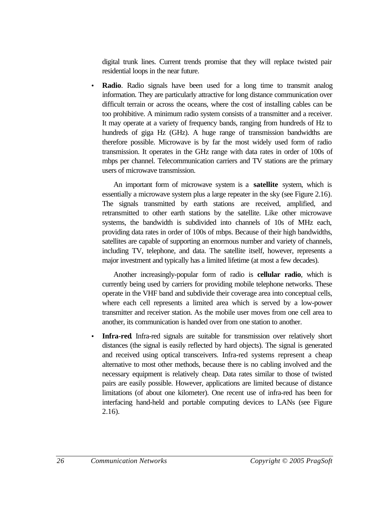digital trunk lines. Current trends promise that they will replace twisted pair residential loops in the near future.

**Radio**. Radio signals have been used for a long time to transmit analog information. They are particularly attractive for long distance communication over difficult terrain or across the oceans, where the cost of installing cables can be too prohibitive. A minimum radio system consists of a transmitter and a receiver. It may operate at a variety of frequency bands, ranging from hundreds of Hz to hundreds of giga Hz (GHz). A huge range of transmission bandwidths are therefore possible. Microwave is by far the most widely used form of radio transmission. It operates in the GHz range with data rates in order of 100s of mbps per channel. Telecommunication carriers and TV stations are the primary users of microwave transmission.

An important form of microwave system is a **satellite** system, which is essentially a microwave system plus a large repeater in the sky (see Figure 2.16). The signals transmitted by earth stations are received, amplified, and retransmitted to other earth stations by the satellite. Like other microwave systems, the bandwidth is subdivided into channels of 10s of MHz each, providing data rates in order of 100s of mbps. Because of their high bandwidths, satellites are capable of supporting an enormous number and variety of channels, including TV, telephone, and data. The satellite itself, however, represents a major investment and typically has a limited lifetime (at most a few decades).

Another increasingly-popular form of radio is **cellular radio**, which is currently being used by carriers for providing mobile telephone networks. These operate in the VHF band and subdivide their coverage area into conceptual cells, where each cell represents a limited area which is served by a low-power transmitter and receiver station. As the mobile user moves from one cell area to another, its communication is handed over from one station to another.

**Infra-red**. Infra-red signals are suitable for transmission over relatively short distances (the signal is easily reflected by hard objects). The signal is generated and received using optical transceivers. Infra-red systems represent a cheap alternative to most other methods, because there is no cabling involved and the necessary equipment is relatively cheap. Data rates similar to those of twisted pairs are easily possible. However, applications are limited because of distance limitations (of about one kilometer). One recent use of infra-red has been for interfacing hand-held and portable computing devices to LANs (see Figure 2.16).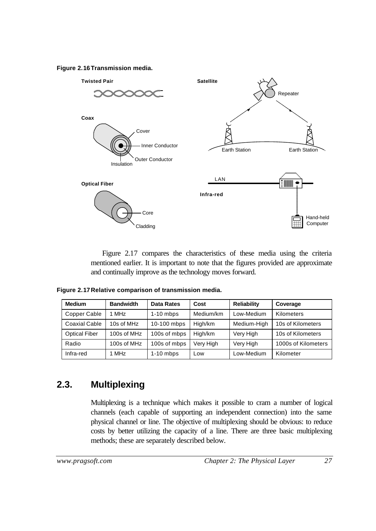**Figure 2.16Transmission media.**



Figure 2.17 compares the characteristics of these media using the criteria mentioned earlier. It is important to note that the figures provided are approximate and continually improve as the technology moves forward.

**Figure 2.17Relative comparison of transmission media.**

| <b>Medium</b>        | <b>Bandwidth</b> | <b>Data Rates</b> | Cost      | <b>Reliability</b> | Coverage            |
|----------------------|------------------|-------------------|-----------|--------------------|---------------------|
| Copper Cable         | 1 MHz            | $1-10$ mbps       | Medium/km | Low-Medium         | Kilometers          |
| Coaxial Cable        | 10s of MHz       | 10-100 mbps       | High/km   | Medium-High        | 10s of Kilometers   |
| <b>Optical Fiber</b> | 100s of MHz      | 100s of mbps      | High/km   | Very High          | 10s of Kilometers   |
| Radio                | 100s of MHz      | 100s of mbps      | Very High | Very High          | 1000s of Kilometers |
| Infra-red            | 1 MHz            | $1-10$ mbps       | Low       | Low-Medium         | Kilometer           |

# **2.3. Multiplexing**

Multiplexing is a technique which makes it possible to cram a number of logical channels (each capable of supporting an independent connection) into the same physical channel or line. The objective of multiplexing should be obvious: to reduce costs by better utilizing the capacity of a line. There are three basic multiplexing methods; these are separately described below.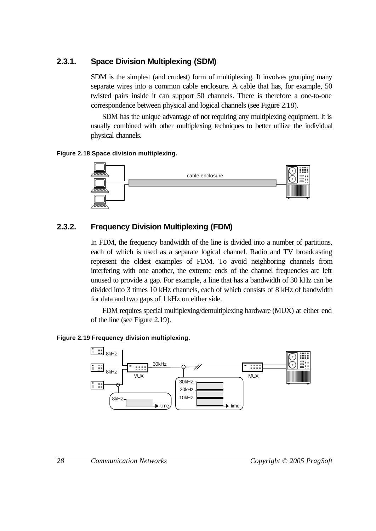#### **2.3.1. Space Division Multiplexing (SDM)**

SDM is the simplest (and crudest) form of multiplexing. It involves grouping many separate wires into a common cable enclosure. A cable that has, for example, 50 twisted pairs inside it can support 50 channels. There is therefore a one-to-one correspondence between physical and logical channels (see Figure 2.18).

SDM has the unique advantage of not requiring any multiplexing equipment. It is usually combined with other multiplexing techniques to better utilize the individual physical channels.

#### **Figure 2.18 Space division multiplexing.**



# **2.3.2. Frequency Division Multiplexing (FDM)**

In FDM, the frequency bandwidth of the line is divided into a number of partitions, each of which is used as a separate logical channel. Radio and TV broadcasting represent the oldest examples of FDM. To avoid neighboring channels from interfering with one another, the extreme ends of the channel frequencies are left unused to provide a gap. For example, a line that has a bandwidth of 30 kHz can be divided into 3 times 10 kHz channels, each of which consists of 8 kHz of bandwidth for data and two gaps of 1 kHz on either side.

FDM requires special multiplexing/demultiplexing hardware (MUX) at either end of the line (see Figure 2.19).

#### **Figure 2.19 Frequency division multiplexing.**

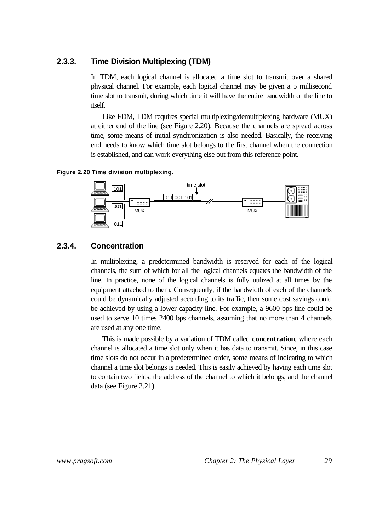### **2.3.3. Time Division Multiplexing (TDM)**

In TDM, each logical channel is allocated a time slot to transmit over a shared physical channel. For example, each logical channel may be given a 5 millisecond time slot to transmit, during which time it will have the entire bandwidth of the line to itself.

Like FDM, TDM requires special multiplexing/demultiplexing hardware (MUX) at either end of the line (see Figure 2.20). Because the channels are spread across time, some means of initial synchronization is also needed. Basically, the receiving end needs to know which time slot belongs to the first channel when the connection is established, and can work everything else out from this reference point.

#### **Figure 2.20 Time division multiplexing.**



### **2.3.4. Concentration**

In multiplexing, a predetermined bandwidth is reserved for each of the logical channels, the sum of which for all the logical channels equates the bandwidth of the line. In practice, none of the logical channels is fully utilized at all times by the equipment attached to them. Consequently, if the bandwidth of each of the channels could be dynamically adjusted according to its traffic, then some cost savings could be achieved by using a lower capacity line. For example, a 9600 bps line could be used to serve 10 times 2400 bps channels, assuming that no more than 4 channels are used at any one time.

This is made possible by a variation of TDM called **concentration**, where each channel is allocated a time slot only when it has data to transmit. Since, in this case time slots do not occur in a predetermined order, some means of indicating to which channel a time slot belongs is needed. This is easily achieved by having each time slot to contain two fields: the address of the channel to which it belongs, and the channel data (see Figure 2.21).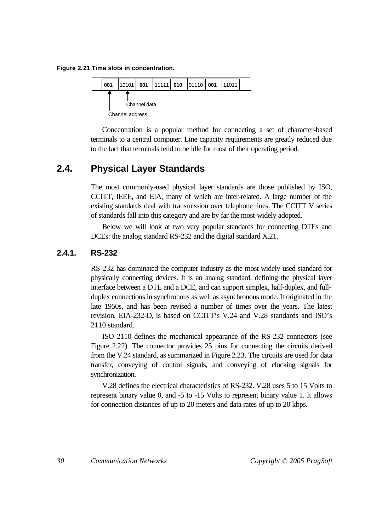**Figure 2.21 Time slots in concentration.**



Concentration is a popular method for connecting a set of character-based terminals to a central computer. Line capacity requirements are greatly reduced due to the fact that terminals tend to be idle for most of their operating period.

## **2.4. Physical Layer Standards**

The most commonly-used physical layer standards are those published by ISO, CCITT, IEEE, and EIA, many of which are inter-related. A large number of the existing standards deal with transmission over telephone lines. The CCITT V series of standards fall into this category and are by far the most-widely adopted.

Below we will look at two very popular standards for connecting DTEs and DCEs: the analog standard RS-232 and the digital standard X.21.

### **2.4.1. RS-232**

RS-232 has dominated the computer industry as the most-widely used standard for physically connecting devices. It is an analog standard, defining the physical layer interface between a DTE and a DCE, and can support simplex, half-duplex, and fullduplex connections in synchronous as well as asynchronous mode. It originated in the late 1950s, and has been revised a number of times over the years. The latest revision, EIA-232-D, is based on CCITT's V.24 and V.28 standards and ISO's 2110 standard.

ISO 2110 defines the mechanical appearance of the RS-232 connectors (see Figure 2.22). The connector provides 25 pins for connecting the circuits derived from the V.24 standard, as summarized in Figure 2.23. The circuits are used for data transfer, conveying of control signals, and conveying of clocking signals for synchronization.

V.28 defines the electrical characteristics of RS-232. V.28 uses 5 to 15 Volts to represent binary value 0, and -5 to -15 Volts to represent binary value 1. It allows for connection distances of up to 20 meters and data rates of up to 20 kbps.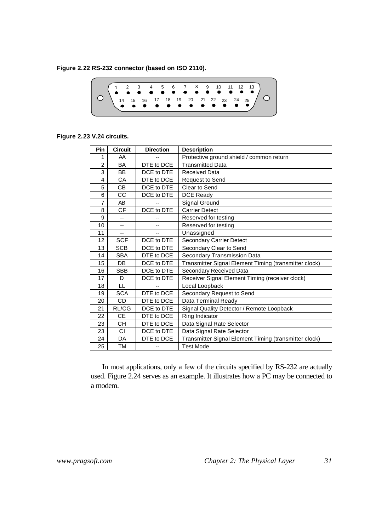**Figure 2.22 RS-232 connector (based on ISO 2110).**



**Figure 2.23 V.24 circuits.**

| Pin            | <b>Circuit</b> | <b>Direction</b> | <b>Description</b>                                    |
|----------------|----------------|------------------|-------------------------------------------------------|
| 1              | AA             |                  | Protective ground shield / common return              |
| $\overline{2}$ | BA             | DTE to DCE       | <b>Transmitted Data</b>                               |
| 3              | BB             | DCE to DTE       | <b>Received Data</b>                                  |
| 4              | CA             | DTE to DCE       | <b>Request to Send</b>                                |
| 5              | <b>CB</b>      | DCE to DTE       | Clear to Send                                         |
| 6              | CC             | DCE to DTE       | <b>DCE Ready</b>                                      |
| 7              | AB             |                  | Signal Ground                                         |
| 8              | <b>CF</b>      | DCE to DTE       | <b>Carrier Detect</b>                                 |
| 9              |                |                  | Reserved for testing                                  |
| 10             | $-$            | $-$              | Reserved for testing                                  |
| 11             | --             |                  | Unassigned                                            |
| 12             | <b>SCF</b>     | DCE to DTE       | <b>Secondary Carrier Detect</b>                       |
| 13             | <b>SCB</b>     | DCE to DTE       | Secondary Clear to Send                               |
| 14             | <b>SBA</b>     | DTE to DCE       | Secondary Transmission Data                           |
| 15             | DB             | DCE to DTE       | Transmitter Signal Element Timing (transmitter clock) |
| 16             | <b>SBB</b>     | DCE to DTE       | Secondary Received Data                               |
| 17             | D              | DCE to DTE       | Receiver Signal Element Timing (receiver clock)       |
| 18             | LL             |                  | Local Loopback                                        |
| 19             | <b>SCA</b>     | DTE to DCE       | Secondary Request to Send                             |
| 20             | <b>CD</b>      | DTE to DCE       | Data Terminal Ready                                   |
| 21             | RL/CG          | DCE to DTE       | Signal Quality Detector / Remote Loopback             |
| 22             | <b>CE</b>      | DTE to DCE       | Ring Indicator                                        |
| 23             | <b>CH</b>      | DTE to DCE       | Data Signal Rate Selector                             |
| 23             | CI             | DCE to DTE       | Data Signal Rate Selector                             |
| 24             | DA             | DTE to DCE       | Transmitter Signal Element Timing (transmitter clock) |
| 25             | ТM             | --               | <b>Test Mode</b>                                      |

In most applications, only a few of the circuits specified by RS-232 are actually used. Figure 2.24 serves as an example. It illustrates how a PC may be connected to a modem.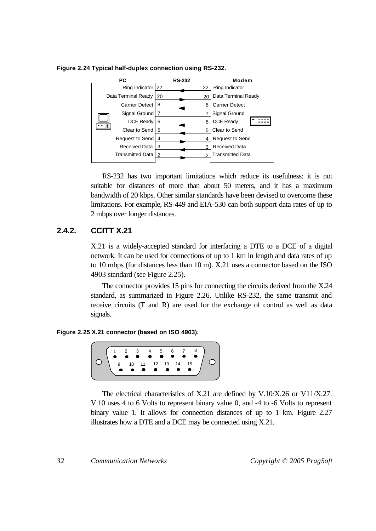PC RS-232 Modem **RS-232** 22 Ring Indicator 22 Ring Indicator Data Terminal Ready 20 20 Data Terminal Ready 8 Carrier Detect 8 Carrier Detect Signal Ground 7 7 Signal Ground **BEE** DCE Ready DCE Ready 6 6 in s 5 Clear to Send 5 Clear to Send Request to Send Request to Send 4 4 Received Data Received Data 3 3 Transmitted Data Transmitted Data  $\overline{2}$ 2

**Figure 2.24 Typical half-duplex connection using RS-232.**

RS-232 has two important limitations which reduce its usefulness: it is not suitable for distances of more than about 50 meters, and it has a maximum bandwidth of 20 kbps. Other similar standards have been devised to overcome these limitations. For example, RS-449 and EIA-530 can both support data rates of up to 2 mbps over longer distances.

### **2.4.2. CCITT X.21**

X.21 is a widely-accepted standard for interfacing a DTE to a DCE of a digital network. It can be used for connections of up to 1 km in length and data rates of up to 10 mbps (for distances less than 10 m). X.21 uses a connector based on the ISO 4903 standard (see Figure 2.25).

The connector provides 15 pins for connecting the circuits derived from the X.24 standard, as summarized in Figure 2.26. Unlike RS-232, the same transmit and receive circuits (T and R) are used for the exchange of control as well as data signals.

**Figure 2.25 X.21 connector (based on ISO 4903).**



The electrical characteristics of X.21 are defined by V.10/X.26 or V11/X.27. V.10 uses 4 to 6 Volts to represent binary value 0, and -4 to -6 Volts to represent binary value 1. It allows for connection distances of up to 1 km. Figure 2.27 illustrates how a DTE and a DCE may be connected using X.21.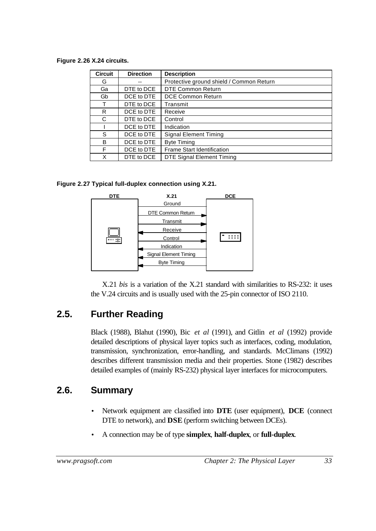**Figure 2.26 X.24 circuits.**

| <b>Circuit</b> | <b>Direction</b> | <b>Description</b>                       |
|----------------|------------------|------------------------------------------|
| G              |                  | Protective ground shield / Common Return |
| Ga             | DTE to DCE       | <b>DTE Common Return</b>                 |
| Gb             | DCE to DTE       | DCE Common Return                        |
| т              | DTE to DCE       | Transmit                                 |
| R              | DCE to DTE       | Receive                                  |
| C              | DTE to DCE       | Control                                  |
|                | DCE to DTE       | Indication                               |
| S              | DCE to DTE       | <b>Signal Element Timing</b>             |
| B              | DCE to DTE       | <b>Byte Timing</b>                       |
| F              | DCE to DTE       | Frame Start Identification               |
| X              | DTE to DCE       | <b>DTE Signal Element Timing</b>         |

**Figure 2.27 Typical full-duplex connection using X.21.**



X.21 *bis* is a variation of the X.21 standard with similarities to RS-232: it uses the V.24 circuits and is usually used with the 25-pin connector of ISO 2110.

## **2.5. Further Reading**

Black (1988), Blahut (1990), Bic *et al* (1991), and Gitlin *et al* (1992) provide detailed descriptions of physical layer topics such as interfaces, coding, modulation, transmission, synchronization, error-handling, and standards. McClimans (1992) describes different transmission media and their properties. Stone (1982) describes detailed examples of (mainly RS-232) physical layer interfaces for microcomputers.

### **2.6. Summary**

- Network equipment are classified into **DTE** (user equipment), **DCE** (connect DTE to network), and **DSE** (perform switching between DCEs).
- A connection may be of type **simplex**, **half-duplex**, or **full-duplex**.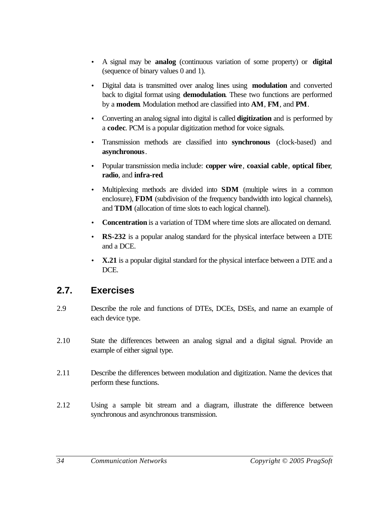- A signal may be **analog** (continuous variation of some property) or **digital** (sequence of binary values 0 and 1).
- Digital data is transmitted over analog lines using **modulation** and converted back to digital format using **demodulation**. These two functions are performed by a **modem**. Modulation method are classified into **AM**, **FM**, and **PM**.
- Converting an analog signal into digital is called **digitization** and is performed by a **codec**. PCM is a popular digitization method for voice signals.
- Transmission methods are classified into **synchronous** (clock-based) and **asynchronous**.
- Popular transmission media include: **copper wire**, **coaxial cable**, **optical fiber**, **radio**, and **infra-red**.
- Multiplexing methods are divided into **SDM** (multiple wires in a common enclosure), **FDM** (subdivision of the frequency bandwidth into logical channels), and **TDM** (allocation of time slots to each logical channel).
- **Concentration** is a variation of TDM where time slots are allocated on demand.
- **RS-232** is a popular analog standard for the physical interface between a DTE and a DCE.
- **X.21** is a popular digital standard for the physical interface between a DTE and a DCE.

### **2.7. Exercises**

- 2.9 Describe the role and functions of DTEs, DCEs, DSEs, and name an example of each device type.
- 2.10 State the differences between an analog signal and a digital signal. Provide an example of either signal type.
- 2.11 Describe the differences between modulation and digitization. Name the devices that perform these functions.
- 2.12 Using a sample bit stream and a diagram, illustrate the difference between synchronous and asynchronous transmission.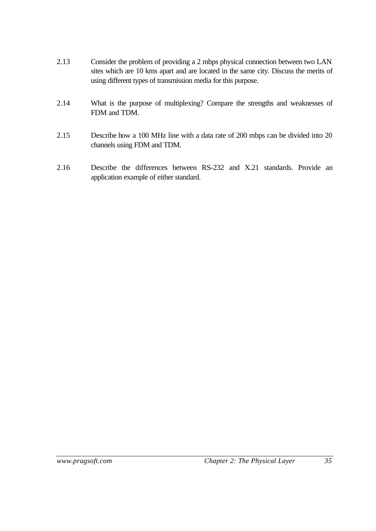- 2.13 Consider the problem of providing a 2 mbps physical connection between two LAN sites which are 10 kms apart and are located in the same city. Discuss the merits of using different types of transmission media for this purpose.
- 2.14 What is the purpose of multiplexing? Compare the strengths and weaknesses of FDM and TDM.
- 2.15 Describe how a 100 MHz line with a data rate of 200 mbps can be divided into 20 channels using FDM and TDM.
- 2.16 Describe the differences between RS-232 and X.21 standards. Provide an application example of either standard.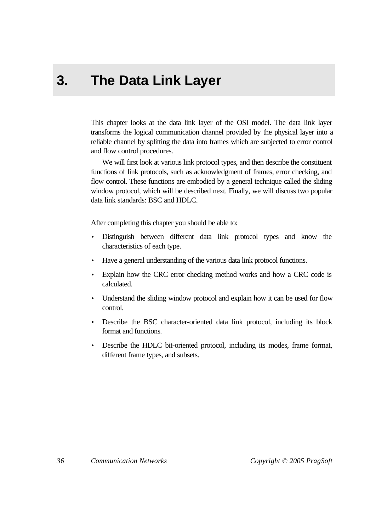# **3. The Data Link Layer**

This chapter looks at the data link layer of the OSI model. The data link layer transforms the logical communication channel provided by the physical layer into a reliable channel by splitting the data into frames which are subjected to error control and flow control procedures.

We will first look at various link protocol types, and then describe the constituent functions of link protocols, such as acknowledgment of frames, error checking, and flow control. These functions are embodied by a general technique called the sliding window protocol, which will be described next. Finally, we will discuss two popular data link standards: BSC and HDLC.

After completing this chapter you should be able to:

- Distinguish between different data link protocol types and know the characteristics of each type.
- Have a general understanding of the various data link protocol functions.
- Explain how the CRC error checking method works and how a CRC code is calculated.
- Understand the sliding window protocol and explain how it can be used for flow control.
- Describe the BSC character-oriented data link protocol, including its block format and functions.
- Describe the HDLC bit-oriented protocol, including its modes, frame format, different frame types, and subsets.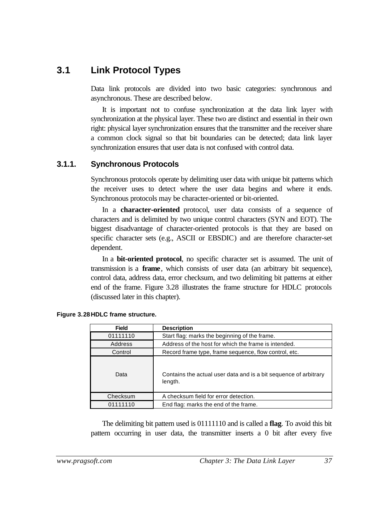### **3.1 Link Protocol Types**

Data link protocols are divided into two basic categories: synchronous and asynchronous. These are described below.

It is important not to confuse synchronization at the data link layer with synchronization at the physical layer. These two are distinct and essential in their own right: physical layer synchronization ensures that the transmitter and the receiver share a common clock signal so that bit boundaries can be detected; data link layer synchronization ensures that user data is not confused with control data.

### **3.1.1. Synchronous Protocols**

Synchronous protocols operate by delimiting user data with unique bit patterns which the receiver uses to detect where the user data begins and where it ends. Synchronous protocols may be character-oriented or bit-oriented.

In a **character-oriented** protocol, user data consists of a sequence of characters and is delimited by two unique control characters (SYN and EOT). The biggest disadvantage of character-oriented protocols is that they are based on specific character sets (e.g., ASCII or EBSDIC) and are therefore character-set dependent.

In a **bit-oriented protocol**, no specific character set is assumed. The unit of transmission is a **frame**, which consists of user data (an arbitrary bit sequence), control data, address data, error checksum, and two delimiting bit patterns at either end of the frame. Figure 3.28 illustrates the frame structure for HDLC protocols (discussed later in this chapter).

| <b>Field</b>                                      | <b>Description</b>                                                          |  |
|---------------------------------------------------|-----------------------------------------------------------------------------|--|
| 01111110                                          | Start flag: marks the beginning of the frame.                               |  |
| Address                                           | Address of the host for which the frame is intended.                        |  |
| Control                                           | Record frame type, frame sequence, flow control, etc.                       |  |
| Data                                              | Contains the actual user data and is a bit sequence of arbitrary<br>length. |  |
| Checksum                                          | A checksum field for error detection.                                       |  |
| End flag: marks the end of the frame.<br>01111110 |                                                                             |  |

**Figure 3.28HDLC frame structure.**

The delimiting bit pattern used is 01111110 and is called a **flag**. To avoid this bit pattern occurring in user data, the transmitter inserts a 0 bit after every five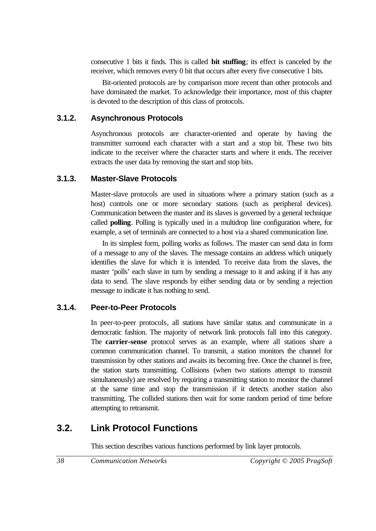consecutive 1 bits it finds. This is called **bit stuffing**; its effect is canceled by the receiver, which removes every 0 bit that occurs after every five consecutive 1 bits.

Bit-oriented protocols are by comparison more recent than other protocols and have dominated the market. To acknowledge their importance, most of this chapter is devoted to the description of this class of protocols.

### **3.1.2. Asynchronous Protocols**

Asynchronous protocols are character-oriented and operate by having the transmitter surround each character with a start and a stop bit. These two bits indicate to the receiver where the character starts and where it ends. The receiver extracts the user data by removing the start and stop bits.

### **3.1.3. Master-Slave Protocols**

Master-slave protocols are used in situations where a primary station (such as a host) controls one or more secondary stations (such as peripheral devices). Communication between the master and its slaves is governed by a general technique called **polling**. Polling is typically used in a multidrop line configuration where, for example, a set of terminals are connected to a host via a shared communication line.

In its simplest form, polling works as follows. The master can send data in form of a message to any of the slaves. The message contains an address which uniquely identifies the slave for which it is intended. To receive data from the slaves, the master 'polls' each slave in turn by sending a message to it and asking if it has any data to send. The slave responds by either sending data or by sending a rejection message to indicate it has nothing to send.

### **3.1.4. Peer-to-Peer Protocols**

In peer-to-peer protocols, all stations have similar status and communicate in a democratic fashion. The majority of network link protocols fall into this category. The **carrier-sense** protocol serves as an example, where all stations share a common communication channel. To transmit, a station monitors the channel for transmission by other stations and awaits its becoming free. Once the channel is free, the station starts transmitting. Collisions (when two stations attempt to transmit simultaneously) are resolved by requiring a transmitting station to monitor the channel at the same time and stop the transmission if it detects another station also transmitting. The collided stations then wait for some random period of time before attempting to retransmit.

### **3.2. Link Protocol Functions**

This section describes various functions performed by link layer protocols.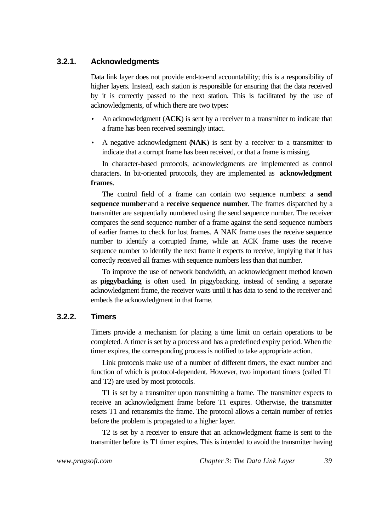### **3.2.1. Acknowledgments**

Data link layer does not provide end-to-end accountability; this is a responsibility of higher layers. Instead, each station is responsible for ensuring that the data received by it is correctly passed to the next station. This is facilitated by the use of acknowledgments, of which there are two types:

- An acknowledgment (**ACK**) is sent by a receiver to a transmitter to indicate that a frame has been received seemingly intact.
- A negative acknowledgment (**NAK**) is sent by a receiver to a transmitter to indicate that a corrupt frame has been received, or that a frame is missing.

In character-based protocols, acknowledgments are implemented as control characters. In bit-oriented protocols, they are implemented as **acknowledgment frames**.

The control field of a frame can contain two sequence numbers: a **send sequence number** and a **receive sequence number**. The frames dispatched by a transmitter are sequentially numbered using the send sequence number. The receiver compares the send sequence number of a frame against the send sequence numbers of earlier frames to check for lost frames. A NAK frame uses the receive sequence number to identify a corrupted frame, while an ACK frame uses the receive sequence number to identify the next frame it expects to receive, implying that it has correctly received all frames with sequence numbers less than that number.

To improve the use of network bandwidth, an acknowledgment method known as **piggybacking** is often used. In piggybacking, instead of sending a separate acknowledgment frame, the receiver waits until it has data to send to the receiver and embeds the acknowledgment in that frame.

### **3.2.2. Timers**

Timers provide a mechanism for placing a time limit on certain operations to be completed. A timer is set by a process and has a predefined expiry period. When the timer expires, the corresponding process is notified to take appropriate action.

Link protocols make use of a number of different timers, the exact number and function of which is protocol-dependent. However, two important timers (called T1 and T2) are used by most protocols.

T1 is set by a transmitter upon transmitting a frame. The transmitter expects to receive an acknowledgment frame before T1 expires. Otherwise, the transmitter resets T1 and retransmits the frame. The protocol allows a certain number of retries before the problem is propagated to a higher layer.

T2 is set by a receiver to ensure that an acknowledgment frame is sent to the transmitter before its T1 timer expires. This is intended to avoid the transmitter having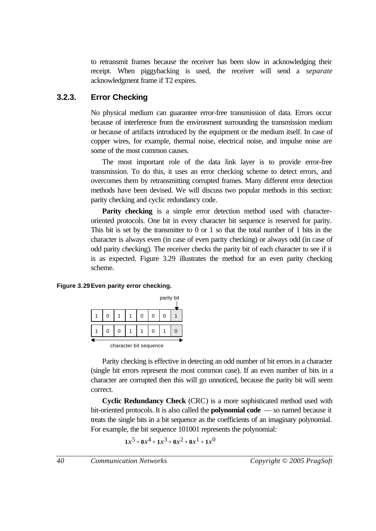to retransmit frames because the receiver has been slow in acknowledging their receipt. When piggybacking is used, the receiver will send a *separate* acknowledgment frame if T2 expires.

### **3.2.3. Error Checking**

No physical medium can guarantee error-free transmission of data. Errors occur because of interference from the environment surrounding the transmission medium or because of artifacts introduced by the equipment or the medium itself. In case of copper wires, for example, thermal noise, electrical noise, and impulse noise are some of the most common causes.

The most important role of the data link layer is to provide error-free transmission. To do this, it uses an error checking scheme to detect errors, and overcomes them by retransmitting corrupted frames. Many different error detection methods have been devised. We will discuss two popular methods in this section: parity checking and cyclic redundancy code.

**Parity checking** is a simple error detection method used with characteroriented protocols. One bit in every character bit sequence is reserved for parity. This bit is set by the transmitter to 0 or 1 so that the total number of 1 bits in the character is always even (in case of even parity checking) or always odd (in case of odd parity checking). The receiver checks the parity bit of each character to see if it is as expected. Figure 3.29 illustrates the method for an even parity checking scheme.

#### **Figure 3.29Even parity error checking.**

|                        |  |   |  |   | parity bit |  |
|------------------------|--|---|--|---|------------|--|
|                        |  |   |  | 0 | 0          |  |
|                        |  | 0 |  |   |            |  |
| character bit sequence |  |   |  |   |            |  |

Parity checking is effective in detecting an odd number of bit errors in a character (single bit errors represent the most common case). If an even number of bits in a character are corrupted then this will go unnoticed, because the parity bit will seem correct.

**Cyclic Redundancy Check** (CRC) is a more sophisticated method used with bit-oriented protocols. It is also called the **polynomial code** — so named because it treats the single bits in a bit sequence as the coefficients of an imaginary polynomial. For example, the bit sequence 101001 represents the polynomial:

 $1x^5 + 0x^4 + 1x^3 + 0x^2 + 0x^1 + 1x^0$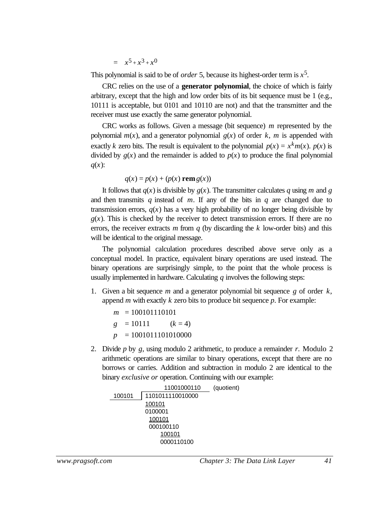$$
= x^5 + x^3 + x^0
$$

This polynomial is said to be of *order* 5, because its highest-order term is  $x^5$ .

CRC relies on the use of a **generator polynomial**, the choice of which is fairly arbitrary, except that the high and low order bits of its bit sequence must be 1 (e.g., 10111 is acceptable, but 0101 and 10110 are not) and that the transmitter and the receiver must use exactly the same generator polynomial.

CRC works as follows. Given a message (bit sequence) *m* represented by the polynomial  $m(x)$ , and a generator polynomial  $g(x)$  of order k, m is appended with exactly *k* zero bits. The result is equivalent to the polynomial  $p(x) = x^k m(x)$ .  $p(x)$  is divided by  $g(x)$  and the remainder is added to  $p(x)$  to produce the final polynomial *q*(*x*):

$$
q(x) = p(x) + (p(x) \text{ rem } g(x))
$$

It follows that  $q(x)$  is divisible by  $q(x)$ . The transmitter calculates q using m and g and then transmits *q* instead of *m*. If any of the bits in *q* are changed due to transmission errors,  $q(x)$  has a very high probability of no longer being divisible by  $g(x)$ . This is checked by the receiver to detect transmission errors. If there are no errors, the receiver extracts *m* from *q* (by discarding the *k* low-order bits) and this will be identical to the original message.

The polynomial calculation procedures described above serve only as a conceptual model. In practice, equivalent binary operations are used instead. The binary operations are surprisingly simple, to the point that the whole process is usually implemented in hardware. Calculating *q* involves the following steps:

1. Given a bit sequence *m* and a generator polynomial bit sequence *g* of order *k*, append *m* with exactly *k* zero bits to produce bit sequence *p*. For example:

$$
m = 100101110101
$$
  
\n
$$
g = 10111 \qquad (k = 4)
$$
  
\n
$$
p = 1001011101010000
$$

2. Divide *p* by *g*, using modulo 2 arithmetic, to produce a remainder *r*. Modulo 2 arithmetic operations are similar to binary operations, except that there are no borrows or carries. Addition and subtraction in modulo 2 are identical to the binary *exclusive or* operation. Continuing with our example:

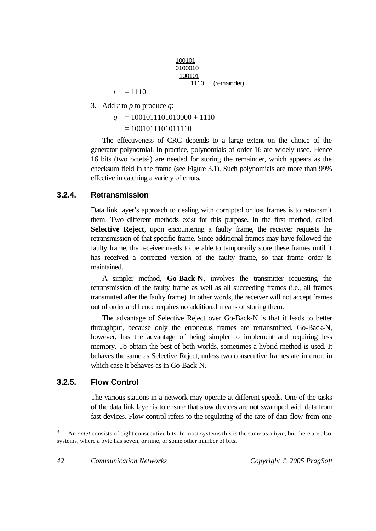| 100101  |             |
|---------|-------------|
| 0100010 |             |
| 100101  |             |
| 1110    | (remainder) |
|         |             |

3. Add *r* to *p* to produce *q*:

 $r = 1110$ 

 $q = 1001011101010000 + 1110$  $= 1001011101011110$ 

The effectiveness of CRC depends to a large extent on the choice of the generator polynomial. In practice, polynomials of order 16 are widely used. Hence 16 bits (two octets<sup>3</sup>) are needed for storing the remainder, which appears as the checksum field in the frame (see Figure 3.1). Such polynomials are more than 99% effective in catching a variety of errors.

#### **3.2.4. Retransmission**

Data link layer's approach to dealing with corrupted or lost frames is to retransmit them. Two different methods exist for this purpose. In the first method, called **Selective Reject**, upon encountering a faulty frame, the receiver requests the retransmission of that specific frame. Since additional frames may have followed the faulty frame, the receiver needs to be able to temporarily store these frames until it has received a corrected version of the faulty frame, so that frame order is maintained.

A simpler method, **Go-Back-N**, involves the transmitter requesting the retransmission of the faulty frame as well as all succeeding frames (i.e., all frames transmitted after the faulty frame). In other words, the receiver will not accept frames out of order and hence requires no additional means of storing them.

The advantage of Selective Reject over Go-Back-N is that it leads to better throughput, because only the erroneous frames are retransmitted. Go-Back-N, however, has the advantage of being simpler to implement and requiring less memory. To obtain the best of both worlds, sometimes a hybrid method is used. It behaves the same as Selective Reject, unless two consecutive frames are in error, in which case it behaves as in Go-Back-N.

#### **3.2.5. Flow Control**

The various stations in a network may operate at different speeds. One of the tasks of the data link layer is to ensure that slow devices are not swamped with data from fast devices. Flow control refers to the regulating of the rate of data flow from one

<sup>3</sup> An *octet* consists of eight consecutive bits. In most systems this is the same as a *byte*, but there are also systems, where a byte has seven, or nine, or some other number of bits.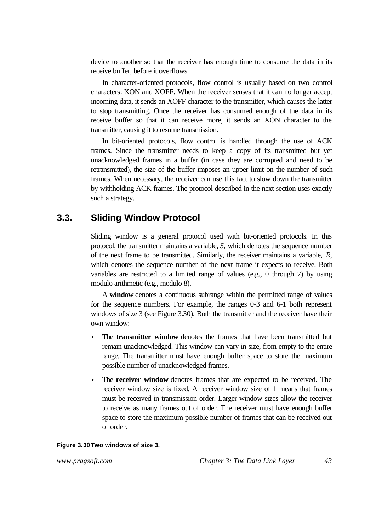device to another so that the receiver has enough time to consume the data in its receive buffer, before it overflows.

In character-oriented protocols, flow control is usually based on two control characters: XON and XOFF. When the receiver senses that it can no longer accept incoming data, it sends an XOFF character to the transmitter, which causes the latter to stop transmitting. Once the receiver has consumed enough of the data in its receive buffer so that it can receive more, it sends an XON character to the transmitter, causing it to resume transmission.

In bit-oriented protocols, flow control is handled through the use of ACK frames. Since the transmitter needs to keep a copy of its transmitted but yet unacknowledged frames in a buffer (in case they are corrupted and need to be retransmitted), the size of the buffer imposes an upper limit on the number of such frames. When necessary, the receiver can use this fact to slow down the transmitter by withholding ACK frames. The protocol described in the next section uses exactly such a strategy.

### **3.3. Sliding Window Protocol**

Sliding window is a general protocol used with bit-oriented protocols. In this protocol, the transmitter maintains a variable, *S*, which denotes the sequence number of the next frame to be transmitted. Similarly, the receiver maintains a variable, *R*, which denotes the sequence number of the next frame it expects to receive. Both variables are restricted to a limited range of values (e.g., 0 through 7) by using modulo arithmetic (e.g., modulo 8).

A **window** denotes a continuous subrange within the permitted range of values for the sequence numbers. For example, the ranges 0-3 and 6-1 both represent windows of size 3 (see Figure 3.30). Both the transmitter and the receiver have their own window:

- The **transmitter window** denotes the frames that have been transmitted but remain unacknowledged. This window can vary in size, from empty to the entire range. The transmitter must have enough buffer space to store the maximum possible number of unacknowledged frames.
- The **receiver window** denotes frames that are expected to be received. The receiver window size is fixed. A receiver window size of 1 means that frames must be received in transmission order. Larger window sizes allow the receiver to receive as many frames out of order. The receiver must have enough buffer space to store the maximum possible number of frames that can be received out of order.

#### **Figure 3.30Two windows of size 3.**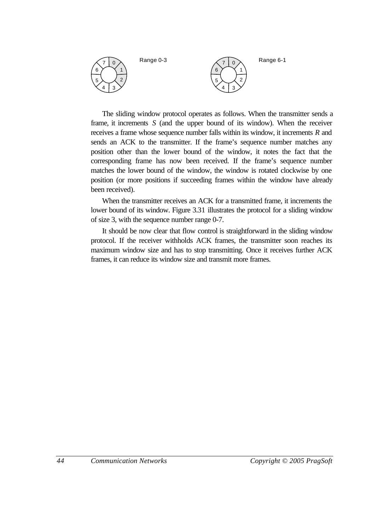

The sliding window protocol operates as follows. When the transmitter sends a frame, it increments *S* (and the upper bound of its window). When the receiver receives a frame whose sequence number falls within its window, it increments *R* and sends an ACK to the transmitter. If the frame's sequence number matches any position other than the lower bound of the window, it notes the fact that the corresponding frame has now been received. If the frame's sequence number matches the lower bound of the window, the window is rotated clockwise by one position (or more positions if succeeding frames within the window have already been received).

When the transmitter receives an ACK for a transmitted frame, it increments the lower bound of its window. Figure 3.31 illustrates the protocol for a sliding window of size 3, with the sequence number range 0-7.

It should be now clear that flow control is straightforward in the sliding window protocol. If the receiver withholds ACK frames, the transmitter soon reaches its maximum window size and has to stop transmitting. Once it receives further ACK frames, it can reduce its window size and transmit more frames.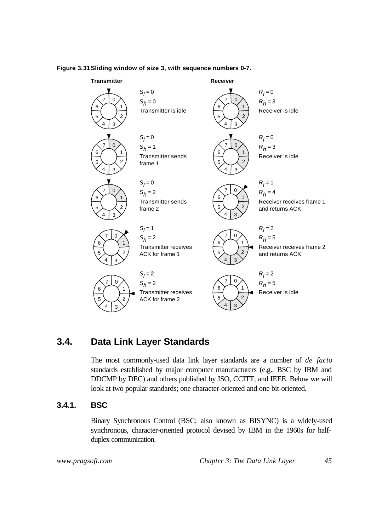

#### **Figure 3.31Sliding window of size 3, with sequence numbers 0-7.**

### **3.4. Data Link Layer Standards**

The most commonly-used data link layer standards are a number of *de facto* standards established by major computer manufacturers (e.g., BSC by IBM and DDCMP by DEC) and others published by ISO, CCITT, and IEEE. Below we will look at two popular standards; one character-oriented and one bit-oriented.

### **3.4.1. BSC**

Binary Synchronous Control (BSC; also known as BISYNC) is a widely-used synchronous, character-oriented protocol devised by IBM in the 1960s for halfduplex communication.

*www.pragsoft.com Chapter 3: The Data Link Layer 45*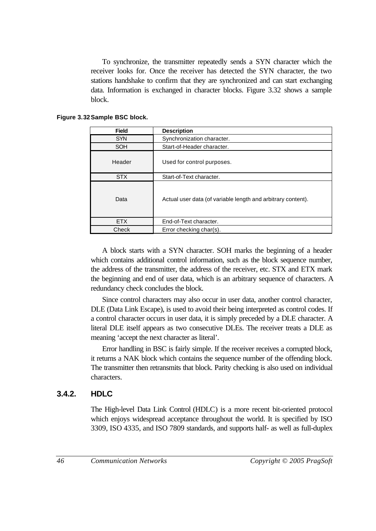To synchronize, the transmitter repeatedly sends a SYN character which the receiver looks for. Once the receiver has detected the SYN character, the two stations handshake to confirm that they are synchronized and can start exchanging data. Information is exchanged in character blocks. Figure 3.32 shows a sample block.

| <b>Field</b> | <b>Description</b>                                           |
|--------------|--------------------------------------------------------------|
| <b>SYN</b>   | Synchronization character.                                   |
| <b>SOH</b>   | Start-of-Header character.                                   |
| Header       | Used for control purposes.                                   |
| <b>STX</b>   | Start-of-Text character.                                     |
| Data         | Actual user data (of variable length and arbitrary content). |
| <b>FTX</b>   | End-of-Text character.                                       |
| Check        | Error checking char(s).                                      |

#### **Figure 3.32Sample BSC block.**

A block starts with a SYN character. SOH marks the beginning of a header which contains additional control information, such as the block sequence number, the address of the transmitter, the address of the receiver, etc. STX and ETX mark the beginning and end of user data, which is an arbitrary sequence of characters. A redundancy check concludes the block.

Since control characters may also occur in user data, another control character, DLE (Data Link Escape), is used to avoid their being interpreted as control codes. If a control character occurs in user data, it is simply preceded by a DLE character. A literal DLE itself appears as two consecutive DLEs. The receiver treats a DLE as meaning 'accept the next character as literal'.

Error handling in BSC is fairly simple. If the receiver receives a corrupted block, it returns a NAK block which contains the sequence number of the offending block. The transmitter then retransmits that block. Parity checking is also used on individual characters.

### **3.4.2. HDLC**

The High-level Data Link Control (HDLC) is a more recent bit-oriented protocol which enjoys widespread acceptance throughout the world. It is specified by ISO 3309, ISO 4335, and ISO 7809 standards, and supports half- as well as full-duplex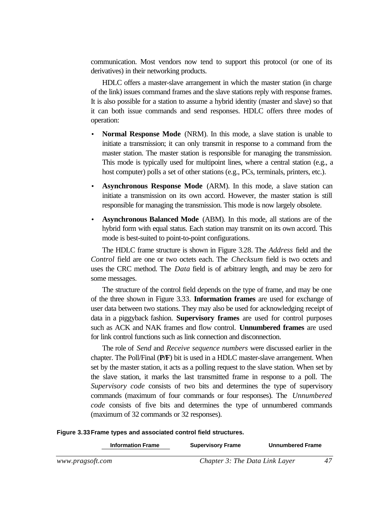communication. Most vendors now tend to support this protocol (or one of its derivatives) in their networking products.

HDLC offers a master-slave arrangement in which the master station (in charge of the link) issues command frames and the slave stations reply with response frames. It is also possible for a station to assume a hybrid identity (master and slave) so that it can both issue commands and send responses. HDLC offers three modes of operation:

- **Normal Response Mode** (NRM). In this mode, a slave station is unable to initiate a transmission; it can only transmit in response to a command from the master station. The master station is responsible for managing the transmission. This mode is typically used for multipoint lines, where a central station (e.g., a host computer) polls a set of other stations (e.g., PCs, terminals, printers, etc.).
- **Asynchronous Response Mode** (ARM). In this mode, a slave station can initiate a transmission on its own accord. However, the master station is still responsible for managing the transmission. This mode is now largely obsolete.
- **Asynchronous Balanced Mode** (ABM). In this mode, all stations are of the hybrid form with equal status. Each station may transmit on its own accord. This mode is best-suited to point-to-point configurations.

The HDLC frame structure is shown in Figure 3.28. The *Address* field and the *Control* field are one or two octets each. The *Checksum* field is two octets and uses the CRC method. The *Data* field is of arbitrary length, and may be zero for some messages.

The structure of the control field depends on the type of frame, and may be one of the three shown in Figure 3.33. **Information frames** are used for exchange of user data between two stations. They may also be used for acknowledging receipt of data in a piggyback fashion. **Supervisory frames** are used for control purposes such as ACK and NAK frames and flow control. **Unnumbered frames** are used for link control functions such as link connection and disconnection.

The role of *Send* and *Receive sequence numbers* were discussed earlier in the chapter. The Poll/Final (**P/F**) bit is used in a HDLC master-slave arrangement. When set by the master station, it acts as a polling request to the slave station. When set by the slave station, it marks the last transmitted frame in response to a poll. The *Supervisory code* consists of two bits and determines the type of supervisory commands (maximum of four commands or four responses). The *Unnumbered code* consists of five bits and determines the type of unnumbered commands (maximum of 32 commands or 32 responses).

|                  | <b>Information Frame</b> | <b>Supervisory Frame</b>       | <b>Unnumbered Frame</b> |  |
|------------------|--------------------------|--------------------------------|-------------------------|--|
| www.pragsoft.com |                          | Chapter 3: The Data Link Layer |                         |  |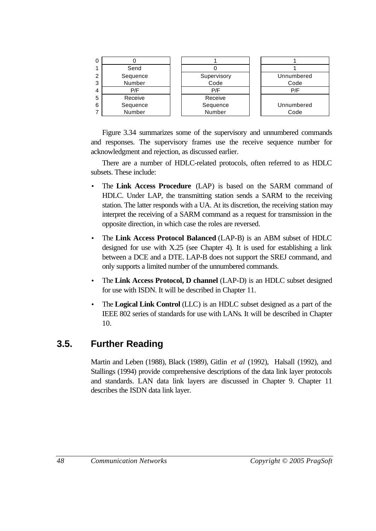

Figure 3.34 summarizes some of the supervisory and unnumbered commands and responses. The supervisory frames use the receive sequence number for acknowledgment and rejection, as discussed earlier.

There are a number of HDLC-related protocols, often referred to as HDLC subsets. These include:

- The **Link Access Procedure** (LAP) is based on the SARM command of HDLC. Under LAP, the transmitting station sends a SARM to the receiving station. The latter responds with a UA. At its discretion, the receiving station may interpret the receiving of a SARM command as a request for transmission in the opposite direction, in which case the roles are reversed.
- The **Link Access Protocol Balanced** (LAP-B) is an ABM subset of HDLC designed for use with X.25 (see Chapter 4). It is used for establishing a link between a DCE and a DTE. LAP-B does not support the SREJ command, and only supports a limited number of the unnumbered commands.
- The **Link Access Protocol, D channel** (LAP-D) is an HDLC subset designed for use with ISDN. It will be described in Chapter 11.
- The **Logical Link Control** (LLC) is an HDLC subset designed as a part of the IEEE 802 series of standards for use with LANs. It will be described in Chapter 10.

## **3.5. Further Reading**

Martin and Leben (1988), Black (1989), Gitlin *et al* (1992), Halsall (1992), and Stallings (1994) provide comprehensive descriptions of the data link layer protocols and standards. LAN data link layers are discussed in Chapter 9. Chapter 11 describes the ISDN data link layer.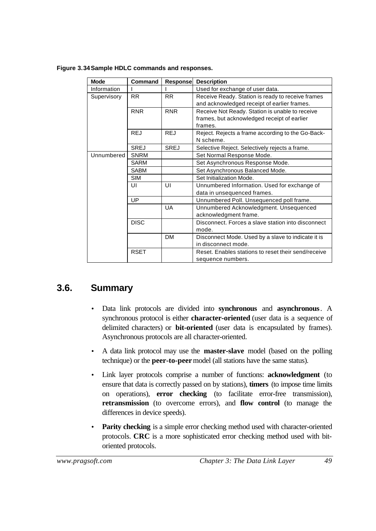| <b>Mode</b> | Command     | Response    | <b>Description</b>                                  |
|-------------|-------------|-------------|-----------------------------------------------------|
| Information |             |             | Used for exchange of user data.                     |
| Supervisory | <b>RR</b>   | <b>RR</b>   | Receive Ready. Station is ready to receive frames   |
|             |             |             | and acknowledged receipt of earlier frames.         |
|             | <b>RNR</b>  | <b>RNR</b>  | Receive Not Ready. Station is unable to receive     |
|             |             |             | frames, but acknowledged receipt of earlier         |
|             |             |             | frames.                                             |
|             | <b>REJ</b>  | <b>REJ</b>  | Reject. Rejects a frame according to the Go-Back-   |
|             |             |             | N scheme.                                           |
|             | <b>SREJ</b> | <b>SREJ</b> | Selective Reject. Selectively rejects a frame.      |
| Unnumbered  | <b>SNRM</b> |             | Set Normal Response Mode.                           |
|             | <b>SARM</b> |             | Set Asynchronous Response Mode.                     |
|             | <b>SABM</b> |             | Set Asynchronous Balanced Mode.                     |
|             | <b>SIM</b>  |             | Set Initialization Mode.                            |
|             | UI          | UI          | Unnumbered Information. Used for exchange of        |
|             |             |             | data in unsequenced frames.                         |
|             | UP          |             | Unnumbered Poll. Unsequenced poll frame.            |
|             |             | UA          | Unnumbered Acknowledgment. Unsequenced              |
|             |             |             | acknowledgment frame.                               |
|             | <b>DISC</b> |             | Disconnect. Forces a slave station into disconnect  |
|             |             |             | mode.                                               |
|             |             | <b>DM</b>   | Disconnect Mode. Used by a slave to indicate it is  |
|             |             |             | in disconnect mode.                                 |
|             | <b>RSET</b> |             | Reset. Enables stations to reset their send/receive |
|             |             |             | sequence numbers.                                   |

**Figure 3.34Sample HDLC commands and responses.**

### **3.6. Summary**

- Data link protocols are divided into **synchronous** and **asynchronous**. A synchronous protocol is either **character-oriented** (user data is a sequence of delimited characters) or **bit-oriented** (user data is encapsulated by frames). Asynchronous protocols are all character-oriented.
- A data link protocol may use the **master-slave** model (based on the polling technique) or the **peer-to-peer** model (all stations have the same status).
- Link layer protocols comprise a number of functions: **acknowledgment** (to ensure that data is correctly passed on by stations), **timers** (to impose time limits on operations), **error checking** (to facilitate error-free transmission), **retransmission** (to overcome errors), and **flow control** (to manage the differences in device speeds).
- **Parity checking** is a simple error checking method used with character-oriented protocols. **CRC** is a more sophisticated error checking method used with bitoriented protocols.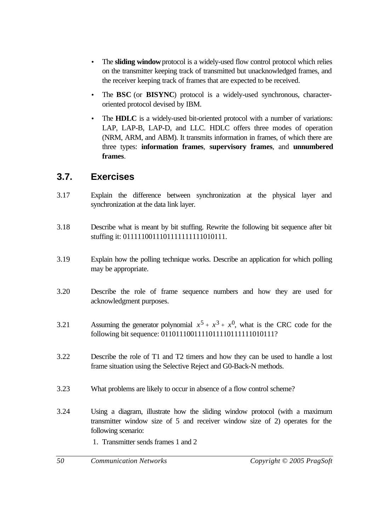- The **sliding window** protocol is a widely-used flow control protocol which relies on the transmitter keeping track of transmitted but unacknowledged frames, and the receiver keeping track of frames that are expected to be received.
- The **BSC** (or **BISYNC**) protocol is a widely-used synchronous, characteroriented protocol devised by IBM.
- The **HDLC** is a widely-used bit-oriented protocol with a number of variations: LAP, LAP-B, LAP-D, and LLC. HDLC offers three modes of operation (NRM, ARM, and ABM). It transmits information in frames, of which there are three types: **information frames**, **supervisory frames**, and **unnumbered frames**.

### **3.7. Exercises**

- 3.17 Explain the difference between synchronization at the physical layer and synchronization at the data link layer.
- 3.18 Describe what is meant by bit stuffing. Rewrite the following bit sequence after bit stuffing it: 0111110011101111111111010111.
- 3.19 Explain how the polling technique works. Describe an application for which polling may be appropriate.
- 3.20 Describe the role of frame sequence numbers and how they are used for acknowledgment purposes.
- 3.21 Assuming the generator polynomial  $x^5 + x^3 + x^0$ , what is the CRC code for the following bit sequence: 0110111001111011110111111010111?
- 3.22 Describe the role of T1 and T2 timers and how they can be used to handle a lost frame situation using the Selective Reject and G0-Back-N methods.
- 3.23 What problems are likely to occur in absence of a flow control scheme?
- 3.24 Using a diagram, illustrate how the sliding window protocol (with a maximum transmitter window size of 5 and receiver window size of 2) operates for the following scenario:
	- 1. Transmitter sends frames 1 and 2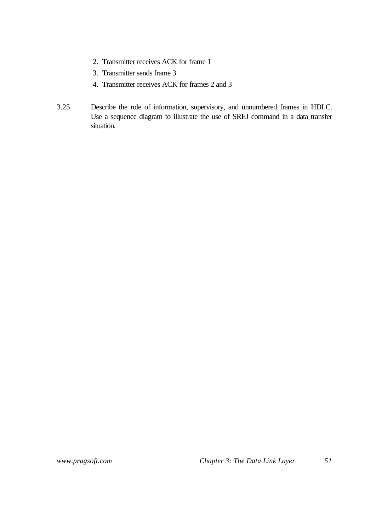- 2. Transmitter receives ACK for frame 1
- 3. Transmitter sends frame 3
- 4. Transmitter receives ACK for frames 2 and 3
- 3.25 Describe the role of information, supervisory, and unnumbered frames in HDLC. Use a sequence diagram to illustrate the use of SREJ command in a data transfer situation.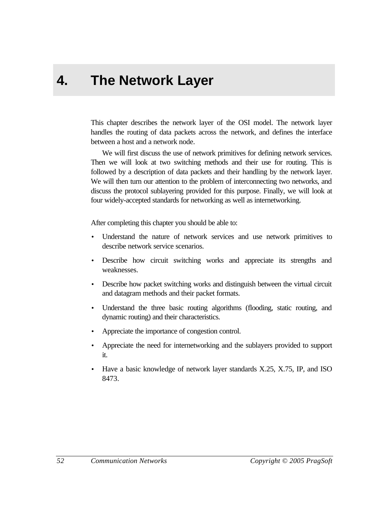# **4. The Network Layer**

This chapter describes the network layer of the OSI model. The network layer handles the routing of data packets across the network, and defines the interface between a host and a network node.

We will first discuss the use of network primitives for defining network services. Then we will look at two switching methods and their use for routing. This is followed by a description of data packets and their handling by the network layer. We will then turn our attention to the problem of interconnecting two networks, and discuss the protocol sublayering provided for this purpose. Finally, we will look at four widely-accepted standards for networking as well as internetworking.

After completing this chapter you should be able to:

- Understand the nature of network services and use network primitives to describe network service scenarios.
- Describe how circuit switching works and appreciate its strengths and weaknesses.
- Describe how packet switching works and distinguish between the virtual circuit and datagram methods and their packet formats.
- Understand the three basic routing algorithms (flooding, static routing, and dynamic routing) and their characteristics.
- Appreciate the importance of congestion control.
- Appreciate the need for internetworking and the sublayers provided to support it.
- Have a basic knowledge of network layer standards X.25, X.75, IP, and ISO 8473.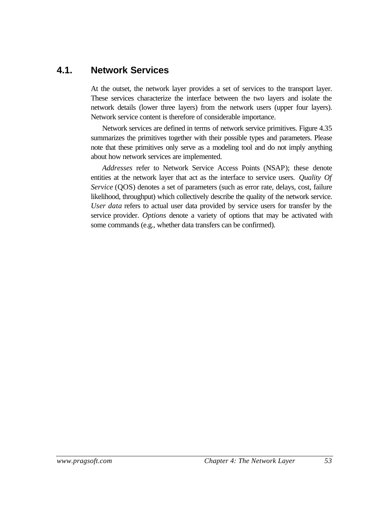### **4.1. Network Services**

At the outset, the network layer provides a set of services to the transport layer. These services characterize the interface between the two layers and isolate the network details (lower three layers) from the network users (upper four layers). Network service content is therefore of considerable importance.

Network services are defined in terms of network service primitives. Figure 4.35 summarizes the primitives together with their possible types and parameters. Please note that these primitives only serve as a modeling tool and do not imply anything about how network services are implemented.

*Addresses* refer to Network Service Access Points (NSAP); these denote entities at the network layer that act as the interface to service users. *Quality Of Service* (OOS) denotes a set of parameters (such as error rate, delays, cost, failure likelihood, throughput) which collectively describe the quality of the network service. *User data* refers to actual user data provided by service users for transfer by the service provider. *Options* denote a variety of options that may be activated with some commands (e.g., whether data transfers can be confirmed).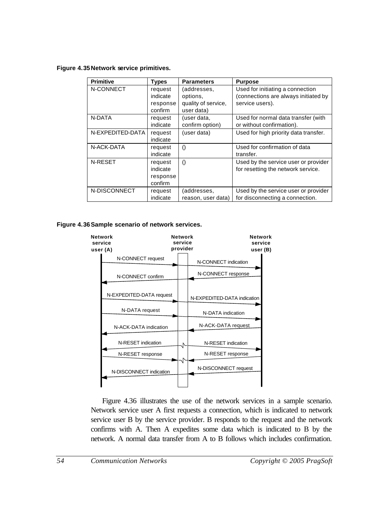**Figure 4.35Network service primitives.**

| <b>Primitive</b> | <b>Types</b> | <b>Parameters</b>   | <b>Purpose</b>                        |
|------------------|--------------|---------------------|---------------------------------------|
| N-CONNECT        | request      | (addresses,         | Used for initiating a connection      |
|                  | indicate     | options,            | (connections are always initiated by  |
|                  | response     | quality of service, | service users).                       |
|                  | confirm      | user data)          |                                       |
| N-DATA           | request      | (user data,         | Used for normal data transfer (with   |
|                  | indicate     | confirm option)     | or without confirmation).             |
| N-EXPEDITED-DATA | request      | (user data)         | Used for high priority data transfer. |
|                  | indicate     |                     |                                       |
| N-ACK-DATA       | request      | $\left( \right)$    | Used for confirmation of data         |
|                  | indicate     |                     | transfer.                             |
| N-RESET          | request      | $\left( \right)$    | Used by the service user or provider  |
|                  | indicate     |                     | for resetting the network service.    |
|                  | response     |                     |                                       |
|                  | confirm      |                     |                                       |
| N-DISCONNECT     | request      | (addresses,         | Used by the service user or provider  |
|                  | indicate     | reason, user data)  | for disconnecting a connection.       |

#### **Figure 4.36Sample scenario of network services.**



Figure 4.36 illustrates the use of the network services in a sample scenario. Network service user A first requests a connection, which is indicated to network service user B by the service provider. B responds to the request and the network confirms with A. Then A expedites some data which is indicated to B by the network. A normal data transfer from A to B follows which includes confirmation.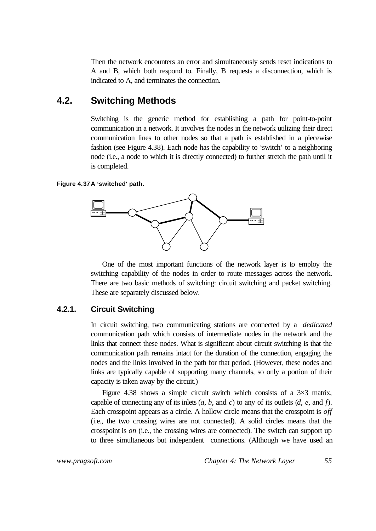Then the network encounters an error and simultaneously sends reset indications to A and B, which both respond to. Finally, B requests a disconnection, which is indicated to A, and terminates the connection.

### **4.2. Switching Methods**

Switching is the generic method for establishing a path for point-to-point communication in a network. It involves the nodes in the network utilizing their direct communication lines to other nodes so that a path is established in a piecewise fashion (see Figure 4.38). Each node has the capability to 'switch' to a neighboring node (i.e., a node to which it is directly connected) to further stretch the path until it is completed.

#### **Figure 4.37A 'switched' path.**



One of the most important functions of the network layer is to employ the switching capability of the nodes in order to route messages across the network. There are two basic methods of switching: circuit switching and packet switching. These are separately discussed below.

### **4.2.1. Circuit Switching**

In circuit switching, two communicating stations are connected by a *dedicated* communication path which consists of intermediate nodes in the network and the links that connect these nodes. What is significant about circuit switching is that the communication path remains intact for the duration of the connection, engaging the nodes and the links involved in the path for that period. (However, these nodes and links are typically capable of supporting many channels, so only a portion of their capacity is taken away by the circuit.)

Figure 4.38 shows a simple circuit switch which consists of a  $3\times3$  matrix, capable of connecting any of its inlets (*a*, *b*, and *c*) to any of its outlets (*d*, *e*, and *f*). Each crosspoint appears as a circle. A hollow circle means that the crosspoint is *off* (i.e., the two crossing wires are not connected). A solid circles means that the crosspoint is *on* (i.e., the crossing wires are connected). The switch can support up to three simultaneous but independent connections. (Although we have used an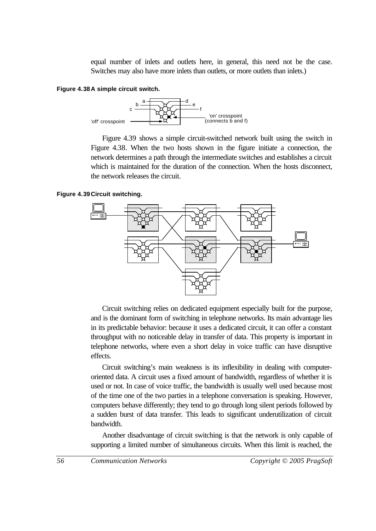equal number of inlets and outlets here, in general, this need not be the case. Switches may also have more inlets than outlets, or more outlets than inlets.)

#### **Figure 4.38A simple circuit switch.**



Figure 4.39 shows a simple circuit-switched network built using the switch in Figure 4.38. When the two hosts shown in the figure initiate a connection, the network determines a path through the intermediate switches and establishes a circuit which is maintained for the duration of the connection. When the hosts disconnect, the network releases the circuit.

#### **Figure 4.39Circuit switching.**



Circuit switching relies on dedicated equipment especially built for the purpose, and is the dominant form of switching in telephone networks. Its main advantage lies in its predictable behavior: because it uses a dedicated circuit, it can offer a constant throughput with no noticeable delay in transfer of data. This property is important in telephone networks, where even a short delay in voice traffic can have disruptive effects.

Circuit switching's main weakness is its inflexibility in dealing with computeroriented data. A circuit uses a fixed amount of bandwidth, regardless of whether it is used or not. In case of voice traffic, the bandwidth is usually well used because most of the time one of the two parties in a telephone conversation is speaking. However, computers behave differently; they tend to go through long silent periods followed by a sudden burst of data transfer. This leads to significant underutilization of circuit bandwidth.

Another disadvantage of circuit switching is that the network is only capable of supporting a limited number of simultaneous circuits. When this limit is reached, the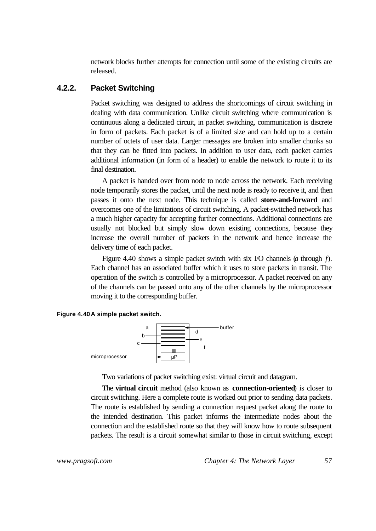network blocks further attempts for connection until some of the existing circuits are released.

### **4.2.2. Packet Switching**

Packet switching was designed to address the shortcomings of circuit switching in dealing with data communication. Unlike circuit switching where communication is continuous along a dedicated circuit, in packet switching, communication is discrete in form of packets. Each packet is of a limited size and can hold up to a certain number of octets of user data. Larger messages are broken into smaller chunks so that they can be fitted into packets. In addition to user data, each packet carries additional information (in form of a header) to enable the network to route it to its final destination.

A packet is handed over from node to node across the network. Each receiving node temporarily stores the packet, until the next node is ready to receive it, and then passes it onto the next node. This technique is called **store-and-forward** and overcomes one of the limitations of circuit switching. A packet-switched network has a much higher capacity for accepting further connections. Additional connections are usually not blocked but simply slow down existing connections, because they increase the overall number of packets in the network and hence increase the delivery time of each packet.

Figure 4.40 shows a simple packet switch with six I/O channels (*a* through *f*). Each channel has an associated buffer which it uses to store packets in transit. The operation of the switch is controlled by a microprocessor. A packet received on any of the channels can be passed onto any of the other channels by the microprocessor moving it to the corresponding buffer.





Two variations of packet switching exist: virtual circuit and datagram.

The **virtual circuit** method (also known as **connection-oriented**) is closer to circuit switching. Here a complete route is worked out prior to sending data packets. The route is established by sending a connection request packet along the route to the intended destination. This packet informs the intermediate nodes about the connection and the established route so that they will know how to route subsequent packets. The result is a circuit somewhat similar to those in circuit switching, except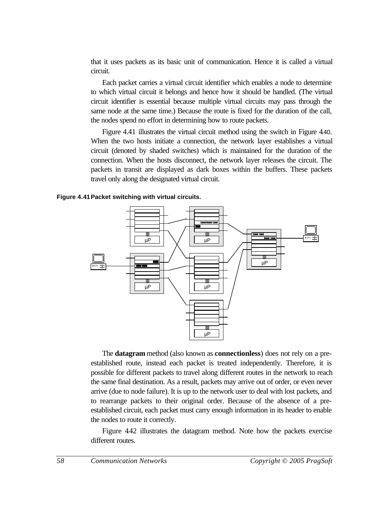that it uses packets as its basic unit of communication. Hence it is called a virtual circuit.

Each packet carries a virtual circuit identifier which enables a node to determine to which virtual circuit it belongs and hence how it should be handled. (The virtual circuit identifier is essential because multiple virtual circuits may pass through the same node at the same time.) Because the route is fixed for the duration of the call, the nodes spend no effort in determining how to route packets.

Figure 4.41 illustrates the virtual circuit method using the switch in Figure 4.40. When the two hosts initiate a connection, the network layer establishes a virtual circuit (denoted by shaded switches) which is maintained for the duration of the connection. When the hosts disconnect, the network layer releases the circuit. The packets in transit are displayed as dark boxes within the buffers. These packets travel only along the designated virtual circuit.

#### **Figure 4.41Packet switching with virtual circuits.**



The **datagram** method (also known as **connectionless**) does not rely on a preestablished route, instead each packet is treated independently. Therefore, it is possible for different packets to travel along different routes in the network to reach the same final destination. As a result, packets may arrive out of order, or even never arrive (due to node failure). It is up to the network user to deal with lost packets, and to rearrange packets to their original order. Because of the absence of a preestablished circuit, each packet must carry enough information in its header to enable the nodes to route it correctly.

Figure 442 illustrates the datagram method. Note how the packets exercise different routes.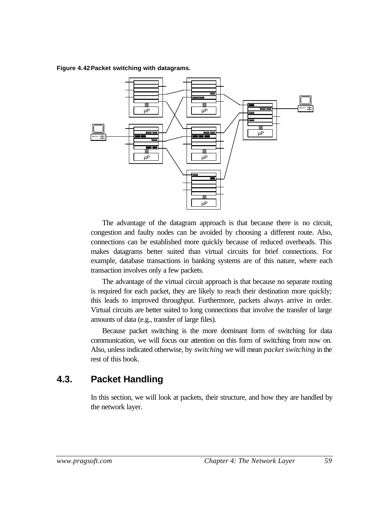#### **Figure 4.42Packet switching with datagrams.**



The advantage of the datagram approach is that because there is no circuit, congestion and faulty nodes can be avoided by choosing a different route. Also, connections can be established more quickly because of reduced overheads. This makes datagrams better suited than virtual circuits for brief connections. For example, database transactions in banking systems are of this nature, where each transaction involves only a few packets.

The advantage of the virtual circuit approach is that because no separate routing is required for each packet, they are likely to reach their destination more quickly; this leads to improved throughput. Furthermore, packets always arrive in order. Virtual circuits are better suited to long connections that involve the transfer of large amounts of data (e.g., transfer of large files).

Because packet switching is the more dominant form of switching for data communication, we will focus our attention on this form of switching from now on. Also, unless indicated otherwise, by *switching* we will mean *packet switching* in the rest of this book.

### **4.3. Packet Handling**

In this section, we will look at packets, their structure, and how they are handled by the network layer.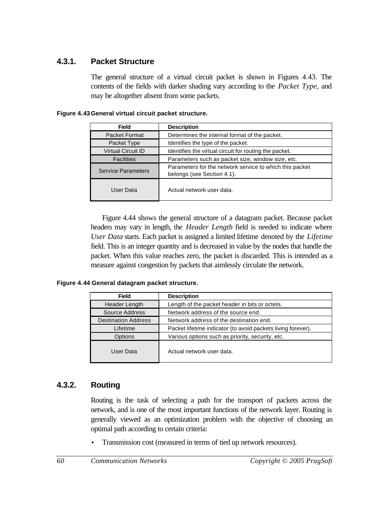### **4.3.1. Packet Structure**

The general structure of a virtual circuit packet is shown in Figures 4.43. The contents of the fields with darker shading vary according to the *Packet Type*, and may be altogether absent from some packets.

| <b>Field</b>              | <b>Description</b>                                                                    |  |
|---------------------------|---------------------------------------------------------------------------------------|--|
| Packet Format             | Determines the internal format of the packet.                                         |  |
| Packet Type               | Identifies the type of the packet.                                                    |  |
| <b>Virtual Circuit ID</b> | Identifies the virtual circuit for routing the packet.                                |  |
| <b>Facilities</b>         | Parameters such as packet size, window size, etc.                                     |  |
| <b>Service Parameters</b> | Parameters for the network service to which this packet<br>belongs (see Section 4.1). |  |
| User Data                 | Actual network user data.                                                             |  |

**Figure 4.43General virtual circuit packet structure.**

Figure 4.44 shows the general structure of a datagram packet. Because packet headers may vary in length, the *Header Length* field is needed to indicate where *User Data* starts. Each packet is assigned a limited lifetime denoted by the *Lifetime* field. This is an integer quantity and is decreased in value by the nodes that handle the packet. When this value reaches zero, the packet is discarded. This is intended as a measure against congestion by packets that aimlessly circulate the network.

**Figure 4.44 General datagram packet structure.**

| <b>Field</b>               | <b>Description</b>                                           |  |
|----------------------------|--------------------------------------------------------------|--|
| Header Length              | Length of the packet header in bits or octets.               |  |
| Source Address             | Network address of the source end.                           |  |
| <b>Destination Address</b> | Network address of the destination end.                      |  |
| Lifetime                   | Packet lifetime indicator (to avoid packets living forever). |  |
| Options                    | Various options such as priority, security, etc.             |  |
| User Data                  | Actual network user data.                                    |  |

### **4.3.2. Routing**

Routing is the task of selecting a path for the transport of packets across the network, and is one of the most important functions of the network layer. Routing is generally viewed as an optimization problem with the objective of choosing an optimal path according to certain criteria:

• Transmission cost (measured in terms of tied up network resources).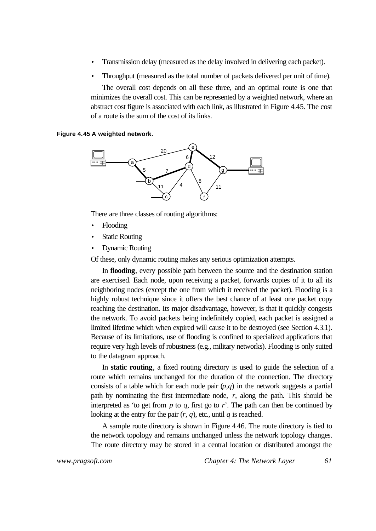- Transmission delay (measured as the delay involved in delivering each packet).
- Throughput (measured as the total number of packets delivered per unit of time).

The overall cost depends on all these three, and an optimal route is one that minimizes the overall cost. This can be represented by a weighted network, where an abstract cost figure is associated with each link, as illustrated in Figure 4.45. The cost of a route is the sum of the cost of its links.

#### **Figure 4.45 A weighted network.**



There are three classes of routing algorithms:

- Flooding
- **Static Routing**
- Dynamic Routing

Of these, only dynamic routing makes any serious optimization attempts.

In **flooding**, every possible path between the source and the destination station are exercised. Each node, upon receiving a packet, forwards copies of it to all its neighboring nodes (except the one from which it received the packet). Flooding is a highly robust technique since it offers the best chance of at least one packet copy reaching the destination. Its major disadvantage, however, is that it quickly congests the network. To avoid packets being indefinitely copied, each packet is assigned a limited lifetime which when expired will cause it to be destroyed (see Section 4.3.1). Because of its limitations, use of flooding is confined to specialized applications that require very high levels of robustness (e.g., military networks). Flooding is only suited to the datagram approach.

In **static routing**, a fixed routing directory is used to guide the selection of a route which remains unchanged for the duration of the connection. The directory consists of a table which for each node pair  $(p,q)$  in the network suggests a partial path by nominating the first intermediate node, *r*, along the path. This should be interpreted as 'to get from  $p$  to  $q$ , first go to  $r'$ . The path can then be continued by looking at the entry for the pair  $(r, q)$ , etc., until  $q$  is reached.

A sample route directory is shown in Figure 4.46. The route directory is tied to the network topology and remains unchanged unless the network topology changes. The route directory may be stored in a central location or distributed amongst the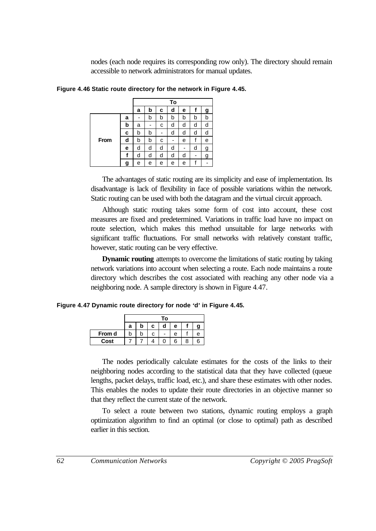nodes (each node requires its corresponding row only). The directory should remain accessible to network administrators for manual updates.

|      |   | To |   |   |   |   |   |   |  |  |
|------|---|----|---|---|---|---|---|---|--|--|
|      |   | а  | b | c | d | е | T | g |  |  |
| From | a |    | b | b | b | b | b | b |  |  |
|      | b | a  | - | с | d | d | d | d |  |  |
|      | c | b  | b |   | d | d | d | d |  |  |
|      | d | b  | b | с |   | е | f | е |  |  |
|      | е | d  | d | d | d |   | d | g |  |  |
|      | f | d  | d | d | d | d |   | g |  |  |
|      | g | е  | е | е | е | е | f |   |  |  |

**Figure 4.46 Static route directory for the network in Figure 4.45.**

The advantages of static routing are its simplicity and ease of implementation. Its disadvantage is lack of flexibility in face of possible variations within the network. Static routing can be used with both the datagram and the virtual circuit approach.

Although static routing takes some form of cost into account, these cost measures are fixed and predetermined. Variations in traffic load have no impact on route selection, which makes this method unsuitable for large networks with significant traffic fluctuations. For small networks with relatively constant traffic, however, static routing can be very effective.

**Dynamic routing** attempts to overcome the limitations of static routing by taking network variations into account when selecting a route. Each node maintains a route directory which describes the cost associated with reaching any other node via a neighboring node. A sample directory is shown in Figure 4.47.

**Figure 4.47 Dynamic route directory for node 'd' in Figure 4.45.**

|        | To |   |   |   |   |  |   |  |  |  |
|--------|----|---|---|---|---|--|---|--|--|--|
|        | а  | b | C | d | е |  |   |  |  |  |
| From d |    | b |   |   | е |  | e |  |  |  |
| Cost   |    |   |   |   | 6 |  |   |  |  |  |

The nodes periodically calculate estimates for the costs of the links to their neighboring nodes according to the statistical data that they have collected (queue lengths, packet delays, traffic load, etc.), and share these estimates with other nodes. This enables the nodes to update their route directories in an objective manner so that they reflect the current state of the network.

To select a route between two stations, dynamic routing employs a graph optimization algorithm to find an optimal (or close to optimal) path as described earlier in this section.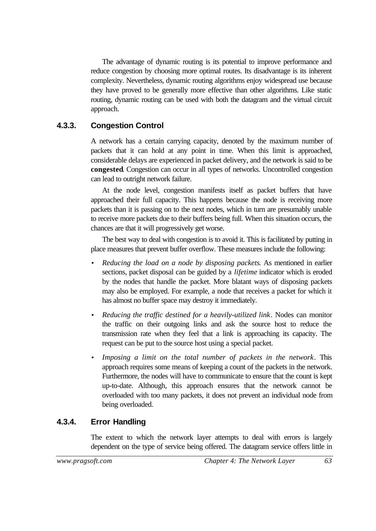The advantage of dynamic routing is its potential to improve performance and reduce congestion by choosing more optimal routes. Its disadvantage is its inherent complexity. Nevertheless, dynamic routing algorithms enjoy widespread use because they have proved to be generally more effective than other algorithms. Like static routing, dynamic routing can be used with both the datagram and the virtual circuit approach.

### **4.3.3. Congestion Control**

A network has a certain carrying capacity, denoted by the maximum number of packets that it can hold at any point in time. When this limit is approached, considerable delays are experienced in packet delivery, and the network is said to be **congested**. Congestion can occur in all types of networks. Uncontrolled congestion can lead to outright network failure.

At the node level, congestion manifests itself as packet buffers that have approached their full capacity. This happens because the node is receiving more packets than it is passing on to the next nodes, which in turn are presumably unable to receive more packets due to their buffers being full. When this situation occurs, the chances are that it will progressively get worse.

The best way to deal with congestion is to avoid it. This is facilitated by putting in place measures that prevent buffer overflow. These measures include the following:

- *Reducing the load on a node by disposing packets*. As mentioned in earlier sections, packet disposal can be guided by a *lifetime* indicator which is eroded by the nodes that handle the packet. More blatant ways of disposing packets may also be employed. For example, a node that receives a packet for which it has almost no buffer space may destroy it immediately.
- *Reducing the traffic destined for a heavily-utilized link*. Nodes can monitor the traffic on their outgoing links and ask the source host to reduce the transmission rate when they feel that a link is approaching its capacity. The request can be put to the source host using a special packet.
- *Imposing a limit on the total number of packets in the network*. This approach requires some means of keeping a count of the packets in the network. Furthermore, the nodes will have to communicate to ensure that the count is kept up-to-date. Although, this approach ensures that the network cannot be overloaded with too many packets, it does not prevent an individual node from being overloaded.

### **4.3.4. Error Handling**

The extent to which the network layer attempts to deal with errors is largely dependent on the type of service being offered. The datagram service offers little in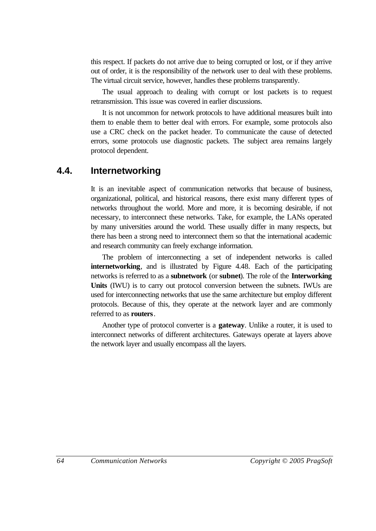this respect. If packets do not arrive due to being corrupted or lost, or if they arrive out of order, it is the responsibility of the network user to deal with these problems. The virtual circuit service, however, handles these problems transparently.

The usual approach to dealing with corrupt or lost packets is to request retransmission. This issue was covered in earlier discussions.

It is not uncommon for network protocols to have additional measures built into them to enable them to better deal with errors. For example, some protocols also use a CRC check on the packet header. To communicate the cause of detected errors, some protocols use diagnostic packets. The subject area remains largely protocol dependent.

### **4.4. Internetworking**

It is an inevitable aspect of communication networks that because of business, organizational, political, and historical reasons, there exist many different types of networks throughout the world. More and more, it is becoming desirable, if not necessary, to interconnect these networks. Take, for example, the LANs operated by many universities around the world. These usually differ in many respects, but there has been a strong need to interconnect them so that the international academic and research community can freely exchange information.

The problem of interconnecting a set of independent networks is called **internetworking**, and is illustrated by Figure 4.48. Each of the participating networks is referred to as a **subnetwork** (or **subnet**). The role of the **Interworking Units** (IWU) is to carry out protocol conversion between the subnets. IWUs are used for interconnecting networks that use the same architecture but employ different protocols. Because of this, they operate at the network layer and are commonly referred to as **routers**.

Another type of protocol converter is a **gateway**. Unlike a router, it is used to interconnect networks of different architectures. Gateways operate at layers above the network layer and usually encompass all the layers.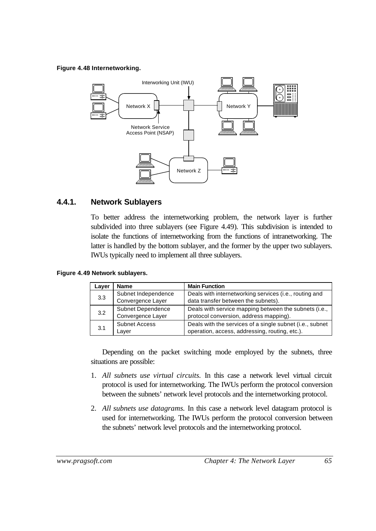#### **Figure 4.48 Internetworking.**



### **4.4.1. Network Sublayers**

To better address the internetworking problem, the network layer is further subdivided into three sublayers (see Figure 4.49). This subdivision is intended to isolate the functions of internetworking from the functions of intranetworking. The latter is handled by the bottom sublayer, and the former by the upper two sublayers. IWUs typically need to implement all three sublayers.

| Layer | <b>Main Function</b><br><b>Name</b> |                                                          |  |
|-------|-------------------------------------|----------------------------------------------------------|--|
| 3.3   | Subnet Independence                 | Deals with internetworking services (i.e., routing and   |  |
|       | Convergence Layer                   | data transfer between the subnets).                      |  |
| 3.2   | Subnet Dependence                   | Deals with service mapping between the subnets (i.e.,    |  |
|       | Convergence Layer                   | protocol conversion, address mapping).                   |  |
| 3.1   | <b>Subnet Access</b>                | Deals with the services of a single subnet (i.e., subnet |  |
|       | Layer                               | operation, access, addressing, routing, etc.).           |  |

Depending on the packet switching mode employed by the subnets, three situations are possible:

- 1. *All subnets use virtual circuits.* In this case a network level virtual circuit protocol is used for internetworking. The IWUs perform the protocol conversion between the subnets' network level protocols and the internetworking protocol.
- 2. *All subnets use datagrams.* In this case a network level datagram protocol is used for internetworking. The IWUs perform the protocol conversion between the subnets' network level protocols and the internetworking protocol.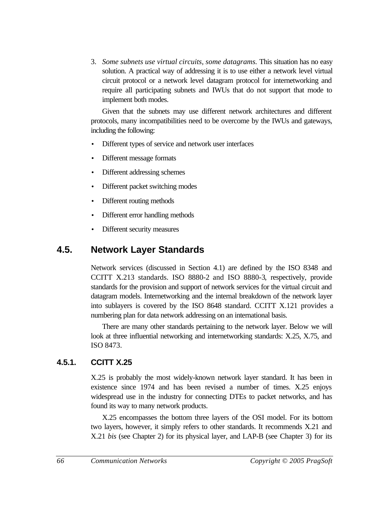3. *Some subnets use virtual circuits, some datagrams.* This situation has no easy solution. A practical way of addressing it is to use either a network level virtual circuit protocol or a network level datagram protocol for internetworking and require all participating subnets and IWUs that do not support that mode to implement both modes.

Given that the subnets may use different network architectures and different protocols, many incompatibilities need to be overcome by the IWUs and gateways, including the following:

- Different types of service and network user interfaces
- Different message formats
- Different addressing schemes
- Different packet switching modes
- Different routing methods
- Different error handling methods
- Different security measures

### **4.5. Network Layer Standards**

Network services (discussed in Section 4.1) are defined by the ISO 8348 and CCITT X.213 standards. ISO 8880-2 and ISO 8880-3, respectively, provide standards for the provision and support of network services for the virtual circuit and datagram models. Internetworking and the internal breakdown of the network layer into sublayers is covered by the ISO 8648 standard. CCITT X.121 provides a numbering plan for data network addressing on an international basis.

There are many other standards pertaining to the network layer. Below we will look at three influential networking and internetworking standards: X.25, X.75, and ISO 8473.

### **4.5.1. CCITT X.25**

X.25 is probably the most widely-known network layer standard. It has been in existence since 1974 and has been revised a number of times. X.25 enjoys widespread use in the industry for connecting DTEs to packet networks, and has found its way to many network products.

X.25 encompasses the bottom three layers of the OSI model. For its bottom two layers, however, it simply refers to other standards. It recommends X.21 and X.21 *bis* (see Chapter 2) for its physical layer, and LAP-B (see Chapter 3) for its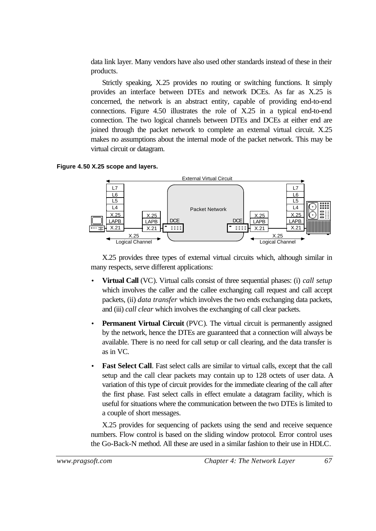data link layer. Many vendors have also used other standards instead of these in their products.

Strictly speaking, X.25 provides no routing or switching functions. It simply provides an interface between DTEs and network DCEs. As far as X.25 is concerned, the network is an abstract entity, capable of providing end-to-end connections. Figure 4.50 illustrates the role of X.25 in a typical end-to-end connection. The two logical channels between DTEs and DCEs at either end are joined through the packet network to complete an external virtual circuit. X.25 makes no assumptions about the internal mode of the packet network. This may be virtual circuit or datagram.





X.25 provides three types of external virtual circuits which, although similar in many respects, serve different applications:

- **Virtual Call** (VC). Virtual calls consist of three sequential phases: (i) *call setup* which involves the caller and the callee exchanging call request and call accept packets, (ii) *data transfer* which involves the two ends exchanging data packets, and (iii) *call clear* which involves the exchanging of call clear packets.
- **Permanent Virtual Circuit** (PVC). The virtual circuit is permanently assigned by the network, hence the DTEs are guaranteed that a connection will always be available. There is no need for call setup or call clearing, and the data transfer is as in VC.
- **Fast Select Call.** Fast select calls are similar to virtual calls, except that the call setup and the call clear packets may contain up to 128 octets of user data. A variation of this type of circuit provides for the immediate clearing of the call after the first phase. Fast select calls in effect emulate a datagram facility, which is useful for situations where the communication between the two DTEs is limited to a couple of short messages.

X.25 provides for sequencing of packets using the send and receive sequence numbers. Flow control is based on the sliding window protocol. Error control uses the Go-Back-N method. All these are used in a similar fashion to their use in HDLC.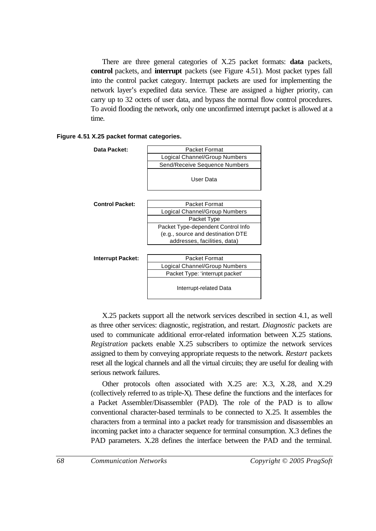There are three general categories of X.25 packet formats: **data** packets, **control** packets, and **interrupt** packets (see Figure 4.51). Most packet types fall into the control packet category. Interrupt packets are used for implementing the network layer's expedited data service. These are assigned a higher priority, can carry up to 32 octets of user data, and bypass the normal flow control procedures. To avoid flooding the network, only one unconfirmed interrupt packet is allowed at a time.

|  |  | Figure 4.51 X.25 packet format categories. |
|--|--|--------------------------------------------|
|  |  |                                            |

| Data Packet:           | <b>Packet Format</b>               |  |  |  |
|------------------------|------------------------------------|--|--|--|
|                        | Logical Channel/Group Numbers      |  |  |  |
|                        | Send/Receive Sequence Numbers      |  |  |  |
|                        |                                    |  |  |  |
|                        | User Data                          |  |  |  |
|                        |                                    |  |  |  |
|                        |                                    |  |  |  |
| <b>Control Packet:</b> | <b>Packet Format</b>               |  |  |  |
|                        | Logical Channel/Group Numbers      |  |  |  |
|                        | Packet Type                        |  |  |  |
|                        | Packet Type-dependent Control Info |  |  |  |
|                        | (e.g., source and destination DTE  |  |  |  |
|                        | addresses, facilities, data)       |  |  |  |
|                        |                                    |  |  |  |
| Interrupt Packet:      | <b>Packet Format</b>               |  |  |  |
|                        | Logical Channel/Group Numbers      |  |  |  |
|                        | Packet Type: 'interrupt packet'    |  |  |  |
|                        | Interrupt-related Data             |  |  |  |

X.25 packets support all the network services described in section 4.1, as well as three other services: diagnostic, registration, and restart. *Diagnostic* packets are used to communicate additional error-related information between X.25 stations. *Registration* packets enable X.25 subscribers to optimize the network services assigned to them by conveying appropriate requests to the network. *Restart* packets reset all the logical channels and all the virtual circuits; they are useful for dealing with serious network failures.

Other protocols often associated with X.25 are: X.3, X.28, and X.29 (collectively referred to as triple-X). These define the functions and the interfaces for a Packet Assembler/Disassembler (PAD). The role of the PAD is to allow conventional character-based terminals to be connected to X.25. It assembles the characters from a terminal into a packet ready for transmission and disassembles an incoming packet into a character sequence for terminal consumption. X.3 defines the PAD parameters. X.28 defines the interface between the PAD and the terminal.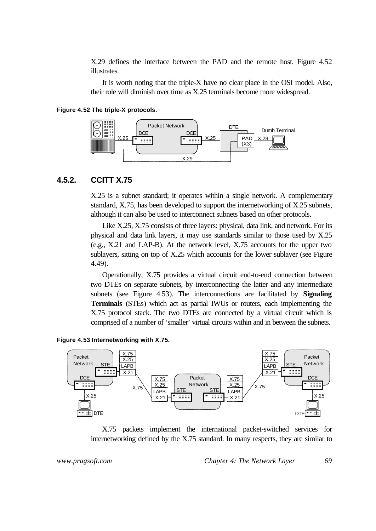X.29 defines the interface between the PAD and the remote host. Figure 4.52 illustrates.

It is worth noting that the triple-X have no clear place in the OSI model. Also, their role will diminish over time as X.25 terminals become more widespread.

#### **Figure 4.52 The triple-X protocols.**



#### **4.5.2. CCITT X.75**

X.25 is a subnet standard; it operates within a single network. A complementary standard, X.75, has been developed to support the internetworking of X.25 subnets, although it can also be used to interconnect subnets based on other protocols.

Like X.25, X.75 consists of three layers: physical, data link, and network. For its physical and data link layers, it may use standards similar to those used by X.25 (e.g., X.21 and LAP-B). At the network level, X.75 accounts for the upper two sublayers, sitting on top of X.25 which accounts for the lower sublayer (see Figure 4.49).

Operationally, X.75 provides a virtual circuit end-to-end connection between two DTEs on separate subnets, by interconnecting the latter and any intermediate subnets (see Figure 4.53). The interconnections are facilitated by **Signaling Terminals** (STEs) which act as partial IWUs or routers, each implementing the X.75 protocol stack. The two DTEs are connected by a virtual circuit which is comprised of a number of 'smaller' virtual circuits within and in between the subnets.





X.75 packets implement the international packet-switched services for internetworking defined by the X.75 standard. In many respects, they are similar to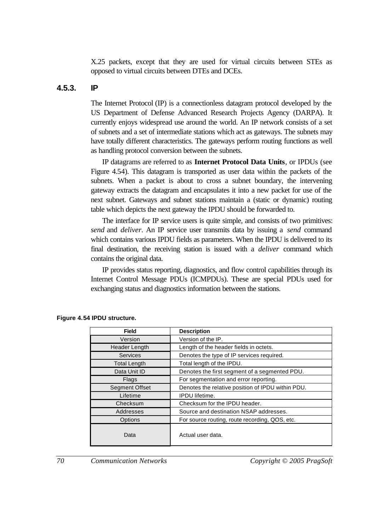X.25 packets, except that they are used for virtual circuits between STEs as opposed to virtual circuits between DTEs and DCEs.

### **4.5.3. IP**

The Internet Protocol (IP) is a connectionless datagram protocol developed by the US Department of Defense Advanced Research Projects Agency (DARPA). It currently enjoys widespread use around the world. An IP network consists of a set of subnets and a set of intermediate stations which act as gateways. The subnets may have totally different characteristics. The gateways perform routing functions as well as handling protocol conversion between the subnets.

IP datagrams are referred to as **Internet Protocol Data Units**, or IPDUs (see Figure 4.54). This datagram is transported as user data within the packets of the subnets. When a packet is about to cross a subnet boundary, the intervening gateway extracts the datagram and encapsulates it into a new packet for use of the next subnet. Gateways and subnet stations maintain a (static or dynamic) routing table which depicts the next gateway the IPDU should be forwarded to.

The interface for IP service users is quite simple, and consists of two primitives: *send* and *deliver*. An IP service user transmits data by issuing a *send* command which contains various IPDU fields as parameters. When the IPDU is delivered to its final destination, the receiving station is issued with a *deliver* command which contains the original data.

IP provides status reporting, diagnostics, and flow control capabilities through its Internet Control Message PDUs (ICMPDUs). These are special PDUs used for exchanging status and diagnostics information between the stations.

| <b>Field</b>                                        | <b>Description</b>                                |
|-----------------------------------------------------|---------------------------------------------------|
| Version                                             | Version of the IP.                                |
| Header Length                                       | Length of the header fields in octets.            |
| <b>Services</b>                                     | Denotes the type of IP services required.         |
| <b>Total Length</b>                                 | Total length of the IPDU.                         |
| Data Unit ID                                        | Denotes the first segment of a segmented PDU.     |
| Flags                                               | For segmentation and error reporting.             |
| <b>Segment Offset</b>                               | Denotes the relative position of IPDU within PDU. |
| Lifetime                                            | <b>IPDU</b> lifetime.                             |
| Checksum                                            | Checksum for the IPDU header.                     |
| Addresses<br>Source and destination NSAP addresses. |                                                   |
| Options                                             | For source routing, route recording, QOS, etc.    |
| Data                                                | Actual user data.                                 |

#### **Figure 4.54 IPDU structure.**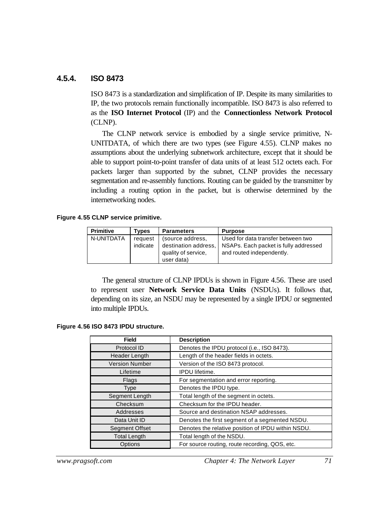### **4.5.4. ISO 8473**

ISO 8473 is a standardization and simplification of IP. Despite its many similarities to IP, the two protocols remain functionally incompatible. ISO 8473 is also referred to as the **ISO Internet Protocol** (IP) and the **Connectionless Network Protocol** (CLNP).

The CLNP network service is embodied by a single service primitive, N-UNITDATA, of which there are two types (see Figure 4.55). CLNP makes no assumptions about the underlying subnetwork architecture, except that it should be able to support point-to-point transfer of data units of at least 512 octets each. For packets larger than supported by the subnet, CLNP provides the necessary segmentation and re-assembly functions. Routing can be guided by the transmitter by including a routing option in the packet, but is otherwise determined by the internetworking nodes.

#### **Figure 4.55 CLNP service primitive.**

| <b>Primitive</b> | <b>Types</b>                | <b>Parameters</b>    | <b>Purpose</b>                        |  |
|------------------|-----------------------------|----------------------|---------------------------------------|--|
| N-UNITDATA       | (source address,<br>request |                      | Used for data transfer between two    |  |
|                  | indicate                    | destination address, | NSAPs. Each packet is fully addressed |  |
|                  |                             | quality of service,  | and routed independently.             |  |
|                  |                             | user data)           |                                       |  |

The general structure of CLNP IPDUs is shown in Figure 4.56. These are used to represent user **Network Service Data Units** (NSDUs). It follows that, depending on its size, an NSDU may be represented by a single IPDU or segmented into multiple IPDUs.

#### **Figure 4.56 ISO 8473 IPDU structure.**

| <b>Field</b>                                                   | <b>Description</b>                                 |  |
|----------------------------------------------------------------|----------------------------------------------------|--|
| Protocol ID                                                    | Denotes the IPDU protocol (i.e., ISO 8473).        |  |
| <b>Header Length</b>                                           | Length of the header fields in octets.             |  |
| <b>Version Number</b>                                          | Version of the ISO 8473 protocol.                  |  |
| Lifetime                                                       | <b>IPDU</b> lifetime.                              |  |
| Flags                                                          | For segmentation and error reporting.              |  |
| <b>Type</b>                                                    | Denotes the IPDU type.                             |  |
| Segment Length<br>Total length of the segment in octets.       |                                                    |  |
| Checksum<br>Checksum for the IPDU header.                      |                                                    |  |
| Addresses<br>Source and destination NSAP addresses.            |                                                    |  |
| Data Unit ID<br>Denotes the first segment of a segmented NSDU. |                                                    |  |
| <b>Segment Offset</b>                                          | Denotes the relative position of IPDU within NSDU. |  |
| <b>Total Length</b>                                            | Total length of the NSDU.                          |  |
| Options                                                        | For source routing, route recording, QOS, etc.     |  |

*www.pragsoft.com Chapter 4: The Network Layer 71*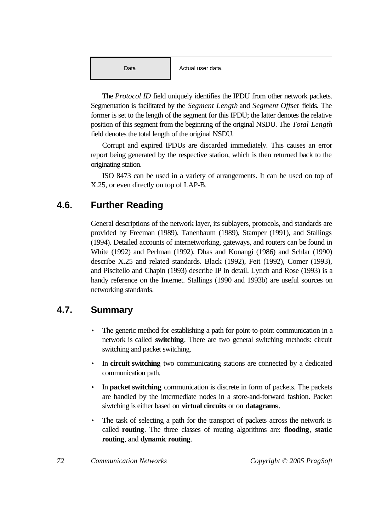The *Protocol ID* field uniquely identifies the IPDU from other network packets. Segmentation is facilitated by the *Segment Length* and *Segment Offset* fields. The former is set to the length of the segment for this IPDU; the latter denotes the relative position of this segment from the beginning of the original NSDU. The *Total Length* field denotes the total length of the original NSDU.

Corrupt and expired IPDUs are discarded immediately. This causes an error report being generated by the respective station, which is then returned back to the originating station.

ISO 8473 can be used in a variety of arrangements. It can be used on top of X.25, or even directly on top of LAP-B.

# **4.6. Further Reading**

General descriptions of the network layer, its sublayers, protocols, and standards are provided by Freeman (1989), Tanenbaum (1989), Stamper (1991), and Stallings (1994). Detailed accounts of internetworking, gateways, and routers can be found in White (1992) and Perlman (1992). Dhas and Konangi (1986) and Schlar (1990) describe X.25 and related standards. Black (1992), Feit (1992), Comer (1993), and Piscitello and Chapin (1993) describe IP in detail. Lynch and Rose (1993) is a handy reference on the Internet. Stallings (1990 and 1993b) are useful sources on networking standards.

# **4.7. Summary**

- The generic method for establishing a path for point-to-point communication in a network is called **switching**. There are two general switching methods: circuit switching and packet switching.
- In **circuit switching** two communicating stations are connected by a dedicated communication path.
- In **packet switching** communication is discrete in form of packets. The packets are handled by the intermediate nodes in a store-and-forward fashion. Packet siwtching is either based on **virtual circuits** or on **datagrams**.
- The task of selecting a path for the transport of packets across the network is called **routing**. The three classes of routing algorithms are: **flooding**, **static routing**, and **dynamic routing**.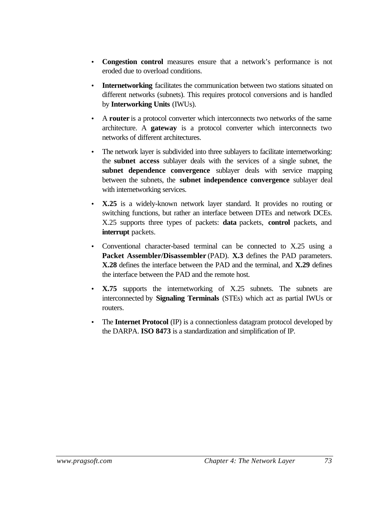- **Congestion control** measures ensure that a network's performance is not eroded due to overload conditions.
- **Internetworking** facilitates the communication between two stations situated on different networks (subnets). This requires protocol conversions and is handled by **Interworking Units** (IWUs).
- A **router** is a protocol converter which interconnects two networks of the same architecture. A **gateway** is a protocol converter which interconnects two networks of different architectures.
- The network layer is subdivided into three sublayers to facilitate internetworking: the **subnet access** sublayer deals with the services of a single subnet, the **subnet dependence convergence** sublayer deals with service mapping between the subnets, the **subnet independence convergence** sublayer deal with internetworking services.
- **X.25** is a widely-known network layer standard. It provides no routing or switching functions, but rather an interface between DTEs and network DCEs. X.25 supports three types of packets: **data** packets, **control** packets, and **interrupt** packets.
- Conventional character-based terminal can be connected to X.25 using a **Packet Assembler/Disassembler** (PAD). **X.3** defines the PAD parameters. **X.28** defines the interface between the PAD and the terminal, and **X.29** defines the interface between the PAD and the remote host.
- **X.75** supports the internetworking of X.25 subnets. The subnets are interconnected by **Signaling Terminals** (STEs) which act as partial IWUs or routers.
- The **Internet Protocol** (IP) is a connectionless datagram protocol developed by the DARPA. **ISO 8473** is a standardization and simplification of IP.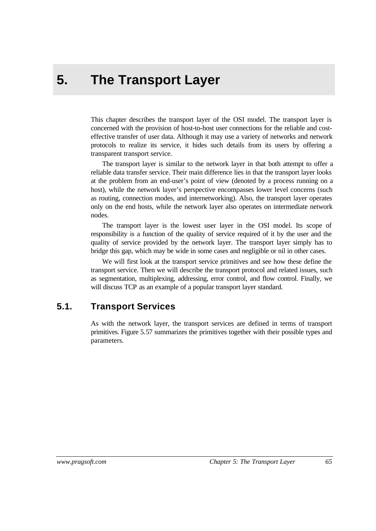# **5. The Transport Layer**

This chapter describes the transport layer of the OSI model. The transport layer is concerned with the provision of host-to-host user connections for the reliable and costeffective transfer of user data. Although it may use a variety of networks and network protocols to realize its service, it hides such details from its users by offering a transparent transport service.

The transport layer is similar to the network layer in that both attempt to offer a reliable data transfer service. Their main difference lies in that the transport layer looks at the problem from an end-user's point of view (denoted by a process running on a host), while the network layer's perspective encompasses lower level concerns (such as routing, connection modes, and internetworking). Also, the transport layer operates only on the end hosts, while the network layer also operates on intermediate network nodes.

The transport layer is the lowest user layer in the OSI model. Its scope of responsibility is a function of the quality of service required of it by the user and the quality of service provided by the network layer. The transport layer simply has to bridge this gap, which may be wide in some cases and negligible or nil in other cases.

We will first look at the transport service primitives and see how these define the transport service. Then we will describe the transport protocol and related issues, such as segmentation, multiplexing, addressing, error control, and flow control. Finally, we will discuss TCP as an example of a popular transport layer standard.

### **5.1. Transport Services**

As with the network layer, the transport services are defined in terms of transport primitives. Figure 5.57 summarizes the primitives together with their possible types and parameters.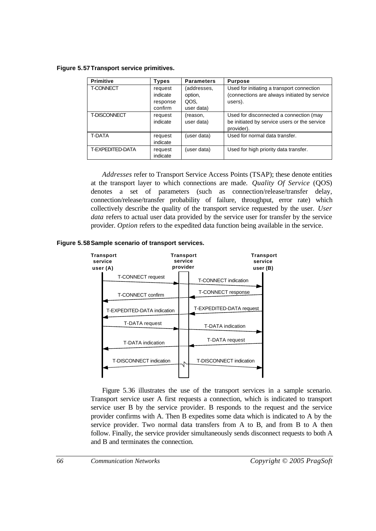**Figure 5.57Transport service primitives.**

| <b>Primitive</b>    | Types                                      | <b>Parameters</b>                            | <b>Purpose</b>                                                                                        |
|---------------------|--------------------------------------------|----------------------------------------------|-------------------------------------------------------------------------------------------------------|
| <b>T-CONNECT</b>    | request<br>indicate<br>response<br>confirm | (addresses,<br>option,<br>QOS.<br>user data) | Used for initiating a transport connection<br>(connections are always initiated by service<br>users). |
| <b>T-DISCONNECT</b> | request<br>indicate                        | (reason,<br>user data)                       | Used for disconnected a connection (may<br>be initiated by service users or the service<br>provider). |
| <b>T-DATA</b>       | request<br>indicate                        | (user data)                                  | Used for normal data transfer.                                                                        |
| T-EXPEDITED-DATA    | request<br>indicate                        | (user data)                                  | Used for high priority data transfer.                                                                 |

*Addresses* refer to Transport Service Access Points (TSAP); these denote entities at the transport layer to which connections are made. *Quality Of Service* (QOS) denotes a set of parameters (such as connection/release/transfer delay, connection/release/transfer probability of failure, throughput, error rate) which collectively describe the quality of the transport service requested by the user. *User data* refers to actual user data provided by the service user for transfer by the service provider. *Option* refers to the expedited data function being available in the service.





Figure 5.36 illustrates the use of the transport services in a sample scenario. Transport service user A first requests a connection, which is indicated to transport service user B by the service provider. B responds to the request and the service provider confirms with A. Then B expedites some data which is indicated to A by the service provider. Two normal data transfers from A to B, and from B to A then follow. Finally, the service provider simultaneously sends disconnect requests to both A and B and terminates the connection.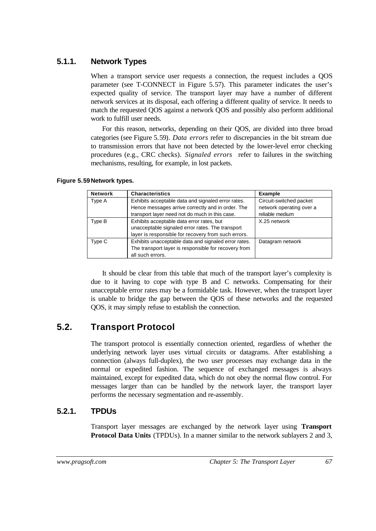### **5.1.1. Network Types**

When a transport service user requests a connection, the request includes a QOS parameter (see T-CONNECT in Figure 5.57). This parameter indicates the user's expected quality of service. The transport layer may have a number of different network services at its disposal, each offering a different quality of service. It needs to match the requested QOS against a network QOS and possibly also perform additional work to fulfill user needs.

For this reason, networks, depending on their QOS, are divided into three broad categories (see Figure 5.59). *Data errors* refer to discrepancies in the bit stream due to transmission errors that have not been detected by the lower-level error checking procedures (e.g., CRC checks). *Signaled errors* refer to failures in the switching mechanisms, resulting, for example, in lost packets.

| <b>Network</b> | <b>Characteristics</b>                                                                                                                                    | <b>Example</b>                                                         |
|----------------|-----------------------------------------------------------------------------------------------------------------------------------------------------------|------------------------------------------------------------------------|
| Type A         | Exhibits acceptable data and signaled error rates.<br>Hence messages arrive correctly and in order. The<br>transport layer need not do much in this case. | Circuit-switched packet<br>network operating over a<br>reliable medium |
| Type B         | Exhibits acceptable data error rates, but<br>unacceptable signaled error rates. The transport<br>layer is responsible for recovery from such errors.      | X.25 network                                                           |
| Type C         | Exhibits unacceptable data and signaled error rates.<br>The transport layer is responsible for recovery from<br>all such errors.                          | Datagram network                                                       |

#### **Figure 5.59Network types.**

It should be clear from this table that much of the transport layer's complexity is due to it having to cope with type B and C networks. Compensating for their unacceptable error rates may be a formidable task. However, when the transport layer is unable to bridge the gap between the QOS of these networks and the requested QOS, it may simply refuse to establish the connection.

### **5.2. Transport Protocol**

The transport protocol is essentially connection oriented, regardless of whether the underlying network layer uses virtual circuits or datagrams. After establishing a connection (always full-duplex), the two user processes may exchange data in the normal or expedited fashion. The sequence of exchanged messages is always maintained, except for expedited data, which do not obey the normal flow control. For messages larger than can be handled by the network layer, the transport layer performs the necessary segmentation and re-assembly.

### **5.2.1. TPDUs**

Transport layer messages are exchanged by the network layer using **Transport Protocol Data Units** (TPDUs). In a manner similar to the network sublayers 2 and 3,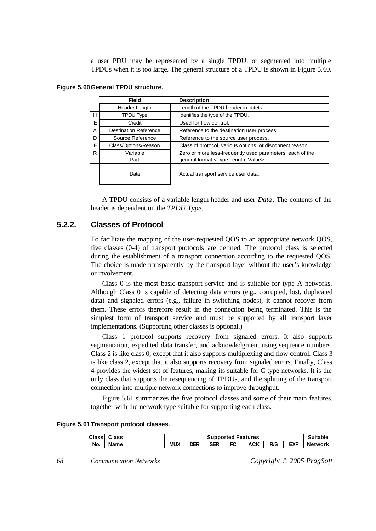a user PDU may be represented by a single TPDU, or segmented into multiple TPDUs when it is too large. The general structure of a TPDU is shown in Figure 5.60.

|   | Field                        | <b>Description</b>                                        |  |  |
|---|------------------------------|-----------------------------------------------------------|--|--|
|   | Header Length                | Length of the TPDU header in octets.                      |  |  |
| H | <b>TPDU Type</b>             | Identifies the type of the TPDU.                          |  |  |
| Е | Credit                       | Used for flow control.                                    |  |  |
| A | <b>Destination Reference</b> | Reference to the destination user process.                |  |  |
| D | Source Reference             | Reference to the source user process.                     |  |  |
| Е | Class/Options/Reason         | Class of protocol, various options, or disconnect reason. |  |  |
| R | Variable                     | Zero or more less-frequently used parameters, each of the |  |  |
|   | Part                         | general format <type, length,="" value="">.</type,>       |  |  |
|   | Data                         | Actual transport service user data.                       |  |  |

|  |  | Figure 5.60 General TPDU structure. |
|--|--|-------------------------------------|
|  |  |                                     |

A TPDU consists of a variable length header and user *Data*. The contents of the header is dependent on the *TPDU Type*.

#### **5.2.2. Classes of Protocol**

To facilitate the mapping of the user-requested QOS to an appropriate network QOS, five classes (0-4) of transport protocols are defined. The protocol class is selected during the establishment of a transport connection according to the requested QOS. The choice is made transparently by the transport layer without the user's knowledge or involvement.

Class 0 is the most basic transport service and is suitable for type A networks. Although Class 0 is capable of detecting data errors (e.g., corrupted, lost, duplicated data) and signaled errors (e.g., failure in switching nodes), it cannot recover from them. These errors therefore result in the connection being terminated. This is the simplest form of transport service and must be supported by all transport layer implementations. (Supporting other classes is optional.)

Class 1 protocol supports recovery from signaled errors. It also supports segmentation, expedited data transfer, and acknowledgment using sequence numbers. Class 2 is like class 0, except that it also supports multiplexing and flow control. Class 3 is like class 2, except that it also supports recovery from signaled errors. Finally, Class 4 provides the widest set of features, making its suitable for C type networks. It is the only class that supports the resequencing of TPDUs, and the splitting of the transport connection into multiple network connections to improve throughput.

Figure 5.61 summarizes the five protocol classes and some of their main features, together with the network type suitable for supporting each class.

|  |  | Figure 5.61 Transport protocol classes. |  |  |
|--|--|-----------------------------------------|--|--|
|--|--|-----------------------------------------|--|--|

| <b>Class</b> | <b>Class</b> | <b>Supported Features</b> |     |     |     |     |     |            |                |
|--------------|--------------|---------------------------|-----|-----|-----|-----|-----|------------|----------------|
| No.          | <b>Name</b>  | <b>MUX</b>                | ח⊐ר | SFR | FC. | ACK | R/S | <b>EXP</b> | <b>Network</b> |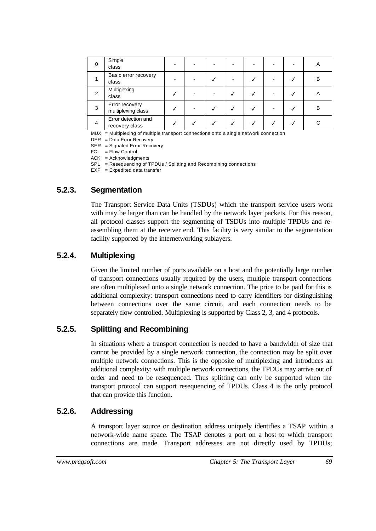| 0 | Simple<br>class                       |  |  |  | A |
|---|---------------------------------------|--|--|--|---|
|   | Basic error recovery<br>class         |  |  |  | B |
| 2 | Multiplexing<br>class                 |  |  |  | Α |
| 3 | Error recovery<br>multiplexing class  |  |  |  | B |
| 4 | Error detection and<br>recovery class |  |  |  |   |

MUX = Multiplexing of multiple transport connections onto a single network connection

DER = Data Error Recovery

SER = Signaled Error Recovery

FC = Flow Control

 $ACK = Acknowledgments$ 

SPL = Resequencing of TPDUs / Splitting and Recombining connections

 $EXP = Expedited data transfer$ 

### **5.2.3. Segmentation**

The Transport Service Data Units (TSDUs) which the transport service users work with may be larger than can be handled by the network layer packets. For this reason, all protocol classes support the segmenting of TSDUs into multiple TPDUs and reassembling them at the receiver end. This facility is very similar to the segmentation facility supported by the internetworking sublayers.

### **5.2.4. Multiplexing**

Given the limited number of ports available on a host and the potentially large number of transport connections usually required by the users, multiple transport connections are often multiplexed onto a single network connection. The price to be paid for this is additional complexity: transport connections need to carry identifiers for distinguishing between connections over the same circuit, and each connection needs to be separately flow controlled. Multiplexing is supported by Class 2, 3, and 4 protocols.

### **5.2.5. Splitting and Recombining**

In situations where a transport connection is needed to have a bandwidth of size that cannot be provided by a single network connection, the connection may be split over multiple network connections. This is the opposite of multiplexing and introduces an additional complexity: with multiple network connections, the TPDUs may arrive out of order and need to be resequenced. Thus splitting can only be supported when the transport protocol can support resequencing of TPDUs. Class 4 is the only protocol that can provide this function.

### **5.2.6. Addressing**

A transport layer source or destination address uniquely identifies a TSAP within a network-wide name space. The TSAP denotes a port on a host to which transport connections are made. Transport addresses are not directly used by TPDUs;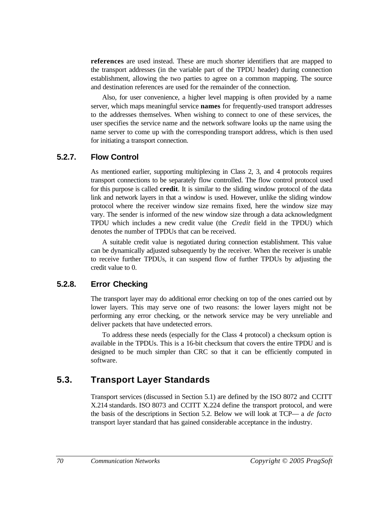**references** are used instead. These are much shorter identifiers that are mapped to the transport addresses (in the variable part of the TPDU header) during connection establishment, allowing the two parties to agree on a common mapping. The source and destination references are used for the remainder of the connection.

Also, for user convenience, a higher level mapping is often provided by a name server, which maps meaningful service **names** for frequently-used transport addresses to the addresses themselves. When wishing to connect to one of these services, the user specifies the service name and the network software looks up the name using the name server to come up with the corresponding transport address, which is then used for initiating a transport connection.

### **5.2.7. Flow Control**

As mentioned earlier, supporting multiplexing in Class 2, 3, and 4 protocols requires transport connections to be separately flow controlled. The flow control protocol used for this purpose is called **credit**. It is similar to the sliding window protocol of the data link and network layers in that a window is used. However, unlike the sliding window protocol where the receiver window size remains fixed, here the window size may vary. The sender is informed of the new window size through a data acknowledgment TPDU which includes a new credit value (the *Credit* field in the TPDU) which denotes the number of TPDUs that can be received.

A suitable credit value is negotiated during connection establishment. This value can be dynamically adjusted subsequently by the receiver. When the receiver is unable to receive further TPDUs, it can suspend flow of further TPDUs by adjusting the credit value to 0.

### **5.2.8. Error Checking**

The transport layer may do additional error checking on top of the ones carried out by lower layers. This may serve one of two reasons: the lower layers might not be performing any error checking, or the network service may be very unreliable and deliver packets that have undetected errors.

To address these needs (especially for the Class 4 protocol) a checksum option is available in the TPDUs. This is a 16-bit checksum that covers the entire TPDU and is designed to be much simpler than CRC so that it can be efficiently computed in software.

### **5.3. Transport Layer Standards**

Transport services (discussed in Section 5.1) are defined by the ISO 8072 and CCITT X.214 standards. ISO 8073 and CCITT X.224 define the transport protocol, and were the basis of the descriptions in Section 5.2. Below we will look at TCP— a *de facto* transport layer standard that has gained considerable acceptance in the industry.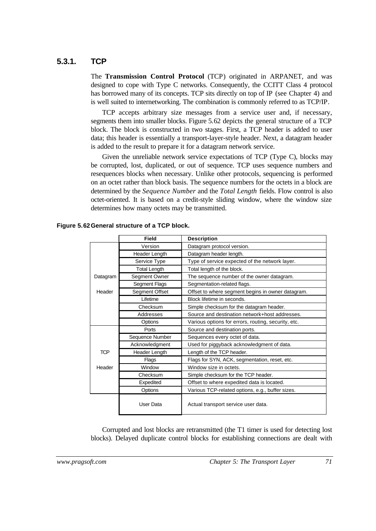### **5.3.1. TCP**

The **Transmission Control Protocol** (TCP) originated in ARPANET, and was designed to cope with Type C networks. Consequently, the CCITT Class 4 protocol has borrowed many of its concepts. TCP sits directly on top of IP (see Chapter 4) and is well suited to internetworking. The combination is commonly referred to as TCP/IP.

TCP accepts arbitrary size messages from a service user and, if necessary, segments them into smaller blocks. Figure 5.62 depicts the general structure of a TCP block. The block is constructed in two stages. First, a TCP header is added to user data; this header is essentially a transport-layer-style header. Next, a datagram header is added to the result to prepare it for a datagram network service.

Given the unreliable network service expectations of TCP (Type C), blocks may be corrupted, lost, duplicated, or out of sequence. TCP uses sequence numbers and resequences blocks when necessary. Unlike other protocols, sequencing is performed on an octet rather than block basis. The sequence numbers for the octets in a block are determined by the *Sequence Number* and the *Total Length* fields. Flow control is also octet-oriented. It is based on a credit-style sliding window, where the window size determines how many octets may be transmitted.

|            | <b>Field</b>        | <b>Description</b>                                  |
|------------|---------------------|-----------------------------------------------------|
|            | Version             | Datagram protocol version.                          |
|            | Header Length       | Datagram header length.                             |
|            | Service Type        | Type of service expected of the network layer.      |
|            | <b>Total Length</b> | Total length of the block.                          |
| Datagram   | Segment Owner       | The sequence number of the owner datagram.          |
|            | Segment Flags       | Segmentation-related flags.                         |
| Header     | Segment Offset      | Offset to where segment begins in owner datagram.   |
|            | Lifetime            | Block lifetime in seconds.                          |
|            | Checksum            | Simple checksum for the datagram header.            |
|            | Addresses           | Source and destination network+host addresses.      |
|            | Options             | Various options for errors, routing, security, etc. |
|            | Ports               | Source and destination ports.                       |
|            | Sequence Number     | Sequences every octet of data.                      |
|            | Acknowledgment      | Used for piggyback acknowledgment of data.          |
| <b>TCP</b> | Header Length       | Length of the TCP header.                           |
|            | Flags               | Flags for SYN, ACK, segmentation, reset, etc.       |
| Header     | Window              | Window size in octets.                              |
|            | Checksum            | Simple checksum for the TCP header.                 |
|            | Expedited           | Offset to where expedited data is located.          |
|            | Options             | Various TCP-related options, e.g., buffer sizes.    |
|            | User Data           | Actual transport service user data.                 |

**Figure 5.62General structure of a TCP block.**

Corrupted and lost blocks are retransmitted (the T1 timer is used for detecting lost blocks). Delayed duplicate control blocks for establishing connections are dealt with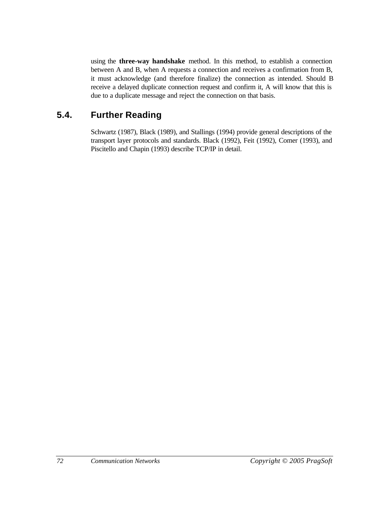using the **three-way handshake** method. In this method, to establish a connection between A and B, when A requests a connection and receives a confirmation from B, it must acknowledge (and therefore finalize) the connection as intended. Should B receive a delayed duplicate connection request and confirm it, A will know that this is due to a duplicate message and reject the connection on that basis.

## **5.4. Further Reading**

Schwartz (1987), Black (1989), and Stallings (1994) provide general descriptions of the transport layer protocols and standards. Black (1992), Feit (1992), Comer (1993), and Piscitello and Chapin (1993) describe TCP/IP in detail.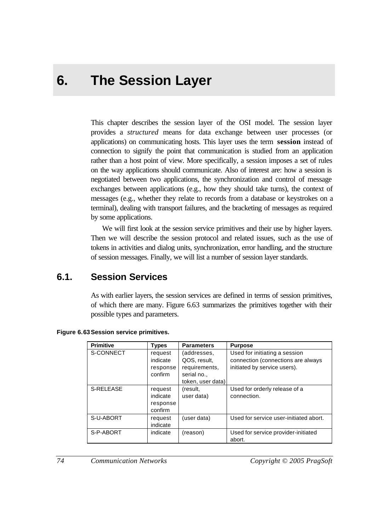# **6. The Session Layer**

This chapter describes the session layer of the OSI model. The session layer provides a *structured* means for data exchange between user processes (or applications) on communicating hosts. This layer uses the term **session** instead of connection to signify the point that communication is studied from an application rather than a host point of view. More specifically, a session imposes a set of rules on the way applications should communicate. Also of interest are: how a session is negotiated between two applications, the synchronization and control of message exchanges between applications (e.g., how they should take turns), the context of messages (e.g., whether they relate to records from a database or keystrokes on a terminal), dealing with transport failures, and the bracketing of messages as required by some applications.

We will first look at the session service primitives and their use by higher layers. Then we will describe the session protocol and related issues, such as the use of tokens in activities and dialog units, synchronization, error handling, and the structure of session messages. Finally, we will list a number of session layer standards.

### **6.1. Session Services**

As with earlier layers, the session services are defined in terms of session primitives, of which there are many. Figure 6.63 summarizes the primitives together with their possible types and parameters.

| <b>Primitive</b> | <b>Types</b>                               | <b>Parameters</b>                                                                | <b>Purpose</b>                                                                                      |
|------------------|--------------------------------------------|----------------------------------------------------------------------------------|-----------------------------------------------------------------------------------------------------|
| S-CONNECT        | request<br>indicate<br>response<br>confirm | (addresses,<br>QOS, result,<br>requirements,<br>serial no.,<br>token, user data) | Used for initiating a session<br>connection (connections are always<br>initiated by service users). |
| S-RELEASE        | request<br>indicate<br>response<br>confirm | (result,<br>user data)                                                           | Used for orderly release of a<br>connection.                                                        |
| S-U-ABORT        | request<br>indicate                        | (user data)                                                                      | Used for service user-initiated abort.                                                              |
| S-P-ABORT        | indicate                                   | (reason)                                                                         | Used for service provider-initiated<br>abort.                                                       |

| <b>Figure 6.63 Session service primitives.</b> |  |  |
|------------------------------------------------|--|--|
|------------------------------------------------|--|--|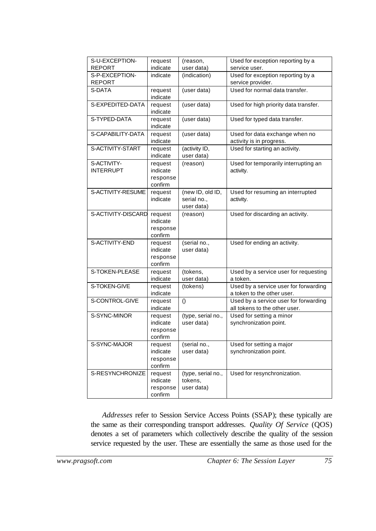| S-U-EXCEPTION-     | request  | (reason,           | Used for exception reporting by a     |
|--------------------|----------|--------------------|---------------------------------------|
| <b>REPORT</b>      | indicate | user data)         | service user.                         |
| S-P-EXCEPTION-     | indicate | (indication)       | Used for exception reporting by a     |
| <b>REPORT</b>      |          |                    | service provider.                     |
| S-DATA             | request  | (user data)        | Used for normal data transfer.        |
|                    | indicate |                    |                                       |
| S-EXPEDITED-DATA   | request  | (user data)        | Used for high priority data transfer. |
|                    | indicate |                    |                                       |
|                    |          |                    |                                       |
| S-TYPED-DATA       | request  | (user data)        | Used for typed data transfer.         |
|                    | indicate |                    |                                       |
| S-CAPABILITY-DATA  | request  | (user data)        | Used for data exchange when no        |
|                    | indicate |                    | activity is in progress.              |
| S-ACTIVITY-START   | request  | (activity ID,      | Used for starting an activity.        |
|                    | indicate | user data)         |                                       |
| S-ACTIVITY-        | request  | (reason)           | Used for temporarily interrupting an  |
| <b>INTERRUPT</b>   | indicate |                    | activity.                             |
|                    |          |                    |                                       |
|                    | response |                    |                                       |
|                    | confirm  |                    |                                       |
| S-ACTIVITY-RESUME  | request  | (new ID, old ID,   | Used for resuming an interrupted      |
|                    | indicate | serial no.,        | activity.                             |
|                    |          | user data)         |                                       |
| S-ACTIVITY-DISCARD | request  | (reason)           | Used for discarding an activity.      |
|                    | indicate |                    |                                       |
|                    | response |                    |                                       |
|                    | confirm  |                    |                                       |
| S-ACTIVITY-END     | request  | (serial no.,       | Used for ending an activity.          |
|                    | indicate | user data)         |                                       |
|                    |          |                    |                                       |
|                    | response |                    |                                       |
|                    | confirm  |                    |                                       |
| S-TOKEN-PLEASE     | request  | (tokens,           | Used by a service user for requesting |
|                    | indicate | user data)         | a token.                              |
| S-TOKEN-GIVE       | request  | (tokens)           | Used by a service user for forwarding |
|                    | indicate |                    | a token to the other user.            |
| S-CONTROL-GIVE     | request  | $\left( \right)$   | Used by a service user for forwarding |
|                    | indicate |                    | all tokens to the other user.         |
| S-SYNC-MINOR       | request  | (type, serial no., | Used for setting a minor              |
|                    | indicate | user data)         | synchronization point.                |
|                    |          |                    |                                       |
|                    | response |                    |                                       |
|                    | confirm  |                    |                                       |
| S-SYNC-MAJOR       | request  | (serial no.,       | Used for setting a major              |
|                    | indicate | user data)         | synchronization point.                |
|                    | response |                    |                                       |
|                    | confirm  |                    |                                       |
| S-RESYNCHRONIZE    | request  | (type, serial no., | Used for resynchronization.           |
|                    | indicate | tokens,            |                                       |
|                    | response | user data)         |                                       |
|                    | confirm  |                    |                                       |
|                    |          |                    |                                       |

*Addresses* refer to Session Service Access Points (SSAP); these typically are the same as their corresponding transport addresses. *Quality Of Service* (QOS) denotes a set of parameters which collectively describe the quality of the session service requested by the user. These are essentially the same as those used for the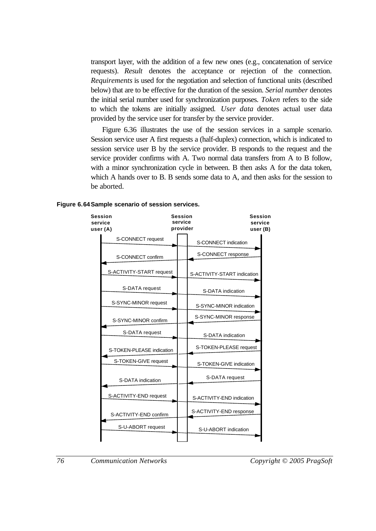transport layer, with the addition of a few new ones (e.g., concatenation of service requests). *Result* denotes the acceptance or rejection of the connection. *Requirements* is used for the negotiation and selection of functional units (described below) that are to be effective for the duration of the session. *Serial number* denotes the initial serial number used for synchronization purposes. *Token* refers to the side to which the tokens are initially assigned. *User data* denotes actual user data provided by the service user for transfer by the service provider.

Figure 6.36 illustrates the use of the session services in a sample scenario. Session service user A first requests a (half-duplex) connection, which is indicated to session service user B by the service provider. B responds to the request and the service provider confirms with A. Two normal data transfers from A to B follow, with a minor synchronization cycle in between. B then asks A for the data token, which A hands over to B. B sends some data to A, and then asks for the session to be aborted.

#### **Figure 6.64Sample scenario of session services.**

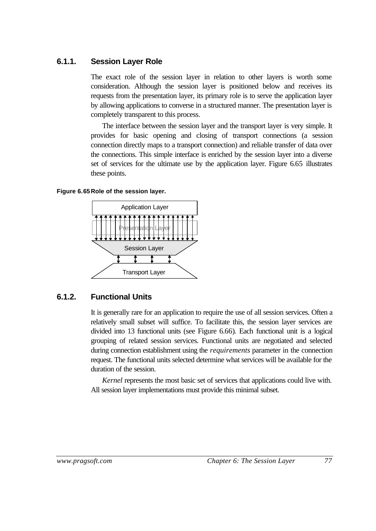### **6.1.1. Session Layer Role**

The exact role of the session layer in relation to other layers is worth some consideration. Although the session layer is positioned below and receives its requests from the presentation layer, its primary role is to serve the application layer by allowing applications to converse in a structured manner. The presentation layer is completely transparent to this process.

The interface between the session layer and the transport layer is very simple. It provides for basic opening and closing of transport connections (a session connection directly maps to a transport connection) and reliable transfer of data over the connections. This simple interface is enriched by the session layer into a diverse set of services for the ultimate use by the application layer. Figure 6.65 illustrates these points.

#### **Figure 6.65Role of the session layer.**



### **6.1.2. Functional Units**

It is generally rare for an application to require the use of all session services. Often a relatively small subset will suffice. To facilitate this, the session layer services are divided into 13 functional units (see Figure 6.66). Each functional unit is a logical grouping of related session services. Functional units are negotiated and selected during connection establishment using the *requirements* parameter in the connection request. The functional units selected determine what services will be available for the duration of the session.

*Kernel* represents the most basic set of services that applications could live with. All session layer implementations must provide this minimal subset.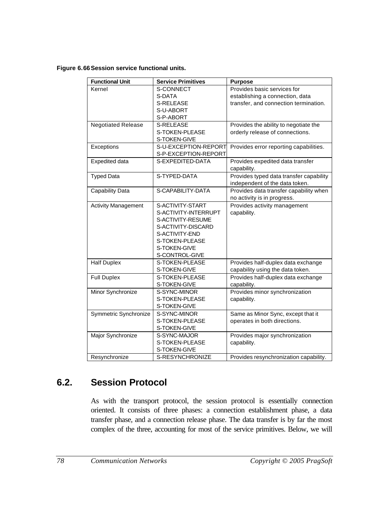#### **Figure 6.66Session service functional units.**

| <b>Functional Unit</b>     | <b>Service Primitives</b> | <b>Purpose</b>                          |
|----------------------------|---------------------------|-----------------------------------------|
| Kernel                     | S-CONNECT                 | Provides basic services for             |
|                            | S-DATA                    | establishing a connection, data         |
|                            | S-RELEASE                 | transfer, and connection termination.   |
|                            | S-U-ABORT                 |                                         |
|                            | S-P-ABORT                 |                                         |
| <b>Negotiated Release</b>  | <b>S-RELEASE</b>          | Provides the ability to negotiate the   |
|                            | S-TOKEN-PLEASE            | orderly release of connections.         |
|                            | S-TOKEN-GIVE              |                                         |
| Exceptions                 | S-U-EXCEPTION-REPORT      | Provides error reporting capabilities.  |
|                            | S-P-EXCEPTION-REPORT      |                                         |
| Expedited data             | S-EXPEDITED-DATA          | Provides expedited data transfer        |
|                            |                           | capability.                             |
| <b>Typed Data</b>          | S-TYPED-DATA              | Provides typed data transfer capability |
|                            |                           | independent of the data token.          |
| Capability Data            | S-CAPABILITY-DATA         | Provides data transfer capability when  |
|                            |                           | no activity is in progress.             |
| <b>Activity Management</b> | S-ACTIVITY-START          | Provides activity management            |
|                            | S-ACTIVITY-INTERRUPT      | capability.                             |
|                            | S-ACTIVITY-RESUME         |                                         |
|                            | S-ACTIVITY-DISCARD        |                                         |
|                            | S-ACTIVITY-END            |                                         |
|                            | S-TOKEN-PLEASE            |                                         |
|                            | S-TOKEN-GIVE              |                                         |
|                            | S-CONTROL-GIVE            |                                         |
| <b>Half Duplex</b>         | S-TOKEN-PLEASE            | Provides half-duplex data exchange      |
|                            | S-TOKEN-GIVE              | capability using the data token.        |
| <b>Full Duplex</b>         | S-TOKEN-PLEASE            | Provides half-duplex data exchange      |
|                            | S-TOKEN-GIVE              | capability.                             |
| Minor Synchronize          | S-SYNC-MINOR              | Provides minor synchronization          |
|                            | S-TOKEN-PLEASE            | capability.                             |
|                            | S-TOKEN-GIVE              |                                         |
| Symmetric Synchronize      | S-SYNC-MINOR              | Same as Minor Sync, except that it      |
|                            | S-TOKEN-PLEASE            | operates in both directions.            |
|                            | S-TOKEN-GIVE              |                                         |
| Major Synchronize          | S-SYNC-MAJOR              | Provides major synchronization          |
|                            | S-TOKEN-PLEASE            | capability.                             |
|                            | S-TOKEN-GIVE              |                                         |
| Resynchronize              | S-RESYNCHRONIZE           | Provides resynchronization capability.  |

## **6.2. Session Protocol**

As with the transport protocol, the session protocol is essentially connection oriented. It consists of three phases: a connection establishment phase, a data transfer phase, and a connection release phase. The data transfer is by far the most complex of the three, accounting for most of the service primitives. Below, we will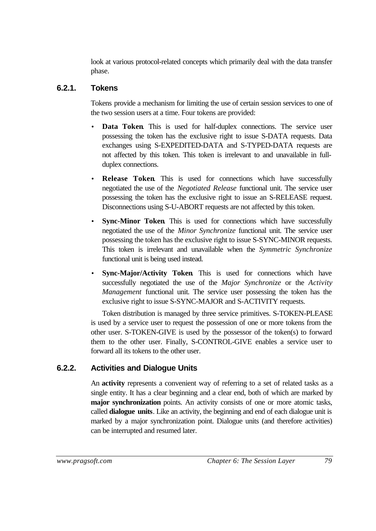look at various protocol-related concepts which primarily deal with the data transfer phase.

### **6.2.1. Tokens**

Tokens provide a mechanism for limiting the use of certain session services to one of the two session users at a time. Four tokens are provided:

- **Data Token**. This is used for half-duplex connections. The service user possessing the token has the exclusive right to issue S-DATA requests. Data exchanges using S-EXPEDITED-DATA and S-TYPED-DATA requests are not affected by this token. This token is irrelevant to and unavailable in fullduplex connections.
- **Release Token**. This is used for connections which have successfully negotiated the use of the *Negotiated Release* functional unit. The service user possessing the token has the exclusive right to issue an S-RELEASE request. Disconnections using S-U-ABORT requests are not affected by this token.
- **Sync-Minor Token**. This is used for connections which have successfully negotiated the use of the *Minor Synchronize* functional unit. The service user possessing the token has the exclusive right to issue S-SYNC-MINOR requests. This token is irrelevant and unavailable when the *Symmetric Synchronize* functional unit is being used instead.
- **Sync-Major/Activity Token**. This is used for connections which have successfully negotiated the use of the *Major Synchronize* or the *Activity Management* functional unit. The service user possessing the token has the exclusive right to issue S-SYNC-MAJOR and S-ACTIVITY requests.

Token distribution is managed by three service primitives. S-TOKEN-PLEASE is used by a service user to request the possession of one or more tokens from the other user. S-TOKEN-GIVE is used by the possessor of the token(s) to forward them to the other user. Finally, S-CONTROL-GIVE enables a service user to forward all its tokens to the other user.

### **6.2.2. Activities and Dialogue Units**

An **activity** represents a convenient way of referring to a set of related tasks as a single entity. It has a clear beginning and a clear end, both of which are marked by **major synchronization** points. An activity consists of one or more atomic tasks, called **dialogue units**. Like an activity, the beginning and end of each dialogue unit is marked by a major synchronization point. Dialogue units (and therefore activities) can be interrupted and resumed later.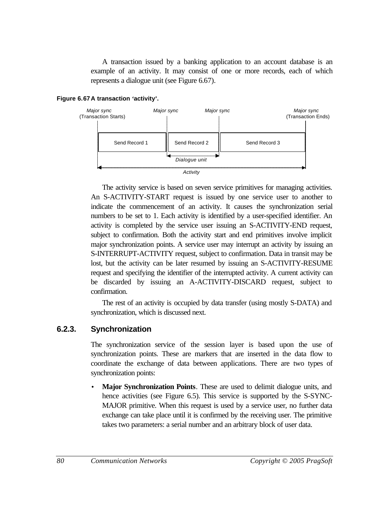A transaction issued by a banking application to an account database is an example of an activity. It may consist of one or more records, each of which represents a dialogue unit (see Figure 6.67).

#### **Figure 6.67A transaction 'activity'.**



The activity service is based on seven service primitives for managing activities. An S-ACTIVITY-START request is issued by one service user to another to indicate the commencement of an activity. It causes the synchronization serial numbers to be set to 1. Each activity is identified by a user-specified identifier. An activity is completed by the service user issuing an S-ACTIVITY-END request, subject to confirmation. Both the activity start and end primitives involve implicit major synchronization points. A service user may interrupt an activity by issuing an S-INTERRUPT-ACTIVITY request, subject to confirmation. Data in transit may be lost, but the activity can be later resumed by issuing an S-ACTIVITY-RESUME request and specifying the identifier of the interrupted activity. A current activity can be discarded by issuing an A-ACTIVITY-DISCARD request, subject to confirmation.

The rest of an activity is occupied by data transfer (using mostly S-DATA) and synchronization, which is discussed next.

### **6.2.3. Synchronization**

The synchronization service of the session layer is based upon the use of synchronization points. These are markers that are inserted in the data flow to coordinate the exchange of data between applications. There are two types of synchronization points:

• **Major Synchronization Points**. These are used to delimit dialogue units, and hence activities (see Figure 6.5). This service is supported by the S-SYNC-MAJOR primitive. When this request is used by a service user, no further data exchange can take place until it is confirmed by the receiving user. The primitive takes two parameters: a serial number and an arbitrary block of user data.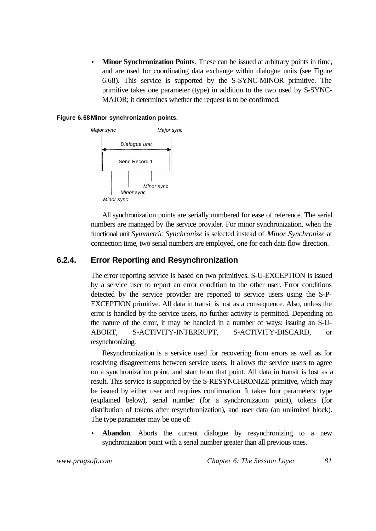**Minor Synchronization Points**. These can be issued at arbitrary points in time, and are used for coordinating data exchange within dialogue units (see Figure 6.68). This service is supported by the S-SYNC-MINOR primitive. The primitive takes one parameter (type) in addition to the two used by S-SYNC-MAJOR; it determines whether the request is to be confirmed.

#### **Figure 6.68Minor synchronization points.**



All synchronization points are serially numbered for ease of reference. The serial numbers are managed by the service provider. For minor synchronization, when the functional unit *Symmetric Synchronize* is selected instead of *Minor Synchronize* at connection time, two serial numbers are employed, one for each data flow direction.

### **6.2.4. Error Reporting and Resynchronization**

The error reporting service is based on two primitives. S-U-EXCEPTION is issued by a service user to report an error condition to the other user. Error conditions detected by the service provider are reported to service users using the S-P-EXCEPTION primitive. All data in transit is lost as a consequence. Also, unless the error is handled by the service users, no further activity is permitted. Depending on the nature of the error, it may be handled in a number of ways: issuing an S-U-ABORT, S-ACTIVITY-INTERRUPT, S-ACTIVITY-DISCARD, or resynchronizing.

Resynchronization is a service used for recovering from errors as well as for resolving disagreements between service users. It allows the service users to agree on a synchronization point, and start from that point. All data in transit is lost as a result. This service is supported by the S-RESYNCHRONIZE primitive, which may be issued by either user and requires confirmation. It takes four parameters: type (explained below), serial number (for a synchronization point), tokens (for distribution of tokens after resynchronization), and user data (an unlimited block). The type parameter may be one of:

**Abandon.** Aborts the current dialogue by resynchronizing to a new synchronization point with a serial number greater than all previous ones.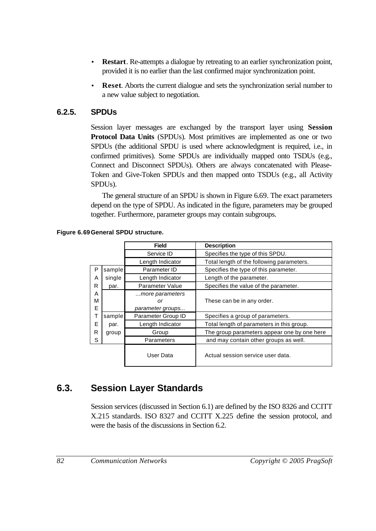- **Restart**. Re-attempts a dialogue by retreating to an earlier synchronization point, provided it is no earlier than the last confirmed major synchronization point.
- **Reset**. Aborts the current dialogue and sets the synchronization serial number to a new value subject to negotiation.

### **6.2.5. SPDUs**

Session layer messages are exchanged by the transport layer using **Session Protocol Data Units** (SPDUs). Most primitives are implemented as one or two SPDUs (the additional SPDU is used where acknowledgment is required, i.e., in confirmed primitives). Some SPDUs are individually mapped onto TSDUs (e.g., Connect and Disconnect SPDUs). Others are always concatenated with Please-Token and Give-Token SPDUs and then mapped onto TSDUs (e.g., all Activity SPDUs).

The general structure of an SPDU is shown in Figure 6.69. The exact parameters depend on the type of SPDU. As indicated in the figure, parameters may be grouped together. Furthermore, parameter groups may contain subgroups.

|             |        | <b>Field</b>                              | <b>Description</b>                          |
|-------------|--------|-------------------------------------------|---------------------------------------------|
|             |        | Service ID                                | Specifies the type of this SPDU.            |
|             |        | Length Indicator                          | Total length of the following parameters.   |
| P           | sample | Parameter ID                              | Specifies the type of this parameter.       |
| A           | single | Length Indicator                          | Length of the parameter.                    |
| R           | par.   | <b>Parameter Value</b>                    | Specifies the value of the parameter.       |
| A<br>M<br>Е |        | more parameters<br>or<br>parameter groups | These can be in any order.                  |
| т           | sample | Parameter Group ID                        | Specifies a group of parameters.            |
| Е           | par.   | Length Indicator                          | Total length of parameters in this group.   |
| R           | group  | Group                                     | The group parameters appear one by one here |
| S           |        | Parameters                                | and may contain other groups as well.       |
|             |        | User Data                                 | Actual session service user data.           |

### **Figure 6.69General SPDU structure.**

# **6.3. Session Layer Standards**

Session services (discussed in Section 6.1) are defined by the ISO 8326 and CCITT X.215 standards. ISO 8327 and CCITT X.225 define the session protocol, and were the basis of the discussions in Section 6.2.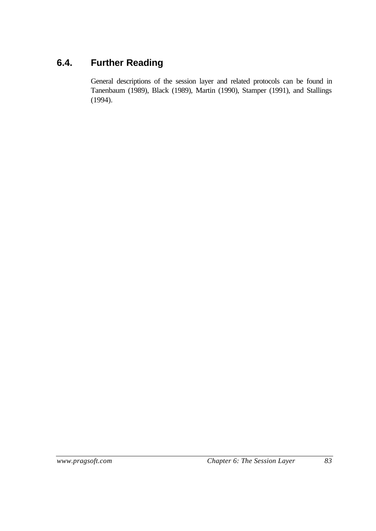# **6.4. Further Reading**

General descriptions of the session layer and related protocols can be found in Tanenbaum (1989), Black (1989), Martin (1990), Stamper (1991), and Stallings (1994).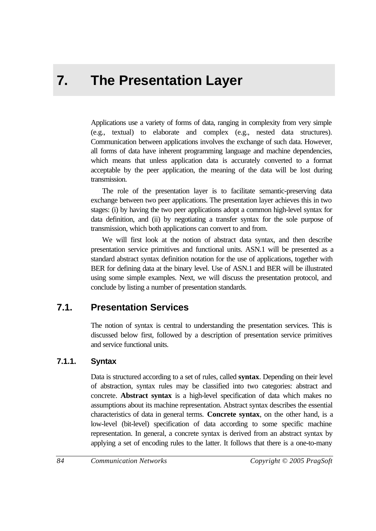# **7. The Presentation Layer**

Applications use a variety of forms of data, ranging in complexity from very simple (e.g., textual) to elaborate and complex (e.g., nested data structures). Communication between applications involves the exchange of such data. However, all forms of data have inherent programming language and machine dependencies, which means that unless application data is accurately converted to a format acceptable by the peer application, the meaning of the data will be lost during transmission.

The role of the presentation layer is to facilitate semantic-preserving data exchange between two peer applications. The presentation layer achieves this in two stages: (i) by having the two peer applications adopt a common high-level syntax for data definition, and (ii) by negotiating a transfer syntax for the sole purpose of transmission, which both applications can convert to and from.

We will first look at the notion of abstract data syntax, and then describe presentation service primitives and functional units. ASN.1 will be presented as a standard abstract syntax definition notation for the use of applications, together with BER for defining data at the binary level. Use of ASN.1 and BER will be illustrated using some simple examples. Next, we will discuss the presentation protocol, and conclude by listing a number of presentation standards.

## **7.1. Presentation Services**

The notion of syntax is central to understanding the presentation services. This is discussed below first, followed by a description of presentation service primitives and service functional units.

### **7.1.1. Syntax**

Data is structured according to a set of rules, called **syntax**. Depending on their level of abstraction, syntax rules may be classified into two categories: abstract and concrete. **Abstract syntax** is a high-level specification of data which makes no assumptions about its machine representation. Abstract syntax describes the essential characteristics of data in general terms. **Concrete syntax**, on the other hand, is a low-level (bit-level) specification of data according to some specific machine representation. In general, a concrete syntax is derived from an abstract syntax by applying a set of encoding rules to the latter. It follows that there is a one-to-many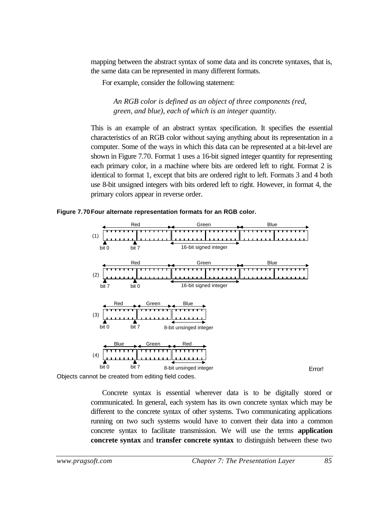mapping between the abstract syntax of some data and its concrete syntaxes, that is, the same data can be represented in many different formats.

For example, consider the following statement:

*An RGB color is defined as an object of three components (red, green, and blue), each of which is an integer quantity.*

This is an example of an abstract syntax specification. It specifies the essential characteristics of an RGB color without saying anything about its representation in a computer. Some of the ways in which this data can be represented at a bit-level are shown in Figure 7.70. Format 1 uses a 16-bit signed integer quantity for representing each primary color, in a machine where bits are ordered left to right. Format 2 is identical to format 1, except that bits are ordered right to left. Formats 3 and 4 both use 8-bit unsigned integers with bits ordered left to right. However, in format 4, the primary colors appear in reverse order.

**Figure 7.70Four alternate representation formats for an RGB color.**



Objects cannot be created from editing field codes.

Concrete syntax is essential wherever data is to be digitally stored or communicated. In general, each system has its own concrete syntax which may be different to the concrete syntax of other systems. Two communicating applications running on two such systems would have to convert their data into a common concrete syntax to facilitate transmission. We will use the terms **application concrete syntax** and **transfer concrete syntax** to distinguish between these two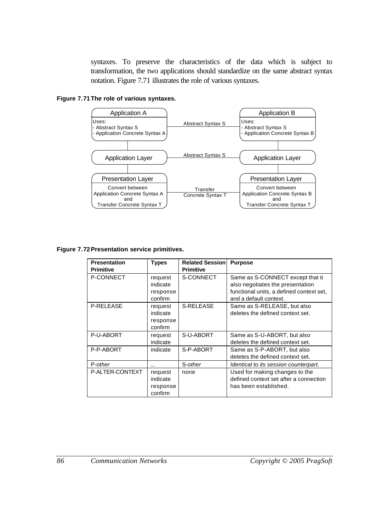syntaxes. To preserve the characteristics of the data which is subject to transformation, the two applications should standardize on the same abstract syntax notation. Figure 7.71 illustrates the role of various syntaxes.

#### **Figure 7.71The role of various syntaxes.**



#### **Figure 7.72Presentation service primitives.**

| <b>Presentation</b><br><b>Primitive</b> | <b>Types</b>                               | <b>Related Session</b><br><b>Primitive</b> | <b>Purpose</b>                                                                                                                             |
|-----------------------------------------|--------------------------------------------|--------------------------------------------|--------------------------------------------------------------------------------------------------------------------------------------------|
| P-CONNECT                               | request<br>indicate<br>response<br>confirm | S-CONNECT                                  | Same as S-CONNECT except that it<br>also negotiates the presentation<br>functional units, a defined context set,<br>and a default context. |
| <b>P-RELEASE</b>                        | request<br>indicate<br>response<br>confirm | S-RELEASE                                  | Same as S-RELEASE, but also<br>deletes the defined context set.                                                                            |
| P-U-ABORT                               | request<br>indicate                        | S-U-ABORT                                  | Same as S-U-ABORT, but also<br>deletes the defined context set.                                                                            |
| P-P-ABORT                               | indicate                                   | S-P-ABORT                                  | Same as S-P-ABORT, but also<br>deletes the defined context set.                                                                            |
| P-other                                 |                                            | S-other                                    | Identical to its session counterpart.                                                                                                      |
| P-ALTER-CONTEXT                         | request<br>indicate<br>response<br>confirm | none                                       | Used for making changes to the<br>defined context set after a connection<br>has been established.                                          |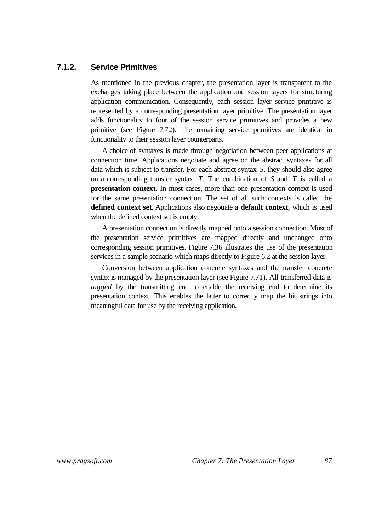### **7.1.2. Service Primitives**

As mentioned in the previous chapter, the presentation layer is transparent to the exchanges taking place between the application and session layers for structuring application communication. Consequently, each session layer service primitive is represented by a corresponding presentation layer primitive. The presentation layer adds functionality to four of the session service primitives and provides a new primitive (see Figure 7.72). The remaining service primitives are identical in functionality to their session layer counterparts.

A choice of syntaxes is made through negotiation between peer applications at connection time. Applications negotiate and agree on the abstract syntaxes for all data which is subject to transfer. For each abstract syntax *S*, they should also agree on a corresponding transfer syntax *T*. The combination of *S* and *T* is called a **presentation context**. In most cases, more than one presentation context is used for the same presentation connection. The set of all such contexts is called the **defined context set**. Applications also negotiate a **default context**, which is used when the defined context set is empty.

A presentation connection is directly mapped onto a session connection. Most of the presentation service primitives are mapped directly and unchanged onto corresponding session primitives. Figure 7.36 illustrates the use of the presentation services in a sample scenario which maps directly to Figure 6.2 at the session layer.

Conversion between application concrete syntaxes and the transfer concrete syntax is managed by the presentation layer (see Figure 7.71). All transferred data is *tagged* by the transmitting end to enable the receiving end to determine its presentation context. This enables the latter to correctly map the bit strings into meaningful data for use by the receiving application.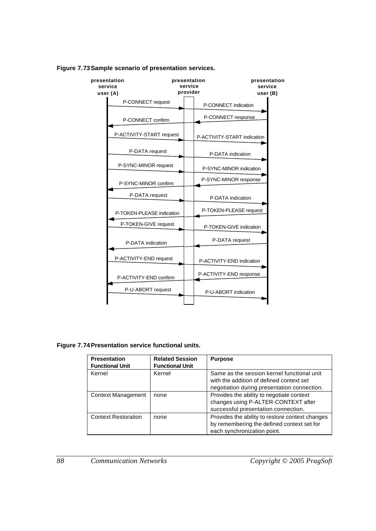

#### **Figure 7.73Sample scenario of presentation services.**

**Figure 7.74Presentation service functional units.**

| <b>Presentation</b><br><b>Functional Unit</b> | <b>Related Session</b><br><b>Functional Unit</b> | <b>Purpose</b>                                                                                                                        |
|-----------------------------------------------|--------------------------------------------------|---------------------------------------------------------------------------------------------------------------------------------------|
| Kernel                                        | Kernel                                           | Same as the session kernel functional unit<br>with the addition of defined context set<br>negotiation during presentation connection. |
| <b>Context Management</b>                     | none                                             | Provides the ability to negotiate context<br>changes using P-ALTER-CONTEXT after<br>successful presentation connection.               |
| <b>Context Restoration</b>                    | none                                             | Provides the ability to restore context changes<br>by remembering the defined context set for<br>each synchronization point.          |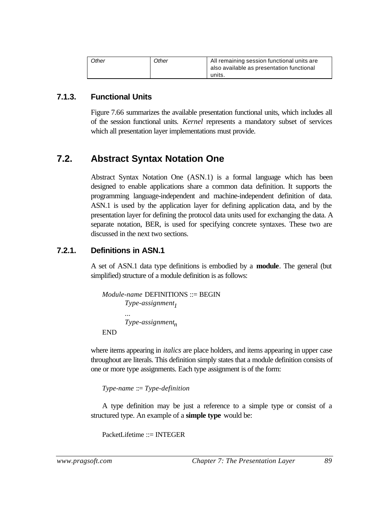| Other | Other | All remaining session functional units are |
|-------|-------|--------------------------------------------|
|       |       | also available as presentation functional  |
|       |       | units.                                     |

### **7.1.3. Functional Units**

Figure 7.66 summarizes the available presentation functional units, which includes all of the session functional units. *Kernel* represents a mandatory subset of services which all presentation layer implementations must provide.

### **7.2. Abstract Syntax Notation One**

Abstract Syntax Notation One (ASN.1) is a formal language which has been designed to enable applications share a common data definition. It supports the programming language-independent and machine-independent definition of data. ASN.1 is used by the application layer for defining application data, and by the presentation layer for defining the protocol data units used for exchanging the data. A separate notation, BER, is used for specifying concrete syntaxes. These two are discussed in the next two sections.

### **7.2.1. Definitions in ASN.1**

A set of ASN.1 data type definitions is embodied by a **module**. The general (but simplified) structure of a module definition is as follows:

```
Module-name DEFINITIONS ::= BEGIN
       Type-assignment1
       ...
       Type-assignmentn
END
```
where items appearing in *italics* are place holders, and items appearing in upper case throughout are literals. This definition simply states that a module definition consists of one or more type assignments. Each type assignment is of the form:

*Type-name* ::= *Type-definition*

A type definition may be just a reference to a simple type or consist of a structured type. An example of a **simple type** would be:

PacketLifetime ::= INTEGER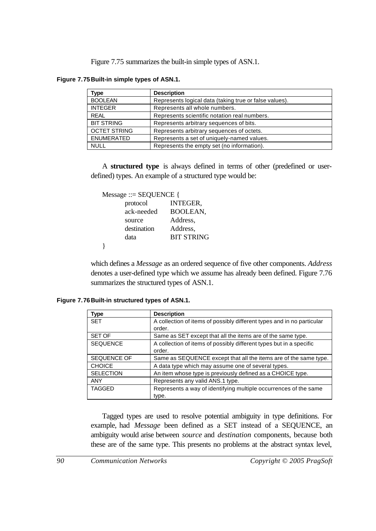Figure 7.75 summarizes the built-in simple types of ASN.1.

**Figure 7.75Built-in simple types of ASN.1.**

| Type                | <b>Description</b>                                     |
|---------------------|--------------------------------------------------------|
| <b>BOOLEAN</b>      | Represents logical data (taking true or false values). |
| <b>INTEGER</b>      | Represents all whole numbers.                          |
| <b>REAL</b>         | Represents scientific notation real numbers.           |
| <b>BIT STRING</b>   | Represents arbitrary sequences of bits.                |
| <b>OCTET STRING</b> | Represents arbitrary sequences of octets.              |
| <b>ENUMERATED</b>   | Represents a set of uniquely-named values.             |
| <b>NULL</b>         | Represents the empty set (no information).             |

A **structured type** is always defined in terms of other (predefined or userdefined) types. An example of a structured type would be:

Message ::= SEQUENCE {

| protocol    | INTEGER,          |
|-------------|-------------------|
| ack-needed  | BOOLEAN,          |
| source      | Address,          |
| destination | Address,          |
| data        | <b>BIT STRING</b> |
|             |                   |

which defines a *Message* as an ordered sequence of five other components. *Address* denotes a user-defined type which we assume has already been defined. Figure 7.76 summarizes the structured types of ASN.1.

**Figure 7.76Built-in structured types of ASN.1.**

}

| <b>Type</b>        | <b>Description</b>                                                               |
|--------------------|----------------------------------------------------------------------------------|
| <b>SET</b>         | A collection of items of possibly different types and in no particular<br>order. |
| SET OF             | Same as SET except that all the items are of the same type.                      |
| <b>SEQUENCE</b>    | A collection of items of possibly different types but in a specific<br>order.    |
| <b>SEQUENCE OF</b> | Same as SEQUENCE except that all the items are of the same type.                 |
| <b>CHOICE</b>      | A data type which may assume one of several types.                               |
| <b>SELECTION</b>   | An item whose type is previously defined as a CHOICE type.                       |
| <b>ANY</b>         | Represents any valid ANS.1 type.                                                 |
| <b>TAGGED</b>      | Represents a way of identifying multiple occurrences of the same<br>type.        |

Tagged types are used to resolve potential ambiguity in type definitions. For example, had *Message* been defined as a SET instead of a SEQUENCE, an ambiguity would arise between *source* and *destination* components, because both these are of the same type. This presents no problems at the abstract syntax level,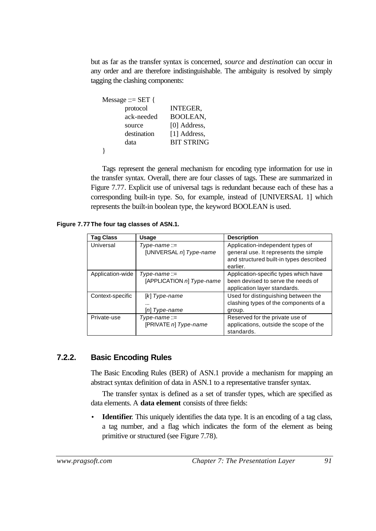but as far as the transfer syntax is concerned, *source* and *destination* can occur in any order and are therefore indistinguishable. The ambiguity is resolved by simply tagging the clashing components:

| Message ::= $SET$ { |                   |
|---------------------|-------------------|
| protocol            | <b>INTEGER,</b>   |
| ack-needed          | <b>BOOLEAN.</b>   |
| source              | [0] Address,      |
| destination         | [1] Address,      |
| data                | <b>BIT STRING</b> |
|                     |                   |

Tags represent the general mechanism for encoding type information for use in the transfer syntax. Overall, there are four classes of tags. These are summarized in Figure 7.77. Explicit use of universal tags is redundant because each of these has a corresponding built-in type. So, for example, instead of [UNIVERSAL 1] which represents the built-in boolean type, the keyword BOOLEAN is used.

**Figure 7.77The four tag classes of ASN.1.**

| <b>Tag Class</b> | <b>Usage</b>                                       | <b>Description</b>                                                                                                               |
|------------------|----------------------------------------------------|----------------------------------------------------------------------------------------------------------------------------------|
| Universal        | $Type$ -name::=<br>[UNIVERSAL n] Type-name         | Application-independent types of<br>general use. It represents the simple<br>and structured built-in types described<br>earlier. |
| Application-wide | $Type\text{-}name::=$<br>[APPLICATION n] Type-name | Application-specific types which have<br>been devised to serve the needs of<br>application layer standards.                      |
| Context-specific | $[k]$ Type-name<br><br>[n] Type-name               | Used for distinguishing between the<br>clashing types of the components of a<br>group.                                           |
| Private-use      | $Type$ -name::=<br>[PRIVATE n] Type-name           | Reserved for the private use of<br>applications, outside the scope of the<br>standards.                                          |

### **7.2.2. Basic Encoding Rules**

The Basic Encoding Rules (BER) of ASN.1 provide a mechanism for mapping an abstract syntax definition of data in ASN.1 to a representative transfer syntax.

The transfer syntax is defined as a set of transfer types, which are specified as data elements. A **data element** consists of three fields:

**Identifier**. This uniquely identifies the data type. It is an encoding of a tag class, a tag number, and a flag which indicates the form of the element as being primitive or structured (see Figure 7.78).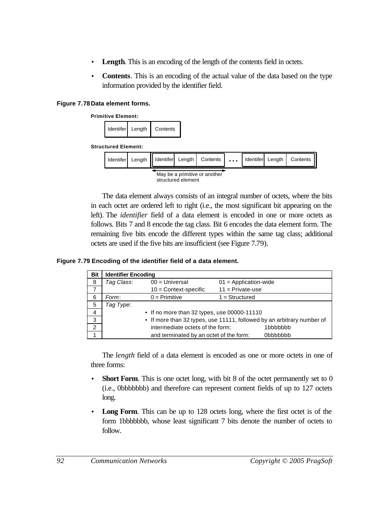- **Length**. This is an encoding of the length of the contents field in octets.
- **Contents**. This is an encoding of the actual value of the data based on the type information provided by the identifier field.

#### **Figure 7.78Data element forms.**



The data element always consists of an integral number of octets, where the bits in each octet are ordered left to right (i.e., the most significant bit appearing on the left). The *identifier* field of a data element is encoded in one or more octets as follows. Bits 7 and 8 encode the tag class. Bit 6 encodes the data element form. The remaining five bits encode the different types within the same tag class; additional octets are used if the five bits are insufficient (see Figure 7.79).

#### **Figure 7.79 Encoding of the identifier field of a data element.**

| Bit | <b>Identifier Encoding</b> |                                             |                                                                        |
|-----|----------------------------|---------------------------------------------|------------------------------------------------------------------------|
| 8   | Tag Class:                 | $00 =$ Universal                            | $01 =$ Application-wide                                                |
|     |                            | $10 =$ Context-specific                     | $11 =$ Private-use                                                     |
| 6   | Form:                      | $0 = Primitive$                             | $1 =$ Structured                                                       |
| 5   | Tag Type:                  |                                             |                                                                        |
| 4   |                            | • If no more than 32 types, use 00000-11110 |                                                                        |
| 3   |                            |                                             | • If more than 32 types, use 11111, followed by an arbitrary number of |
| 2   |                            | intermediate octets of the form:            | 1bbbbbbb                                                               |
|     |                            | and terminated by an octet of the form:     | 0bbbbbbb                                                               |

The *length* field of a data element is encoded as one or more octets in one of three forms:

- **Short Form**. This is one octet long, with bit 8 of the octet permanently set to 0 (i.e., 0bbbbbbb) and therefore can represent content fields of up to 127 octets long.
- **Long Form.** This can be up to 128 octets long, where the first octet is of the form 1bbbbbbb, whose least significant 7 bits denote the number of octets to follow.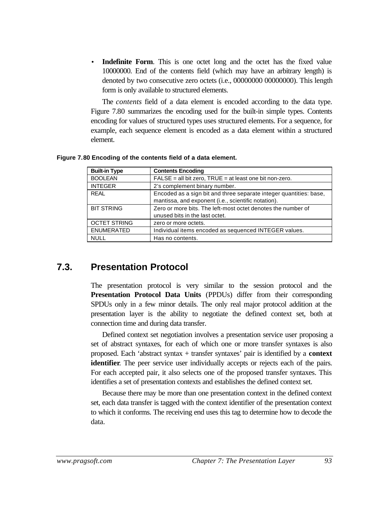**Indefinite Form.** This is one octet long and the octet has the fixed value 10000000. End of the contents field (which may have an arbitrary length) is denoted by two consecutive zero octets (i.e., 00000000 00000000). This length form is only available to structured elements.

The *contents* field of a data element is encoded according to the data type. Figure 7.80 summarizes the encoding used for the built-in simple types. Contents encoding for values of structured types uses structured elements. For a sequence, for example, each sequence element is encoded as a data element within a structured element.

| <b>Built-in Type</b> | <b>Contents Encoding</b>                                                                                                  |
|----------------------|---------------------------------------------------------------------------------------------------------------------------|
| <b>BOOLEAN</b>       | FALSE = all bit zero, TRUE = at least one bit non-zero.                                                                   |
| <b>INTEGER</b>       | 2's complement binary number.                                                                                             |
| <b>REAL</b>          | Encoded as a sign bit and three separate integer quantities: base,<br>mantissa, and exponent (i.e., scientific notation). |
| <b>BIT STRING</b>    | Zero or more bits. The left-most octet denotes the number of<br>unused bits in the last octet.                            |
| <b>OCTET STRING</b>  | zero or more octets.                                                                                                      |
| <b>ENUMERATED</b>    | Individual items encoded as sequenced INTEGER values.                                                                     |
| <b>NULL</b>          | Has no contents.                                                                                                          |

**Figure 7.80 Encoding of the contents field of a data element.**

# **7.3. Presentation Protocol**

The presentation protocol is very similar to the session protocol and the **Presentation Protocol Data Units** (PPDUs) differ from their corresponding SPDUs only in a few minor details. The only real major protocol addition at the presentation layer is the ability to negotiate the defined context set, both at connection time and during data transfer.

Defined context set negotiation involves a presentation service user proposing a set of abstract syntaxes, for each of which one or more transfer syntaxes is also proposed. Each 'abstract syntax + transfer syntaxes' pair is identified by a **context identifier**. The peer service user individually accepts or rejects each of the pairs. For each accepted pair, it also selects one of the proposed transfer syntaxes. This identifies a set of presentation contexts and establishes the defined context set.

Because there may be more than one presentation context in the defined context set, each data transfer is tagged with the context identifier of the presentation context to which it conforms. The receiving end uses this tag to determine how to decode the data.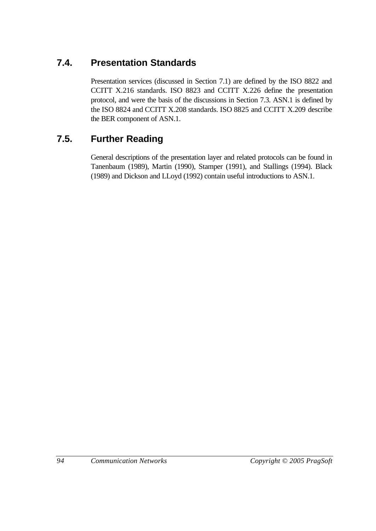# **7.4. Presentation Standards**

Presentation services (discussed in Section 7.1) are defined by the ISO 8822 and CCITT X.216 standards. ISO 8823 and CCITT X.226 define the presentation protocol, and were the basis of the discussions in Section 7.3. ASN.1 is defined by the ISO 8824 and CCITT X.208 standards. ISO 8825 and CCITT X.209 describe the BER component of ASN.1.

# **7.5. Further Reading**

General descriptions of the presentation layer and related protocols can be found in Tanenbaum (1989), Martin (1990), Stamper (1991), and Stallings (1994). Black (1989) and Dickson and LLoyd (1992) contain useful introductions to ASN.1.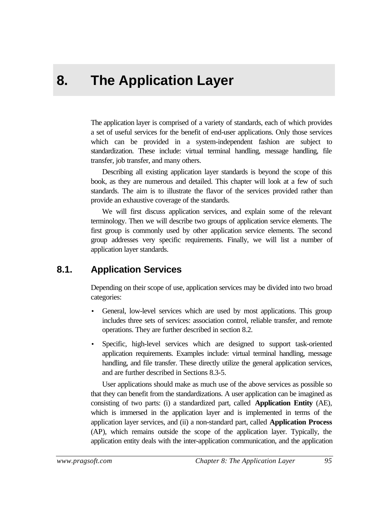# **8. The Application Layer**

The application layer is comprised of a variety of standards, each of which provides a set of useful services for the benefit of end-user applications. Only those services which can be provided in a system-independent fashion are subject to standardization. These include: virtual terminal handling, message handling, file transfer, job transfer, and many others.

Describing all existing application layer standards is beyond the scope of this book, as they are numerous and detailed. This chapter will look at a few of such standards. The aim is to illustrate the flavor of the services provided rather than provide an exhaustive coverage of the standards.

We will first discuss application services, and explain some of the relevant terminology. Then we will describe two groups of application service elements. The first group is commonly used by other application service elements. The second group addresses very specific requirements. Finally, we will list a number of application layer standards.

# **8.1. Application Services**

Depending on their scope of use, application services may be divided into two broad categories:

- General, low-level services which are used by most applications. This group includes three sets of services: association control, reliable transfer, and remote operations. They are further described in section 8.2.
- Specific, high-level services which are designed to support task-oriented application requirements. Examples include: virtual terminal handling, message handling, and file transfer. These directly utilize the general application services, and are further described in Sections 8.3-5.

User applications should make as much use of the above services as possible so that they can benefit from the standardizations. A user application can be imagined as consisting of two parts: (i) a standardized part, called **Application Entity** (AE), which is immersed in the application layer and is implemented in terms of the application layer services, and (ii) a non-standard part, called **Application Process** (AP), which remains outside the scope of the application layer. Typically, the application entity deals with the inter-application communication, and the application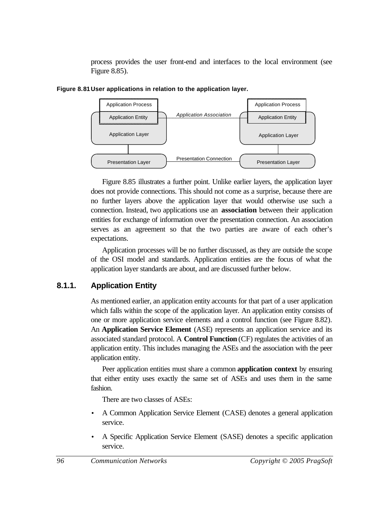process provides the user front-end and interfaces to the local environment (see Figure 8.85).



**Figure 8.81User applications in relation to the application layer.**

Figure 8.85 illustrates a further point. Unlike earlier layers, the application layer does not provide connections. This should not come as a surprise, because there are no further layers above the application layer that would otherwise use such a connection. Instead, two applications use an **association** between their application entities for exchange of information over the presentation connection. An association serves as an agreement so that the two parties are aware of each other's expectations.

Application processes will be no further discussed, as they are outside the scope of the OSI model and standards. Application entities are the focus of what the application layer standards are about, and are discussed further below.

## **8.1.1. Application Entity**

As mentioned earlier, an application entity accounts for that part of a user application which falls within the scope of the application layer. An application entity consists of one or more application service elements and a control function (see Figure 8.82). An **Application Service Element** (ASE) represents an application service and its associated standard protocol. A **Control Function** (CF) regulates the activities of an application entity. This includes managing the ASEs and the association with the peer application entity.

Peer application entities must share a common **application context** by ensuring that either entity uses exactly the same set of ASEs and uses them in the same fashion.

There are two classes of ASEs:

- A Common Application Service Element (CASE) denotes a general application service.
- A Specific Application Service Element (SASE) denotes a specific application service.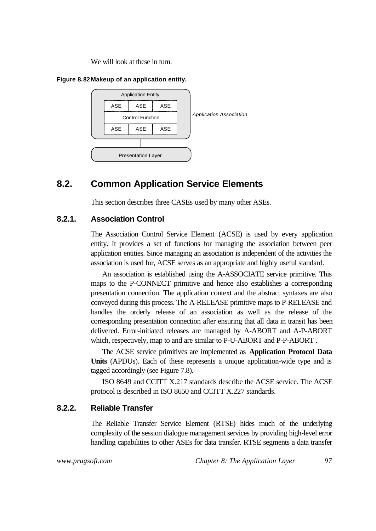We will look at these in turn.

#### **Figure 8.82Makeup of an application entity.**



# **8.2. Common Application Service Elements**

This section describes three CASEs used by many other ASEs.

## **8.2.1. Association Control**

The Association Control Service Element (ACSE) is used by every application entity. It provides a set of functions for managing the association between peer application entities. Since managing an association is independent of the activities the association is used for, ACSE serves as an appropriate and highly useful standard.

An association is established using the A-ASSOCIATE service primitive. This maps to the P-CONNECT primitive and hence also establishes a corresponding presentation connection. The application context and the abstract syntaxes are also conveyed during this process. The A-RELEASE primitive maps to P-RELEASE and handles the orderly release of an association as well as the release of the corresponding presentation connection after ensuring that all data in transit has been delivered. Error-initiated releases are managed by A-ABORT and A-P-ABORT which, respectively, map to and are similar to P-U-ABORT and P-P-ABORT .

The ACSE service primitives are implemented as **Application Protocol Data Units** (APDUs). Each of these represents a unique application-wide type and is tagged accordingly (see Figure 7.8).

ISO 8649 and CCITT X.217 standards describe the ACSE service. The ACSE protocol is described in ISO 8650 and CCITT X.227 standards.

## **8.2.2. Reliable Transfer**

The Reliable Transfer Service Element (RTSE) hides much of the underlying complexity of the session dialogue management services by providing high-level error handling capabilities to other ASEs for data transfer. RTSE segments a data transfer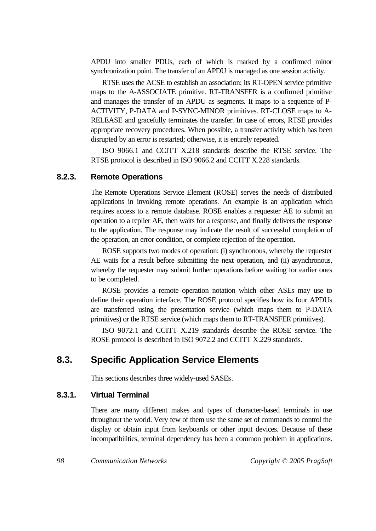APDU into smaller PDUs, each of which is marked by a confirmed minor synchronization point. The transfer of an APDU is managed as one session activity.

RTSE uses the ACSE to establish an association: its RT-OPEN service primitive maps to the A-ASSOCIATE primitive. RT-TRANSFER is a confirmed primitive and manages the transfer of an APDU as segments. It maps to a sequence of P-ACTIVITY, P-DATA and P-SYNC-MINOR primitives. RT-CLOSE maps to A-RELEASE and gracefully terminates the transfer. In case of errors, RTSE provides appropriate recovery procedures. When possible, a transfer activity which has been disrupted by an error is restarted; otherwise, it is entirely repeated.

ISO 9066.1 and CCITT X.218 standards describe the RTSE service. The RTSE protocol is described in ISO 9066.2 and CCITT X.228 standards.

## **8.2.3. Remote Operations**

The Remote Operations Service Element (ROSE) serves the needs of distributed applications in invoking remote operations. An example is an application which requires access to a remote database. ROSE enables a requester AE to submit an operation to a replier AE, then waits for a response, and finally delivers the response to the application. The response may indicate the result of successful completion of the operation, an error condition, or complete rejection of the operation.

ROSE supports two modes of operation: (i) synchronous, whereby the requester AE waits for a result before submitting the next operation, and (ii) asynchronous, whereby the requester may submit further operations before waiting for earlier ones to be completed.

ROSE provides a remote operation notation which other ASEs may use to define their operation interface. The ROSE protocol specifies how its four APDUs are transferred using the presentation service (which maps them to P-DATA primitives) or the RTSE service (which maps them to RT-TRANSFER primitives).

ISO 9072.1 and CCITT X.219 standards describe the ROSE service. The ROSE protocol is described in ISO 9072.2 and CCITT X.229 standards.

# **8.3. Specific Application Service Elements**

This sections describes three widely-used SASEs.

## **8.3.1. Virtual Terminal**

There are many different makes and types of character-based terminals in use throughout the world. Very few of them use the same set of commands to control the display or obtain input from keyboards or other input devices. Because of these incompatibilities, terminal dependency has been a common problem in applications.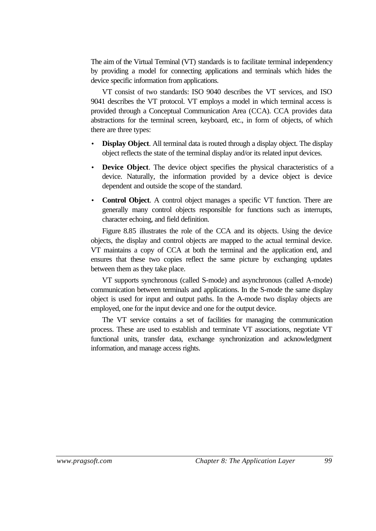The aim of the Virtual Terminal (VT) standards is to facilitate terminal independency by providing a model for connecting applications and terminals which hides the device specific information from applications.

VT consist of two standards: ISO 9040 describes the VT services, and ISO 9041 describes the VT protocol. VT employs a model in which terminal access is provided through a Conceptual Communication Area (CCA). CCA provides data abstractions for the terminal screen, keyboard, etc., in form of objects, of which there are three types:

- **Display Object**. All terminal data is routed through a display object. The display object reflects the state of the terminal display and/or its related input devices.
- **Device Object**. The device object specifies the physical characteristics of a device. Naturally, the information provided by a device object is device dependent and outside the scope of the standard.
- **Control Object**. A control object manages a specific VT function. There are generally many control objects responsible for functions such as interrupts, character echoing, and field definition.

Figure 8.85 illustrates the role of the CCA and its objects. Using the device objects, the display and control objects are mapped to the actual terminal device. VT maintains a copy of CCA at both the terminal and the application end, and ensures that these two copies reflect the same picture by exchanging updates between them as they take place.

VT supports synchronous (called S-mode) and asynchronous (called A-mode) communication between terminals and applications. In the S-mode the same display object is used for input and output paths. In the A-mode two display objects are employed, one for the input device and one for the output device.

The VT service contains a set of facilities for managing the communication process. These are used to establish and terminate VT associations, negotiate VT functional units, transfer data, exchange synchronization and acknowledgment information, and manage access rights.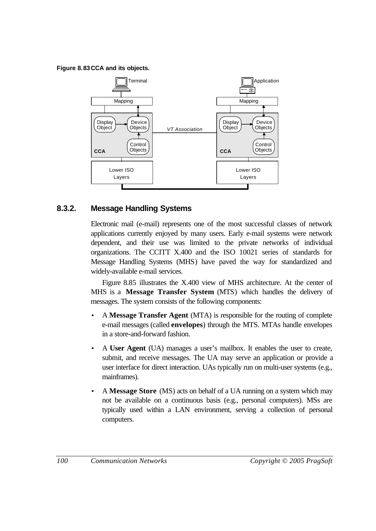**Figure 8.83CCA and its objects.**



# **8.3.2. Message Handling Systems**

Electronic mail (e-mail) represents one of the most successful classes of network applications currently enjoyed by many users. Early e-mail systems were network dependent, and their use was limited to the private networks of individual organizations. The CCITT X.400 and the ISO 10021 series of standards for Message Handling Systems (MHS) have paved the way for standardized and widely-available e-mail services.

Figure 8.85 illustrates the X.400 view of MHS architecture. At the center of MHS is a **Message Transfer System** (MTS) which handles the delivery of messages. The system consists of the following components:

- A **Message Transfer Agent** (MTA) is responsible for the routing of complete e-mail messages (called **envelopes**) through the MTS. MTAs handle envelopes in a store-and-forward fashion.
- A **User Agent** (UA) manages a user's mailbox. It enables the user to create, submit, and receive messages. The UA may serve an application or provide a user interface for direct interaction. UAs typically run on multi-user systems (e.g., mainframes).
- A **Message Store** (MS) acts on behalf of a UA running on a system which may not be available on a continuous basis (e.g., personal computers). MSs are typically used within a LAN environment, serving a collection of personal computers.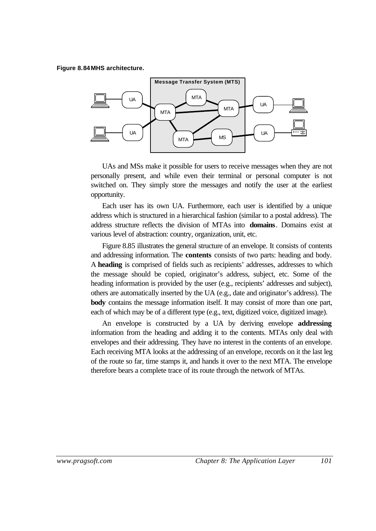#### **Figure 8.84MHS architecture.**



UAs and MSs make it possible for users to receive messages when they are not personally present, and while even their terminal or personal computer is not switched on. They simply store the messages and notify the user at the earliest opportunity.

Each user has its own UA. Furthermore, each user is identified by a unique address which is structured in a hierarchical fashion (similar to a postal address). The address structure reflects the division of MTAs into **domains**. Domains exist at various level of abstraction: country, organization, unit, etc.

Figure 8.85 illustrates the general structure of an envelope. It consists of contents and addressing information. The **contents** consists of two parts: heading and body. A **heading** is comprised of fields such as recipients' addresses, addresses to which the message should be copied, originator's address, subject, etc. Some of the heading information is provided by the user (e.g., recipients' addresses and subject), others are automatically inserted by the UA (e.g., date and originator's address). The **body** contains the message information itself. It may consist of more than one part, each of which may be of a different type (e.g., text, digitized voice, digitized image).

An envelope is constructed by a UA by deriving envelope **addressing** information from the heading and adding it to the contents. MTAs only deal with envelopes and their addressing. They have no interest in the contents of an envelope. Each receiving MTA looks at the addressing of an envelope, records on it the last leg of the route so far, time stamps it, and hands it over to the next MTA. The envelope therefore bears a complete trace of its route through the network of MTAs.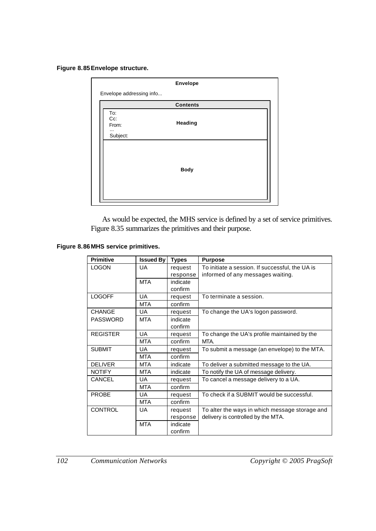#### **Figure 8.85Envelope structure.**

|                                             | Envelope        |  |
|---------------------------------------------|-----------------|--|
| Envelope addressing info                    |                 |  |
|                                             | <b>Contents</b> |  |
| To:<br>Cc:<br>From:<br>$\cdots$<br>Subject: | Heading         |  |
|                                             | <b>Body</b>     |  |

As would be expected, the MHS service is defined by a set of service primitives. Figure 8.35 summarizes the primitives and their purpose.

#### **Figure 8.86MHS service primitives.**

| <b>Primitive</b> | <b>Issued By</b> | <b>Types</b> | <b>Purpose</b>                                  |
|------------------|------------------|--------------|-------------------------------------------------|
| <b>LOGON</b>     | UA               | request      | To initiate a session. If successful, the UA is |
|                  |                  | response     | informed of any messages waiting.               |
|                  | <b>MTA</b>       | indicate     |                                                 |
|                  |                  | confirm      |                                                 |
| <b>LOGOFF</b>    | <b>UA</b>        | request      | To terminate a session.                         |
|                  | <b>MTA</b>       | confirm      |                                                 |
| <b>CHANGE</b>    | UA               | request      | To change the UA's logon password.              |
| <b>PASSWORD</b>  | MTA              | indicate     |                                                 |
|                  |                  | confirm      |                                                 |
| <b>REGISTER</b>  | UA               | request      | To change the UA's profile maintained by the    |
|                  | <b>MTA</b>       | confirm      | MTA.                                            |
| <b>SUBMIT</b>    | UA               | request      | To submit a message (an envelope) to the MTA.   |
|                  | <b>MTA</b>       | confirm      |                                                 |
| <b>DELIVER</b>   | <b>MTA</b>       | indicate     | To deliver a submitted message to the UA.       |
| <b>NOTIFY</b>    | <b>MTA</b>       | indicate     | To notify the UA of message delivery.           |
| CANCEL           | UA               | request      | To cancel a message delivery to a UA.           |
|                  | <b>MTA</b>       | confirm      |                                                 |
| <b>PROBE</b>     | UA               | request      | To check if a SUBMIT would be successful.       |
|                  | <b>MTA</b>       | confirm      |                                                 |
| <b>CONTROL</b>   | UA.              | request      | To alter the ways in which message storage and  |
|                  |                  | response     | delivery is controlled by the MTA.              |
|                  | <b>MTA</b>       | indicate     |                                                 |
|                  |                  | confirm      |                                                 |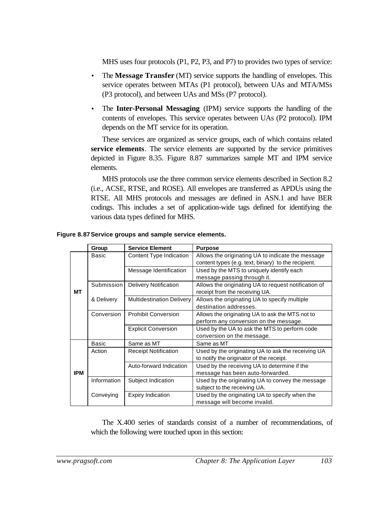MHS uses four protocols (P1, P2, P3, and P7) to provides two types of service:

- The **Message Transfer** (MT) service supports the handling of envelopes. This service operates between MTAs (P1 protocol), between UAs and MTA/MSs (P3 protocol), and between UAs and MSs (P7 protocol).
- The **Inter-Personal Messaging** (IPM) service supports the handling of the contents of envelopes. This service operates between UAs (P2 protocol). IPM depends on the MT service for its operation.

These services are organized as service groups, each of which contains related **service elements**. The service elements are supported by the service primitives depicted in Figure 8.35. Figure 8.87 summarizes sample MT and IPM service elements.

MHS protocols use the three common service elements described in Section 8.2 (i.e., ACSE, RTSE, and ROSE). All envelopes are transferred as APDUs using the RTSE. All MHS protocols and messages are defined in ASN.1 and have BER codings. This includes a set of application-wide tags defined for identifying the various data types defined for MHS.

|            | Group        | <b>Service Element</b>           | <b>Purpose</b>                                       |
|------------|--------------|----------------------------------|------------------------------------------------------|
|            | Basic        | Content Type Indication          | Allows the originating UA to indicate the message    |
|            |              |                                  | content types (e.g. text, binary) to the recipient.  |
|            |              | Message Identification           | Used by the MTS to uniquely identify each            |
|            |              |                                  | message passing through it.                          |
|            | Submission   | <b>Delivery Notification</b>     | Allows the originating UA to request notification of |
| МT         |              |                                  | receipt from the receiving UA.                       |
|            | & Delivery   | <b>Multidestination Delivery</b> | Allows the originating UA to specify multiple        |
|            |              |                                  | destination addresses.                               |
|            | Conversion   | <b>Prohibit Conversion</b>       | Allows the originating UA to ask the MTS not to      |
|            |              |                                  | perform any conversion on the message.               |
|            |              | <b>Explicit Conversion</b>       | Used by the UA to ask the MTS to perform code        |
|            |              |                                  | conversion on the message.                           |
|            | <b>Basic</b> | Same as MT                       | Same as MT                                           |
|            | Action       | <b>Receipt Notification</b>      | Used by the originating UA to ask the receiving UA   |
|            |              |                                  | to notify the originator of the receipt.             |
|            |              | Auto-forward Indication          | Used by the receiving UA to determine if the         |
| <b>IPM</b> |              |                                  | message has been auto-forwarded.                     |
|            | Information  | Subject Indication               | Used by the originating UA to convey the message     |
|            |              |                                  | subject to the receiving UA.                         |
|            | Conveying    | <b>Expiry Indication</b>         | Used by the originating UA to specify when the       |
|            |              |                                  | message will become invalid.                         |

**Figure 8.87Service groups and sample service elements.**

The X.400 series of standards consist of a number of recommendations, of which the following were touched upon in this section: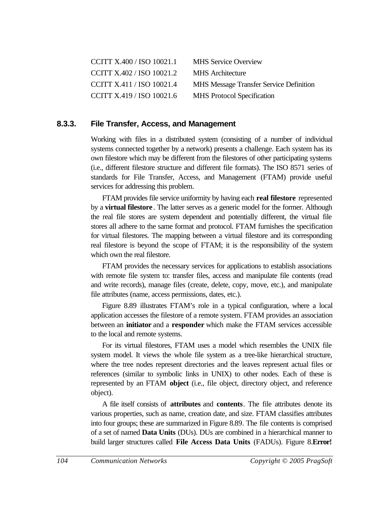| CCITT X.400 / ISO 10021.1 | <b>MHS Service Overview</b>                    |
|---------------------------|------------------------------------------------|
| CCITT X.402 / ISO 10021.2 | <b>MHS</b> Architecture                        |
| CCITT X.411 / ISO 10021.4 | <b>MHS Message Transfer Service Definition</b> |
| CCITT X.419 / ISO 10021.6 | <b>MHS</b> Protocol Specification              |

#### **8.3.3. File Transfer, Access, and Management**

Working with files in a distributed system (consisting of a number of individual systems connected together by a network) presents a challenge. Each system has its own filestore which may be different from the filestores of other participating systems (i.e., different filestore structure and different file formats). The ISO 8571 series of standards for File Transfer, Access, and Management (FTAM) provide useful services for addressing this problem.

FTAM provides file service uniformity by having each **real filestore** represented by a **virtual filestore**. The latter serves as a generic model for the former. Although the real file stores are system dependent and potentially different, the virtual file stores all adhere to the same format and protocol. FTAM furnishes the specification for virtual filestores. The mapping between a virtual filestore and its corresponding real filestore is beyond the scope of FTAM; it is the responsibility of the system which own the real filestore.

FTAM provides the necessary services for applications to establish associations with remote file system to: transfer files, access and manipulate file contents (read and write records), manage files (create, delete, copy, move, etc.), and manipulate file attributes (name, access permissions, dates, etc.).

Figure 8.89 illustrates FTAM's role in a typical configuration, where a local application accesses the filestore of a remote system. FTAM provides an association between an **initiator** and a **responder** which make the FTAM services accessible to the local and remote systems.

For its virtual filestores, FTAM uses a model which resembles the UNIX file system model. It views the whole file system as a tree-like hierarchical structure, where the tree nodes represent directories and the leaves represent actual files or references (similar to symbolic links in UNIX) to other nodes. Each of these is represented by an FTAM **object** (i.e., file object, directory object, and reference object).

A file itself consists of **attributes** and **contents**. The file attributes denote its various properties, such as name, creation date, and size. FTAM classifies attributes into four groups; these are summarized in Figure 8.89. The file contents is comprised of a set of named **Data Units** (DUs). DUs are combined in a hierarchical manner to build larger structures called **File Access Data Units** (FADUs). Figure 8.**Error!**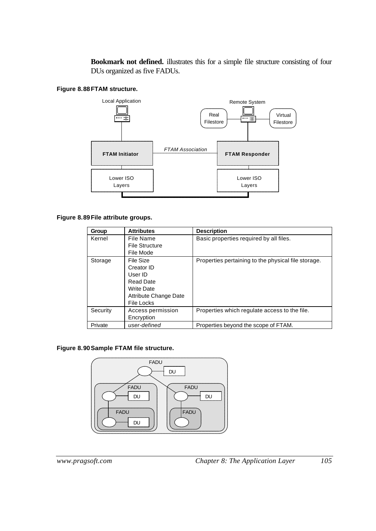**Bookmark not defined.** illustrates this for a simple file structure consisting of four DUs organized as five FADUs.

#### **Figure 8.88FTAM structure.**



#### **Figure 8.89File attribute groups.**

| Group    | <b>Attributes</b>                                                                                                  | <b>Description</b>                                  |
|----------|--------------------------------------------------------------------------------------------------------------------|-----------------------------------------------------|
| Kernel   | File Name<br><b>File Structure</b>                                                                                 | Basic properties required by all files.             |
|          | File Mode                                                                                                          |                                                     |
| Storage  | File Size<br>Creator ID<br>User ID<br><b>Read Date</b><br>Write Date<br>Attribute Change Date<br><b>File Locks</b> | Properties pertaining to the physical file storage. |
| Security | Access permission<br>Encryption                                                                                    | Properties which regulate access to the file.       |
| Private  | user-defined                                                                                                       | Properties beyond the scope of FTAM.                |

#### **Figure 8.90Sample FTAM file structure.**

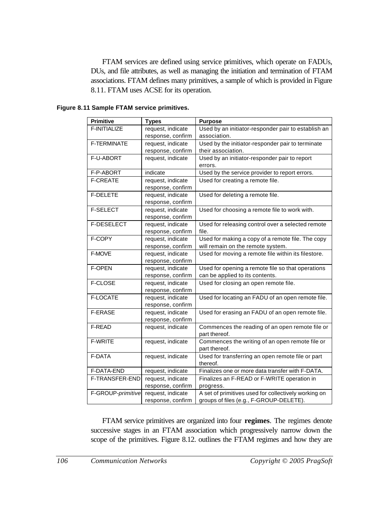FTAM services are defined using service primitives, which operate on FADUs, DUs, and file attributes, as well as managing the initiation and termination of FTAM associations. FTAM defines many primitives, a sample of which is provided in Figure 8.11. FTAM uses ACSE for its operation.

| <b>Primitive</b>  | <b>Types</b>      | <b>Purpose</b>                                       |
|-------------------|-------------------|------------------------------------------------------|
| F-INITIALIZE      | request, indicate | Used by an initiator-responder pair to establish an  |
|                   | response, confirm | association.                                         |
| F-TERMINATE       | request, indicate | Used by the initiator-responder pair to terminate    |
|                   | response, confirm | their association.                                   |
| F-U-ABORT         | request, indicate | Used by an initiator-responder pair to report        |
|                   |                   | errors.                                              |
| F-P-ABORT         | indicate          | Used by the service provider to report errors.       |
| <b>F-CREATE</b>   | request, indicate | Used for creating a remote file.                     |
|                   | response, confirm |                                                      |
| <b>F-DELETE</b>   | request, indicate | Used for deleting a remote file.                     |
|                   | response, confirm |                                                      |
| <b>F-SELECT</b>   | request, indicate | Used for choosing a remote file to work with.        |
|                   | response, confirm |                                                      |
| <b>F-DESELECT</b> | request, indicate | Used for releasing control over a selected remote    |
|                   | response, confirm | file.                                                |
| F-COPY            | request, indicate | Used for making a copy of a remote file. The copy    |
|                   | response, confirm | will remain on the remote system.                    |
| F-MOVE            | request, indicate | Used for moving a remote file within its filestore.  |
|                   | response, confirm |                                                      |
| <b>F-OPEN</b>     | request, indicate | Used for opening a remote file so that operations    |
|                   | response, confirm | can be applied to its contents.                      |
| F-CLOSE           | request, indicate | Used for closing an open remote file.                |
|                   | response, confirm |                                                      |
| F-LOCATE          | request, indicate | Used for locating an FADU of an open remote file.    |
|                   | response, confirm |                                                      |
| <b>F-ERASE</b>    | request, indicate | Used for erasing an FADU of an open remote file.     |
|                   | response, confirm |                                                      |
| F-READ            | request, indicate | Commences the reading of an open remote file or      |
|                   |                   | part thereof.                                        |
| <b>F-WRITE</b>    | request, indicate | Commences the writing of an open remote file or      |
|                   |                   | part thereof.                                        |
| F-DATA            | request, indicate | Used for transferring an open remote file or part    |
|                   |                   | thereof.                                             |
| F-DATA-END        | request, indicate | Finalizes one or more data transfer with F-DATA.     |
| F-TRANSFER-END    | request, indicate | Finalizes an F-READ or F-WRITE operation in          |
|                   | response, confirm | progress.                                            |
| F-GROUP-primitive | request, indicate | A set of primitives used for collectively working on |
|                   | response, confirm | groups of files (e.g., F-GROUP-DELETE).              |

**Figure 8.11 Sample FTAM service primitives.**

FTAM service primitives are organized into four **regimes**. The regimes denote successive stages in an FTAM association which progressively narrow down the scope of the primitives. Figure 8.12. outlines the FTAM regimes and how they are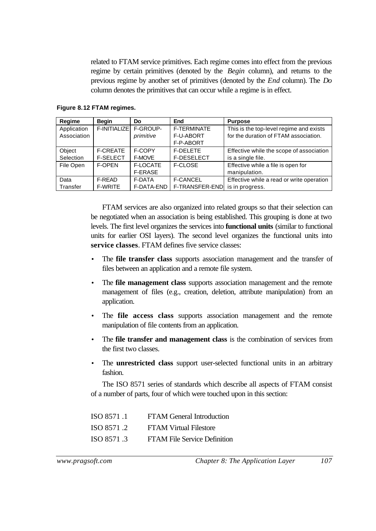related to FTAM service primitives. Each regime comes into effect from the previous regime by certain primitives (denoted by the *Begin* column), and returns to the previous regime by another set of primitives (denoted by the *End* column). The *Do* column denotes the primitives that can occur while a regime is in effect.

| Regime      | <b>Begin</b>    | Do             | End                | <b>Purpose</b>                            |
|-------------|-----------------|----------------|--------------------|-------------------------------------------|
| Application | F-INITIALIZE    | F-GROUP-       | <b>F-TERMINATE</b> | This is the top-level regime and exists   |
| Association |                 | primitive      | <b>F-U-ABORT</b>   | for the duration of FTAM association.     |
|             |                 |                | F-P-ABORT          |                                           |
| Object      | <b>F-CREATE</b> | F-COPY         | <b>F-DELETE</b>    | Effective while the scope of association  |
| Selection   | <b>F-SELECT</b> | F-MOVE         | F-DESELECT         | is a single file.                         |
| File Open   | F-OPEN          | F-LOCATE       | <b>F-CLOSE</b>     | Effective while a file is open for        |
|             |                 | <b>F-ERASE</b> |                    | manipulation.                             |
| Data        | F-READ          | F-DATA         | <b>F-CANCEL</b>    | Effective while a read or write operation |
| Transfer    | <b>F-WRITE</b>  | F-DATA-END     | F-TRANSFER-END     | is in progress.                           |

**Figure 8.12 FTAM regimes.**

FTAM services are also organized into related groups so that their selection can be negotiated when an association is being established. This grouping is done at two levels. The first level organizes the services into **functional units** (similar to functional units for earlier OSI layers). The second level organizes the functional units into **service classes**. FTAM defines five service classes:

- The **file transfer class** supports association management and the transfer of files between an application and a remote file system.
- The **file management class** supports association management and the remote management of files (e.g., creation, deletion, attribute manipulation) from an application.
- The **file access class** supports association management and the remote manipulation of file contents from an application.
- The **file transfer and management class** is the combination of services from the first two classes.
- The **unrestricted class** support user-selected functional units in an arbitrary fashion.

The ISO 8571 series of standards which describe all aspects of FTAM consist of a number of parts, four of which were touched upon in this section:

| ISO 8571.1 | <b>FTAM General Introduction</b>    |
|------------|-------------------------------------|
| ISO 8571.2 | <b>FTAM Virtual Filestore</b>       |
| ISO 8571.3 | <b>FTAM File Service Definition</b> |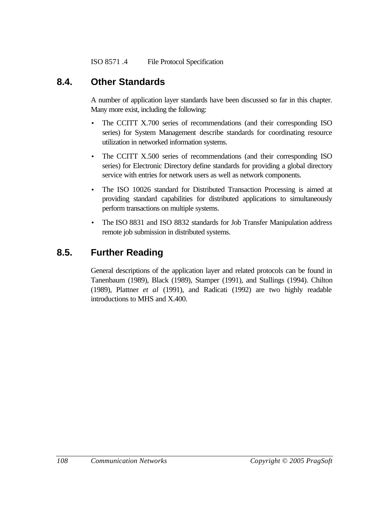ISO 8571 .4 File Protocol Specification

# **8.4. Other Standards**

A number of application layer standards have been discussed so far in this chapter. Many more exist, including the following:

- The CCITT X.700 series of recommendations (and their corresponding ISO series) for System Management describe standards for coordinating resource utilization in networked information systems.
- The CCITT X.500 series of recommendations (and their corresponding ISO series) for Electronic Directory define standards for providing a global directory service with entries for network users as well as network components.
- The ISO 10026 standard for Distributed Transaction Processing is aimed at providing standard capabilities for distributed applications to simultaneously perform transactions on multiple systems.
- The ISO 8831 and ISO 8832 standards for Job Transfer Manipulation address remote job submission in distributed systems.

# **8.5. Further Reading**

General descriptions of the application layer and related protocols can be found in Tanenbaum (1989), Black (1989), Stamper (1991), and Stallings (1994). Chilton (1989), Plattner *et al* (1991), and Radicati (1992) are two highly readable introductions to MHS and X.400.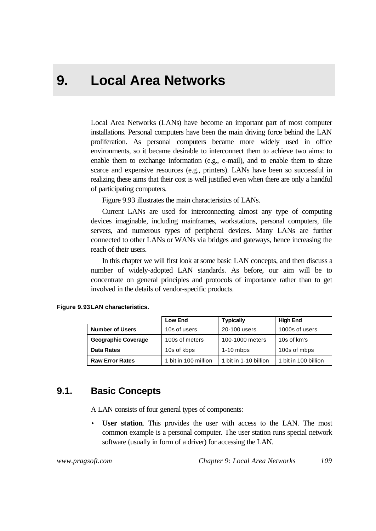# **9. Local Area Networks**

Local Area Networks (LANs) have become an important part of most computer installations. Personal computers have been the main driving force behind the LAN proliferation. As personal computers became more widely used in office environments, so it became desirable to interconnect them to achieve two aims: to enable them to exchange information (e.g., e-mail), and to enable them to share scarce and expensive resources (e.g., printers). LANs have been so successful in realizing these aims that their cost is well justified even when there are only a handful of participating computers.

Figure 9.93 illustrates the main characteristics of LANs.

Current LANs are used for interconnecting almost any type of computing devices imaginable, including mainframes, workstations, personal computers, file servers, and numerous types of peripheral devices. Many LANs are further connected to other LANs or WANs via bridges and gateways, hence increasing the reach of their users.

In this chapter we will first look at some basic LAN concepts, and then discuss a number of widely-adopted LAN standards. As before, our aim will be to concentrate on general principles and protocols of importance rather than to get involved in the details of vendor-specific products.

|                            | Low End              | <b>Typically</b>      | <b>High End</b>      |
|----------------------------|----------------------|-----------------------|----------------------|
| <b>Number of Users</b>     | 10s of users         | 20-100 users          | 1000s of users       |
| <b>Geographic Coverage</b> | 100s of meters       | 100-1000 meters       | 10s of km's          |
| <b>Data Rates</b>          | 10s of kbps          | $1-10$ mbps           | 100s of mbps         |
| <b>Raw Error Rates</b>     | 1 bit in 100 million | 1 bit in 1-10 billion | 1 bit in 100 billion |

#### **Figure 9.93LAN characteristics.**

## **9.1. Basic Concepts**

A LAN consists of four general types of components:

User station. This provides the user with access to the LAN. The most common example is a personal computer. The user station runs special network software (usually in form of a driver) for accessing the LAN.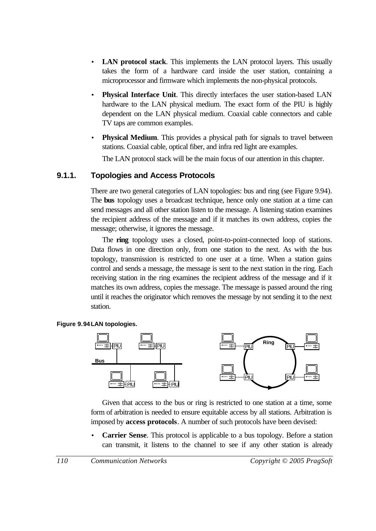- **LAN protocol stack**. This implements the LAN protocol layers. This usually takes the form of a hardware card inside the user station, containing a microprocessor and firmware which implements the non-physical protocols.
- **Physical Interface Unit**. This directly interfaces the user station-based LAN hardware to the LAN physical medium. The exact form of the PIU is highly dependent on the LAN physical medium. Coaxial cable connectors and cable TV taps are common examples.
- **Physical Medium.** This provides a physical path for signals to travel between stations. Coaxial cable, optical fiber, and infra red light are examples.

The LAN protocol stack will be the main focus of our attention in this chapter.

### **9.1.1. Topologies and Access Protocols**

There are two general categories of LAN topologies: bus and ring (see Figure 9.94). The **bus** topology uses a broadcast technique, hence only one station at a time can send messages and all other station listen to the message. A listening station examines the recipient address of the message and if it matches its own address, copies the message; otherwise, it ignores the message.

The **ring** topology uses a closed, point-to-point-connected loop of stations. Data flows in one direction only, from one station to the next. As with the bus topology, transmission is restricted to one user at a time. When a station gains control and sends a message, the message is sent to the next station in the ring. Each receiving station in the ring examines the recipient address of the message and if it matches its own address, copies the message. The message is passed around the ring until it reaches the originator which removes the message by not sending it to the next station.

#### **Figure 9.94LAN topologies.**



Given that access to the bus or ring is restricted to one station at a time, some form of arbitration is needed to ensure equitable access by all stations. Arbitration is imposed by **access protocols**. A number of such protocols have been devised:

**Carrier Sense**. This protocol is applicable to a bus topology. Before a station can transmit, it listens to the channel to see if any other station is already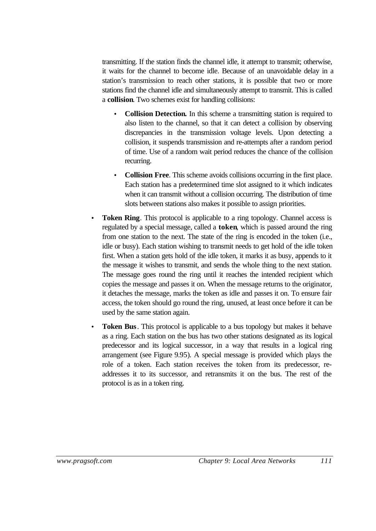transmitting. If the station finds the channel idle, it attempt to transmit; otherwise, it waits for the channel to become idle. Because of an unavoidable delay in a station's transmission to reach other stations, it is possible that two or more stations find the channel idle and simultaneously attempt to transmit. This is called a **collision**. Two schemes exist for handling collisions:

- **Collision Detection.** In this scheme a transmitting station is required to also listen to the channel, so that it can detect a collision by observing discrepancies in the transmission voltage levels. Upon detecting a collision, it suspends transmission and re-attempts after a random period of time. Use of a random wait period reduces the chance of the collision recurring.
- **Collision Free**. This scheme avoids collisions occurring in the first place. Each station has a predetermined time slot assigned to it which indicates when it can transmit without a collision occurring. The distribution of time slots between stations also makes it possible to assign priorities.
- **Token Ring**. This protocol is applicable to a ring topology. Channel access is regulated by a special message, called a **token**, which is passed around the ring from one station to the next. The state of the ring is encoded in the token (i.e., idle or busy). Each station wishing to transmit needs to get hold of the idle token first. When a station gets hold of the idle token, it marks it as busy, appends to it the message it wishes to transmit, and sends the whole thing to the next station. The message goes round the ring until it reaches the intended recipient which copies the message and passes it on. When the message returns to the originator, it detaches the message, marks the token as idle and passes it on. To ensure fair access, the token should go round the ring, unused, at least once before it can be used by the same station again.
- **Token Bus**. This protocol is applicable to a bus topology but makes it behave as a ring. Each station on the bus has two other stations designated as its logical predecessor and its logical successor, in a way that results in a logical ring arrangement (see Figure 9.95). A special message is provided which plays the role of a token. Each station receives the token from its predecessor, readdresses it to its successor, and retransmits it on the bus. The rest of the protocol is as in a token ring.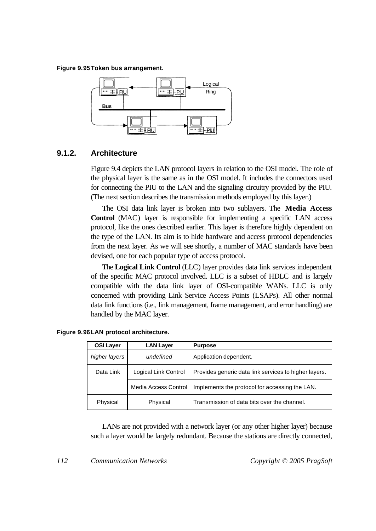**Figure 9.95Token bus arrangement.**



## **9.1.2. Architecture**

Figure 9.4 depicts the LAN protocol layers in relation to the OSI model. The role of the physical layer is the same as in the OSI model. It includes the connectors used for connecting the PIU to the LAN and the signaling circuitry provided by the PIU. (The next section describes the transmission methods employed by this layer.)

The OSI data link layer is broken into two sublayers. The **Media Access Control** (MAC) layer is responsible for implementing a specific LAN access protocol, like the ones described earlier. This layer is therefore highly dependent on the type of the LAN. Its aim is to hide hardware and access protocol dependencies from the next layer. As we will see shortly, a number of MAC standards have been devised, one for each popular type of access protocol.

The **Logical Link Control** (LLC) layer provides data link services independent of the specific MAC protocol involved. LLC is a subset of HDLC and is largely compatible with the data link layer of OSI-compatible WANs. LLC is only concerned with providing Link Service Access Points (LSAPs). All other normal data link functions (i.e., link management, frame management, and error handling) are handled by the MAC layer.

| <b>OSI Layer</b> | <b>LAN Layer</b>     | <b>Purpose</b>                                        |
|------------------|----------------------|-------------------------------------------------------|
| higher layers    | undefined            | Application dependent.                                |
| Data Link        | Logical Link Control | Provides generic data link services to higher layers. |
|                  | Media Access Control | Implements the protocol for accessing the LAN.        |
| Physical         | Physical             | Transmission of data bits over the channel.           |

|  |  |  |  | Figure 9.96 LAN protocol architecture. |
|--|--|--|--|----------------------------------------|
|--|--|--|--|----------------------------------------|

LANs are not provided with a network layer (or any other higher layer) because such a layer would be largely redundant. Because the stations are directly connected,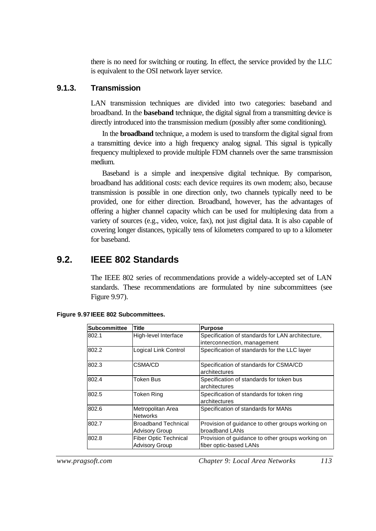there is no need for switching or routing. In effect, the service provided by the LLC is equivalent to the OSI network layer service.

#### **9.1.3. Transmission**

LAN transmission techniques are divided into two categories: baseband and broadband. In the **baseband** technique, the digital signal from a transmitting device is directly introduced into the transmission medium (possibly after some conditioning).

In the **broadband** technique, a modem is used to transform the digital signal from a transmitting device into a high frequency analog signal. This signal is typically frequency multiplexed to provide multiple FDM channels over the same transmission medium.

Baseband is a simple and inexpensive digital technique. By comparison, broadband has additional costs: each device requires its own modem; also, because transmission is possible in one direction only, two channels typically need to be provided, one for either direction. Broadband, however, has the advantages of offering a higher channel capacity which can be used for multiplexing data from a variety of sources (e.g., video, voice, fax), not just digital data. It is also capable of covering longer distances, typically tens of kilometers compared to up to a kilometer for baseband.

# **9.2. IEEE 802 Standards**

The IEEE 802 series of recommendations provide a widely-accepted set of LAN standards. These recommendations are formulated by nine subcommittees (see Figure 9.97).

| <b>Subcommittee</b> | <b>Title</b>                                          | <b>Purpose</b>                                                                  |
|---------------------|-------------------------------------------------------|---------------------------------------------------------------------------------|
| 802.1               | High-level Interface                                  | Specification of standards for LAN architecture,<br>interconnection, management |
| 802.2               | Logical Link Control                                  | Specification of standards for the LLC layer                                    |
| 802.3               | <b>CSMA/CD</b>                                        | Specification of standards for CSMA/CD<br>architectures                         |
| 802.4               | Token Bus                                             | Specification of standards for token bus<br>architectures                       |
| 802.5               | Token Ring                                            | Specification of standards for token ring<br>architectures                      |
| 802.6               | Metropolitan Area<br><b>Networks</b>                  | Specification of standards for MANs                                             |
| 802.7               | <b>Broadband Technical</b><br><b>Advisory Group</b>   | Provision of guidance to other groups working on<br>broadband LANs              |
| 802.8               | <b>Fiber Optic Technical</b><br><b>Advisory Group</b> | Provision of guidance to other groups working on<br>fiber optic-based LANs      |

*www.pragsoft.com Chapter 9: Local Area Networks 113*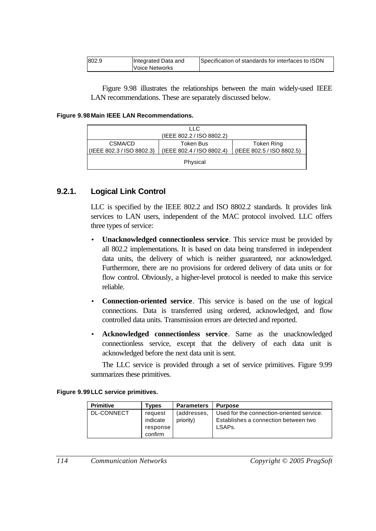| 802.9 | Integrated Data and   | Specification of standards for interfaces to ISDN |
|-------|-----------------------|---------------------------------------------------|
|       | <b>Voice Networks</b> |                                                   |

Figure 9.98 illustrates the relationships between the main widely-used IEEE LAN recommendations. These are separately discussed below.

#### **Figure 9.98Main IEEE LAN Recommendations.**

|                                      | LLC.<br>(IEEE 802.2 / ISO 8802.2)      |                                         |
|--------------------------------------|----------------------------------------|-----------------------------------------|
| CSMA/CD<br>(IEEE 802.3 / ISO 8802.3) | Token Bus<br>(IEEE 802.4 / ISO 8802.4) | Token Ring<br>(IEEE 802.5 / ISO 8802.5) |
| Physical                             |                                        |                                         |

## **9.2.1. Logical Link Control**

LLC is specified by the IEEE 802.2 and ISO 8802.2 standards. It provides link services to LAN users, independent of the MAC protocol involved. LLC offers three types of service:

- **Unacknowledged connectionless service**. This service must be provided by all 802.2 implementations. It is based on data being transferred in independent data units, the delivery of which is neither guaranteed, nor acknowledged. Furthermore, there are no provisions for ordered delivery of data units or for flow control. Obviously, a higher-level protocol is needed to make this service reliable.
- **Connection-oriented service**. This service is based on the use of logical connections. Data is transferred using ordered, acknowledged, and flow controlled data units. Transmission errors are detected and reported.
- **Acknowledged connectionless service**. Same as the unacknowledged connectionless service, except that the delivery of each data unit is acknowledged before the next data unit is sent.

The LLC service is provided through a set of service primitives. Figure 9.99 summarizes these primitives.

#### **Figure 9.99LLC service primitives.**

| <b>Primitive</b> | Tvpes                                      | <b>Parameters</b>        | <b>Purpose</b>                                                                              |
|------------------|--------------------------------------------|--------------------------|---------------------------------------------------------------------------------------------|
| DL-CONNECT       | reguest<br>indicate<br>response<br>confirm | (addresses.<br>priority) | Used for the connection-oriented service.<br>Establishes a connection between two<br>LSAPs. |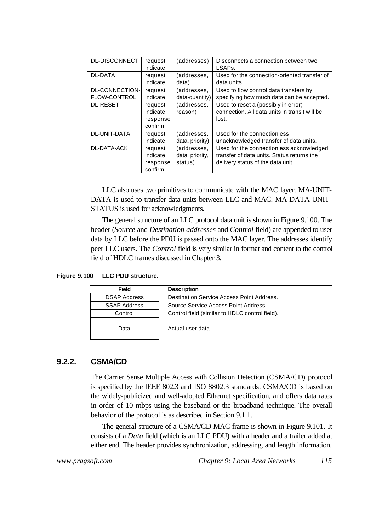| DL-DISCONNECT         | request<br>indicate                        | (addresses)                               | Disconnects a connection between two<br>LSAP <sub>s</sub> .                                                                 |
|-----------------------|--------------------------------------------|-------------------------------------------|-----------------------------------------------------------------------------------------------------------------------------|
| <b>DL-DATA</b>        | request                                    | (addresses,                               | Used for the connection-oriented transfer of                                                                                |
|                       | indicate                                   | data)                                     | data units.                                                                                                                 |
| <b>DL-CONNECTION-</b> | request                                    | (addresses,                               | Used to flow control data transfers by                                                                                      |
| <b>FLOW-CONTROL</b>   | indicate                                   | data-quantity)                            | specifying how much data can be accepted.                                                                                   |
| <b>DL-RESET</b>       | request<br>indicate<br>response<br>confirm | (addresses,<br>reason)                    | Used to reset a (possibly in error)<br>connection. All data units in transit will be<br>lost.                               |
| <b>DL-UNIT-DATA</b>   | request                                    | (addresses,                               | Used for the connectionless                                                                                                 |
|                       | indicate                                   | data, priority)                           | unacknowledged transfer of data units.                                                                                      |
| DL-DATA-ACK           | request<br>indicate<br>response<br>confirm | (addresses,<br>data, priority,<br>status) | Used for the connectionless acknowledged<br>transfer of data units. Status returns the<br>delivery status of the data unit. |

LLC also uses two primitives to communicate with the MAC layer. MA-UNIT-DATA is used to transfer data units between LLC and MAC. MA-DATA-UNIT-STATUS is used for acknowledgments.

The general structure of an LLC protocol data unit is shown in Figure 9.100. The header (*Source* and *Destination addresses* and *Control* field) are appended to user data by LLC before the PDU is passed onto the MAC layer. The addresses identify peer LLC users. The *Control* field is very similar in format and content to the control field of HDLC frames discussed in Chapter 3.

**Figure 9.100 LLC PDU structure.**

| <b>Field</b>        | <b>Description</b>                             |
|---------------------|------------------------------------------------|
| <b>DSAP Address</b> | Destination Service Access Point Address.      |
| <b>SSAP Address</b> | Source Service Access Point Address.           |
| Control             | Control field (similar to HDLC control field). |
| Data                | Actual user data.                              |

## **9.2.2. CSMA/CD**

The Carrier Sense Multiple Access with Collision Detection (CSMA/CD) protocol is specified by the IEEE 802.3 and ISO 8802.3 standards. CSMA/CD is based on the widely-publicized and well-adopted Ethernet specification, and offers data rates in order of 10 mbps using the baseband or the broadband technique. The overall behavior of the protocol is as described in Section 9.1.1.

The general structure of a CSMA/CD MAC frame is shown in Figure 9.101. It consists of a *Data* field (which is an LLC PDU) with a header and a trailer added at either end. The header provides synchronization, addressing, and length information.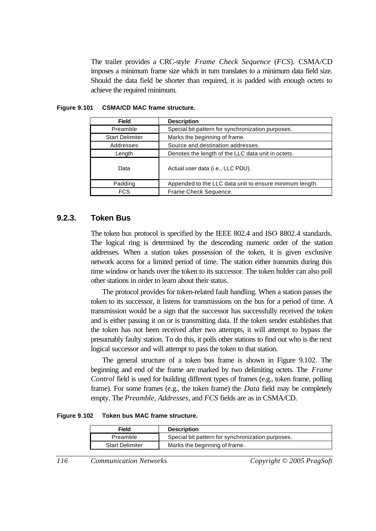The trailer provides a CRC-style *Frame Check Sequence* (*FCS*). CSMA/CD imposes a minimum frame size which in turn translates to a minimum data field size. Should the data field be shorter than required, it is padded with enough octets to achieve the required minimum.

| <b>Field</b>           | <b>Description</b>                                      |  |
|------------------------|---------------------------------------------------------|--|
| Preamble               | Special bit pattern for synchronization purposes.       |  |
| <b>Start Delimiter</b> | Marks the beginning of frame.                           |  |
| Addresses              | Source and destination addresses.                       |  |
| Length                 | Denotes the length of the LLC data unit in octets.      |  |
| Data                   | Actual user data (i.e., LLC PDU).                       |  |
| Padding                | Appended to the LLC data unit to ensure minimum length. |  |
| <b>FCS</b>             | Frame Check Sequence.                                   |  |

#### **Figure 9.101 CSMA/CD MAC frame structure.**

#### **9.2.3. Token Bus**

The token bus protocol is specified by the IEEE 802.4 and ISO 8802.4 standards. The logical ring is determined by the descending numeric order of the station addresses. When a station takes possession of the token, it is given exclusive network access for a limited period of time. The station either transmits during this time window or hands over the token to its successor. The token holder can also poll other stations in order to learn about their status.

The protocol provides for token-related fault handling. When a station passes the token to its successor, it listens for transmissions on the bus for a period of time. A transmission would be a sign that the successor has successfully received the token and is either passing it on or is transmitting data. If the token sender establishes that the token has not been received after two attempts, it will attempt to bypass the presumably faulty station. To do this, it polls other stations to find out who is the next logical successor and will attempt to pass the token to that station.

The general structure of a token bus frame is shown in Figure 9.102. The beginning and end of the frame are marked by two delimiting octets. The *Frame Control* field is used for building different types of frames (e.g., token frame, polling frame). For some frames (e.g., the token frame) the *Data* field may be completely empty. The *Preamble*, *Addresses*, and *FCS* fields are as in CSMA/CD.

**Figure 9.102 Token bus MAC frame structure.**

| Field                  | <b>Description</b>                                |
|------------------------|---------------------------------------------------|
| Preamble               | Special bit pattern for synchronization purposes. |
| <b>Start Delimiter</b> | Marks the beginning of frame.                     |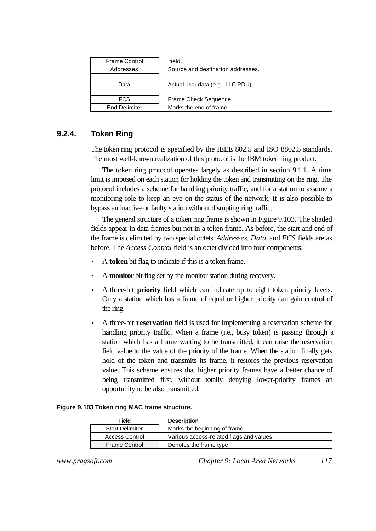| <b>Frame Control</b> | field.                            |
|----------------------|-----------------------------------|
| Addresses            | Source and destination addresses. |
| Data                 | Actual user data (e.g., LLC PDU). |
| <b>FCS</b>           | Frame Check Sequence.             |
| <b>End Delimiter</b> | Marks the end of frame.           |

## **9.2.4. Token Ring**

The token ring protocol is specified by the IEEE 802.5 and ISO 8802.5 standards. The most well-known realization of this protocol is the IBM token ring product.

The token ring protocol operates largely as described in section 9.1.1. A time limit is imposed on each station for holding the token and transmitting on the ring. The protocol includes a scheme for handling priority traffic, and for a station to assume a monitoring role to keep an eye on the status of the network. It is also possible to bypass an inactive or faulty station without disrupting ring traffic.

The general structure of a token ring frame is shown in Figure 9.103. The shaded fields appear in data frames but not in a token frame. As before, the start and end of the frame is delimited by two special octets. *Addresses*, *Data*, and *FCS* fields are as before. The *Access Control* field is an octet divided into four components:

- A **token** bit flag to indicate if this is a token frame.
- A **monitor** bit flag set by the monitor station during recovery.
- A three-bit **priority** field which can indicate up to eight token priority levels. Only a station which has a frame of equal or higher priority can gain control of the ring.
- A three-bit **reservation** field is used for implementing a reservation scheme for handling priority traffic. When a frame (i.e., busy token) is passing through a station which has a frame waiting to be transmitted, it can raise the reservation field value to the value of the priority of the frame. When the station finally gets hold of the token and transmits its frame, it restores the previous reservation value. This scheme ensures that higher priority frames have a better chance of being transmitted first, without totally denying lower-priority frames an opportunity to be also transmitted.

#### **Figure 9.103 Token ring MAC frame structure.**

| Field                  | <b>Description</b>                       |
|------------------------|------------------------------------------|
| <b>Start Delimiter</b> | Marks the beginning of frame.            |
| <b>Access Control</b>  | Various access-related flags and values. |
| Frame Control          | Denotes the frame type.                  |

*www.pragsoft.com Chapter 9: Local Area Networks 117*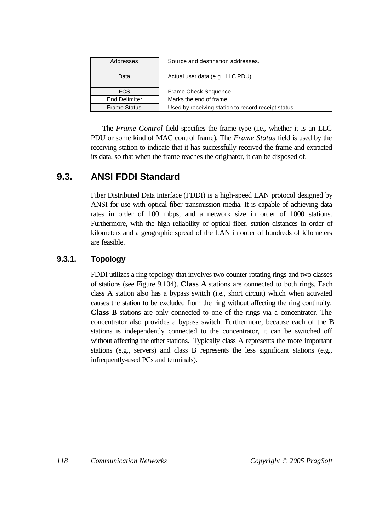| Addresses            | Source and destination addresses.                   |
|----------------------|-----------------------------------------------------|
| Data                 | Actual user data (e.g., LLC PDU).                   |
| <b>FCS</b>           | Frame Check Sequence.                               |
| <b>End Delimiter</b> | Marks the end of frame.                             |
| <b>Frame Status</b>  | Used by receiving station to record receipt status. |

The *Frame Control* field specifies the frame type (i.e., whether it is an LLC PDU or some kind of MAC control frame). The *Frame Status* field is used by the receiving station to indicate that it has successfully received the frame and extracted its data, so that when the frame reaches the originator, it can be disposed of.

# **9.3. ANSI FDDI Standard**

Fiber Distributed Data Interface (FDDI) is a high-speed LAN protocol designed by ANSI for use with optical fiber transmission media. It is capable of achieving data rates in order of 100 mbps, and a network size in order of 1000 stations. Furthermore, with the high reliability of optical fiber, station distances in order of kilometers and a geographic spread of the LAN in order of hundreds of kilometers are feasible.

# **9.3.1. Topology**

FDDI utilizes a ring topology that involves two counter-rotating rings and two classes of stations (see Figure 9.104). **Class A** stations are connected to both rings. Each class A station also has a bypass switch (i.e., short circuit) which when activated causes the station to be excluded from the ring without affecting the ring continuity. **Class B** stations are only connected to one of the rings via a concentrator. The concentrator also provides a bypass switch. Furthermore, because each of the B stations is independently connected to the concentrator, it can be switched off without affecting the other stations. Typically class A represents the more important stations (e.g., servers) and class B represents the less significant stations (e.g., infrequently-used PCs and terminals).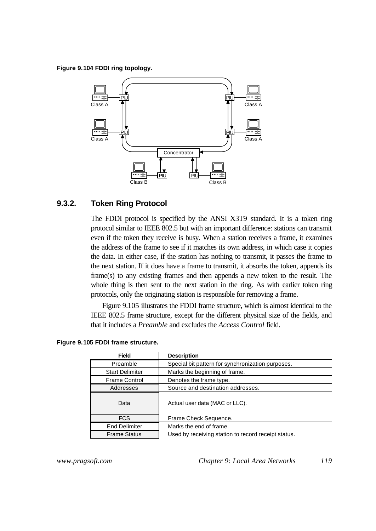**Figure 9.104 FDDI ring topology.**



#### **9.3.2. Token Ring Protocol**

The FDDI protocol is specified by the ANSI X3T9 standard. It is a token ring protocol similar to IEEE 802.5 but with an important difference: stations can transmit even if the token they receive is busy. When a station receives a frame, it examines the address of the frame to see if it matches its own address, in which case it copies the data. In either case, if the station has nothing to transmit, it passes the frame to the next station. If it does have a frame to transmit, it absorbs the token, appends its frame(s) to any existing frames and then appends a new token to the result. The whole thing is then sent to the next station in the ring. As with earlier token ring protocols, only the originating station is responsible for removing a frame.

Figure 9.105 illustrates the FDDI frame structure, which is almost identical to the IEEE 802.5 frame structure, except for the different physical size of the fields, and that it includes a *Preamble* and excludes the *Access Control* field.

| <b>Field</b>           | <b>Description</b>                                  |
|------------------------|-----------------------------------------------------|
| Preamble               | Special bit pattern for synchronization purposes.   |
| <b>Start Delimiter</b> | Marks the beginning of frame.                       |
| <b>Frame Control</b>   | Denotes the frame type.                             |
| Addresses              | Source and destination addresses.                   |
| Data                   | Actual user data (MAC or LLC).                      |
| FCS.                   | Frame Check Sequence.                               |
| <b>End Delimiter</b>   | Marks the end of frame.                             |
| <b>Frame Status</b>    | Used by receiving station to record receipt status. |

#### **Figure 9.105 FDDI frame structure.**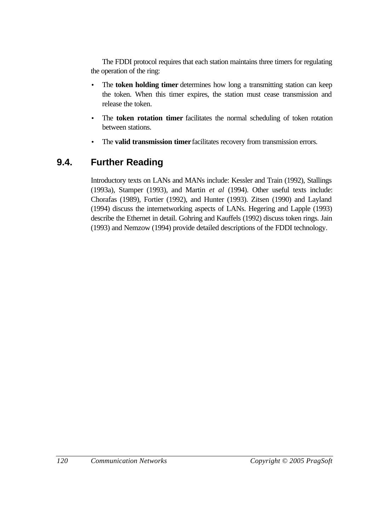The FDDI protocol requires that each station maintains three timers for regulating the operation of the ring:

- The **token holding timer** determines how long a transmitting station can keep the token. When this timer expires, the station must cease transmission and release the token.
- The **token rotation timer** facilitates the normal scheduling of token rotation between stations.
- The **valid transmission timer** facilitates recovery from transmission errors.

# **9.4. Further Reading**

Introductory texts on LANs and MANs include: Kessler and Train (1992), Stallings (1993a), Stamper (1993), and Martin *et al* (1994). Other useful texts include: Chorafas (1989), Fortier (1992), and Hunter (1993). Zitsen (1990) and Layland (1994) discuss the internetworking aspects of LANs. Hegering and Lapple (1993) describe the Ethernet in detail. Gohring and Kauffels (1992) discuss token rings. Jain (1993) and Nemzow (1994) provide detailed descriptions of the FDDI technology.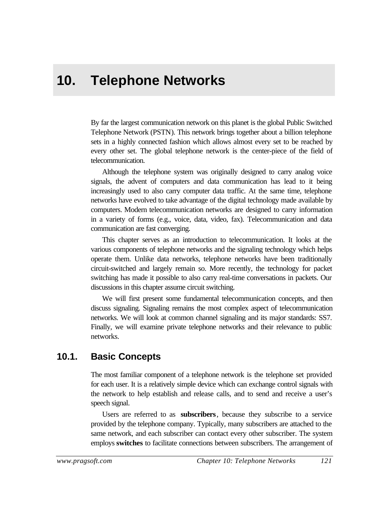# **10. Telephone Networks**

By far the largest communication network on this planet is the global Public Switched Telephone Network (PSTN). This network brings together about a billion telephone sets in a highly connected fashion which allows almost every set to be reached by every other set. The global telephone network is the center-piece of the field of telecommunication.

Although the telephone system was originally designed to carry analog voice signals, the advent of computers and data communication has lead to it being increasingly used to also carry computer data traffic. At the same time, telephone networks have evolved to take advantage of the digital technology made available by computers. Modern telecommunication networks are designed to carry information in a variety of forms (e.g., voice, data, video, fax). Telecommunication and data communication are fast converging.

This chapter serves as an introduction to telecommunication. It looks at the various components of telephone networks and the signaling technology which helps operate them. Unlike data networks, telephone networks have been traditionally circuit-switched and largely remain so. More recently, the technology for packet switching has made it possible to also carry real-time conversations in packets. Our discussions in this chapter assume circuit switching.

We will first present some fundamental telecommunication concepts, and then discuss signaling. Signaling remains the most complex aspect of telecommunication networks. We will look at common channel signaling and its major standards: SS7. Finally, we will examine private telephone networks and their relevance to public networks.

# **10.1. Basic Concepts**

The most familiar component of a telephone network is the telephone set provided for each user. It is a relatively simple device which can exchange control signals with the network to help establish and release calls, and to send and receive a user's speech signal.

Users are referred to as **subscribers**, because they subscribe to a service provided by the telephone company. Typically, many subscribers are attached to the same network, and each subscriber can contact every other subscriber. The system employs **switches** to facilitate connections between subscribers. The arrangement of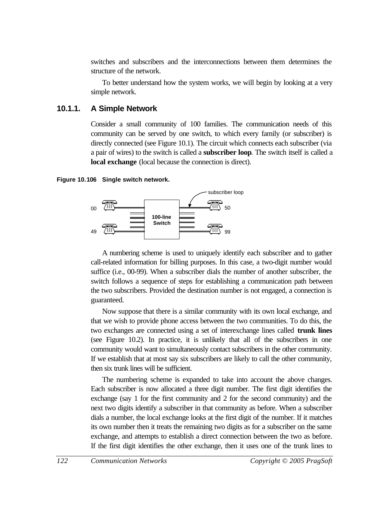switches and subscribers and the interconnections between them determines the structure of the network.

To better understand how the system works, we will begin by looking at a very simple network.

## **10.1.1. A Simple Network**

Consider a small community of 100 families. The communication needs of this community can be served by one switch, to which every family (or subscriber) is directly connected (see Figure 10.1). The circuit which connects each subscriber (via a pair of wires) to the switch is called a **subscriber loop**. The switch itself is called a **local exchange** (local because the connection is direct).

#### **Figure 10.106 Single switch network.**



A numbering scheme is used to uniquely identify each subscriber and to gather call-related information for billing purposes. In this case, a two-digit number would suffice (i.e., 00-99). When a subscriber dials the number of another subscriber, the switch follows a sequence of steps for establishing a communication path between the two subscribers. Provided the destination number is not engaged, a connection is guaranteed.

Now suppose that there is a similar community with its own local exchange, and that we wish to provide phone access between the two communities. To do this, the two exchanges are connected using a set of interexchange lines called **trunk lines** (see Figure 10.2). In practice, it is unlikely that all of the subscribers in one community would want to simultaneously contact subscribers in the other community. If we establish that at most say six subscribers are likely to call the other community, then six trunk lines will be sufficient.

The numbering scheme is expanded to take into account the above changes. Each subscriber is now allocated a three digit number. The first digit identifies the exchange (say 1 for the first community and 2 for the second community) and the next two digits identify a subscriber in that community as before. When a subscriber dials a number, the local exchange looks at the first digit of the number. If it matches its own number then it treats the remaining two digits as for a subscriber on the same exchange, and attempts to establish a direct connection between the two as before. If the first digit identifies the other exchange, then it uses one of the trunk lines to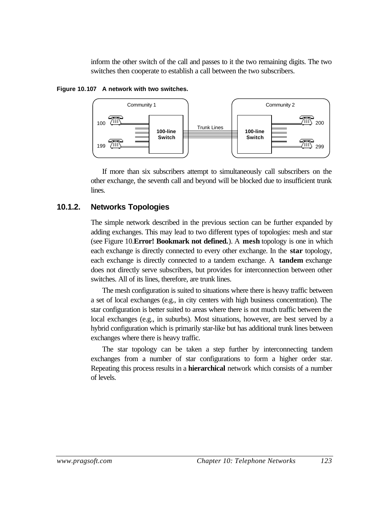inform the other switch of the call and passes to it the two remaining digits. The two switches then cooperate to establish a call between the two subscribers.





If more than six subscribers attempt to simultaneously call subscribers on the other exchange, the seventh call and beyond will be blocked due to insufficient trunk lines.

# **10.1.2. Networks Topologies**

The simple network described in the previous section can be further expanded by adding exchanges. This may lead to two different types of topologies: mesh and star (see Figure 10.**Error! Bookmark not defined.**). A **mesh** topology is one in which each exchange is directly connected to every other exchange. In the **star** topology, each exchange is directly connected to a tandem exchange. A **tandem** exchange does not directly serve subscribers, but provides for interconnection between other switches. All of its lines, therefore, are trunk lines.

The mesh configuration is suited to situations where there is heavy traffic between a set of local exchanges (e.g., in city centers with high business concentration). The star configuration is better suited to areas where there is not much traffic between the local exchanges (e.g., in suburbs). Most situations, however, are best served by a hybrid configuration which is primarily star-like but has additional trunk lines between exchanges where there is heavy traffic.

The star topology can be taken a step further by interconnecting tandem exchanges from a number of star configurations to form a higher order star. Repeating this process results in a **hierarchical** network which consists of a number of levels.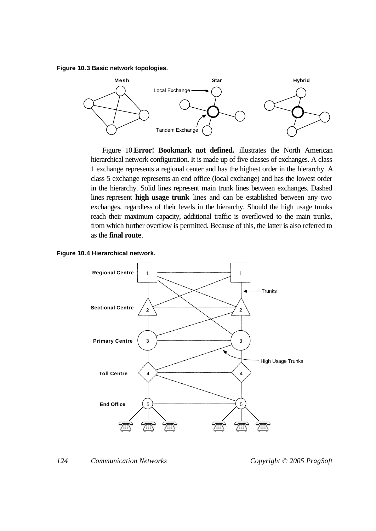**Figure 10.3 Basic network topologies.**



Figure 10.**Error! Bookmark not defined.** illustrates the North American hierarchical network configuration. It is made up of five classes of exchanges. A class 1 exchange represents a regional center and has the highest order in the hierarchy. A class 5 exchange represents an end office (local exchange) and has the lowest order in the hierarchy. Solid lines represent main trunk lines between exchanges. Dashed lines represent **high usage trunk** lines and can be established between any two exchanges, regardless of their levels in the hierarchy. Should the high usage trunks reach their maximum capacity, additional traffic is overflowed to the main trunks, from which further overflow is permitted. Because of this, the latter is also referred to as the **final route**.



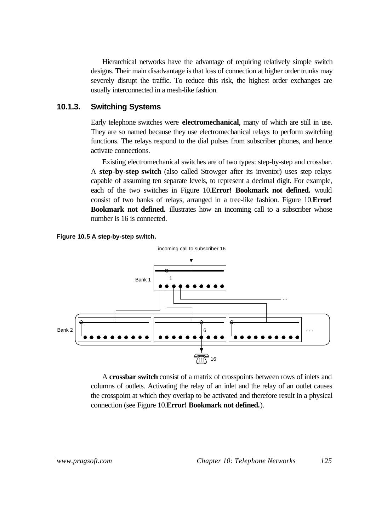Hierarchical networks have the advantage of requiring relatively simple switch designs. Their main disadvantage is that loss of connection at higher order trunks may severely disrupt the traffic. To reduce this risk, the highest order exchanges are usually interconnected in a mesh-like fashion.

## **10.1.3. Switching Systems**

Early telephone switches were **electromechanical**, many of which are still in use. They are so named because they use electromechanical relays to perform switching functions. The relays respond to the dial pulses from subscriber phones, and hence activate connections.

Existing electromechanical switches are of two types: step-by-step and crossbar. A **step-by-step switch** (also called Strowger after its inventor) uses step relays capable of assuming ten separate levels, to represent a decimal digit. For example, each of the two switches in Figure 10.**Error! Bookmark not defined.** would consist of two banks of relays, arranged in a tree-like fashion. Figure 10.**Error! Bookmark not defined.** illustrates how an incoming call to a subscriber whose number is 16 is connected.





A **crossbar switch** consist of a matrix of crosspoints between rows of inlets and columns of outlets. Activating the relay of an inlet and the relay of an outlet causes the crosspoint at which they overlap to be activated and therefore result in a physical connection (see Figure 10.**Error! Bookmark not defined.**).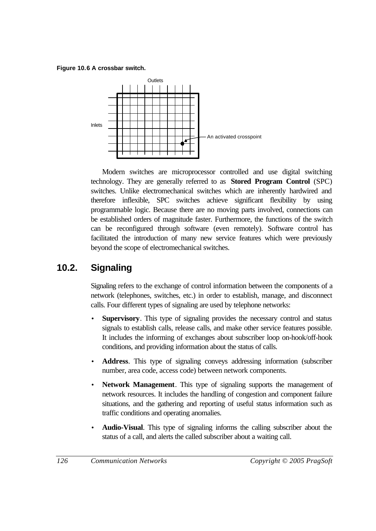**Figure 10.6 A crossbar switch.**



Modern switches are microprocessor controlled and use digital switching technology. They are generally referred to as **Stored Program Control** (SPC) switches. Unlike electromechanical switches which are inherently hardwired and therefore inflexible, SPC switches achieve significant flexibility by using programmable logic. Because there are no moving parts involved, connections can be established orders of magnitude faster. Furthermore, the functions of the switch can be reconfigured through software (even remotely). Software control has facilitated the introduction of many new service features which were previously beyond the scope of electromechanical switches.

# **10.2. Signaling**

Signaling refers to the exchange of control information between the components of a network (telephones, switches, etc.) in order to establish, manage, and disconnect calls. Four different types of signaling are used by telephone networks:

- **Supervisory**. This type of signaling provides the necessary control and status signals to establish calls, release calls, and make other service features possible. It includes the informing of exchanges about subscriber loop on-hook/off-hook conditions, and providing information about the status of calls.
- **Address**. This type of signaling conveys addressing information (subscriber number, area code, access code) between network components.
- **Network Management**. This type of signaling supports the management of network resources. It includes the handling of congestion and component failure situations, and the gathering and reporting of useful status information such as traffic conditions and operating anomalies.
- **Audio-Visual**. This type of signaling informs the calling subscriber about the status of a call, and alerts the called subscriber about a waiting call.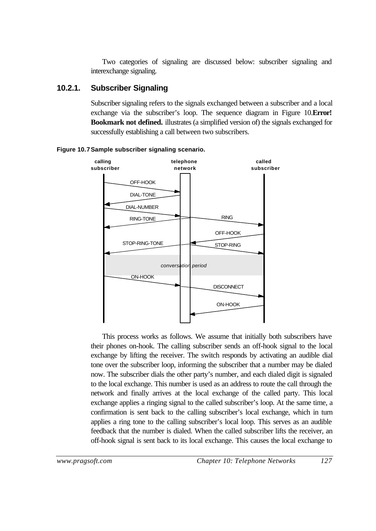Two categories of signaling are discussed below: subscriber signaling and interexchange signaling.

## **10.2.1. Subscriber Signaling**

Subscriber signaling refers to the signals exchanged between a subscriber and a local exchange via the subscriber's loop. The sequence diagram in Figure 10.**Error! Bookmark not defined.** illustrates (a simplified version of) the signals exchanged for successfully establishing a call between two subscribers.



#### **Figure 10.7Sample subscriber signaling scenario.**

This process works as follows. We assume that initially both subscribers have their phones on-hook. The calling subscriber sends an off-hook signal to the local exchange by lifting the receiver. The switch responds by activating an audible dial tone over the subscriber loop, informing the subscriber that a number may be dialed now. The subscriber dials the other party's number, and each dialed digit is signaled to the local exchange. This number is used as an address to route the call through the network and finally arrives at the local exchange of the called party. This local exchange applies a ringing signal to the called subscriber's loop. At the same time, a confirmation is sent back to the calling subscriber's local exchange, which in turn applies a ring tone to the calling subscriber's local loop. This serves as an audible feedback that the number is dialed. When the called subscriber lifts the receiver, an off-hook signal is sent back to its local exchange. This causes the local exchange to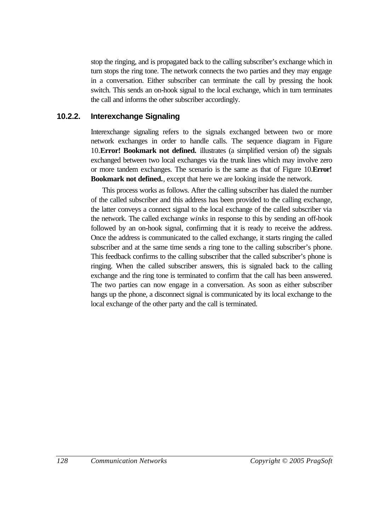stop the ringing, and is propagated back to the calling subscriber's exchange which in turn stops the ring tone. The network connects the two parties and they may engage in a conversation. Either subscriber can terminate the call by pressing the hook switch. This sends an on-hook signal to the local exchange, which in turn terminates the call and informs the other subscriber accordingly.

### **10.2.2. Interexchange Signaling**

Interexchange signaling refers to the signals exchanged between two or more network exchanges in order to handle calls. The sequence diagram in Figure 10.**Error! Bookmark not defined.** illustrates (a simplified version of) the signals exchanged between two local exchanges via the trunk lines which may involve zero or more tandem exchanges. The scenario is the same as that of Figure 10.**Error! Bookmark not defined.**, except that here we are looking inside the network.

This process works as follows. After the calling subscriber has dialed the number of the called subscriber and this address has been provided to the calling exchange, the latter conveys a connect signal to the local exchange of the called subscriber via the network. The called exchange *winks* in response to this by sending an off-hook followed by an on-hook signal, confirming that it is ready to receive the address. Once the address is communicated to the called exchange, it starts ringing the called subscriber and at the same time sends a ring tone to the calling subscriber's phone. This feedback confirms to the calling subscriber that the called subscriber's phone is ringing. When the called subscriber answers, this is signaled back to the calling exchange and the ring tone is terminated to confirm that the call has been answered. The two parties can now engage in a conversation. As soon as either subscriber hangs up the phone, a disconnect signal is communicated by its local exchange to the local exchange of the other party and the call is terminated.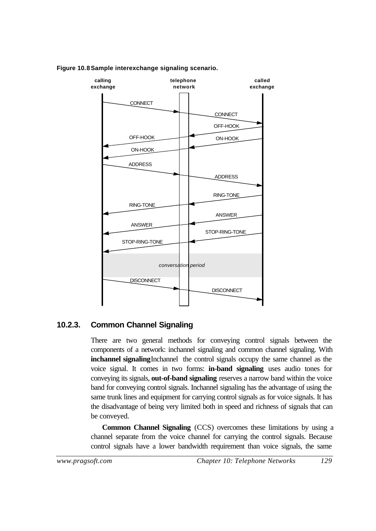

#### **Figure 10.8Sample interexchange signaling scenario.**

### **10.2.3. Common Channel Signaling**

There are two general methods for conveying control signals between the components of a network: inchannel signaling and common channel signaling. With **inchannel signaling**Inchannel the control signals occupy the same channel as the voice signal. It comes in two forms: **in-band signaling** uses audio tones for conveying its signals, **out-of-band signaling** reserves a narrow band within the voice band for conveying control signals. Inchannel signaling has the advantage of using the same trunk lines and equipment for carrying control signals as for voice signals. It has the disadvantage of being very limited both in speed and richness of signals that can be conveyed.

**Common Channel Signaling** (CCS) overcomes these limitations by using a channel separate from the voice channel for carrying the control signals. Because control signals have a lower bandwidth requirement than voice signals, the same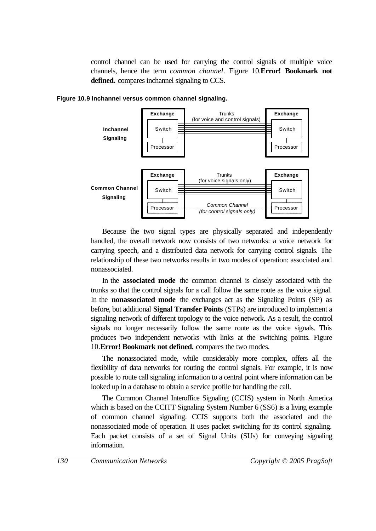control channel can be used for carrying the control signals of multiple voice channels, hence the term *common channel*. Figure 10.**Error! Bookmark not defined.** compares inchannel signaling to CCS.



**Figure 10.9 Inchannel versus common channel signaling.**

Because the two signal types are physically separated and independently handled, the overall network now consists of two networks: a voice network for carrying speech, and a distributed data network for carrying control signals. The relationship of these two networks results in two modes of operation: associated and nonassociated.

In the **associated mode** the common channel is closely associated with the trunks so that the control signals for a call follow the same route as the voice signal. In the **nonassociated mode** the exchanges act as the Signaling Points (SP) as before, but additional **Signal Transfer Points** (STPs) are introduced to implement a signaling network of different topology to the voice network. As a result, the control signals no longer necessarily follow the same route as the voice signals. This produces two independent networks with links at the switching points. Figure 10.**Error! Bookmark not defined.** compares the two modes.

The nonassociated mode, while considerably more complex, offers all the flexibility of data networks for routing the control signals. For example, it is now possible to route call signaling information to a central point where information can be looked up in a database to obtain a service profile for handling the call.

The Common Channel Interoffice Signaling (CCIS) system in North America which is based on the CCITT Signaling System Number 6 (SS6) is a living example of common channel signaling. CCIS supports both the associated and the nonassociated mode of operation. It uses packet switching for its control signaling. Each packet consists of a set of Signal Units (SUs) for conveying signaling information.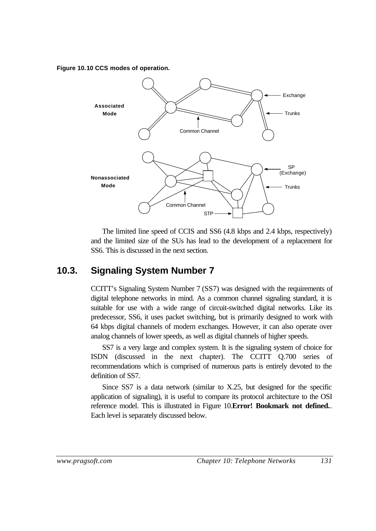#### **Figure 10.10 CCS modes of operation.**



The limited line speed of CCIS and SS6 (4.8 kbps and 2.4 kbps, respectively) and the limited size of the SUs has lead to the development of a replacement for SS6. This is discussed in the next section.

## **10.3. Signaling System Number 7**

CCITT's Signaling System Number 7 (SS7) was designed with the requirements of digital telephone networks in mind. As a common channel signaling standard, it is suitable for use with a wide range of circuit-switched digital networks. Like its predecessor, SS6, it uses packet switching, but is primarily designed to work with 64 kbps digital channels of modern exchanges. However, it can also operate over analog channels of lower speeds, as well as digital channels of higher speeds.

SS7 is a very large and complex system. It is the signaling system of choice for ISDN (discussed in the next chapter). The CCITT Q.700 series of recommendations which is comprised of numerous parts is entirely devoted to the definition of SS7.

Since SS7 is a data network (similar to X.25, but designed for the specific application of signaling), it is useful to compare its protocol architecture to the OSI reference model. This is illustrated in Figure 10.**Error! Bookmark not defined.**. Each level is separately discussed below.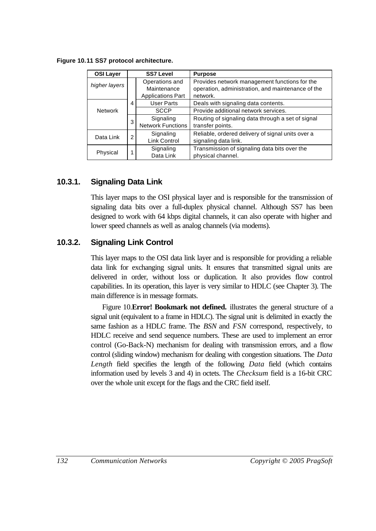| <b>OSI Layer</b>                        | <b>SS7 Level</b> |                                         | <b>Purpose</b>                                                            |
|-----------------------------------------|------------------|-----------------------------------------|---------------------------------------------------------------------------|
| higher layers                           |                  | Operations and                          | Provides network management functions for the                             |
|                                         |                  | Maintenance<br><b>Applications Part</b> | operation, administration, and maintenance of the<br>network.             |
|                                         | 4                | <b>User Parts</b>                       | Deals with signaling data contents.                                       |
| <b>Network</b>                          |                  | <b>SCCP</b>                             | Provide additional network services.                                      |
|                                         | 3                | Signaling<br><b>Network Functions</b>   | Routing of signaling data through a set of signal<br>transfer points.     |
| Data Link                               | $\overline{2}$   | Signaling<br>Link Control               | Reliable, ordered delivery of signal units over a<br>signaling data link. |
| Signaling<br>1<br>Physical<br>Data Link |                  |                                         | Transmission of signaling data bits over the<br>physical channel.         |

**Figure 10.11 SS7 protocol architecture.**

## **10.3.1. Signaling Data Link**

This layer maps to the OSI physical layer and is responsible for the transmission of signaling data bits over a full-duplex physical channel. Although SS7 has been designed to work with 64 kbps digital channels, it can also operate with higher and lower speed channels as well as analog channels (via modems).

## **10.3.2. Signaling Link Control**

This layer maps to the OSI data link layer and is responsible for providing a reliable data link for exchanging signal units. It ensures that transmitted signal units are delivered in order, without loss or duplication. It also provides flow control capabilities. In its operation, this layer is very similar to HDLC (see Chapter 3). The main difference is in message formats.

Figure 10.**Error! Bookmark not defined.** illustrates the general structure of a signal unit (equivalent to a frame in HDLC). The signal unit is delimited in exactly the same fashion as a HDLC frame. The *BSN* and *FSN* correspond, respectively, to HDLC receive and send sequence numbers. These are used to implement an error control (Go-Back-N) mechanism for dealing with transmission errors, and a flow control (sliding window) mechanism for dealing with congestion situations. The *Data Length* field specifies the length of the following *Data* field (which contains information used by levels 3 and 4) in octets. The *Checksum* field is a 16-bit CRC over the whole unit except for the flags and the CRC field itself.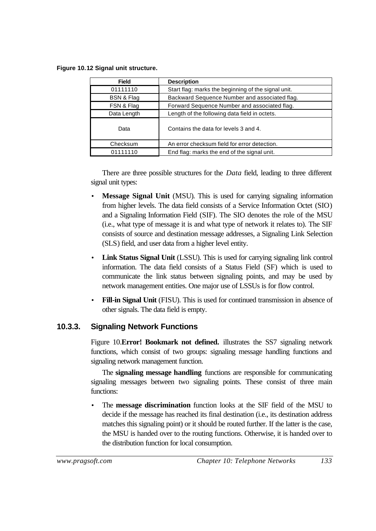**Figure 10.12 Signal unit structure.**

| <b>Field</b>          | <b>Description</b>                                  |
|-----------------------|-----------------------------------------------------|
| 01111110              | Start flag: marks the beginning of the signal unit. |
| <b>BSN &amp; Flag</b> | Backward Sequence Number and associated flag.       |
| FSN & Flag            | Forward Sequence Number and associated flag.        |
| Data Length           | Length of the following data field in octets.       |
| Data                  | Contains the data for levels 3 and 4.               |
| Checksum              | An error checksum field for error detection.        |
| 01111110              | End flag: marks the end of the signal unit.         |

There are three possible structures for the *Data* field, leading to three different signal unit types:

- **Message Signal Unit** (MSU). This is used for carrying signaling information from higher levels. The data field consists of a Service Information Octet (SIO) and a Signaling Information Field (SIF). The SIO denotes the role of the MSU (i.e., what type of message it is and what type of network it relates to). The SIF consists of source and destination message addresses, a Signaling Link Selection (SLS) field, and user data from a higher level entity.
- **Link Status Signal Unit** (LSSU). This is used for carrying signaling link control information. The data field consists of a Status Field (SF) which is used to communicate the link status between signaling points, and may be used by network management entities. One major use of LSSUs is for flow control.
- **Fill-in Signal Unit** (FISU). This is used for continued transmission in absence of other signals. The data field is empty.

## **10.3.3. Signaling Network Functions**

Figure 10.**Error! Bookmark not defined.** illustrates the SS7 signaling network functions, which consist of two groups: signaling message handling functions and signaling network management function.

The **signaling message handling** functions are responsible for communicating signaling messages between two signaling points. These consist of three main functions:

• The **message discrimination** function looks at the SIF field of the MSU to decide if the message has reached its final destination (i.e., its destination address matches this signaling point) or it should be routed further. If the latter is the case, the MSU is handed over to the routing functions. Otherwise, it is handed over to the distribution function for local consumption.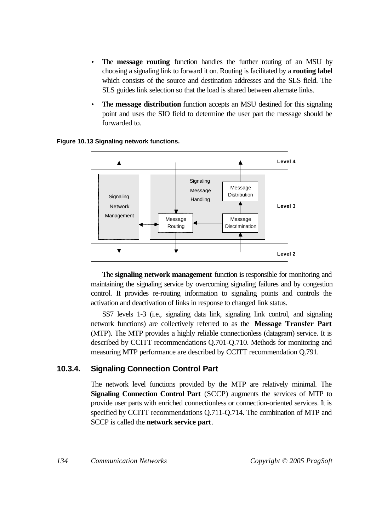- The **message routing** function handles the further routing of an MSU by choosing a signaling link to forward it on. Routing is facilitated by a **routing label** which consists of the source and destination addresses and the SLS field. The SLS guides link selection so that the load is shared between alternate links.
- The **message distribution** function accepts an MSU destined for this signaling point and uses the SIO field to determine the user part the message should be forwarded to.

**Figure 10.13 Signaling network functions.**



The **signaling network management** function is responsible for monitoring and maintaining the signaling service by overcoming signaling failures and by congestion control. It provides re-routing information to signaling points and controls the activation and deactivation of links in response to changed link status.

SS7 levels 1-3 (i.e., signaling data link, signaling link control, and signaling network functions) are collectively referred to as the **Message Transfer Part** (MTP). The MTP provides a highly reliable connectionless (datagram) service. It is described by CCITT recommendations Q.701-Q.710. Methods for monitoring and measuring MTP performance are described by CCITT recommendation Q.791.

## **10.3.4. Signaling Connection Control Part**

The network level functions provided by the MTP are relatively minimal. The **Signaling Connection Control Part** (SCCP) augments the services of MTP to provide user parts with enriched connectionless or connection-oriented services. It is specified by CCITT recommendations Q.711-Q.714. The combination of MTP and SCCP is called the **network service part**.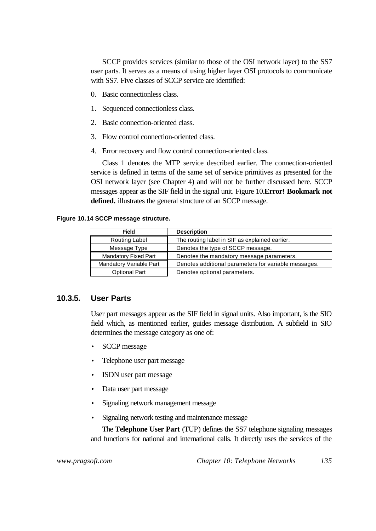SCCP provides services (similar to those of the OSI network layer) to the SS7 user parts. It serves as a means of using higher layer OSI protocols to communicate with SS7. Five classes of SCCP service are identified:

- 0. Basic connectionless class.
- 1. Sequenced connectionless class.
- 2. Basic connection-oriented class.
- 3. Flow control connection-oriented class.
- 4. Error recovery and flow control connection-oriented class.

Class 1 denotes the MTP service described earlier. The connection-oriented service is defined in terms of the same set of service primitives as presented for the OSI network layer (see Chapter 4) and will not be further discussed here. SCCP messages appear as the SIF field in the signal unit. Figure 10.**Error! Bookmark not defined.** illustrates the general structure of an SCCP message.

#### **Figure 10.14 SCCP message structure.**

| <b>Field</b>                | <b>Description</b>                                   |  |
|-----------------------------|------------------------------------------------------|--|
| Routing Label               | The routing label in SIF as explained earlier.       |  |
| Message Type                | Denotes the type of SCCP message.                    |  |
| <b>Mandatory Fixed Part</b> | Denotes the mandatory message parameters.            |  |
| Mandatory Variable Part     | Denotes additional parameters for variable messages. |  |
| <b>Optional Part</b>        | Denotes optional parameters.                         |  |

### **10.3.5. User Parts**

User part messages appear as the SIF field in signal units. Also important, is the SIO field which, as mentioned earlier, guides message distribution. A subfield in SIO determines the message category as one of:

- SCCP message
- Telephone user part message
- ISDN user part message
- Data user part message
- Signaling network management message
- Signaling network testing and maintenance message

The **Telephone User Part** (TUP) defines the SS7 telephone signaling messages and functions for national and international calls. It directly uses the services of the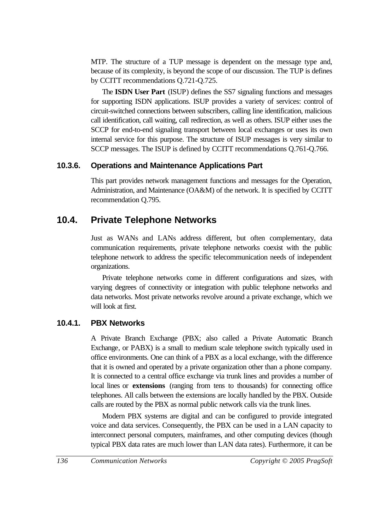MTP. The structure of a TUP message is dependent on the message type and, because of its complexity, is beyond the scope of our discussion. The TUP is defines by CCITT recommendations Q.721-Q.725.

The **ISDN User Part** (ISUP) defines the SS7 signaling functions and messages for supporting ISDN applications. ISUP provides a variety of services: control of circuit-switched connections between subscribers, calling line identification, malicious call identification, call waiting, call redirection, as well as others. ISUP either uses the SCCP for end-to-end signaling transport between local exchanges or uses its own internal service for this purpose. The structure of ISUP messages is very similar to SCCP messages. The ISUP is defined by CCITT recommendations Q.761-Q.766.

### **10.3.6. Operations and Maintenance Applications Part**

This part provides network management functions and messages for the Operation, Administration, and Maintenance (OA&M) of the network. It is specified by CCITT recommendation Q.795.

## **10.4. Private Telephone Networks**

Just as WANs and LANs address different, but often complementary, data communication requirements, private telephone networks coexist with the public telephone network to address the specific telecommunication needs of independent organizations.

Private telephone networks come in different configurations and sizes, with varying degrees of connectivity or integration with public telephone networks and data networks. Most private networks revolve around a private exchange, which we will look at first.

## **10.4.1. PBX Networks**

A Private Branch Exchange (PBX; also called a Private Automatic Branch Exchange, or PABX) is a small to medium scale telephone switch typically used in office environments. One can think of a PBX as a local exchange, with the difference that it is owned and operated by a private organization other than a phone company. It is connected to a central office exchange via trunk lines and provides a number of local lines or **extensions** (ranging from tens to thousands) for connecting office telephones. All calls between the extensions are locally handled by the PBX. Outside calls are routed by the PBX as normal public network calls via the trunk lines.

Modern PBX systems are digital and can be configured to provide integrated voice and data services. Consequently, the PBX can be used in a LAN capacity to interconnect personal computers, mainframes, and other computing devices (though typical PBX data rates are much lower than LAN data rates). Furthermore, it can be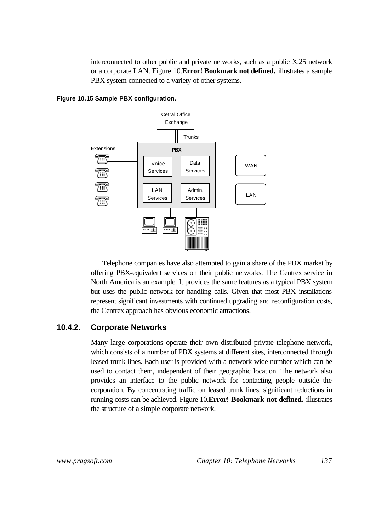interconnected to other public and private networks, such as a public X.25 network or a corporate LAN. Figure 10.**Error! Bookmark not defined.** illustrates a sample PBX system connected to a variety of other systems.



**Figure 10.15 Sample PBX configuration.**

Telephone companies have also attempted to gain a share of the PBX market by offering PBX-equivalent services on their public networks. The Centrex service in North America is an example. It provides the same features as a typical PBX system but uses the public network for handling calls. Given that most PBX installations represent significant investments with continued upgrading and reconfiguration costs, the Centrex approach has obvious economic attractions.

### **10.4.2. Corporate Networks**

Many large corporations operate their own distributed private telephone network, which consists of a number of PBX systems at different sites, interconnected through leased trunk lines. Each user is provided with a network-wide number which can be used to contact them, independent of their geographic location. The network also provides an interface to the public network for contacting people outside the corporation. By concentrating traffic on leased trunk lines, significant reductions in running costs can be achieved. Figure 10.**Error! Bookmark not defined.** illustrates the structure of a simple corporate network.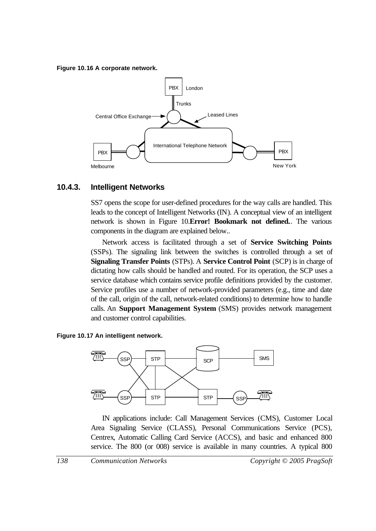#### **Figure 10.16 A corporate network.**



### **10.4.3. Intelligent Networks**

SS7 opens the scope for user-defined procedures for the way calls are handled. This leads to the concept of Intelligent Networks (IN). A conceptual view of an intelligent network is shown in Figure 10.**Error! Bookmark not defined.**. The various components in the diagram are explained below..

Network access is facilitated through a set of **Service Switching Points** (SSPs). The signaling link between the switches is controlled through a set of **Signaling Transfer Points** (STPs). A **Service Control Point** (SCP) is in charge of dictating how calls should be handled and routed. For its operation, the SCP uses a service database which contains service profile definitions provided by the customer. Service profiles use a number of network-provided parameters (e.g., time and date of the call, origin of the call, network-related conditions) to determine how to handle calls. An **Support Management System** (SMS) provides network management and customer control capabilities.





IN applications include: Call Management Services (CMS), Customer Local Area Signaling Service (CLASS), Personal Communications Service (PCS), Centrex, Automatic Calling Card Service (ACCS), and basic and enhanced 800 service. The 800 (or 008) service is available in many countries. A typical 800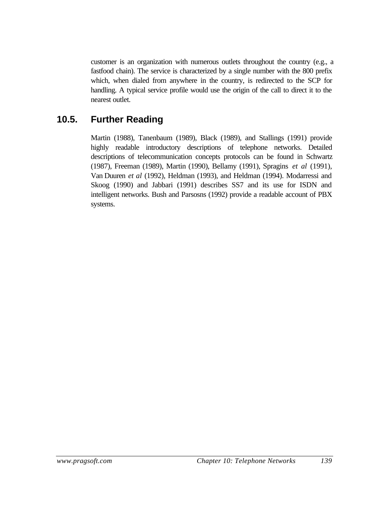customer is an organization with numerous outlets throughout the country (e.g., a fastfood chain). The service is characterized by a single number with the 800 prefix which, when dialed from anywhere in the country, is redirected to the SCP for handling. A typical service profile would use the origin of the call to direct it to the nearest outlet.

## **10.5. Further Reading**

Martin (1988), Tanenbaum (1989), Black (1989), and Stallings (1991) provide highly readable introductory descriptions of telephone networks. Detailed descriptions of telecommunication concepts protocols can be found in Schwartz (1987), Freeman (1989), Martin (1990), Bellamy (1991), Spragins *et al* (1991), Van Duuren *et al* (1992), Heldman (1993), and Heldman (1994). Modarressi and Skoog (1990) and Jabbari (1991) describes SS7 and its use for ISDN and intelligent networks. Bush and Parsosns (1992) provide a readable account of PBX systems.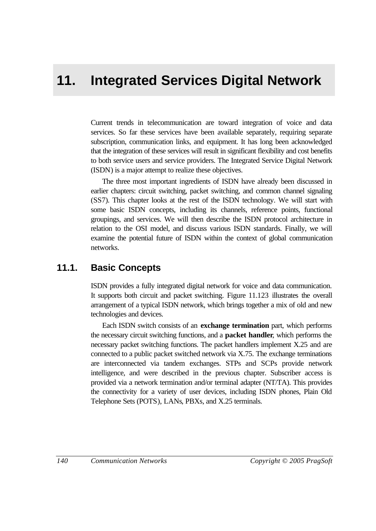# **11. Integrated Services Digital Network**

Current trends in telecommunication are toward integration of voice and data services. So far these services have been available separately, requiring separate subscription, communication links, and equipment. It has long been acknowledged that the integration of these services will result in significant flexibility and cost benefits to both service users and service providers. The Integrated Service Digital Network (ISDN) is a major attempt to realize these objectives.

The three most important ingredients of ISDN have already been discussed in earlier chapters: circuit switching, packet switching, and common channel signaling (SS7). This chapter looks at the rest of the ISDN technology. We will start with some basic ISDN concepts, including its channels, reference points, functional groupings, and services. We will then describe the ISDN protocol architecture in relation to the OSI model, and discuss various ISDN standards. Finally, we will examine the potential future of ISDN within the context of global communication networks.

## **11.1. Basic Concepts**

ISDN provides a fully integrated digital network for voice and data communication. It supports both circuit and packet switching. Figure 11.123 illustrates the overall arrangement of a typical ISDN network, which brings together a mix of old and new technologies and devices.

Each ISDN switch consists of an **exchange termination** part, which performs the necessary circuit switching functions, and a **packet handler**, which performs the necessary packet switching functions. The packet handlers implement X.25 and are connected to a public packet switched network via X.75. The exchange terminations are interconnected via tandem exchanges. STPs and SCPs provide network intelligence, and were described in the previous chapter. Subscriber access is provided via a network termination and/or terminal adapter (NT/TA). This provides the connectivity for a variety of user devices, including ISDN phones, Plain Old Telephone Sets (POTS), LANs, PBXs, and X.25 terminals.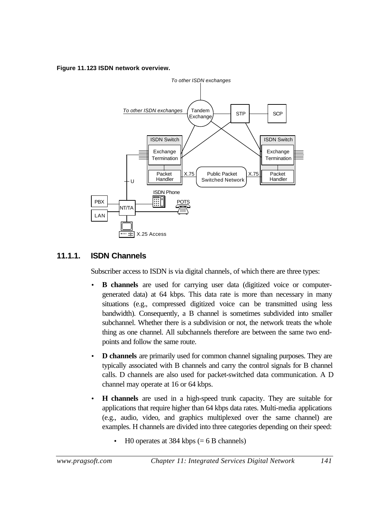#### **Figure 11.123 ISDN network overview.**



## **11.1.1. ISDN Channels**

Subscriber access to ISDN is via digital channels, of which there are three types:

- **B** channels are used for carrying user data (digitized voice or computergenerated data) at 64 kbps. This data rate is more than necessary in many situations (e.g., compressed digitized voice can be transmitted using less bandwidth). Consequently, a B channel is sometimes subdivided into smaller subchannel. Whether there is a subdivision or not, the network treats the whole thing as one channel. All subchannels therefore are between the same two endpoints and follow the same route.
- **D channels** are primarily used for common channel signaling purposes. They are typically associated with B channels and carry the control signals for B channel calls. D channels are also used for packet-switched data communication. A D channel may operate at 16 or 64 kbps.
- **H channels** are used in a high-speed trunk capacity. They are suitable for applications that require higher than 64 kbps data rates. Multi-media applications (e.g., audio, video, and graphics multiplexed over the same channel) are examples. H channels are divided into three categories depending on their speed:
	- $H0$  operates at 384 kbps (= 6 B channels)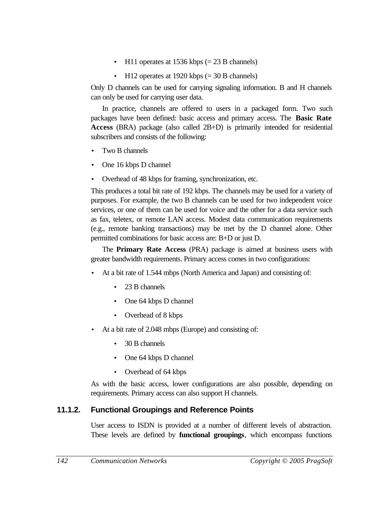- H11 operates at 1536 kbps  $(= 23 B \text{ channels})$
- H12 operates at 1920 kbps  $(= 30 B \text{ channels})$

Only D channels can be used for carrying signaling information. B and H channels can only be used for carrying user data.

In practice, channels are offered to users in a packaged form. Two such packages have been defined: basic access and primary access. The **Basic Rate Access** (BRA) package (also called 2B+D) is primarily intended for residential subscribers and consists of the following:

- Two B channels
- One 16 kbps D channel
- Overhead of 48 kbps for framing, synchronization, etc.

This produces a total bit rate of 192 kbps. The channels may be used for a variety of purposes. For example, the two B channels can be used for two independent voice services, or one of them can be used for voice and the other for a data service such as fax, teletex, or remote LAN access. Modest data communication requirements (e.g., remote banking transactions) may be met by the D channel alone. Other permitted combinations for basic access are: B+D or just D.

The **Primary Rate Access** (PRA) package is aimed at business users with greater bandwidth requirements. Primary access comes in two configurations:

- At a bit rate of 1.544 mbps (North America and Japan) and consisting of:
	- 23 B channels
	- One 64 kbps D channel
	- Overhead of 8 kbps
- At a bit rate of 2.048 mbps (Europe) and consisting of:
	- 30 B channels
	- One 64 kbps D channel
	- Overhead of 64 kbps

As with the basic access, lower configurations are also possible, depending on requirements. Primary access can also support H channels.

## **11.1.2. Functional Groupings and Reference Points**

User access to ISDN is provided at a number of different levels of abstraction. These levels are defined by **functional groupings**, which encompass functions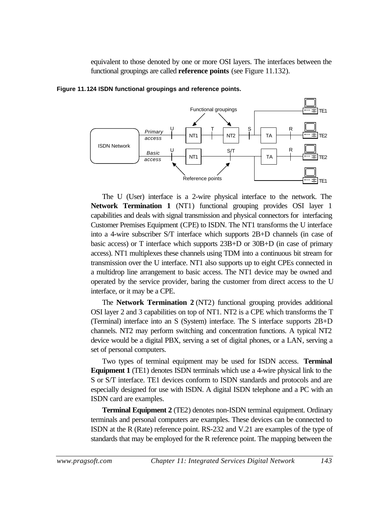equivalent to those denoted by one or more OSI layers. The interfaces between the functional groupings are called **reference points** (see Figure 11.132).



**Figure 11.124 ISDN functional groupings and reference points.**

The U (User) interface is a 2-wire physical interface to the network. The **Network Termination 1** (NT1) functional grouping provides OSI layer 1 capabilities and deals with signal transmission and physical connectors for interfacing Customer Premises Equipment (CPE) to ISDN. The NT1 transforms the U interface into a 4-wire subscriber S/T interface which supports 2B+D channels (in case of basic access) or T interface which supports 23B+D or 30B+D (in case of primary access). NT1 multiplexes these channels using TDM into a continuous bit stream for transmission over the U interface. NT1 also supports up to eight CPEs connected in a multidrop line arrangement to basic access. The NT1 device may be owned and operated by the service provider, baring the customer from direct access to the U interface, or it may be a CPE.

The **Network Termination 2** (NT2) functional grouping provides additional OSI layer 2 and 3 capabilities on top of NT1. NT2 is a CPE which transforms the T (Terminal) interface into an S (System) interface. The S interface supports 2B+D channels. NT2 may perform switching and concentration functions. A typical NT2 device would be a digital PBX, serving a set of digital phones, or a LAN, serving a set of personal computers.

Two types of terminal equipment may be used for ISDN access. **Terminal Equipment 1** (TE1) denotes ISDN terminals which use a 4-wire physical link to the S or S/T interface. TE1 devices conform to ISDN standards and protocols and are especially designed for use with ISDN. A digital ISDN telephone and a PC with an ISDN card are examples.

**Terminal Equipment 2** (TE2) denotes non-ISDN terminal equipment. Ordinary terminals and personal computers are examples. These devices can be connected to ISDN at the R (Rate) reference point. RS-232 and V.21 are examples of the type of standards that may be employed for the R reference point. The mapping between the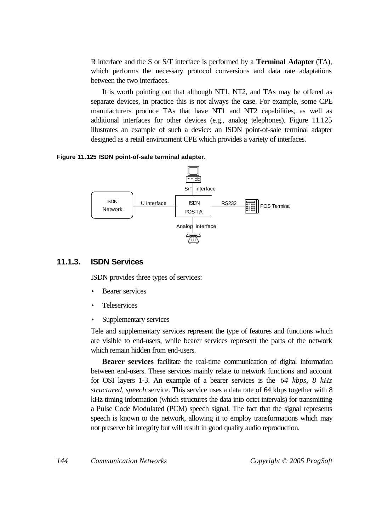R interface and the S or S/T interface is performed by a **Terminal Adapter** (TA), which performs the necessary protocol conversions and data rate adaptations between the two interfaces.

It is worth pointing out that although NT1, NT2, and TAs may be offered as separate devices, in practice this is not always the case. For example, some CPE manufacturers produce TAs that have NT1 and NT2 capabilities, as well as additional interfaces for other devices (e.g., analog telephones). Figure 11.125 illustrates an example of such a device: an ISDN point-of-sale terminal adapter designed as a retail environment CPE which provides a variety of interfaces.

#### **Figure 11.125 ISDN point-of-sale terminal adapter.**



### **11.1.3. ISDN Services**

ISDN provides three types of services:

- **Bearer services**
- **Teleservices**
- Supplementary services

Tele and supplementary services represent the type of features and functions which are visible to end-users, while bearer services represent the parts of the network which remain hidden from end-users.

**Bearer services** facilitate the real-time communication of digital information between end-users. These services mainly relate to network functions and account for OSI layers 1-3. An example of a bearer services is the *64 kbps, 8 kHz structured, speech* service. This service uses a data rate of 64 kbps together with 8 kHz timing information (which structures the data into octet intervals) for transmitting a Pulse Code Modulated (PCM) speech signal. The fact that the signal represents speech is known to the network, allowing it to employ transformations which may not preserve bit integrity but will result in good quality audio reproduction.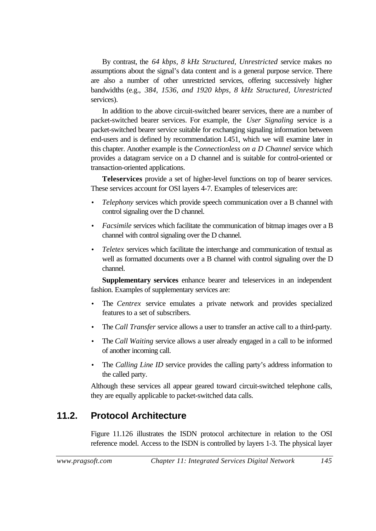By contrast, the *64 kbps, 8 kHz Structured, Unrestricted* service makes no assumptions about the signal's data content and is a general purpose service. There are also a number of other unrestricted services, offering successively higher bandwidths (e.g., *384, 1536, and 1920 kbps, 8 kHz Structured, Unrestricted* services).

In addition to the above circuit-switched bearer services, there are a number of packet-switched bearer services. For example, the *User Signaling* service is a packet-switched bearer service suitable for exchanging signaling information between end-users and is defined by recommendation I.451, which we will examine later in this chapter. Another example is the *Connectionless on a D Channel* service which provides a datagram service on a D channel and is suitable for control-oriented or transaction-oriented applications.

**Teleservices** provide a set of higher-level functions on top of bearer services. These services account for OSI layers 4-7. Examples of teleservices are:

- *Telephony* services which provide speech communication over a B channel with control signaling over the D channel.
- *Facsimile* services which facilitate the communication of bitmap images over a B channel with control signaling over the D channel.
- *Teletex* services which facilitate the interchange and communication of textual as well as formatted documents over a B channel with control signaling over the D channel.

**Supplementary services** enhance bearer and teleservices in an independent fashion. Examples of supplementary services are:

- The *Centrex* service emulates a private network and provides specialized features to a set of subscribers.
- The *Call Transfer* service allows a user to transfer an active call to a third-party.
- The *Call Waiting* service allows a user already engaged in a call to be informed of another incoming call.
- The *Calling Line ID* service provides the calling party's address information to the called party.

Although these services all appear geared toward circuit-switched telephone calls, they are equally applicable to packet-switched data calls.

## **11.2. Protocol Architecture**

Figure 11.126 illustrates the ISDN protocol architecture in relation to the OSI reference model. Access to the ISDN is controlled by layers 1-3. The physical layer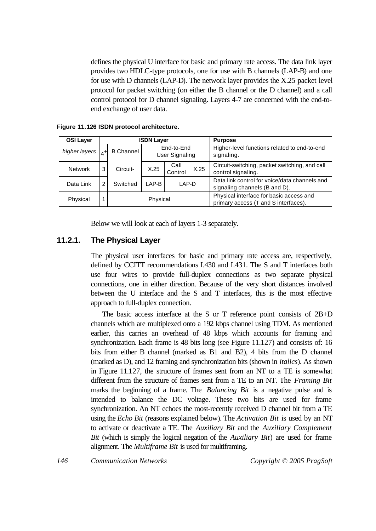defines the physical U interface for basic and primary rate access. The data link layer provides two HDLC-type protocols, one for use with B channels (LAP-B) and one for use with D channels (LAP-D). The network layer provides the X.25 packet level protocol for packet switching (on either the B channel or the D channel) and a call control protocol for D channel signaling. Layers 4-7 are concerned with the end-toend exchange of user data.

| <b>OSI Layer</b> |   | <b>ISDN Layer</b> |                                     |                 |      | <b>Purpose</b>                                                                  |
|------------------|---|-------------------|-------------------------------------|-----------------|------|---------------------------------------------------------------------------------|
| higher layers    |   | <b>B</b> Channel  | End-to-End<br><b>User Signaling</b> |                 |      | Higher-level functions related to end-to-end<br>signaling.                      |
| <b>Network</b>   | 3 | Circuit-          | X.25                                | Call<br>Control | X.25 | Circuit-switching, packet switching, and call<br>control signaling.             |
| Data Link        | 2 | Switched          | LAP-B                               | LAP-D           |      | Data link control for voice/data channels and<br>signaling channels (B and D).  |
| Physical         |   |                   | Physical                            |                 |      | Physical interface for basic access and<br>primary access (T and S interfaces). |

**Figure 11.126 ISDN protocol architecture.**

Below we will look at each of layers 1-3 separately.

## **11.2.1. The Physical Layer**

The physical user interfaces for basic and primary rate access are, respectively, defined by CCITT recommendations I.430 and I.431. The S and T interfaces both use four wires to provide full-duplex connections as two separate physical connections, one in either direction. Because of the very short distances involved between the U interface and the S and T interfaces, this is the most effective approach to full-duplex connection.

The basic access interface at the S or T reference point consists of 2B+D channels which are multiplexed onto a 192 kbps channel using TDM. As mentioned earlier, this carries an overhead of 48 kbps which accounts for framing and synchronization. Each frame is 48 bits long (see Figure 11.127) and consists of: 16 bits from either B channel (marked as B1 and B2), 4 bits from the D channel (marked as D), and 12 framing and synchronization bits (shown in *italics*). As shown in Figure 11.127, the structure of frames sent from an NT to a TE is somewhat different from the structure of frames sent from a TE to an NT. The *Framing Bit* marks the beginning of a frame. The *Balancing Bit* is a negative pulse and is intended to balance the DC voltage. These two bits are used for frame synchronization. An NT echoes the most-recently received D channel bit from a TE using the *Echo Bit* (reasons explained below). The *Activation Bit* is used by an NT to activate or deactivate a TE. The *Auxiliary Bit* and the *Auxiliary Complement Bit* (which is simply the logical negation of the *Auxiliary Bit*) are used for frame alignment. The *Multiframe Bit* is used for multiframing.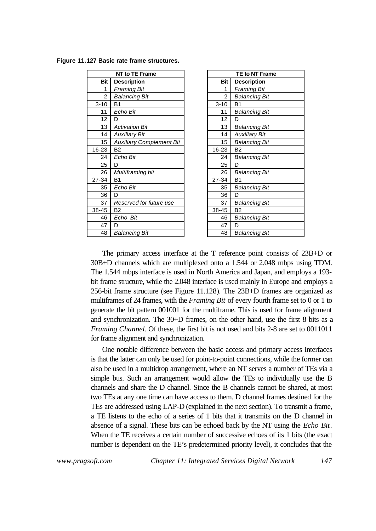**Figure 11.127 Basic rate frame structures.**

|                | <b>NT to TE Frame</b>           |            | <b>TE to NT Frat</b> |
|----------------|---------------------------------|------------|----------------------|
| <b>Bit</b>     | <b>Description</b>              | <b>Bit</b> | <b>Description</b>   |
| 1              | Framing Bit                     | 1          | <b>Framing Bit</b>   |
| $\overline{c}$ | <b>Balancing Bit</b>            | 2          | <b>Balancing Bit</b> |
| $3 - 10$       | B <sub>1</sub>                  | $3 - 10$   | B <sub>1</sub>       |
| 11             | Echo Bit                        | 11         | <b>Balancing Bit</b> |
| 12             | D                               | 12         | D                    |
| 13             | Activation Bit                  | 13         | <b>Balancing Bit</b> |
| 14             | Auxiliary Bit                   | 14         | Auxiliary Bit        |
| 15             | <b>Auxiliary Complement Bit</b> | 15         | <b>Balancing Bit</b> |
| 16-23          | <b>B2</b>                       | 16-23      | B <sub>2</sub>       |
| 24             | Echo Bit                        | 24         | Balancing Bit        |
| 25             | D                               | 25         | D                    |
| 26             | Multiframing bit                | 26         | Balancing Bit        |
| 27-34          | B <sub>1</sub>                  | 27-34      | B <sub>1</sub>       |
| 35             | Echo Bit                        | 35         | <b>Balancing Bit</b> |
| 36             | D                               | 36         | D                    |
| 37             | Reserved for future use         | 37         | Balancing Bit        |
| 38-45          | <b>B2</b>                       | 38-45      | B <sub>2</sub>       |
| 46             | Echo Bit                        | 46         | <b>Balancing Bit</b> |
| 47             | D                               | 47         | D                    |
| 48             | Balancing Bit                   | 48         | <b>Balancing Bit</b> |
|                |                                 |            |                      |

| <b>NT to TE Frame</b>    |                | TE to NT Frame       |
|--------------------------|----------------|----------------------|
| <b>Description</b>       | Bit            | <b>Description</b>   |
| Framing Bit              | 1              | <b>Framing Bit</b>   |
| Balancing Bit            | $\overline{2}$ | <b>Balancing Bit</b> |
| 31                       | $3 - 10$       | B <sub>1</sub>       |
| Echo Bit                 | 11             | <b>Balancing Bit</b> |
|                          | 12             | D                    |
| A <i>ctivation Bit</i>   | 13             | <b>Balancing Bit</b> |
| A <i>uxiliary Bit</i>    | 14             | <b>Auxiliary Bit</b> |
| Auxiliary Complement Bit | 15             | <b>Balancing Bit</b> |
| 32                       | 16-23          | B <sub>2</sub>       |
| Echo Bit                 | 24             | <b>Balancing Bit</b> |
|                          | 25             | D                    |
| Multiframing bit         | 26             | <b>Balancing Bit</b> |
| 31                       | 27-34          | B1                   |
| Echo Bit                 | 35             | <b>Balancing Bit</b> |
|                          | 36             | D                    |
| Reserved for future use  | 37             | <b>Balancing Bit</b> |
| 32                       | 38-45          | B <sub>2</sub>       |
| Echo Bit                 | 46             | <b>Balancing Bit</b> |
|                          | 47             | D                    |
| Balancing Bit            | 48             | <b>Balancing Bit</b> |

The primary access interface at the T reference point consists of 23B+D or 30B+D channels which are multiplexed onto a 1.544 or 2.048 mbps using TDM. The 1.544 mbps interface is used in North America and Japan, and employs a 193 bit frame structure, while the 2.048 interface is used mainly in Europe and employs a 256-bit frame structure (see Figure 11.128). The 23B+D frames are organized as multiframes of 24 frames, with the *Framing Bit* of every fourth frame set to 0 or 1 to generate the bit pattern 001001 for the multiframe. This is used for frame alignment and synchronization. The 30+D frames, on the other hand, use the first 8 bits as a *Framing Channel*. Of these, the first bit is not used and bits 2-8 are set to 0011011 for frame alignment and synchronization.

One notable difference between the basic access and primary access interfaces is that the latter can only be used for point-to-point connections, while the former can also be used in a multidrop arrangement, where an NT serves a number of TEs via a simple bus. Such an arrangement would allow the TEs to individually use the B channels and share the D channel. Since the B channels cannot be shared, at most two TEs at any one time can have access to them. D channel frames destined for the TEs are addressed using LAP-D (explained in the next section). To transmit a frame, a TE listens to the echo of a series of 1 bits that it transmits on the D channel in absence of a signal. These bits can be echoed back by the NT using the *Echo Bit*. When the TE receives a certain number of successive echoes of its 1 bits (the exact number is dependent on the TE's predetermined priority level), it concludes that the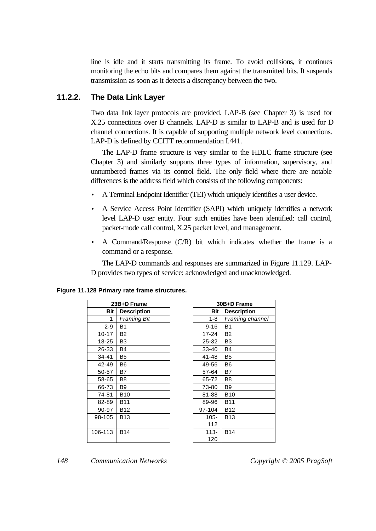line is idle and it starts transmitting its frame. To avoid collisions, it continues monitoring the echo bits and compares them against the transmitted bits. It suspends transmission as soon as it detects a discrepancy between the two.

## **11.2.2. The Data Link Layer**

Two data link layer protocols are provided. LAP-B (see Chapter 3) is used for X.25 connections over B channels. LAP-D is similar to LAP-B and is used for D channel connections. It is capable of supporting multiple network level connections. LAP-D is defined by CCITT recommendation I.441.

The LAP-D frame structure is very similar to the HDLC frame structure (see Chapter 3) and similarly supports three types of information, supervisory, and unnumbered frames via its control field. The only field where there are notable differences is the address field which consists of the following components:

- A Terminal Endpoint Identifier (TEI) which uniquely identifies a user device.
- A Service Access Point Identifier (SAPI) which uniquely identifies a network level LAP-D user entity. Four such entities have been identified: call control, packet-mode call control, X.25 packet level, and management.
- A Command/Response (C/R) bit which indicates whether the frame is a command or a response.

The LAP-D commands and responses are summarized in Figure 11.129. LAP-D provides two types of service: acknowledged and unacknowledged.

|           | 23B+D Frame        |            | $30B+D$        |
|-----------|--------------------|------------|----------------|
| Bit       | <b>Description</b> | <b>Bit</b> | <b>Des</b>     |
| 1         | Framing Bit        | $1 - 8$    | Frai           |
| $2-9$     | <b>B1</b>          | $9 - 16$   | <b>B1</b>      |
| $10 - 17$ | B2                 | $17 - 24$  | B2             |
| 18-25     | B3                 | 25-32      | B <sub>3</sub> |
| 26-33     | B4                 | 33-40      | B4             |
| 34-41     | B5                 | 41-48      | B <sub>5</sub> |
| 42-49     | B6                 | 49-56      | B <sub>6</sub> |
| 50-57     | Β7                 | 57-64      | Β7             |
| 58-65     | B8                 | 65-72      | B <sub>8</sub> |
| 66-73     | B9                 | 73-80      | B <sub>9</sub> |
| 74-81     | <b>B10</b>         | 81-88      | <b>B10</b>     |
| 82-89     | B11                | 89-96      | <b>B11</b>     |
| 90-97     | B12                | 97-104     | <b>B12</b>     |
| 98-105    | <b>B13</b>         | $105 -$    | <b>B13</b>     |
|           |                    | 112        |                |
| 106-113   | <b>B14</b>         | $113 -$    | <b>B14</b>     |
|           |                    | 120        |                |

|  | Figure 11.128 Primary rate frame structures. |  |  |  |
|--|----------------------------------------------|--|--|--|
|--|----------------------------------------------|--|--|--|

| 23B+D Frame |                    | 30B+D Frame |                    |
|-------------|--------------------|-------------|--------------------|
| <b>Bit</b>  | <b>Description</b> | <b>Bit</b>  | <b>Description</b> |
| 1           | <b>Framing Bit</b> | $1 - 8$     | Framing channel    |
| $-9$        | B <sub>1</sub>     | $9 - 16$    | <b>B1</b>          |
| 17          | <b>B2</b>          | $17 - 24$   | <b>B2</b>          |
| 25          | B <sub>3</sub>     | 25-32       | B <sub>3</sub>     |
| 33          | <b>B4</b>          | 33-40       | B4                 |
| 41          | B <sub>5</sub>     | 41-48       | B5                 |
| 49          | B <sub>6</sub>     | 49-56       | <b>B6</b>          |
| 57          | B7                 | 57-64       | B7                 |
| 65          | B <sub>8</sub>     | 65-72       | B8                 |
| 73          | B <sub>9</sub>     | 73-80       | <b>B</b> 9         |
| 81          | <b>B10</b>         | 81-88       | <b>B10</b>         |
| 89          | <b>B11</b>         | 89-96       | <b>B11</b>         |
| 97          | <b>B12</b>         | 97-104      | <b>B12</b>         |
| 05          | <b>B13</b>         | $105 -$     | <b>B13</b>         |
|             |                    | 112         |                    |
| 13          | <b>B14</b>         | $113 -$     | <b>B14</b>         |
|             |                    | 120         |                    |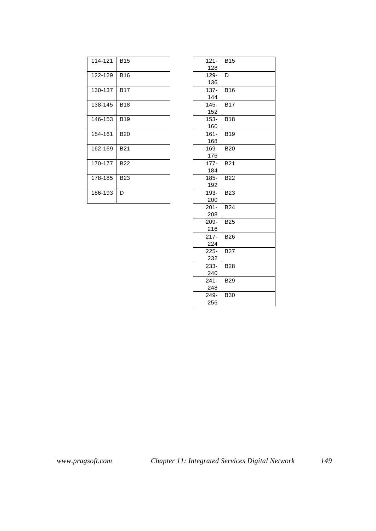| 114-121 | <b>B15</b> | $121 -$<br>128 |
|---------|------------|----------------|
| 122-129 | <b>B16</b> | $129 -$        |
|         |            | 136            |
| 130-137 | <b>B17</b> | $137 -$        |
|         |            | 144            |
| 138-145 | <b>B18</b> | $145 -$        |
|         |            | 152            |
| 146-153 | <b>B19</b> | $153 -$        |
|         |            | 160            |
| 154-161 | <b>B20</b> | $161 -$        |
|         |            | 168            |
| 162-169 | <b>B21</b> | 169-           |
|         |            | 176            |
| 170-177 | <b>B22</b> | $177 -$        |
|         |            | 184            |
| 178-185 | <b>B23</b> | $185 -$        |
|         |            | 192            |
| 186-193 | D          | 193-           |
|         |            | 200            |

| $121 -$<br>128            | <b>B15</b> |
|---------------------------|------------|
| $\overline{129}$ -<br>136 | D          |
| 137-<br>144               | <b>B16</b> |
| $145 -$<br>152            | <b>B17</b> |
| 153-<br>160               | <b>B18</b> |
| $161 -$<br>168            | <b>B19</b> |
| 169-<br>176               | <b>B20</b> |
| $177 -$<br>184            | <b>B21</b> |
| 185-<br>192               | <b>B22</b> |
| 193-<br>200               | <b>B23</b> |
| $201 -$<br>208            | <b>B24</b> |
| 209-<br>216               | <b>B25</b> |
| $217 -$<br>224            | <b>B26</b> |
| $225 -$<br>232            | <b>B27</b> |
| 233-<br>240               | <b>B28</b> |
| $241 -$<br>248            | <b>B29</b> |
| 249-<br>256               | <b>B30</b> |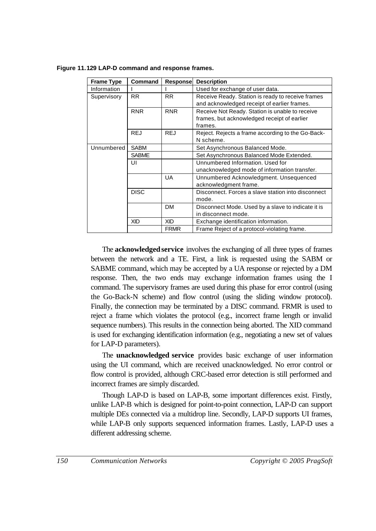| <b>Frame Type</b> | Command                  | Response    | <b>Description</b>                                 |
|-------------------|--------------------------|-------------|----------------------------------------------------|
| Information       |                          |             | Used for exchange of user data.                    |
| Supervisory       | <b>RR</b>                | <b>RR</b>   | Receive Ready. Station is ready to receive frames  |
|                   |                          |             | and acknowledged receipt of earlier frames.        |
|                   | <b>RNR</b>               | <b>RNR</b>  | Receive Not Ready. Station is unable to receive    |
|                   |                          |             | frames, but acknowledged receipt of earlier        |
|                   |                          |             | frames.                                            |
|                   | <b>REJ</b>               | <b>REJ</b>  | Reject. Rejects a frame according to the Go-Back-  |
|                   |                          |             | N scheme.                                          |
| Unnumbered        | <b>SABM</b>              |             | Set Asynchronous Balanced Mode.                    |
|                   | <b>SABME</b>             |             | Set Asynchronous Balanced Mode Extended.           |
|                   | UI                       |             | Unnumbered Information, Used for                   |
|                   |                          |             | unacknowledged mode of information transfer.       |
|                   |                          | UA          | Unnumbered Acknowledgment. Unsequenced             |
|                   |                          |             | acknowledgment frame.                              |
|                   | <b>DISC</b>              |             | Disconnect. Forces a slave station into disconnect |
|                   |                          |             | mode.                                              |
|                   |                          | <b>DM</b>   | Disconnect Mode. Used by a slave to indicate it is |
|                   |                          |             | in disconnect mode.                                |
|                   | <b>XID</b><br><b>XID</b> |             | Exchange identification information.               |
|                   |                          | <b>FRMR</b> | Frame Reject of a protocol-violating frame.        |

**Figure 11.129 LAP-D command and response frames.**

The **acknowledged service** involves the exchanging of all three types of frames between the network and a TE. First, a link is requested using the SABM or SABME command, which may be accepted by a UA response or rejected by a DM response. Then, the two ends may exchange information frames using the I command. The supervisory frames are used during this phase for error control (using the Go-Back-N scheme) and flow control (using the sliding window protocol). Finally, the connection may be terminated by a DISC command. FRMR is used to reject a frame which violates the protocol (e.g., incorrect frame length or invalid sequence numbers). This results in the connection being aborted. The XID command is used for exchanging identification information (e.g., negotiating a new set of values for LAP-D parameters).

The **unacknowledged service** provides basic exchange of user information using the UI command, which are received unacknowledged. No error control or flow control is provided, although CRC-based error detection is still performed and incorrect frames are simply discarded.

Though LAP-D is based on LAP-B, some important differences exist. Firstly, unlike LAP-B which is designed for point-to-point connection, LAP-D can support multiple DEs connected via a multidrop line. Secondly, LAP-D supports UI frames, while LAP-B only supports sequenced information frames. Lastly, LAP-D uses a different addressing scheme.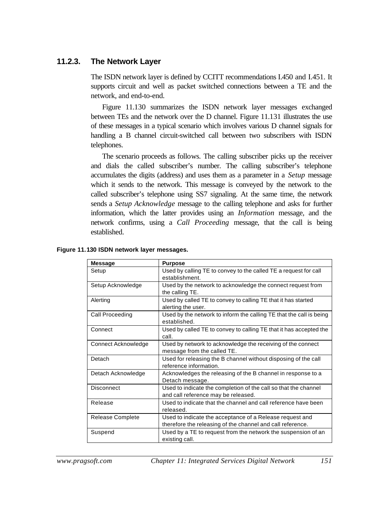### **11.2.3. The Network Layer**

The ISDN network layer is defined by CCITT recommendations I.450 and I.451. It supports circuit and well as packet switched connections between a TE and the network, and end-to-end.

Figure 11.130 summarizes the ISDN network layer messages exchanged between TEs and the network over the D channel. Figure 11.131 illustrates the use of these messages in a typical scenario which involves various D channel signals for handling a B channel circuit-switched call between two subscribers with ISDN telephones.

The scenario proceeds as follows. The calling subscriber picks up the receiver and dials the called subscriber's number. The calling subscriber's telephone accumulates the digits (address) and uses them as a parameter in a *Setup* message which it sends to the network. This message is conveyed by the network to the called subscriber's telephone using SS7 signaling. At the same time, the network sends a *Setup Acknowledge* message to the calling telephone and asks for further information, which the latter provides using an *Information* message, and the network confirms, using a *Call Proceeding* message, that the call is being established.

| <b>Message</b>      | <b>Purpose</b>                                                                                                         |
|---------------------|------------------------------------------------------------------------------------------------------------------------|
| Setup               | Used by calling TE to convey to the called TE a request for call<br>establishment.                                     |
| Setup Acknowledge   | Used by the network to acknowledge the connect request from<br>the calling TE.                                         |
| Alerting            | Used by called TE to convey to calling TE that it has started<br>alerting the user.                                    |
| Call Proceeding     | Used by the network to inform the calling TE that the call is being<br>established.                                    |
| Connect             | Used by called TE to convey to calling TE that it has accepted the<br>call.                                            |
| Connect Acknowledge | Used by network to acknowledge the receiving of the connect<br>message from the called TE.                             |
| Detach              | Used for releasing the B channel without disposing of the call<br>reference information.                               |
| Detach Acknowledge  | Acknowledges the releasing of the B channel in response to a<br>Detach message.                                        |
| <b>Disconnect</b>   | Used to indicate the completion of the call so that the channel<br>and call reference may be released.                 |
| Release             | Used to indicate that the channel and call reference have been<br>released.                                            |
| Release Complete    | Used to indicate the acceptance of a Release request and<br>therefore the releasing of the channel and call reference. |
| Suspend             | Used by a TE to request from the network the suspension of an<br>existing call.                                        |

**Figure 11.130 ISDN network layer messages.**

*www.pragsoft.com Chapter 11: Integrated Services Digital Network 151*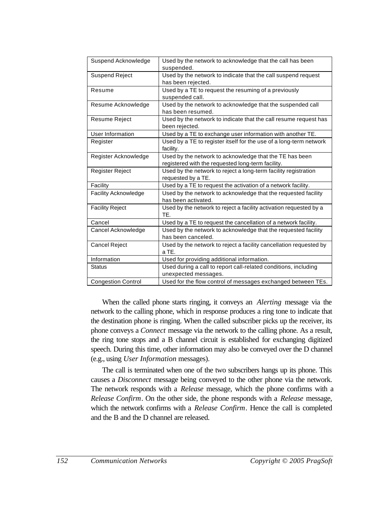| Suspend Acknowledge         | Used by the network to acknowledge that the call has been<br>suspended.                                      |
|-----------------------------|--------------------------------------------------------------------------------------------------------------|
| <b>Suspend Reject</b>       | Used by the network to indicate that the call suspend request<br>has been rejected.                          |
| Resume                      | Used by a TE to request the resuming of a previously<br>suspended call.                                      |
| Resume Acknowledge          | Used by the network to acknowledge that the suspended call<br>has been resumed.                              |
| Resume Reject               | Used by the network to indicate that the call resume request has<br>been rejected.                           |
| User Information            | Used by a TE to exchange user information with another TE.                                                   |
| Register                    | Used by a TE to register itself for the use of a long-term network<br>facility.                              |
| Register Acknowledge        | Used by the network to acknowledge that the TE has been<br>registered with the requested long-term facility. |
| Register Reject             | Used by the network to reject a long-term facility registration<br>requested by a TE.                        |
| Facility                    | Used by a TE to request the activation of a network facility.                                                |
| <b>Facility Acknowledge</b> | Used by the network to acknowledge that the requested facility<br>has been activated.                        |
| <b>Facility Reject</b>      | Used by the network to reject a facility activation requested by a<br>TE.                                    |
| Cancel                      | Used by a TE to request the cancellation of a network facility.                                              |
| Cancel Acknowledge          | Used by the network to acknowledge that the requested facility<br>has been canceled.                         |
| <b>Cancel Reject</b>        | Used by the network to reject a facility cancellation requested by<br>a TE.                                  |
| Information                 | Used for providing additional information.                                                                   |
| <b>Status</b>               | Used during a call to report call-related conditions, including<br>unexpected messages.                      |
| <b>Congestion Control</b>   | Used for the flow control of messages exchanged between TEs.                                                 |

When the called phone starts ringing, it conveys an *Alerting* message via the network to the calling phone, which in response produces a ring tone to indicate that the destination phone is ringing. When the called subscriber picks up the receiver, its phone conveys a *Connect* message via the network to the calling phone. As a result, the ring tone stops and a B channel circuit is established for exchanging digitized speech. During this time, other information may also be conveyed over the D channel (e.g., using *User Information* messages).

The call is terminated when one of the two subscribers hangs up its phone. This causes a *Disconnect* message being conveyed to the other phone via the network. The network responds with a *Release* message, which the phone confirms with a *Release Confirm*. On the other side, the phone responds with a *Release* message, which the network confirms with a *Release Confirm*. Hence the call is completed and the B and the D channel are released.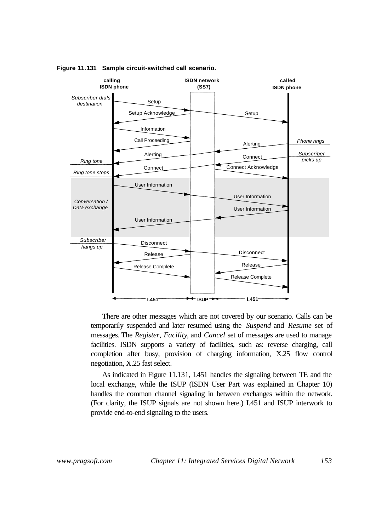

**Figure 11.131 Sample circuit-switched call scenario.**

There are other messages which are not covered by our scenario. Calls can be temporarily suspended and later resumed using the *Suspend* and *Resume* set of messages. The *Register*, *Facility*, and *Cancel* set of messages are used to manage facilities. ISDN supports a variety of facilities, such as: reverse charging, call completion after busy, provision of charging information, X.25 flow control negotiation, X.25 fast select.

As indicated in Figure 11.131, I.451 handles the signaling between TE and the local exchange, while the ISUP (ISDN User Part was explained in Chapter 10) handles the common channel signaling in between exchanges within the network. (For clarity, the ISUP signals are not shown here.) I.451 and ISUP interwork to provide end-to-end signaling to the users.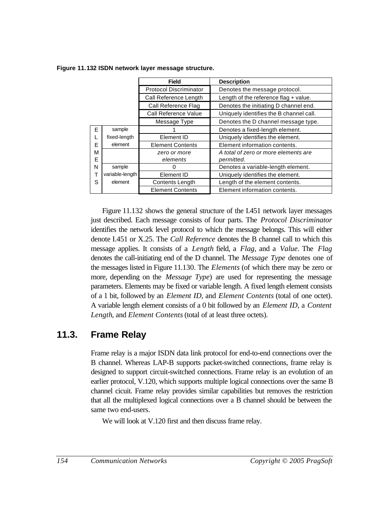|   |                 | <b>Field</b>                  | <b>Description</b>                      |  |  |
|---|-----------------|-------------------------------|-----------------------------------------|--|--|
|   |                 | <b>Protocol Discriminator</b> | Denotes the message protocol.           |  |  |
|   |                 | Call Reference Length         | Length of the reference flag $+$ value. |  |  |
|   |                 | Call Reference Flag           | Denotes the initiating D channel end.   |  |  |
|   |                 | Call Reference Value          | Uniquely identifies the B channel call. |  |  |
|   |                 | Message Type                  | Denotes the D channel message type.     |  |  |
| E | sample          |                               | Denotes a fixed-length element.         |  |  |
|   | fixed-length    | Element ID                    | Uniquely identifies the element.        |  |  |
| E | element         | <b>Element Contents</b>       | Element information contents.           |  |  |
| M |                 | zero or more                  | A total of zero or more elements are    |  |  |
| E |                 | elements                      | permitted.                              |  |  |
| N | sample          | O                             | Denotes a variable-length element.      |  |  |
| т | variable-length | Element ID                    | Uniquely identifies the element.        |  |  |
| S | element         | Contents Length               | Length of the element contents.         |  |  |
|   |                 | <b>Element Contents</b>       | Element information contents.           |  |  |

**Figure 11.132 ISDN network layer message structure.**

Figure 11.132 shows the general structure of the I.451 network layer messages just described. Each message consists of four parts. The *Protocol Discriminator* identifies the network level protocol to which the message belongs. This will either denote I.451 or X.25. The *Call Reference* denotes the B channel call to which this message applies. It consists of a *Length* field, a *Flag*, and a *Value*. The *Flag* denotes the call-initiating end of the D channel. The *Message Type* denotes one of the messages listed in Figure 11.130. The *Elements* (of which there may be zero or more, depending on the *Message Type*) are used for representing the message parameters. Elements may be fixed or variable length. A fixed length element consists of a 1 bit, followed by an *Element ID*, and *Element Contents* (total of one octet). A variable length element consists of a 0 bit followed by an *Element ID*, a *Content Length*, and *Element Contents* (total of at least three octets).

## **11.3. Frame Relay**

Frame relay is a major ISDN data link protocol for end-to-end connections over the B channel. Whereas LAP-B supports packet-switched connections, frame relay is designed to support circuit-switched connections. Frame relay is an evolution of an earlier protocol, V.120, which supports multiple logical connections over the same B channel cicuit. Frame relay provides similar capabilities but removes the restriction that all the multiplexed logical connections over a B channel should be between the same two end-users.

We will look at V.120 first and then discuss frame relay.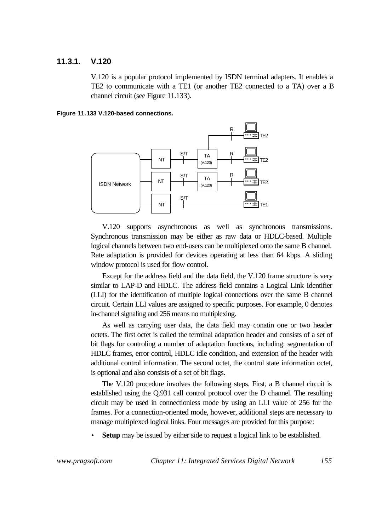### **11.3.1. V.120**

V.120 is a popular protocol implemented by ISDN terminal adapters. It enables a TE2 to communicate with a TE1 (or another TE2 connected to a TA) over a B channel circuit (see Figure 11.133).





V.120 supports asynchronous as well as synchronous transmissions. Synchronous transmission may be either as raw data or HDLC-based. Multiple logical channels between two end-users can be multiplexed onto the same B channel. Rate adaptation is provided for devices operating at less than 64 kbps. A sliding window protocol is used for flow control.

Except for the address field and the data field, the V.120 frame structure is very similar to LAP-D and HDLC. The address field contains a Logical Link Identifier (LLI) for the identification of multiple logical connections over the same B channel circuit. Certain LLI values are assigned to specific purposes. For example, 0 denotes in-channel signaling and 256 means no multiplexing.

As well as carrying user data, the data field may conatin one or two header octets. The first octet is called the terminal adaptation header and consists of a set of bit flags for controling a number of adaptation functions, including: segmentation of HDLC frames, error control, HDLC idle condition, and extension of the header with additional control information. The second octet, the control state information octet, is optional and also consists of a set of bit flags.

The V.120 procedure involves the following steps. First, a B channel circuit is established using the Q.931 call control protocol over the D channel. The resulting circuit may be used in connectionless mode by using an LLI value of 256 for the frames. For a connection-oriented mode, however, additional steps are necessary to manage multiplexed logical links. Four messages are provided for this purpose:

**Setup** may be issued by either side to request a logical link to be established.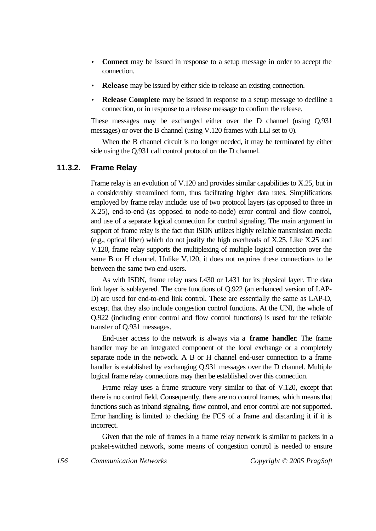- **Connect** may be issued in response to a setup message in order to accept the connection.
- **Release** may be issued by either side to release an existing connection.
- **Release Complete** may be issued in response to a setup message to deciline a connection, or in response to a release message to confirm the release.

These messages may be exchanged either over the D channel (using Q.931 messages) or over the B channel (using V.120 frames with LLI set to 0).

When the B channel circuit is no longer needed, it may be terminated by either side using the Q.931 call control protocol on the D channel.

### **11.3.2. Frame Relay**

Frame relay is an evolution of V.120 and provides similar capabilities to X.25, but in a considerably streamlined form, thus facilitating higher data rates. Simplifications employed by frame relay include: use of two protocol layers (as opposed to three in X.25), end-to-end (as opposed to node-to-node) error control and flow control, and use of a separate logical connection for control signaling. The main argument in support of frame relay is the fact that ISDN utilizes highly reliable transmission media (e.g., optical fiber) which do not justify the high overheads of X.25. Like X.25 and V.120, frame relay supports the multiplexing of multiple logical connection over the same B or H channel. Unlike V.120, it does not requires these connections to be between the same two end-users.

As with ISDN, frame relay uses I.430 or I.431 for its physical layer. The data link layer is sublayered. The core functions of Q.922 (an enhanced version of LAP-D) are used for end-to-end link control. These are essentially the same as LAP-D, except that they also include congestion control functions. At the UNI, the whole of Q.922 (including error control and flow control functions) is used for the reliable transfer of Q.931 messages.

End-user access to the network is always via a **frame handler**. The frame handler may be an integrated component of the local exchange or a completely separate node in the network. A B or H channel end-user connection to a frame handler is established by exchanging Q.931 messages over the D channel. Multiple logical frame relay connections may then be established over this connection.

Frame relay uses a frame structure very similar to that of V.120, except that there is no control field. Consequently, there are no control frames, which means that functions such as inband signaling, flow control, and error control are not supported. Error handling is limited to checking the FCS of a frame and discarding it if it is incorrect.

Given that the role of frames in a frame relay network is similar to packets in a pcaket-switched network, some means of congestion control is needed to ensure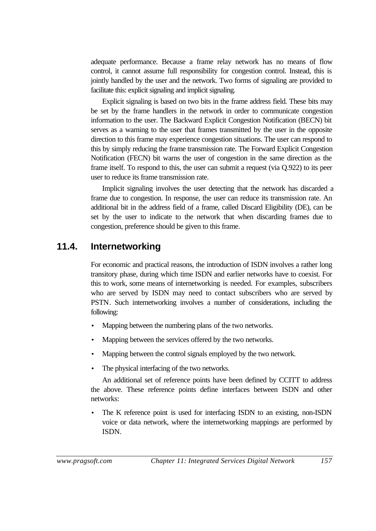adequate performance. Because a frame relay network has no means of flow control, it cannot assume full responsibility for congestion control. Instead, this is jointly handled by the user and the network. Two forms of signaling are provided to facilitate this: explicit signaling and implicit signaling.

Explicit signaling is based on two bits in the frame address field. These bits may be set by the frame handlers in the network in order to communicate congestion information to the user. The Backward Explicit Congestion Notification (BECN) bit serves as a warning to the user that frames transmitted by the user in the opposite direction to this frame may experience congestion situations. The user can respond to this by simply reducing the frame transmission rate. The Forward Explicit Congestion Notification (FECN) bit warns the user of congestion in the same direction as the frame itself. To respond to this, the user can submit a request (via Q.922) to its peer user to reduce its frame transmission rate.

Implicit signaling involves the user detecting that the network has discarded a frame due to congestion. In response, the user can reduce its transmission rate. An additional bit in the address field of a frame, called Discard Eligibility (DE), can be set by the user to indicate to the network that when discarding frames due to congestion, preference should be given to this frame.

## **11.4. Internetworking**

For economic and practical reasons, the introduction of ISDN involves a rather long transitory phase, during which time ISDN and earlier networks have to coexist. For this to work, some means of internetworking is needed. For examples, subscribers who are served by ISDN may need to contact subscribers who are served by PSTN. Such internetworking involves a number of considerations, including the following:

- Mapping between the numbering plans of the two networks.
- Mapping between the services offered by the two networks.
- Mapping between the control signals employed by the two network.
- The physical interfacing of the two networks.

An additional set of reference points have been defined by CCITT to address the above. These reference points define interfaces between ISDN and other networks:

The K reference point is used for interfacing ISDN to an existing, non-ISDN voice or data network, where the internetworking mappings are performed by ISDN.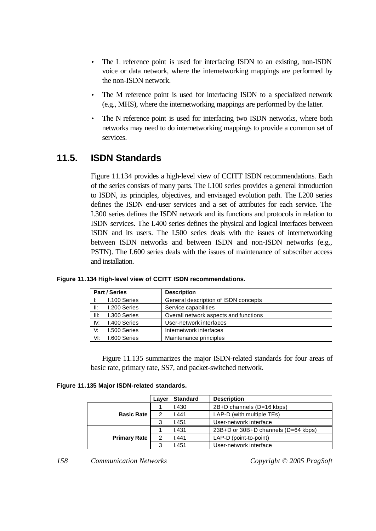- The L reference point is used for interfacing ISDN to an existing, non-ISDN voice or data network, where the internetworking mappings are performed by the non-ISDN network.
- The M reference point is used for interfacing ISDN to a specialized network (e.g., MHS), where the internetworking mappings are performed by the latter.
- The N reference point is used for interfacing two ISDN networks, where both networks may need to do internetworking mappings to provide a common set of services.

## **11.5. ISDN Standards**

Figure 11.134 provides a high-level view of CCITT ISDN recommendations. Each of the series consists of many parts. The I.100 series provides a general introduction to ISDN, its principles, objectives, and envisaged evolution path. The I.200 series defines the ISDN end-user services and a set of attributes for each service. The I.300 series defines the ISDN network and its functions and protocols in relation to ISDN services. The I.400 series defines the physical and logical interfaces between ISDN and its users. The I.500 series deals with the issues of internetworking between ISDN networks and between ISDN and non-ISDN networks (e.g., PSTN). The I.600 series deals with the issues of maintenance of subscriber access and installation.

|      | <b>Part / Series</b> | <b>Description</b>                    |
|------|----------------------|---------------------------------------|
| Ŀ.   | I.100 Series         | General description of ISDN concepts  |
| II:  | I.200 Series         | Service capabilities                  |
| III: | I.300 Series         | Overall network aspects and functions |
| IV:  | I.400 Series         | User-network interfaces               |
| V:   | <b>I.500 Series</b>  | Internetwork interfaces               |
| VI:  | <b>I.600 Series</b>  | Maintenance principles                |

#### **Figure 11.134 High-level view of CCITT ISDN recommendations.**

Figure 11.135 summarizes the major ISDN-related standards for four areas of basic rate, primary rate, SS7, and packet-switched network.

|  |  |  |  | Figure 11.135 Major ISDN-related standards. |  |
|--|--|--|--|---------------------------------------------|--|
|--|--|--|--|---------------------------------------------|--|

|                     | Laver | <b>Standard</b> | <b>Description</b>                  |  |
|---------------------|-------|-----------------|-------------------------------------|--|
|                     |       | 1.430           | 2B+D channels (D=16 kbps)           |  |
| <b>Basic Rate</b>   | 2     | .441            | LAP-D (with multiple TEs)           |  |
|                     | 3     | 1.451           | User-network interface              |  |
|                     |       | 1.431           | 23B+D or 30B+D channels (D=64 kbps) |  |
| <b>Primary Rate</b> | 2     | .441            | LAP-D (point-to-point)              |  |
|                     | 3     | 1.451           | User-network interface              |  |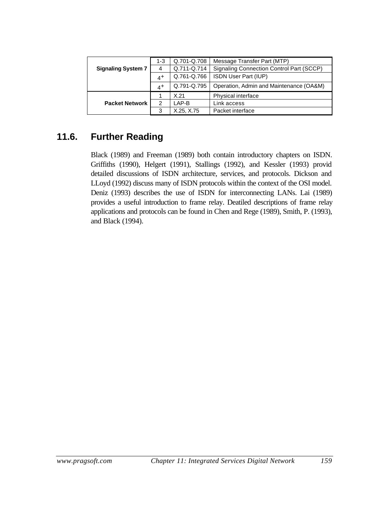|                           | 1-3   | Q.701-Q.708 | Message Transfer Part (MTP)              |  |
|---------------------------|-------|-------------|------------------------------------------|--|
| <b>Signaling System 7</b> | 4     | Q.711-Q.714 | Signaling Connection Control Part (SCCP) |  |
|                           | $4^+$ | Q.761-Q.766 | ISDN User Part (IUP)                     |  |
|                           | $4^+$ | Q.791-Q.795 | Operation, Admin and Maintenance (OA&M)  |  |
|                           |       | X.21        | Physical interface                       |  |
| <b>Packet Network</b>     | 2     | LAP-B       | Link access                              |  |
|                           | 3     | X.25, X.75  | Packet interface                         |  |

## **11.6. Further Reading**

Black (1989) and Freeman (1989) both contain introductory chapters on ISDN. Griffiths (1990), Helgert (1991), Stallings (1992), and Kessler (1993) provid detailed discussions of ISDN architecture, services, and protocols. Dickson and LLoyd (1992) discuss many of ISDN protocols within the context of the OSI model. Deniz (1993) describes the use of ISDN for interconnecting LANs. Lai (1989) provides a useful introduction to frame relay. Deatiled descriptions of frame relay applications and protocols can be found in Chen and Rege (1989), Smith, P. (1993), and Black (1994).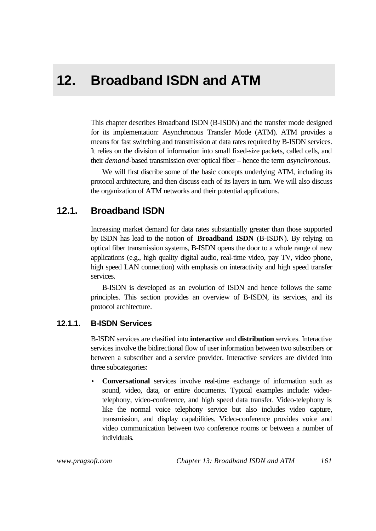# **12. Broadband ISDN and ATM**

This chapter describes Broadband ISDN (B-ISDN) and the transfer mode designed for its implementation: Asynchronous Transfer Mode (ATM). ATM provides a means for fast switching and transmission at data rates required by B-ISDN services. It relies on the division of information into small fixed-size packets, called cells, and their *demand*-based transmission over optical fiber – hence the term *asynchronous*.

We will first discribe some of the basic concepts underlying ATM, including its protocol architecture, and then discuss each of its layers in turn. We will also discuss the organization of ATM networks and their potential applications.

## **12.1. Broadband ISDN**

Increasing market demand for data rates substantially greater than those supported by ISDN has lead to the notion of **Broadband ISDN** (B-ISDN). By relying on optical fiber transmission systems, B-ISDN opens the door to a whole range of new applications (e.g., high quality digital audio, real-time video, pay TV, video phone, high speed LAN connection) with emphasis on interactivity and high speed transfer services.

B-ISDN is developed as an evolution of ISDN and hence follows the same principles. This section provides an overview of B-ISDN, its services, and its protocol architecture.

## **12.1.1. B-ISDN Services**

B-ISDN services are clasified into **interactive** and **distribution** services. Interactive services involve the bidirectional flow of user information between two subscribers or between a subscriber and a service provider. Interactive services are divided into three subcategories:

• **Conversational** services involve real-time exchange of information such as sound, video, data, or entire documents. Typical examples include: videotelephony, video-conference, and high speed data transfer. Video-telephony is like the normal voice telephony service but also includes video capture, transmission, and display capabilities. Video-conference provides voice and video communication between two conference rooms or between a number of individuals.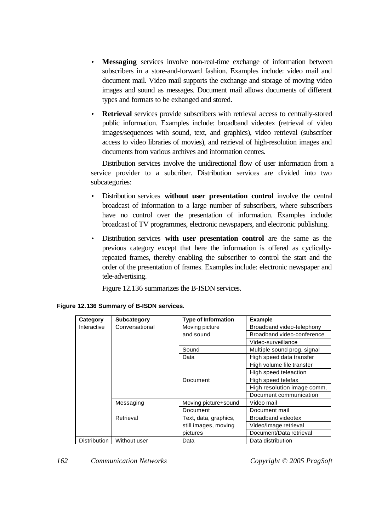- **Messaging** services involve non-real-time exchange of information between subscribers in a store-and-forward fashion. Examples include: video mail and document mail. Video mail supports the exchange and storage of moving video images and sound as messages. Document mail allows documents of different types and formats to be exhanged and stored.
- **Retrieval** services provide subscribers with retrieval access to centrally-stored public information. Examples include: broadband videotex (retrieval of video images/sequences with sound, text, and graphics), video retrieval (subscriber access to video libraries of movies), and retrieval of high-resolution images and documents from various archives and information centres.

Distribution services involve the unidirectional flow of user information from a service provider to a subcriber. Distribution services are divided into two subcategories:

- Distribution services **without user presentation control** involve the central broadcast of information to a large number of subscribers, where subscribers have no control over the presentation of information. Examples include: broadcast of TV programmes, electronic newspapers, and electronic publishing.
- Distribution services **with user presentation control** are the same as the previous category except that here the information is offered as cyclicallyrepeated frames, thereby enabling the subscriber to control the start and the order of the presentation of frames. Examples include: electronic newspaper and tele-advertising.

Figure 12.136 summarizes the B-ISDN services.

| Category    | <b>Subcategory</b>          | <b>Type of Information</b> | <b>Example</b>              |
|-------------|-----------------------------|----------------------------|-----------------------------|
| Interactive | Conversational              | Moving picture             | Broadband video-telephony   |
|             |                             | and sound                  | Broadband video-conference  |
|             |                             |                            | Video-surveillance          |
|             |                             | Sound                      | Multiple sound prog. signal |
|             |                             | Data                       | High speed data transfer    |
|             |                             |                            | High volume file transfer   |
|             |                             |                            | High speed teleaction       |
|             |                             | Document                   | High speed telefax          |
|             |                             |                            | High resolution image comm. |
|             |                             |                            | Document communication      |
|             | Messaging                   | Moving picture+sound       | Video mail                  |
|             |                             | Document                   | Document mail               |
|             | Retrieval                   | Text, data, graphics,      | <b>Broadband videotex</b>   |
|             |                             | still images, moving       | Video/Image retrieval       |
|             |                             | pictures                   | Document/Data retrieval     |
|             | Distribution   Without user | Data                       | Data distribution           |

|  | Figure 12.136 Summary of B-ISDN services. |  |  |
|--|-------------------------------------------|--|--|
|  |                                           |  |  |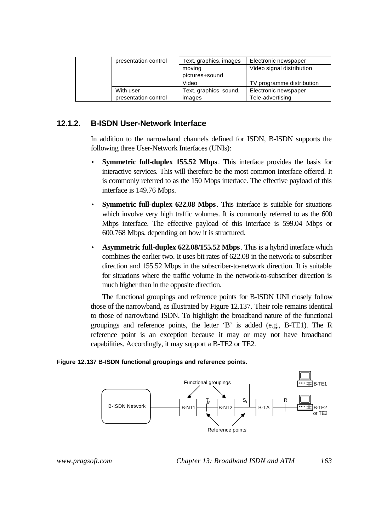| presentation control | Text, graphics, images | Electronic newspaper      |
|----------------------|------------------------|---------------------------|
|                      | moving                 | Video signal distribution |
|                      | pictures+sound         |                           |
|                      | Video                  | TV programme distribution |
| With user            | Text, graphics, sound, | Electronic newspaper      |
| presentation control | images                 | Tele-advertising          |

#### **12.1.2. B-ISDN User-Network Interface**

In addition to the narrowband channels defined for ISDN, B-ISDN supports the following three User-Network Interfaces (UNIs):

- **Symmetric full-duplex 155.52 Mbps**. This interface provides the basis for interactive services. This will therefore be the most common interface offered. It is commonly referred to as the 150 Mbps interface. The effective payload of this interface is 149.76 Mbps.
- **Symmetric full-duplex 622.08 Mbps**. This interface is suitable for situations which involve very high traffic volumes. It is commonly referred to as the 600 Mbps interface. The effective payload of this interface is 599.04 Mbps or 600.768 Mbps, depending on how it is structured.
- **Asymmetric full-duplex 622.08/155.52 Mbps**. This is a hybrid interface which combines the earlier two. It uses bit rates of 622.08 in the network-to-subscriber direction and 155.52 Mbps in the subscriber-to-network direction. It is suitable for situations where the traffic volume in the network-to-subscriber direction is much higher than in the opposite direction.

The functional groupings and reference points for B-ISDN UNI closely follow those of the narrowband, as illustrated by Figure 12.137. Their role remains identical to those of narrowband ISDN. To highlight the broadband nature of the functional groupings and reference points, the letter 'B' is added (e.g., B-TE1). The R reference point is an exception because it may or may not have broadband capabilities. Accordingly, it may support a B-TE2 or TE2.

#### **Figure 12.137 B-ISDN functional groupings and reference points.**

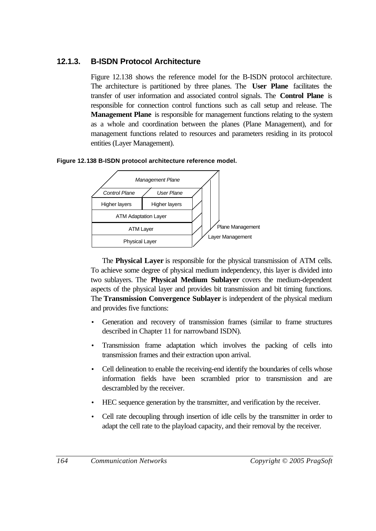## **12.1.3. B-ISDN Protocol Architecture**

Figure 12.138 shows the reference model for the B-ISDN protocol architecture. The architecture is partitioned by three planes. The **User Plane** facilitates the transfer of user information and associated control signals. The **Control Plane** is responsible for connection control functions such as call setup and release. The **Management Plane** is responsible for management functions relating to the system as a whole and coordination between the planes (Plane Management), and for management functions related to resources and parameters residing in its protocol entities (Layer Management).

#### **Figure 12.138 B-ISDN protocol architecture reference model.**



The **Physical Layer** is responsible for the physical transmission of ATM cells. To achieve some degree of physical medium independency, this layer is divided into two sublayers. The **Physical Medium Sublayer** covers the medium-dependent aspects of the physical layer and provides bit transmission and bit timing functions. The **Transmission Convergence Sublayer** is independent of the physical medium and provides five functions:

- Generation and recovery of transmission frames (similar to frame structures described in Chapter 11 for narrowband ISDN).
- Transmission frame adaptation which involves the packing of cells into transmission frames and their extraction upon arrival.
- Cell delineation to enable the receiving-end identify the boundaries of cells whose information fields have been scrambled prior to transmission and are descrambled by the receiver.
- HEC sequence generation by the transmitter, and verification by the receiver.
- Cell rate decoupling through insertion of idle cells by the transmitter in order to adapt the cell rate to the playload capacity, and their removal by the receiver.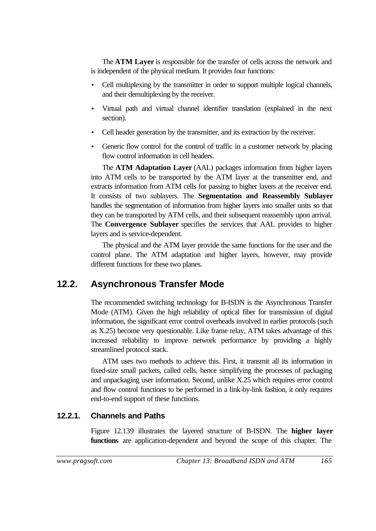The **ATM Layer** is responsible for the transfer of cells across the network and is independent of the physical medium. It provides four functions:

- Cell multiplexing by the transmitter in order to support multiple logical channels, and their demultiplexing by the receiver.
- Virtual path and virtual channel identifier translation (explained in the next section).
- Cell header generation by the transmitter, and its extraction by the receiver.
- Generic flow control for the control of traffic in a customer network by placing flow control information in cell headers.

The **ATM Adaptation Layer** (AAL) packages information from higher layers into ATM cells to be transported by the ATM layer at the transmitter end, and extracts information from ATM cells for passing to higher layers at the receiver end. It consists of two sublayers. The **Segmentation and Reassembly Sublayer** handles the segmentation of information from higher layers into smaller units so that they can be transported by ATM cells, and their subsequent reassembly upon arrival. The **Convergence Sublayer** specifies the services that AAL provides to higher layers and is service-dependent.

The physical and the ATM layer provide the same functions for the user and the control plane. The ATM adaptation and higher layers, however, may provide different functions for these two planes.

# **12.2. Asynchronous Transfer Mode**

The recommended switching technology for B-ISDN is the Asynchronous Transfer Mode (ATM). Given the high reliability of optical fiber for transmission of digital information, the significant error control overheads involved in earlier protocols (such as X.25) become very questionable. Like frame relay, ATM takes advantage of this increased reliability to improve network performance by providing a highly streamlined protocol stack.

ATM uses two methods to achieve this. First, it transmit all its information in fixed-size small packets, called cells, hence simplifying the processes of packaging and unpackaging user information. Second, unlike X.25 which requires error control and flow control functions to be performed in a link-by-link fashion, it only requires end-to-end support of these functions.

## **12.2.1. Channels and Paths**

Figure 12.139 illustrates the layered structure of B-ISDN. The **higher layer functions** are application-dependent and beyond the scope of this chapter. The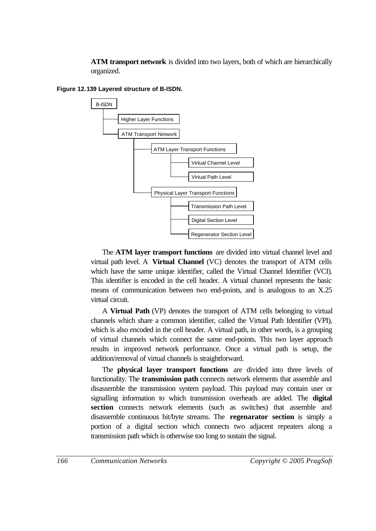**ATM transport network** is divided into two layers, both of which are hierarchically organized.



**Figure 12.139 Layered structure of B-ISDN.**

The **ATM layer transport functions** are divided into virtual channel level and virtual path level. A **Virtual Channel** (VC) denotes the transport of ATM cells which have the same unique identifier, called the Virtual Channel Identifier (VCI). This identifier is encoded in the cell header. A virtual channel represents the basic means of communication between two end-points, and is analogous to an X.25 virtual circuit.

A **Virtual Path** (VP) denotes the transport of ATM cells belonging to virtual channels which share a common identifier, called the Virtual Path Identifier (VPI), which is also encoded in the cell header. A virtual path, in other words, is a grouping of virtual channels which connect the same end-points. This two layer approach results in improved network performance. Once a virtual path is setup, the addition/removal of virtual channels is straightforward.

The **physical layer transport functions** are divided into three levels of functionality. The **transmission path** connects network elements that assemble and disassemble the transmission system payload. This payload may contain user or signalling information to which transmission overheads are added. The **digital section** connects network elements (such as switches) that assemble and disassemble continuous bit/byte streams. The **regenarator section** is simply a portion of a digital section which connects two adjacent repeaters along a transmission path which is otherwise too long to sustain the signal.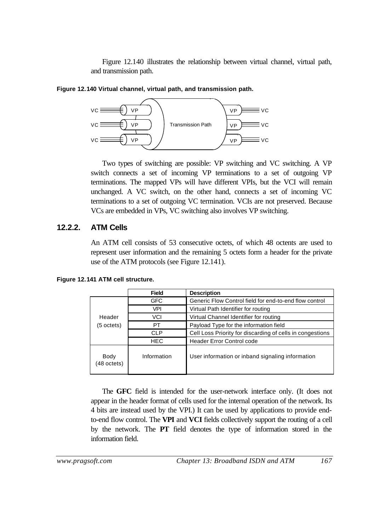Figure 12.140 illustrates the relationship between virtual channel, virtual path, and transmission path.





Two types of switching are possible: VP switching and VC switching. A VP switch connects a set of incoming VP terminations to a set of outgoing VP terminations. The mapped VPs will have different VPIs, but the VCI will remain unchanged. A VC switch, on the other hand, connects a set of incoming VC terminations to a set of outgoing VC termination. VCIs are not preserved. Because VCs are embedded in VPs, VC switching also involves VP switching.

#### **12.2.2. ATM Cells**

An ATM cell consists of 53 consecutive octets, of which 48 octents are used to represent user information and the remaining 5 octets form a header for the private use of the ATM protocols (see Figure 12.141).

|                     | <b>Field</b> | <b>Description</b>                                        |  |
|---------------------|--------------|-----------------------------------------------------------|--|
|                     | <b>GFC</b>   | Generic Flow Control field for end-to-end flow control    |  |
|                     | VPI          | Virtual Path Identifier for routing                       |  |
| Header              | VCI          | Virtual Channel Identifier for routing                    |  |
| (5 octets)          | PT.          | Payload Type for the information field                    |  |
|                     | CL P         | Cell Loss Priority for discarding of cells in congestions |  |
|                     | <b>HEC</b>   | <b>Header Error Control code</b>                          |  |
| Body<br>(48 octets) | Information  | User information or inband signaling information          |  |

**Figure 12.141 ATM cell structure.**

The **GFC** field is intended for the user-network interface only. (It does not appear in the header format of cells used for the internal operation of the network. Its 4 bits are instead used by the VPI.) It can be used by applications to provide endto-end flow control. The **VPI** and **VCI** fields collectively support the routing of a cell by the network. The **PT** field denotes the type of information stored in the information field.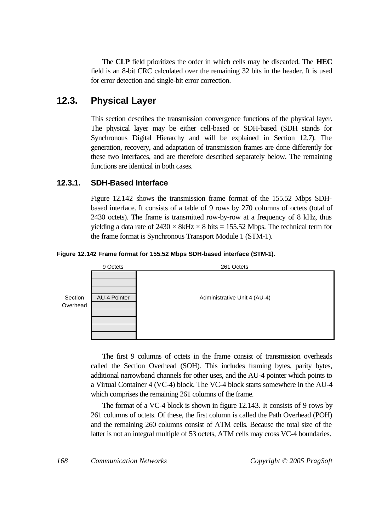The **CLP** field prioritizes the order in which cells may be discarded. The **HEC** field is an 8-bit CRC calculated over the remaining 32 bits in the header. It is used for error detection and single-bit error correction.

# **12.3. Physical Layer**

This section describes the transmission convergence functions of the physical layer. The physical layer may be either cell-based or SDH-based (SDH stands for Synchronous Digital Hierarchy and will be explained in Section 12.7). The generation, recovery, and adaptation of transmission frames are done differently for these two interfaces, and are therefore described separately below. The remaining functions are identical in both cases.

## **12.3.1. SDH-Based Interface**

Figure 12.142 shows the transmission frame format of the 155.52 Mbps SDHbased interface. It consists of a table of 9 rows by 270 columns of octets (total of 2430 octets). The frame is transmitted row-by-row at a frequency of 8 kHz, thus yielding a data rate of  $2430 \times 8$ kHz  $\times 8$  bits = 155.52 Mbps. The technical term for the frame format is Synchronous Transport Module 1 (STM-1).

#### **Figure 12.142 Frame format for 155.52 Mbps SDH-based interface (STM-1).**



The first 9 columns of octets in the frame consist of transmission overheads called the Section Overhead (SOH). This includes framing bytes, parity bytes, additional narrowband channels for other uses, and the AU-4 pointer which points to a Virtual Container 4 (VC-4) block. The VC-4 block starts somewhere in the AU-4 which comprises the remaining 261 columns of the frame.

The format of a VC-4 block is shown in figure 12.143. It consists of 9 rows by 261 columns of octets. Of these, the first column is called the Path Overhead (POH) and the remaining 260 columns consist of ATM cells. Because the total size of the latter is not an integral multiple of 53 octets, ATM cells may cross VC-4 boundaries.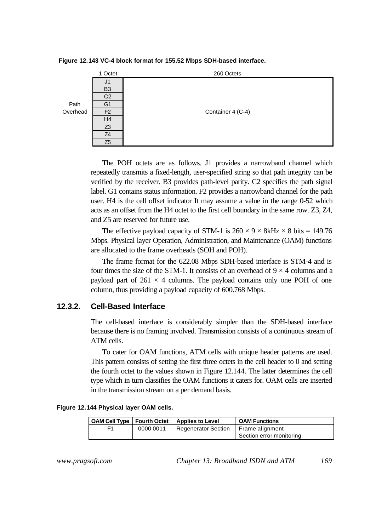



The POH octets are as follows. J1 provides a narrowband channel which repeatedly transmits a fixed-length, user-specified string so that path integrity can be verified by the receiver. B3 provides path-level parity. C2 specifies the path signal label. G1 contains status information. F2 provides a narrowband channel for the path user. H4 is the cell offset indicator It may assume a value in the range 0-52 which acts as an offset from the H4 octet to the first cell boundary in the same row. Z3, Z4, and Z5 are reserved for future use.

The effective payload capacity of STM-1 is  $260 \times 9 \times 8$ kHz  $\times 8$  bits = 149.76 Mbps. Physical layer Operation, Administration, and Maintenance (OAM) functions are allocated to the frame overheads (SOH and POH).

The frame format for the 622.08 Mbps SDH-based interface is STM-4 and is four times the size of the STM-1. It consists of an overhead of  $9 \times 4$  columns and a payload part of  $261 \times 4$  columns. The payload contains only one POH of one column, thus providing a payload capacity of 600.768 Mbps.

#### **12.3.2. Cell-Based Interface**

The cell-based interface is considerably simpler than the SDH-based interface because there is no framing involved. Transmission consists of a continuous stream of ATM cells.

To cater for OAM functions, ATM cells with unique header patterns are used. This pattern consists of setting the first three octets in the cell header to 0 and setting the fourth octet to the values shown in Figure 12.144. The latter determines the cell type which in turn classifies the OAM functions it caters for. OAM cells are inserted in the transmission stream on a per demand basis.

|  | Figure 12.144 Physical layer OAM cells. |  |  |  |  |  |  |
|--|-----------------------------------------|--|--|--|--|--|--|
|--|-----------------------------------------|--|--|--|--|--|--|

|    |           | OAM Cell Type   Fourth Octet   Applies to Level | <b>OAM Functions</b>     |
|----|-----------|-------------------------------------------------|--------------------------|
| E1 | 0000 0011 | Regenerator Section   Frame alignment           |                          |
|    |           |                                                 | Section error monitoring |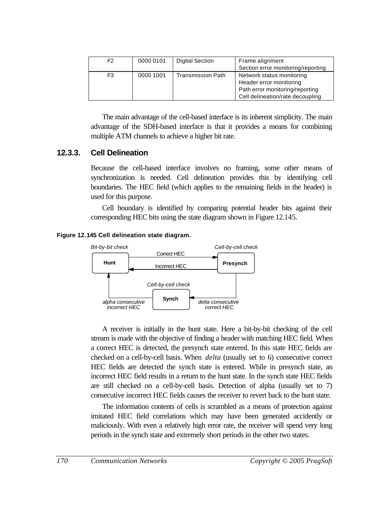| F <sub>2</sub> | 0000 0101 | <b>Digital Section</b>   | Frame alignment                    |
|----------------|-----------|--------------------------|------------------------------------|
|                |           |                          | Section error monitoring/reporting |
| F <sub>3</sub> | 0000 1001 | <b>Transmission Path</b> | Network status monitoring          |
|                |           |                          | Header error monitoring            |
|                |           |                          | Path error monitoring/reporting    |
|                |           |                          | Cell delineation/rate decoupling   |

The main advantage of the cell-based interface is its inherent simplicity. The main advantage of the SDH-based interface is that it provides a means for combining multiple ATM channels to achieve a higher bit rate.

#### **12.3.3. Cell Delineation**

Because the cell-based interface involves no framing, some other means of synchronization is needed. Cell delineation provides this by identifying cell boundaries. The HEC field (which applies to the remaining fields in the header) is used for this purpose.

Cell boundary is identified by comparing potential header bits against their corresponding HEC bits using the state diagram shown in Figure 12.145.

#### **Figure 12.145 Cell delineation state diagram.**



A receiver is initially in the hunt state. Here a bit-by-bit checking of the cell stream is made with the objective of finding a header with matching HEC field. When a correct HEC is detected, the presynch state entered. In this state HEC fields are checked on a cell-by-cell basis. When *delta* (usually set to 6) consecutive correct HEC fields are detected the synch state is entered. While in presynch state, an incorrect HEC field results in a return to the hunt state. In the synch state HEC fields are still checked on a cell-by-cell basis. Detection of alpha (usually set to 7) consecutive incorrect HEC fields causes the receiver to revert back to the hunt state.

The information contents of cells is scrambled as a means of protection against imitated HEC field correlations which may have been generated accidently or maliciously. With even a relatively high error rate, the receiver will spend very long periods in the synch state and extremely short periods in the other two states.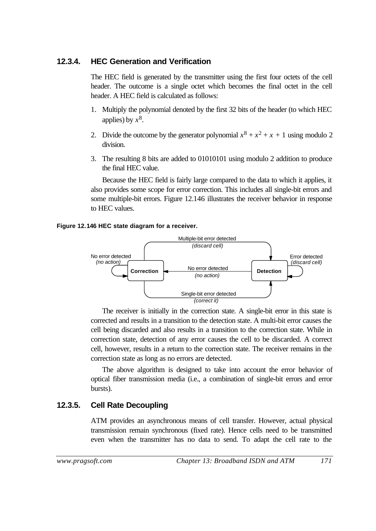#### **12.3.4. HEC Generation and Verification**

The HEC field is generated by the transmitter using the first four octets of the cell header. The outcome is a single octet which becomes the final octet in the cell header. A HEC field is calculated as follows:

- 1. Multiply the polynomial denoted by the first 32 bits of the header (to which HEC applies) by  $x^8$ .
- 2. Divide the outcome by the generator polynomial  $x^8 + x^2 + x + 1$  using modulo 2 division.
- 3. The resulting 8 bits are added to 01010101 using modulo 2 addition to produce the final HEC value.

Because the HEC field is fairly large compared to the data to which it applies, it also provides some scope for error correction. This includes all single-bit errors and some multiple-bit errors. Figure 12.146 illustrates the receiver behavior in response to HEC values.

#### **Figure 12.146 HEC state diagram for a receiver.**



The receiver is initially in the correction state. A single-bit error in this state is corrected and results in a transition to the detection state. A multi-bit error causes the cell being discarded and also results in a transition to the correction state. While in correction state, detection of any error causes the cell to be discarded. A correct cell, however, results in a return to the correction state. The receiver remains in the correction state as long as no errors are detected.

The above algorithm is designed to take into account the error behavior of optical fiber transmission media (i.e., a combination of single-bit errors and error bursts).

#### **12.3.5. Cell Rate Decoupling**

ATM provides an asynchronous means of cell transfer. However, actual physical transmission remain synchronous (fixed rate). Hence cells need to be transmitted even when the transmitter has no data to send. To adapt the cell rate to the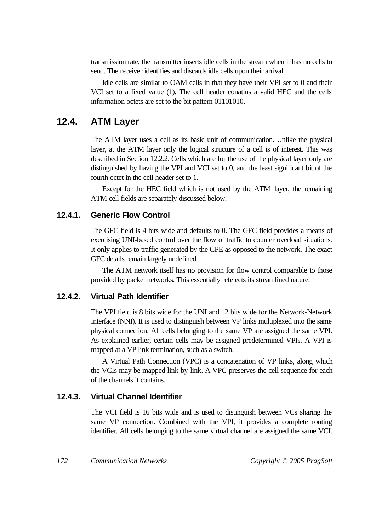transmission rate, the transmitter inserts idle cells in the stream when it has no cells to send. The receiver identifies and discards idle cells upon their arrival.

Idle cells are similar to OAM cells in that they have their VPI set to 0 and their VCI set to a fixed value (1). The cell header conatins a valid HEC and the cells information octets are set to the bit pattern 01101010.

# **12.4. ATM Layer**

The ATM layer uses a cell as its basic unit of communication. Unlike the physical layer, at the ATM layer only the logical structure of a cell is of interest. This was described in Section 12.2.2. Cells which are for the use of the physical layer only are distinguished by having the VPI and VCI set to 0, and the least significant bit of the fourth octet in the cell header set to 1.

Except for the HEC field which is not used by the ATM layer, the remaining ATM cell fields are separately discussed below.

## **12.4.1. Generic Flow Control**

The GFC field is 4 bits wide and defaults to 0. The GFC field provides a means of exercising UNI-based control over the flow of traffic to counter overload situations. It only applies to traffic generated by the CPE as opposed to the network. The exact GFC details remain largely undefined.

The ATM network itself has no provision for flow control comparable to those provided by packet networks. This essentially refelects its streamlined nature.

## **12.4.2. Virtual Path Identifier**

The VPI field is 8 bits wide for the UNI and 12 bits wide for the Network-Network Interface (NNI). It is used to distinguish between VP links multiplexed into the same physical connection. All cells belonging to the same VP are assigned the same VPI. As explained earlier, certain cells may be assigned predetermined VPIs. A VPI is mapped at a VP link termination, such as a switch.

A Virtual Path Connection (VPC) is a concatenation of VP links, along which the VCIs may be mapped link-by-link. A VPC preserves the cell sequence for each of the channels it contains.

## **12.4.3. Virtual Channel Identifier**

The VCI field is 16 bits wide and is used to distinguish between VCs sharing the same VP connection. Combined with the VPI, it provides a complete routing identifier. All cells belonging to the same virtual channel are assigned the same VCI.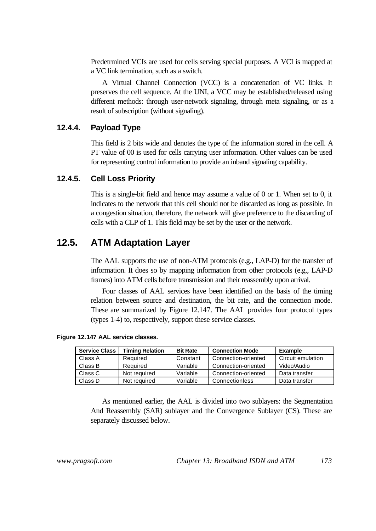Predetrmined VCIs are used for cells serving special purposes. A VCI is mapped at a VC link termination, such as a switch.

A Virtual Channel Connection (VCC) is a concatenation of VC links. It preserves the cell sequence. At the UNI, a VCC may be established/released using different methods: through user-network signaling, through meta signaling, or as a result of subscription (without signaling).

#### **12.4.4. Payload Type**

This field is 2 bits wide and denotes the type of the information stored in the cell. A PT value of 00 is used for cells carrying user information. Other values can be used for representing control information to provide an inband signaling capability.

#### **12.4.5. Cell Loss Priority**

This is a single-bit field and hence may assume a value of 0 or 1. When set to 0, it indicates to the network that this cell should not be discarded as long as possible. In a congestion situation, therefore, the network will give preference to the discarding of cells with a CLP of 1. This field may be set by the user or the network.

## **12.5. ATM Adaptation Layer**

The AAL supports the use of non-ATM protocols (e.g., LAP-D) for the transfer of information. It does so by mapping information from other protocols (e.g., LAP-D frames) into ATM cells before transmission and their reassembly upon arrival.

Four classes of AAL services have been identified on the basis of the timing relation between source and destination, the bit rate, and the connection mode. These are summarized by Figure 12.147. The AAL provides four protocol types (types 1-4) to, respectively, support these service classes.

**Figure 12.147 AAL service classes.**

| <b>Service Class</b> | <b>Timing Relation</b> | <b>Bit Rate</b> | <b>Connection Mode</b> | <b>Example</b>    |
|----------------------|------------------------|-----------------|------------------------|-------------------|
| Class A              | Required               | Constant        | Connection-oriented    | Circuit emulation |
| Class B              | Required               | Variable        | Connection-oriented    | Video/Audio       |
| Class C              | Not required           | Variable        | Connection-oriented    | Data transfer     |
| Class D              | Not required           | Variable        | Connectionless         | Data transfer     |

As mentioned earlier, the AAL is divided into two sublayers: the Segmentation And Reassembly (SAR) sublayer and the Convergence Sublayer (CS). These are separately discussed below.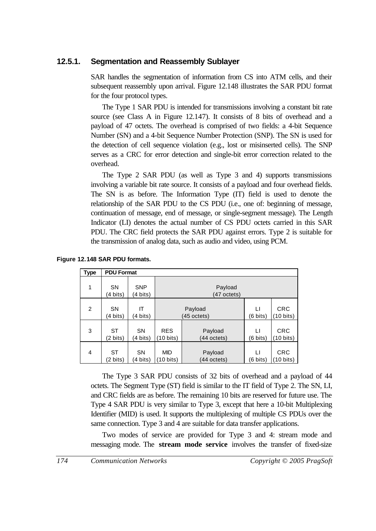#### **12.5.1. Segmentation and Reassembly Sublayer**

SAR handles the segmentation of information from CS into ATM cells, and their subsequent reassembly upon arrival. Figure 12.148 illustrates the SAR PDU format for the four protocol types.

The Type 1 SAR PDU is intended for transmissions involving a constant bit rate source (see Class A in Figure 12.147). It consists of 8 bits of overhead and a payload of 47 octets. The overhead is comprised of two fields: a 4-bit Sequence Number (SN) and a 4-bit Sequence Number Protection (SNP). The SN is used for the detection of cell sequence violation (e.g., lost or misinserted cells). The SNP serves as a CRC for error detection and single-bit error correction related to the overhead.

The Type 2 SAR PDU (as well as Type 3 and 4) supports transmissions involving a variable bit rate source. It consists of a payload and four overhead fields. The SN is as before. The Information Type (IT) field is used to denote the relationship of the SAR PDU to the CS PDU (i.e., one of: beginning of message, continuation of message, end of message, or single-segment message). The Length Indicator (LI) denotes the actual number of CS PDU octets carried in this SAR PDU. The CRC field protects the SAR PDU against errors. Type 2 is suitable for the transmission of analog data, such as audio and video, using PCM.

| <b>Type</b>    | <b>PDU Format</b>     |                        |                        |                        |                |                                   |
|----------------|-----------------------|------------------------|------------------------|------------------------|----------------|-----------------------------------|
| 1              | <b>SN</b><br>(4 bits) | <b>SNP</b><br>(4 bits) |                        | Payload<br>(47 octets) |                |                                   |
| $\overline{2}$ | <b>SN</b><br>(4 bits) | IΤ<br>(4 bits)         |                        | Payload<br>(45 octets) | LI<br>(6 bits) | <b>CRC</b><br>$(10 \text{ bits})$ |
| 3              | <b>ST</b><br>(2 bits) | <b>SN</b><br>(4 bits)  | <b>RES</b><br>10 bits) | Payload<br>(44 octets) | LI<br>(6 bits) | <b>CRC</b><br>$(10 \text{ bits})$ |
| 4              | <b>ST</b><br>(2 bits) | <b>SN</b><br>(4 bits)  | <b>MID</b><br>10 bits) | Payload<br>(44 octets) | П<br>(6 bits)  | <b>CRC</b><br>(10 bits)           |

#### **Figure 12.148 SAR PDU formats.**

The Type 3 SAR PDU consists of 32 bits of overhead and a payload of 44 octets. The Segment Type (ST) field is similar to the IT field of Type 2. The SN, LI, and CRC fields are as before. The remaining 10 bits are reserved for future use. The Type 4 SAR PDU is very similar to Type 3, except that here a 10-bit Multiplexing Identifier (MID) is used. It supports the multiplexing of multiple CS PDUs over the same connection. Type 3 and 4 are suitable for data transfer applications.

Two modes of service are provided for Type 3 and 4: stream mode and messaging mode. The **stream mode service** involves the transfer of fixed-size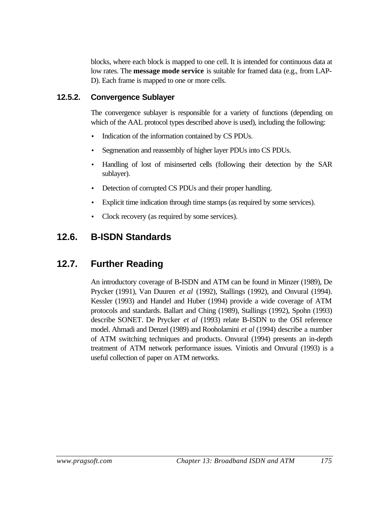blocks, where each block is mapped to one cell. It is intended for continuous data at low rates. The **message mode service** is suitable for framed data (e.g., from LAP-D). Each frame is mapped to one or more cells.

### **12.5.2. Convergence Sublayer**

The convergence sublayer is responsible for a variety of functions (depending on which of the AAL protocol types described above is used), including the following:

- Indication of the information contained by CS PDUs.
- Segmenation and reassembly of higher layer PDUs into CS PDUs.
- Handling of lost of misinserted cells (following their detection by the SAR sublayer).
- Detection of corrupted CS PDUs and their proper handling.
- Explicit time indication through time stamps (as required by some services).
- Clock recovery (as required by some services).

# **12.6. B-ISDN Standards**

# **12.7. Further Reading**

An introductory coverage of B-ISDN and ATM can be found in Minzer (1989), De Prycker (1991), Van Duuren *et al* (1992), Stallings (1992), and Onvural (1994). Kessler (1993) and Handel and Huber (1994) provide a wide coverage of ATM protocols and standards. Ballart and Ching (1989), Stallings (1992), Spohn (1993) describe SONET. De Prycker *et al* (1993) relate B-ISDN to the OSI reference model. Ahmadi and Denzel (1989) and Rooholamini *et al* (1994) describe a number of ATM switching techniques and products. Onvural (1994) presents an in-depth treatment of ATM network performance issues. Viniotis and Onvural (1993) is a useful collection of paper on ATM networks.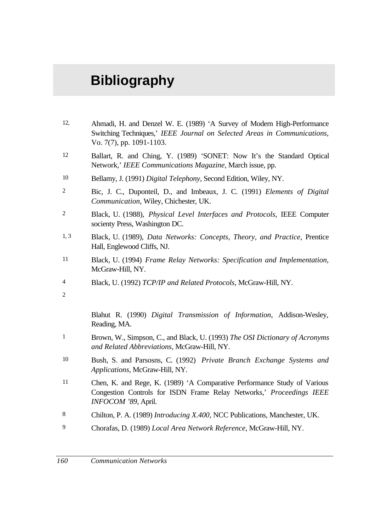# **Bibliography**

- 12, Ahmadi, H. and Denzel W. E. (1989) 'A Survey of Modern High-Performance Switching Techniques,' *IEEE Journal on Selected Areas in Communications*, Vo. 7(7), pp. 1091-1103.
- 12 Ballart, R. and Ching, Y. (1989) 'SONET: Now It's the Standard Optical Network,' *IEEE Communications Magazine*, March issue, pp.
- 10 Bellamy, J. (1991) *Digital Telephony*, Second Edition, Wiley, NY.
- 2 Bic, J. C., Duponteil, D., and Imbeaux, J. C. (1991) *Elements of Digital Communication*, Wiley, Chichester, UK.
- 2 Black, U. (1988), *Physical Level Interfaces and Protocols*, IEEE Computer socienty Press, Washington DC.
- 1, 3 Black, U. (1989), *Data Networks: Concepts, Theory, and Practice*, Prentice Hall, Englewood Cliffs, NJ.
- 11 Black, U. (1994) *Frame Relay Networks: Specification and Implementation*, McGraw-Hill, NY.
- 4 Black, U. (1992) *TCP/IP and Related Protocols*, McGraw-Hill, NY.
- $\overline{2}$

Blahut R. (1990) *Digital Transmission of Information*, Addison-Wesley, Reading, MA.

- 1 Brown, W., Simpson, C., and Black, U. (1993) *The OSI Dictionary of Acronyms and Related Abbreviations*, McGraw-Hill, NY.
- 10 Bush, S. and Parsosns, C. (1992) *Private Branch Exchange Systems and Applications*, McGraw-Hill, NY.
- 11 Chen, K. and Rege, K. (1989) 'A Comparative Performance Study of Various Congestion Controls for ISDN Frame Relay Networks,' *Proceedings IEEE INFOCOM '89*, April.
- 8 Chilton, P. A. (1989) *Introducing X.400*, NCC Publications, Manchester, UK.
- 9 Chorafas, D. (1989) *Local Area Network Reference*, McGraw-Hill, NY.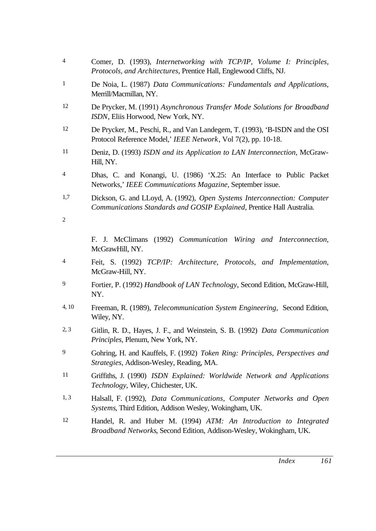- 4 Comer, D. (1993), *Internetworking with TCP/IP, Volume I: Principles, Protocols, and Architectures*, Prentice Hall, Englewood Cliffs, NJ.
- 1 De Noia, L. (1987) *Data Communications: Fundamentals and Applications*, Merrill/Macmillan, NY.
- 12 De Prycker, M. (1991) *Asynchronous Transfer Mode Solutions for Broadband ISDN*, Eliis Horwood, New York, NY.
- 12 De Prycker, M., Peschi, R., and Van Landegem, T. (1993), 'B-ISDN and the OSI Protocol Reference Model,' *IEEE Network*, Vol 7(2), pp. 10-18.
- 11 Deniz, D. (1993) *ISDN and its Application to LAN Interconnection*, McGraw-Hill, NY.
- 4 Dhas, C. and Konangi, U. (1986) 'X.25: An Interface to Public Packet Networks,' *IEEE Communications Magazine*, September issue.
- 1,7 Dickson, G. and LLoyd, A. (1992), *Open Systems Interconnection: Computer Communications Standards and GOSIP Explained*, Prentice Hall Australia.
- 2

F. J. McClimans (1992) *Communication Wiring and Interconnection*, McGrawHill, NY.

- 4 Feit, S. (1992) *TCP/IP: Architecture, Protocols, and Implementation*, McGraw-Hill, NY.
- 9 Fortier, P. (1992) *Handbook of LAN Technology*, Second Edition, McGraw-Hill, NY.
- 4, 10 Freeman, R. (1989), *Telecommunication System Engineering*, Second Edition, Wiley, NY.
- 2, 3 Gitlin, R. D., Hayes, J. F., and Weinstein, S. B. (1992) *Data Communication Principles*, Plenum, New York, NY.
- 9 Gohring, H. and Kauffels, F. (1992) *Token Ring: Principles, Perspectives and Strategies*, Addison-Wesley, Reading, MA.
- 11 Griffiths, J. (1990) *ISDN Explained: Worldwide Network and Applications Technology*, Wiley, Chichester, UK.
- 1, 3 Halsall, F. (1992), *Data Communications, Computer Networks and Open Systems*, Third Edition, Addison Wesley, Wokingham, UK.
- 12 Handel, R. and Huber M. (1994) *ATM: An Introduction to Integrated Broadband Networks*, Second Edition, Addison-Wesley, Wokingham, UK.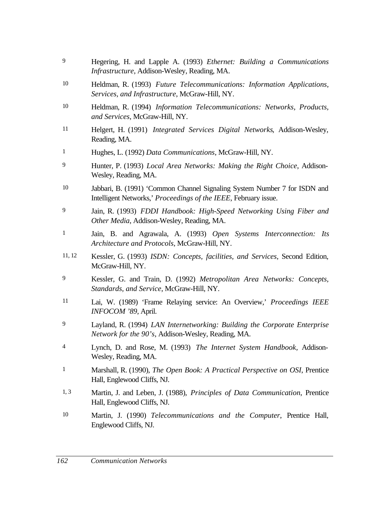- 9 Hegering, H. and Lapple A. (1993) *Ethernet: Building a Communications Infrastructure*, Addison-Wesley, Reading, MA.
- 10 Heldman, R. (1993) *Future Telecommunications: Information Applications, Services, and Infrastructure*, McGraw-Hill, NY.
- 10 Heldman, R. (1994) *Information Telecommunications: Networks, Products, and Services*, McGraw-Hill, NY.
- 11 Helgert, H. (1991) *Integrated Services Digital Networks*, Addison-Wesley, Reading, MA.
- 1 Hughes, L. (1992) *Data Communications*, McGraw-Hill, NY.
- 9 Hunter, P. (1993) *Local Area Networks: Making the Right Choice*, Addison-Wesley, Reading, MA.
- 10 Jabbari, B. (1991) 'Common Channel Signaling System Number 7 for ISDN and Intelligent Networks,' *Proceedings of the IEEE*, February issue.
- 9 Jain, R. (1993) *FDDI Handbook: High-Speed Networking Using Fiber and Other Media*, Addison-Wesley, Reading, MA.
- 1 Jain, B. and Agrawala, A. (1993) *Open Systems Interconnection: Its Architecture and Protocols*, McGraw-Hill, NY.
- 11, 12 Kessler, G. (1993) *ISDN: Concepts, facilities, and Services*, Second Edition, McGraw-Hill, NY.
- 9 Kessler, G. and Train, D. (1992) *Metropolitan Area Networks: Concepts, Standards, and Service*, McGraw-Hill, NY.
- 11 Lai, W. (1989) 'Frame Relaying service: An Overview,' *Proceedings IEEE INFOCOM '89*, April.
- 9 Layland, R. (1994) *LAN Internetworking: Building the Corporate Enterprise Network for the 90's*, Addison-Wesley, Reading, MA.
- 4 Lynch, D. and Rose, M. (1993) *The Internet System Handbook,* Addison-Wesley, Reading, MA.
- 1 Marshall, R. (1990), *The Open Book: A Practical Perspective on OSI*, Prentice Hall, Englewood Cliffs, NJ.
- 1, 3 Martin, J. and Leben, J. (1988), *Principles of Data Communication*, Prentice Hall, Englewood Cliffs, NJ.
- 10 Martin, J. (1990) *Telecommunications and the Computer*, Prentice Hall, Englewood Cliffs, NJ.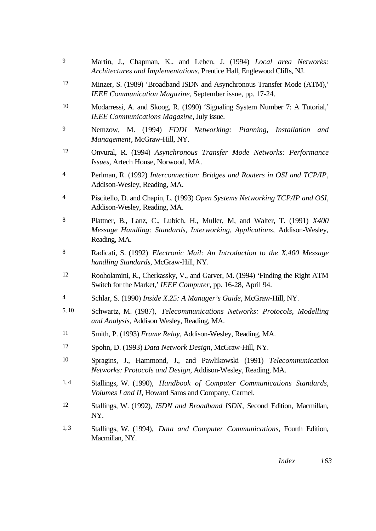- 9 Martin, J., Chapman, K., and Leben, J. (1994) *Local area Networks: Architectures and Implementations*, Prentice Hall, Englewood Cliffs, NJ.
- 12 Minzer, S. (1989) 'Broadband ISDN and Asynchronous Transfer Mode (ATM),' *IEEE Communication Magazine*, September issue, pp. 17-24.
- 10 Modarressi, A. and Skoog, R. (1990) 'Signaling System Number 7: A Tutorial,' *IEEE Communications Magazine*, July issue.
- 9 Nemzow, M. (1994) *FDDI Networking: Planning, Installation and Management*, McGraw-Hill, NY.
- 12 Onvural, R. (1994) *Asynchronous Transfer Mode Networks: Performance Issues*, Artech House, Norwood, MA.
- 4 Perlman, R. (1992) *Interconnection: Bridges and Routers in OSI and TCP/IP*, Addison-Wesley, Reading, MA.
- 4 Piscitello, D. and Chapin, L. (1993) *Open Systems Networking TCP/IP and OSI*, Addison-Wesley, Reading, MA.
- 8 Plattner, B., Lanz, C., Lubich, H., Muller, M, and Walter, T. (1991) *X400 Message Handling: Standards, Interworking, Applications*, Addison-Wesley, Reading, MA.
- 8 Radicati, S. (1992) *Electronic Mail: An Introduction to the X.400 Message handling Standards*, McGraw-Hill, NY.
- 12 Rooholamini, R., Cherkassky, V., and Garver, M. (1994) 'Finding the Right ATM Switch for the Market,' *IEEE Computer*, pp. 16-28, April 94.
- 4 Schlar, S. (1990) *Inside X.25: A Manager's Guide*, McGraw-Hill, NY.
- 5, 10 Schwartz, M. (1987), *Telecommunications Networks: Protocols, Modelling and Analysis*, Addison Wesley, Reading, MA.
- 11 Smith, P. (1993) *Frame Relay*, Addison-Wesley, Reading, MA.
- 12 Spohn, D. (1993) *Data Network Design*, McGraw-Hill, NY.
- 10 Spragins, J., Hammond, J., and Pawlikowski (1991) *Telecommunication Networks: Protocols and Design*, Addison-Wesley, Reading, MA.
- 1, 4 Stallings, W. (1990), *Handbook of Computer Communications Standards*, *Volumes I and II*, Howard Sams and Company, Carmel.
- 12 Stallings, W. (1992), *ISDN and Broadband ISDN*, Second Edition, Macmillan, NY.
- 1, 3 Stallings, W. (1994), *Data and Computer Communications*, Fourth Edition, Macmillan, NY.